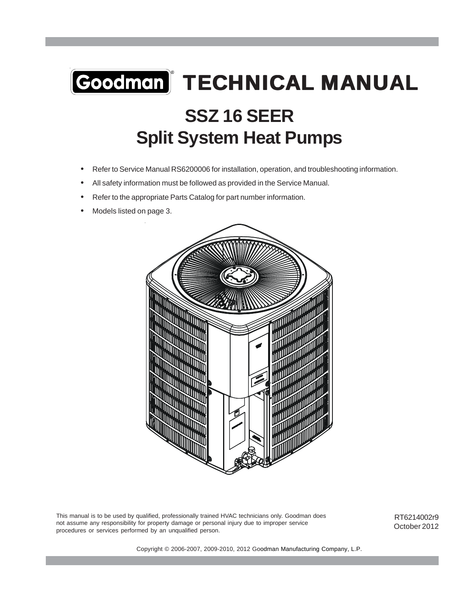# **SSZ 16 SEER Split System Heat Pumps** Goodman | TECHNICAL MANUAL

- Refer to Service Manual RS6200006 for installation, operation, and troubleshooting information.
- All safety information must be followed as provided in the Service Manual.
- Refer to the appropriate Parts Catalog for part number information.
- Models listed on page 3.



This manual is to be used by qualified, professionally trained HVAC technicians only. Goodman does not assume any responsibility for property damage or personal injury due to improper service procedures or services performed by an unqualified person.

RT6214002r9 October 2012

Copyright © 2006-2007, 2009-2010, 2012 Goodman Manufacturing Company, L.P.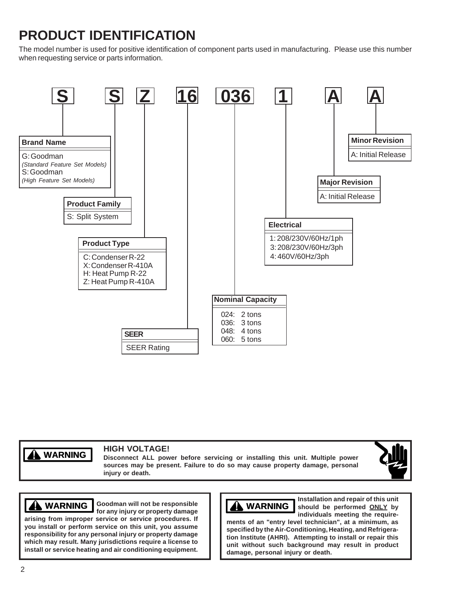# **PRODUCT IDENTIFICATION**

The model number is used for positive identification of component parts used in manufacturing. Please use this number when requesting service or parts information.



**WARNING WARNING**

## **HIGH VOLTAGE!**

**Disconnect ALL power before servicing or installing this unit. Multiple power sources may be present. Failure to do so may cause property damage, personal injury or death.**



**Goodman will not be responsible WARNING WARNING WARNING**

**for any injury or property damage arising from improper service or service procedures. If you install or perform service on this unit, you assume responsibility for any personal injury or property damage which may result. Many jurisdictions require a license to install or service heating and air conditioning equipment.**



**Installation and repair of this unit should be performed ONLY by individuals meeting the require-**

**ments of an "entry level technician", at a minimum, as specified by the Air-Conditioning, Heating, and Refrigeration Institute (AHRI). Attempting to install or repair this unit without such background may result in product damage, personal injury or death.**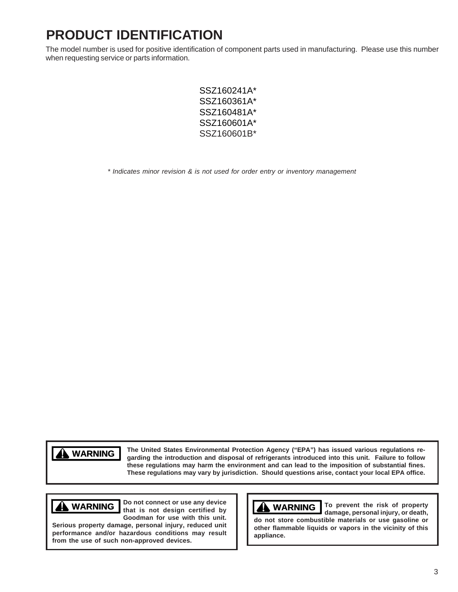# **PRODUCT IDENTIFICATION**

The model number is used for positive identification of component parts used in manufacturing. Please use this number when requesting service or parts information.

> SSZ160241A\* SSZ160361A\* SSZ160481A\* SSZ160601A\* SSZ160601B\*

*\* Indicates minor revision & is not used for order entry or inventory management*

**WARNING WARNING**

**The United States Environmental Protection Agency ("EPA") has issued various regulations regarding the introduction and disposal of refrigerants introduced into this unit. Failure to follow these regulations may harm the environment and can lead to the imposition of substantial fines. These regulations may vary by jurisdiction. Should questions arise, contact your local EPA office.**

**Do not connect or use any device that is not design certified by Goodman for use with this unit.**

**Serious property damage, personal injury, reduced unit performance and/or hazardous conditions may result from the use of such non-approved devices.**



**WARNING**  $\begin{bmatrix} 100 & not \text{ connect or use any device} \\ 1 \end{bmatrix}$  **To prevent the risk of property damage, personal injury, or death, do not store combustible materials or use gasoline or other flammable liquids or vapors in the vicinity of this appliance.**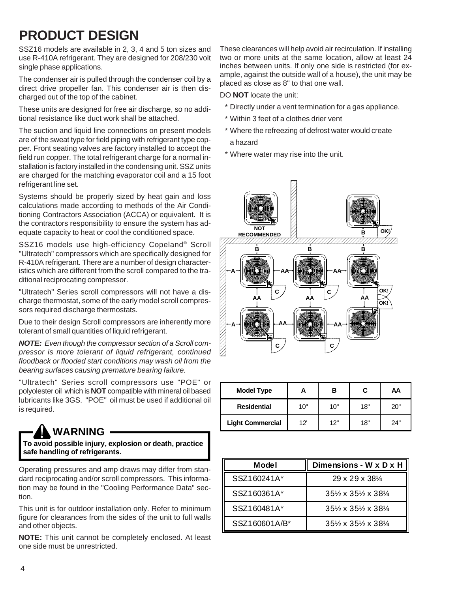# **PRODUCT DESIGN**

SSZ16 models are available in 2, 3, 4 and 5 ton sizes and use R-410A refrigerant. They are designed for 208/230 volt single phase applications.

The condenser air is pulled through the condenser coil by a direct drive propeller fan. This condenser air is then discharged out of the top of the cabinet.

These units are designed for free air discharge, so no additional resistance like duct work shall be attached.

The suction and liquid line connections on present models are of the sweat type for field piping with refrigerant type copper. Front seating valves are factory installed to accept the field run copper. The total refrigerant charge for a normal installation is factory installed in the condensing unit. SSZ units are charged for the matching evaporator coil and a 15 foot refrigerant line set.

Systems should be properly sized by heat gain and loss calculations made according to methods of the Air Conditioning Contractors Association (ACCA) or equivalent. It is the contractors responsibility to ensure the system has adequate capacity to heat or cool the conditioned space.

SSZ16 models use high-efficiency Copeland® Scroll "Ultratech" compressors which are specifically designed for R-410A refrigerant. There are a number of design characteristics which are different from the scroll compared to the traditional reciprocating compressor.

"Ultratech" Series scroll compressors will not have a discharge thermostat, some of the early model scroll compressors required discharge thermostats.

Due to their design Scroll compressors are inherently more tolerant of small quantities of liquid refrigerant.

*NOTE: Even though the compressor section of a Scroll compressor is more tolerant of liquid refrigerant, continued floodback or flooded start conditions may wash oil from the bearing surfaces causing premature bearing failure.*

"Ultratech" Series scroll compressors use "POE" or polyolester oil which is **NOT** compatible with mineral oil based lubricants like 3GS. "POE" oil must be used if additional oil is required.

# **WARNING**

**To avoid possible injury, explosion or death, practice safe handling of refrigerants.**

Operating pressures and amp draws may differ from standard reciprocating and/or scroll compressors. This information may be found in the "Cooling Performance Data" section.

This unit is for outdoor installation only. Refer to minimum figure for clearances from the sides of the unit to full walls and other objects.

**NOTE:** This unit cannot be completely enclosed. At least one side must be unrestricted.

These clearances will help avoid air recirculation. If installing two or more units at the same location, allow at least 24 inches between units. If only one side is restricted (for example, against the outside wall of a house), the unit may be placed as close as 8" to that one wall.

DO **NOT** locate the unit:

- \* Directly under a vent termination for a gas appliance.
- \* Within 3 feet of a clothes drier vent
- \* Where the refreezing of defrost water would create a hazard
- \* Where water may rise into the unit.



| <b>Model Type</b>       |     | в   | С   | AA  |
|-------------------------|-----|-----|-----|-----|
| <b>Residential</b>      | 10" | 10" | 18" | 20" |
| <b>Light Commercial</b> | 12' | 12" | 18" | 24" |

| <b>Model</b>  | Dimensions - W x D x H                                    |
|---------------|-----------------------------------------------------------|
| SSZ160241A*   | $29 \times 29 \times 38\%$                                |
| SSZ160361A*   | $35\frac{1}{2} \times 35\frac{1}{2} \times 38\frac{1}{4}$ |
| SSZ160481A*   | $35\frac{1}{2} \times 35\frac{1}{2} \times 38\frac{1}{4}$ |
| SSZ160601A/B* | $35\% \times 35\% \times 38\%$                            |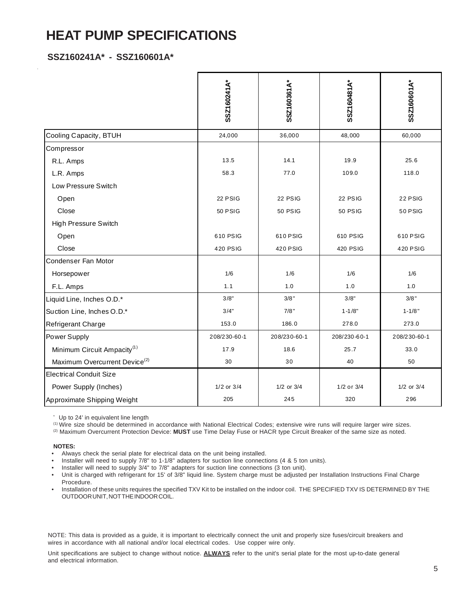# **HEAT PUMP SPECIFICATIONS**

## **SSZ160241A\* - SSZ160601A\***

|                                           | SSZ160241A*    | SSZ160361A*    | SSZ160481A*    | SSZ160601A*    |
|-------------------------------------------|----------------|----------------|----------------|----------------|
| Cooling Capacity, BTUH                    | 24,000         | 36,000         | 48,000         | 60,000         |
| Compressor                                |                |                |                |                |
| R.L. Amps                                 | 13.5           | 14.1           | 19.9           | 25.6           |
| L.R. Amps                                 | 58.3           | 77.0           | 109.0          | 118.0          |
| Low Pressure Switch                       |                |                |                |                |
| Open                                      | 22 PSIG        | 22 PSIG        | 22 PSIG        | 22 PSIG        |
| Close                                     | <b>50 PSIG</b> | <b>50 PSIG</b> | <b>50 PSIG</b> | 50 PSIG        |
| High Pressure Switch                      |                |                |                |                |
| Open                                      | 610 PSIG       | 610 PSIG       | 610 PSIG       | 610 PSIG       |
| Close                                     | 420 PSIG       | 420 PSIG       | 420 PSIG       | 420 PSIG       |
| Condenser Fan Motor                       |                |                |                |                |
| Horsepower                                | 1/6            | 1/6            | 1/6            | 1/6            |
| F.L. Amps                                 | 1.1            | 1.0            | 1.0            | 1.0            |
| Liquid Line, Inches O.D.*                 | 3/8"           | $3/8$ "        | 3/8"           | $3/8$ "        |
| Suction Line, Inches O.D.*                | 3/4"           | 7/8"           | $1 - 1/8"$     | $1 - 1/8"$     |
| Refrigerant Charge                        | 153.0          | 186.0          | 278.0          | 273.0          |
| Power Supply                              | 208/230-60-1   | 208/230-60-1   | 208/230-60-1   | 208/230-60-1   |
| Minimum Circuit Ampacity <sup>(1)</sup>   | 17.9           | 18.6           | 25.7           | 33.0           |
| Maximum Overcurrent Device <sup>(2)</sup> | 30             | 30             | 40             | 50             |
| <b>Electrical Conduit Size</b>            |                |                |                |                |
| Power Supply (Inches)                     | 1/2 or 3/4     | 1/2 or 3/4     | 1/2 or 3/4     | $1/2$ or $3/4$ |
| Approximate Shipping Weight               | 205            | 245            | 320            | 296            |

\* Up to 24' in equivalent line length

(1) Wire size should be determined in accordance with National Electrical Codes; extensive wire runs will require larger wire sizes.

(2) Maximum Overcurrent Protection Device: **MUST** use Time Delay Fuse or HACR type Circuit Breaker of the same size as noted.

**NOTES:**

- Always check the serial plate for electrical data on the unit being installed.
- Installer will need to supply 7/8" to 1-1/8" adapters for suction line connections (4 & 5 ton units).
- Installer will need to supply 3/4" to 7/8" adapters for suction line connections (3 ton unit).

• Unit is charged with refrigerant for 15' of 3/8" liquid line. System charge must be adjusted per Installation Instructions Final Charge Procedure.

• Installation of these units requires the specified TXV Kit to be installed on the indoor coil. THE SPECIFIED TXV IS DETERMINED BY THE OUTDOOR UNIT, NOT THE INDOOR COIL.

NOTE: This data is provided as a guide, it is important to electrically connect the unit and properly size fuses/circuit breakers and wires in accordance with all national and/or local electrical codes. Use copper wire only.

Unit specifications are subject to change without notice. **ALWAYS** refer to the unit's serial plate for the most up-to-date general and electrical information.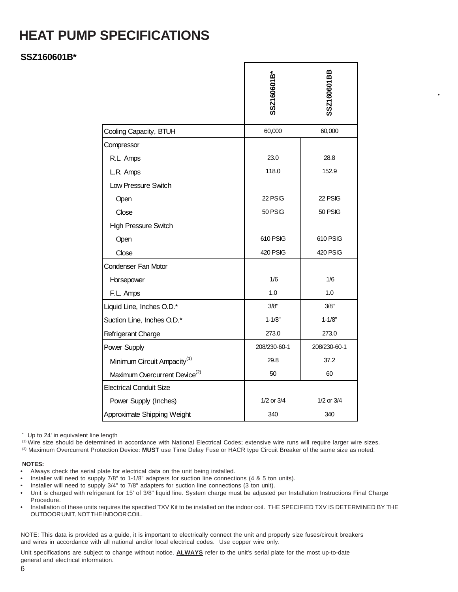# **HEAT PUMP SPECIFICATIONS**

## **SSZ160601B\***

|                                           | SSZ160601B*     | SSZ160601BB     |
|-------------------------------------------|-----------------|-----------------|
| Cooling Capacity, BTUH                    | 60,000          | 60,000          |
| Compressor                                |                 |                 |
| R.L. Amps                                 | 23.0            | 28.8            |
| L.R. Amps                                 | 118.0           | 152.9           |
| Low Pressure Switch                       |                 |                 |
| Open                                      | 22 PSIG         | 22 PSIG         |
| Close                                     | 50 PSIG         | 50 PSIG         |
| <b>High Pressure Switch</b>               |                 |                 |
| Open                                      | 610 PSIG        | 610 PSIG        |
| Close                                     | <b>420 PSIG</b> | <b>420 PSIG</b> |
| Condenser Fan Motor                       |                 |                 |
| Horsepower                                | 1/6             | 1/6             |
| F.L. Amps                                 | 1.0             | 1.0             |
| Liquid Line, Inches O.D.*                 | 3/8"            | 3/8"            |
| Suction Line, Inches O.D.*                | $1 - 1/8"$      | $1 - 1/8"$      |
| Refrigerant Charge                        | 273.0           | 273.0           |
| Power Supply                              | 208/230-60-1    | 208/230-60-1    |
| Minimum Circuit Ampacity <sup>(1)</sup>   | 29.8            | 37.2            |
| Maximum Overcurrent Device <sup>(2)</sup> | 50              | 60              |
| <b>Electrical Conduit Size</b>            |                 |                 |
| Power Supply (Inches)                     | 1/2 or 3/4      | $1/2$ or $3/4$  |
| Approximate Shipping Weight               | 340             | 340             |

\* Up to 24' in equivalent line length

(1) Wire size should be determined in accordance with National Electrical Codes; extensive wire runs will require larger wire sizes.

(2) Maximum Overcurrent Protection Device: **MUST** use Time Delay Fuse or HACR type Circuit Breaker of the same size as noted.

#### **NOTES:**

- Always check the serial plate for electrical data on the unit being installed.
- Installer will need to supply 7/8" to 1-1/8" adapters for suction line connections (4 & 5 ton units).
- Installer will need to supply 3/4" to 7/8" adapters for suction line connections (3 ton unit).
- Unit is charged with refrigerant for 15' of 3/8" liquid line. System charge must be adjusted per Installation Instructions Final Charge Procedure.
- Installation of these units requires the specified TXV Kit to be installed on the indoor coil. THE SPECIFIED TXV IS DETERMINED BY THE OUTDOOR UNIT, NOT THE INDOOR COIL.

NOTE: This data is provided as a guide, it is important to electrically connect the unit and properly size fuses/circuit breakers and wires in accordance with all national and/or local electrical codes. Use copper wire only.

Unit specifications are subject to change without notice. **ALWAYS** refer to the unit's serial plate for the most up-to-date general and electrical information.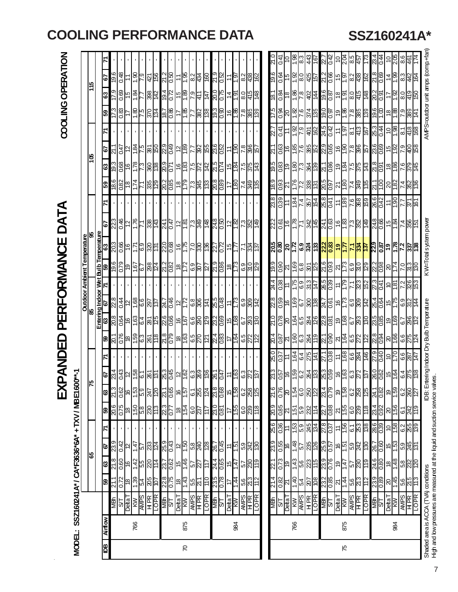| l |
|---|
| i |
|   |
| l |
|   |
|   |
|   |
|   |
|   |
|   |
|   |
|   |
| ı |
|   |
|   |
| l |
|   |
|   |
|   |
|   |
|   |
|   |
|   |
|   |
|   |
|   |
|   |
| I |
|   |
|   |
|   |
|   |

| AMP S=outdoor unit amps (comp.+fan)<br>1.98<br>$\frac{5}{2}$<br>Ct 0<br>়<br>ম<br>প্ৰ<br>প্ৰ<br>205<br>43<br>န္တ<br>173<br>04<br>$\frac{4}{1}$<br>8.3<br>8.6<br><u>le</u><br>- 72<br><u>15</u><br>S<br>ن<br>4<br>19.6<br>0.48<br>$rac{6}{1.9}$<br><u> 156</u><br>지역 기도<br>21.9<br>96<br>$rac{425}{157}$<br>$\frac{512}{212}$<br>$\frac{12}{36}$<br>0.64<br>e 8 9<br>"이어<br><u>ိုးများ</u><br>$\frac{80}{218}$<br>$\boxed{8}$<br>$\frac{9}{3}$ $\frac{4}{3}$<br>$\frac{5}{2}$<br>$rac{15}{5}$<br><u>=  p</u><br>$\frac{4}{3}$<br>79<br>$rac{5}{1}$<br>$\overline{54}$<br>0.69<br>19.4<br>0.72<br>ㅎㅎㅎ<br>$\frac{50}{20}$<br><u>်ခြင်းမြိုင်းမြိုင်း</u><br><u>  8  경 영역</u><br>  8  8  8  8  9 <br>$\frac{1.84}{ }$<br>398<br>$rac{6}{35}$<br>$rac{1}{35}$<br><u>이하</u><br>18.1<br>$\frac{6}{8}$<br>$rac{1}{8}$<br>$\frac{17}{1}$<br><b>GS</b><br>$\frac{1}{4}$<br>97<br><u>lar</u><br>77<br>$\frac{56}{18}$<br>$\frac{18}{1588}$<br>$\frac{175}{5}$<br>$\frac{9}{18}$<br>0.83<br>0.86<br>19.3<br>$\frac{16}{2}$<br>$\frac{88}{28}$<br>०. अ<br>잉승녀 일이<br>0.6<br>$\frac{888}{289}$<br>$\frac{8}{18}$<br>$\frac{8}{2}$<br>$rac{56}{28}$<br>তি<br>ত<br>65<br>$-81$<br>17<br>24.5<br>$\frac{5}{10}$<br>$rac{62}{1.9}$<br>$\frac{ a _H^2}{ a _H^2}$<br>$rac{4}{25}$<br>0.41<br>$\frac{401}{62}$<br>$\frac{1}{9}$<br>7.7<br>$\tilde{t}$<br>23.6<br>$\frac{2.9}{0.49}$<br>$ \tilde{\sigma} ^2 =  \tilde{\sigma} ^2$<br>$\frac{6}{150}$<br>$\frac{187}{25}$ $\frac{180}{24}$<br>elൢ <u>ံမြိုးဖြံ</u><br>$rac{90}{65}$<br>$\frac{88}{28}$<br>$\frac{5}{17}$<br>0.63<br>$\frac{1}{2}$ $\frac{1}{2}$ $\frac{1}{2}$<br>L IZ<br>$\frac{286}{287}$<br>L IZ<br>$\frac{15}{1.92}$<br>$rac{1}{12}$<br>79<br>301<br>890<br>$\frac{5}{215}$<br>9.61<br><u>င် မြို့ခြ</u><br>$\overline{\infty}$<br>$\frac{ 16 }{65}$<br>19.3<br>143<br>0.83<br>$\frac{580}{280}$<br>$rac{1}{9}$<br>$\frac{5}{275}$<br>$\frac{500}{21}$<br>$rac{18}{180}$<br>$\frac{15}{24}$<br>7.5<br>375<br>히층너à à<br>$rac{6}{255}$<br>0.71<br>63<br>$\frac{680}{90}$<br>6.8<br>$\frac{580}{208}$<br>$\frac{5k^2}{621}$<br>$\frac{15}{15}$<br>9.81<br>1.74<br>335<br><u>rls</u><br>35<br>0.93<br>외승녀 없는<br>$\frac{5}{14}$<br>$\frac{2}{14}$<br>$rac{82}{18}$<br>ြို့<br>$rac{14}{249}$<br>21.1<br>1.00<br>$\frac{288}{4}$<br>65<br>$\vert \frac{8}{5} \vert$<br>$\frac{8}{2}$<br>$\overline{11}$<br>8250<br>$\frac{ \mathcal{L} \mathcal{B} }{ \mathcal{A} ^4}$ $\frac{ \mathcal{B} \mathcal{B} }{ \mathcal{B} \mathcal{A} ^2}$<br>$rac{1}{180}$<br><u>ြင်မြို့ မြို့</u><br>$\frac{15}{17}$<br>$\overline{184}$<br><u>이성</u><br>KW=Total system power<br>$\frac{24.8}{0.50}$<br>$rac{46}{12}$<br>$rac{1}{25}$ $rac{1}{25}$ $rac{1}{25}$<br><u>ျွိုင်မြိုင်မြို့မျ</u><br>248<br>22.3<br> ∽ ∞ ∽ ೫  <del>∞</del>  <br><u>မြန္မူများမြ</u><br>$\frac{541}{243}$<br><u>ခင်းမြို့မြို့</u><br>$\frac{15}{9}$<br>$\frac{485}{25}$<br>$\frac{24.1}{0.47}$<br>5<br>Bulb Temperature<br>59   63<br><b>Outdoor Ambient Temperature</b><br>85<br>$\frac{905}{502}$<br>$rac{9}{16}$<br>220<br>$\frac{16}{56}$<br>$\frac{2}{3}$<br><u> 8월 김긞 리육업 <mark>검원 김히용법</mark> 젊</u> 일일 김<br>227<br>0.72<br><u>년이 없다</u><br>$\frac{151}{5}$<br>님의<br>ĿΡ<br>6'6L<br>9.6<br>$\frac{500}{60}$<br>$\frac{1}{25}$<br>1.73<br>$rac{6L}{620}$<br>21.2<br>0.82<br>$\frac{1}{2}$<br>0.90<br>ೱ ೞೣಁ<br>$\frac{2.2}{0.98}$<br>$\frac{18}{2}$<br>80점<br>129<br>$\frac{5}{69}$<br>$\overline{29}$<br>$\frac{174}{ }$<br>$\frac{50}{60}$<br>$rac{69}{50}$<br>$\frac{301}{25}$<br>$\frac{5}{213}$<br>ခြ<br><u>lal</u><br>167<br>79<br>Emering Indoor Wet<br>63   67   71  <br>24.4<br>0.38<br>$\frac{15}{158}$<br>$\frac{12}{15}$<br>1.79<br>$\frac{27.3}{0.41}$<br>$\frac{1}{28}$<br><u>2883</u><br>ခြင့်<br><u>စ္ကိုဒ္</u> ဒုိခြင့္အျမင္ဆုိင္သူ<br><u> ရွိခြို့မြေမြေမြေမြ</u><br>25.5<br>$rac{16}{173}$<br>$\big \tilde{\sigma}_{\rm{5}}\big \tilde{\sigma}_{\rm{8}}\big $ $\big \tilde{\sigma}_{\rm{8}}\big $<br>$\frac{11}{173}$<br>$\frac{1}{28}$<br><u>ြို့တို့မြို့ ကြို့</u><br>$\frac{521}{9}$<br>$\frac{88}{4}$<br>tering Indoor Dry Bulb Temperature<br>$\frac{747}{161}$<br>$rac{61}{68}$ $rac{1}{88}$ $rac{66}{88}$<br>$\frac{21.0}{0.78}$<br>ၛၟႜၜႍႜႜၜႜ<br><u>ြင် အခြံခြံခြံ</u><br>$\frac{96}{16}$<br>23.2<br>$\frac{6}{68}$<br>$\frac{15}{108}$<br>$\frac{25}{8}$<br><u>မြံခြံမြီးမြံ</u><br>$rac{6}{80}$<br>일의<br>$\frac{500}{1087}$<br>21.8<br>620<br>$\frac{24}{0.83}$<br>$\frac{\sqrt{2}}{\sqrt{2}}$<br>$\frac{65}{10}$<br>$\frac{18}{9}$<br>$\frac{1}{2}$ $\frac{1}{2}$ $\frac{1}{2}$ $\frac{1}{2}$ $\frac{1}{2}$<br>$rac{20}{166}$<br>$\frac{81}{10}$<br>$rac{65}{80}$<br>$\frac{15}{4}$<br>ಸ <mark>್</mark> ರಜ್ಞ<br>$rac{264}{179}$<br>$rac{6}{8}$ $rac{1}{2}$<br>$\frac{5}{8}$<br>င္ပြ<br>$\overline{\mathcal{Z}}$<br>8<br>20.<br>$\frac{80}{37}$<br>$\frac{271}{1.88}$<br>Z7.9<br>$\frac{0211}{9}$<br>164<br>$rac{61}{25}$<br>$rac{68}{36}$<br>$rac{28}{14}$<br><u>န္ကုဒ္မိုင္ပုဒ္ကုိ မြန္မာမြန္မာမြန္မာမြန္မာမြ</u><br><u>ျားမြေချီများမြ</u><br><u>မိုင္ပြဲ ျပည္တြင္ မိုင္ပြဲ ျပည္</u><br>≌]∓<br>$\frac{25}{130}$<br>$\frac{750}{120}$<br>c3<br>6.4<br>5<br>ø<br>٣<br>IDB: Ent<br>21.6<br><b>G65</b><br>23.8<br>0.62<br>$\frac{153}{59}$<br>23.4<br>$\frac{62}{3}$<br>$\frac{9}{158}$<br>0.68<br>$\frac{158}{158}$<br><u> 시설</u> 역<br><b>PS1</b><br>$\overline{a}$<br>$rac{1}{255}$<br>$rac{2}{36}$<br><b>88</b><br>125<br>$ \tilde{z} $<br>124<br>$\frac{8}{2}$<br>0.82<br>ಔ<br>$\frac{5}{15}$<br>62<br>267<br>127<br>62<br>Ó,<br>$rac{61}{18}$<br>$\frac{2}{3}$<br>20.6<br>$rac{2}{15}$ $rac{1}{15}$ $rac{1}{15}$ $rac{1}{15}$<br>$\frac{230}{0.81}$<br>$\frac{900}{600}$<br>$\frac{2}{8}$ ဆြိုး<br>$\frac{1}{8}$<br>$rac{1}{28}$<br>$\frac{18}{15}$<br><u>rla</u><br>$\frac{232}{114}$<br>$\frac{1}{18}$<br>$\frac{23.4}{0.92}$<br>242<br>119<br>239<br>$\frac{5}{25}$<br>$\frac{1}{6}$<br>$\frac{1}{6}$<br><b>L2D</b><br>8<br>61<br>117<br>$\frac{15}{156}$<br><b>25.6</b><br>$\frac{52.8}{9.37}$<br><b>286</b><br>0.39<br>$\frac{153}{5.9}$<br>245<br>$\frac{158}{158}$<br>$\frac{85}{85}$<br>် မြို့<br>ကို<br>$\frac{239}{0.55}$<br>25.9<br>0.43<br>25.9<br>23.9<br>0.42<br>$\frac{5}{15}$<br>$\frac{148}{57}$<br>235<br>233<br>58<br>0.45<br>38/2<br>267<br>0.60<br>$\frac{28}{245}$<br>$\frac{8}{28}$<br>38/30<br>$\frac{16}{15}$<br>$\frac{15}{1.53}$<br>267<br>$\frac{147}{57}$<br>9<br>نتاج<br>29<br>မ္မ<br>$rac{5}{6}$<br>$rac{96}{16}$<br>$\frac{239}{0.76}$<br>$\frac{24.6}{0.80}$<br>21.8<br>$rac{1}{4}$ $rac{1}{8}$ $rac{1}{8}$ $rac{1}{4}$<br>0.62<br>24.4<br><u> 인영</u> 의<br>0.73<br>$\frac{1.43}{5.6}$<br>23<br>$\frac{1}{\sqrt{2}}$<br>0.65<br>119<br>$\overline{\mathbb{Z}}$<br>221<br>$\frac{88}{80}$<br>237<br>147<br>$\frac{57}{22}$<br>$\frac{1}{2}$<br>é,<br>Ξ<br>ë<br>$\frac{2}{5}$<br>ෂ<br>Shaded area is ACCA (TVA) conditions<br>22.8<br>$\frac{6}{16}$<br>23.5<br>21.4<br>$\frac{23.2}{0.85}$<br>$\frac{1}{2}$<br>0.72<br>$\frac{2}{3}$ $\frac{2}{3}$ $\frac{2}{3}$ $\frac{2}{3}$ $\frac{2}{3}$<br>0.78<br>0.82<br>$\frac{40}{04}$<br>$\frac{680}{0.89}$<br>$\frac{9}{145}$<br>01<br>1.44<br>$rac{66}{20}$<br>113<br>$\frac{207}{108}$<br>$\frac{66}{273}$<br>21 L<br>$rac{55}{271}$<br>န္တ<br>81<br>H<br><b>AMPS</b><br>HPR<br>LOPR<br><b>LOPR</b><br><b>AMPS</b><br>HPR<br>LOPR<br><b>AMPS</b><br>HPR<br>LOPR<br><b>AMPS</b><br>AMPS<br>AMPS<br>TOPK<br>$\frac{\text{ANPS}}{\text{H}}$<br><b>SHELLER</b><br>SHELLER<br>SHELLER<br>Delta <sup>T</sup><br>KW<br>Delta T<br>KW<br>$\frac{DeltaT}{NN}$<br>$\frac{\text{Delta}}{\text{K}\text{N}}$<br>$\frac{1/5}{1}$<br>$\frac{1}{2}$<br>$\frac{16}{16}$<br><b>MBN</b><br><b>MBh</b><br>$rac{\text{ST}}{\text{Delta}}$<br><u>NBN</u><br><b>Airflow</b><br>766<br>875<br>984<br>766<br>875<br>384 | MODEL: | SSZ160241 A* / CA*F3636*6A* + TXV / MBE160 |  |  | $\bf \Xi$ | Z<br>K<br>7**]<br>Q | $\bf \overline{u}$ | <b>PERI</b> |  | FORMANCI | Ш | DATA |  |  |  | COOLING OPERATION |  |
|------------------------------------------------------------------------------------------------------------------------------------------------------------------------------------------------------------------------------------------------------------------------------------------------------------------------------------------------------------------------------------------------------------------------------------------------------------------------------------------------------------------------------------------------------------------------------------------------------------------------------------------------------------------------------------------------------------------------------------------------------------------------------------------------------------------------------------------------------------------------------------------------------------------------------------------------------------------------------------------------------------------------------------------------------------------------------------------------------------------------------------------------------------------------------------------------------------------------------------------------------------------------------------------------------------------------------------------------------------------------------------------------------------------------------------------------------------------------------------------------------------------------------------------------------------------------------------------------------------------------------------------------------------------------------------------------------------------------------------------------------------------------------------------------------------------------------------------------------------------------------------------------------------------------------------------------------------------------------------------------------------------------------------------------------------------------------------------------------------------------------------------------------------------------------------------------------------------------------------------------------------------------------------------------------------------------------------------------------------------------------------------------------------------------------------------------------------------------------------------------------------------------------------------------------------------------------------------------------------------------------------------------------------------------------------------------------------------------------------------------------------------------------------------------------------------------------------------------------------------------------------------------------------------------------------------------------------------------------------------------------------------------------------------------------------------------------------------------------------------------------------------------------------------------------------------------------------------------------------------------------------------------------------------------------------------------------------------------------------------------------------------------------------------------------------------------------------------------------------------------------------------------------------------------------------------------------------------------------------------------------------------------------------------------------------------------------------------------------------------------------------------------------------------------------------------------------------------------------------------------------------------------------------------------------------------------------------------------------------------------------------------------------------------------------------------------------------------------------------------------------------------------------------------------------------------------------------------------------------------------------------------------------------------------------------------------------------------------------------------------------------------------------------------------------------------------------------------------------------------------------------------------------------------------------------------------------------------------------------------------------------------------------------------------------------------------------------------------------------------------------------------------------------------------------------------------------------------------------------------------------------------------------------------------------------------------------------------------------------------------------------------------------------------------------------------------------------------------------------------------------------------------------------------------------------------------------------------------------------------------------------------------------------------------------------------------------------------------------------------------------------------------------------------------------------------------------------------------------------------------------------------------------------------------------------------------------------------------------------------------------------------------------------------------------------------------------------------------------------------------------------------------------------------------------------------------------------------------------------------------------------------------------------------------------------------------------------------------------------------------------------------------------------------------------------------------------------------------------------------------------------------------------------------------------------------------------------------------------------------------------------------------------------------------------------------------------------------------------------------------------------------------------------------------------------------------------------------------------------------------------------------------------------------------------------------------------------------------------------------------------------------------------------------------------------------------------------------------------------------------------------------------------------------------------------------------------------------------------------------------------------------------------------------------------------------------------------------------------------------------------------------------------------------------------------------------------------------------------------------------------------------------------------------------------------------------------------------------------------------------------------------------------------------------------------------------------------------------------------------------------------------------------------------------------------------------------------------------------------------------------------------------------------------------------------------------------------------------------------------------------------------------------------------------------------------------------------------|--------|--------------------------------------------|--|--|-----------|---------------------|--------------------|-------------|--|----------|---|------|--|--|--|-------------------|--|
|                                                                                                                                                                                                                                                                                                                                                                                                                                                                                                                                                                                                                                                                                                                                                                                                                                                                                                                                                                                                                                                                                                                                                                                                                                                                                                                                                                                                                                                                                                                                                                                                                                                                                                                                                                                                                                                                                                                                                                                                                                                                                                                                                                                                                                                                                                                                                                                                                                                                                                                                                                                                                                                                                                                                                                                                                                                                                                                                                                                                                                                                                                                                                                                                                                                                                                                                                                                                                                                                                                                                                                                                                                                                                                                                                                                                                                                                                                                                                                                                                                                                                                                                                                                                                                                                                                                                                                                                                                                                                                                                                                                                                                                                                                                                                                                                                                                                                                                                                                                                                                                                                                                                                                                                                                                                                                                                                                                                                                                                                                                                                                                                                                                                                                                                                                                                                                                                                                                                                                                                                                                                                                                                                                                                                                                                                                                                                                                                                                                                                                                                                                                                                                                                                                                                                                                                                                                                                                                                                                                                                                                                                                                                                                                                                                                                                                                                                                                                                                                                                                                                                                                                                                                                                                                  |        |                                            |  |  |           |                     |                    |             |  |          |   |      |  |  |  |                   |  |
|                                                                                                                                                                                                                                                                                                                                                                                                                                                                                                                                                                                                                                                                                                                                                                                                                                                                                                                                                                                                                                                                                                                                                                                                                                                                                                                                                                                                                                                                                                                                                                                                                                                                                                                                                                                                                                                                                                                                                                                                                                                                                                                                                                                                                                                                                                                                                                                                                                                                                                                                                                                                                                                                                                                                                                                                                                                                                                                                                                                                                                                                                                                                                                                                                                                                                                                                                                                                                                                                                                                                                                                                                                                                                                                                                                                                                                                                                                                                                                                                                                                                                                                                                                                                                                                                                                                                                                                                                                                                                                                                                                                                                                                                                                                                                                                                                                                                                                                                                                                                                                                                                                                                                                                                                                                                                                                                                                                                                                                                                                                                                                                                                                                                                                                                                                                                                                                                                                                                                                                                                                                                                                                                                                                                                                                                                                                                                                                                                                                                                                                                                                                                                                                                                                                                                                                                                                                                                                                                                                                                                                                                                                                                                                                                                                                                                                                                                                                                                                                                                                                                                                                                                                                                                                                  |        |                                            |  |  |           |                     |                    |             |  |          |   |      |  |  |  |                   |  |
|                                                                                                                                                                                                                                                                                                                                                                                                                                                                                                                                                                                                                                                                                                                                                                                                                                                                                                                                                                                                                                                                                                                                                                                                                                                                                                                                                                                                                                                                                                                                                                                                                                                                                                                                                                                                                                                                                                                                                                                                                                                                                                                                                                                                                                                                                                                                                                                                                                                                                                                                                                                                                                                                                                                                                                                                                                                                                                                                                                                                                                                                                                                                                                                                                                                                                                                                                                                                                                                                                                                                                                                                                                                                                                                                                                                                                                                                                                                                                                                                                                                                                                                                                                                                                                                                                                                                                                                                                                                                                                                                                                                                                                                                                                                                                                                                                                                                                                                                                                                                                                                                                                                                                                                                                                                                                                                                                                                                                                                                                                                                                                                                                                                                                                                                                                                                                                                                                                                                                                                                                                                                                                                                                                                                                                                                                                                                                                                                                                                                                                                                                                                                                                                                                                                                                                                                                                                                                                                                                                                                                                                                                                                                                                                                                                                                                                                                                                                                                                                                                                                                                                                                                                                                                                                  |        |                                            |  |  |           |                     |                    |             |  |          |   |      |  |  |  |                   |  |
|                                                                                                                                                                                                                                                                                                                                                                                                                                                                                                                                                                                                                                                                                                                                                                                                                                                                                                                                                                                                                                                                                                                                                                                                                                                                                                                                                                                                                                                                                                                                                                                                                                                                                                                                                                                                                                                                                                                                                                                                                                                                                                                                                                                                                                                                                                                                                                                                                                                                                                                                                                                                                                                                                                                                                                                                                                                                                                                                                                                                                                                                                                                                                                                                                                                                                                                                                                                                                                                                                                                                                                                                                                                                                                                                                                                                                                                                                                                                                                                                                                                                                                                                                                                                                                                                                                                                                                                                                                                                                                                                                                                                                                                                                                                                                                                                                                                                                                                                                                                                                                                                                                                                                                                                                                                                                                                                                                                                                                                                                                                                                                                                                                                                                                                                                                                                                                                                                                                                                                                                                                                                                                                                                                                                                                                                                                                                                                                                                                                                                                                                                                                                                                                                                                                                                                                                                                                                                                                                                                                                                                                                                                                                                                                                                                                                                                                                                                                                                                                                                                                                                                                                                                                                                                                  |        |                                            |  |  |           |                     |                    |             |  |          |   |      |  |  |  |                   |  |
|                                                                                                                                                                                                                                                                                                                                                                                                                                                                                                                                                                                                                                                                                                                                                                                                                                                                                                                                                                                                                                                                                                                                                                                                                                                                                                                                                                                                                                                                                                                                                                                                                                                                                                                                                                                                                                                                                                                                                                                                                                                                                                                                                                                                                                                                                                                                                                                                                                                                                                                                                                                                                                                                                                                                                                                                                                                                                                                                                                                                                                                                                                                                                                                                                                                                                                                                                                                                                                                                                                                                                                                                                                                                                                                                                                                                                                                                                                                                                                                                                                                                                                                                                                                                                                                                                                                                                                                                                                                                                                                                                                                                                                                                                                                                                                                                                                                                                                                                                                                                                                                                                                                                                                                                                                                                                                                                                                                                                                                                                                                                                                                                                                                                                                                                                                                                                                                                                                                                                                                                                                                                                                                                                                                                                                                                                                                                                                                                                                                                                                                                                                                                                                                                                                                                                                                                                                                                                                                                                                                                                                                                                                                                                                                                                                                                                                                                                                                                                                                                                                                                                                                                                                                                                                                  |        |                                            |  |  |           |                     |                    |             |  |          |   |      |  |  |  |                   |  |
|                                                                                                                                                                                                                                                                                                                                                                                                                                                                                                                                                                                                                                                                                                                                                                                                                                                                                                                                                                                                                                                                                                                                                                                                                                                                                                                                                                                                                                                                                                                                                                                                                                                                                                                                                                                                                                                                                                                                                                                                                                                                                                                                                                                                                                                                                                                                                                                                                                                                                                                                                                                                                                                                                                                                                                                                                                                                                                                                                                                                                                                                                                                                                                                                                                                                                                                                                                                                                                                                                                                                                                                                                                                                                                                                                                                                                                                                                                                                                                                                                                                                                                                                                                                                                                                                                                                                                                                                                                                                                                                                                                                                                                                                                                                                                                                                                                                                                                                                                                                                                                                                                                                                                                                                                                                                                                                                                                                                                                                                                                                                                                                                                                                                                                                                                                                                                                                                                                                                                                                                                                                                                                                                                                                                                                                                                                                                                                                                                                                                                                                                                                                                                                                                                                                                                                                                                                                                                                                                                                                                                                                                                                                                                                                                                                                                                                                                                                                                                                                                                                                                                                                                                                                                                                                  |        |                                            |  |  |           |                     |                    |             |  |          |   |      |  |  |  |                   |  |
|                                                                                                                                                                                                                                                                                                                                                                                                                                                                                                                                                                                                                                                                                                                                                                                                                                                                                                                                                                                                                                                                                                                                                                                                                                                                                                                                                                                                                                                                                                                                                                                                                                                                                                                                                                                                                                                                                                                                                                                                                                                                                                                                                                                                                                                                                                                                                                                                                                                                                                                                                                                                                                                                                                                                                                                                                                                                                                                                                                                                                                                                                                                                                                                                                                                                                                                                                                                                                                                                                                                                                                                                                                                                                                                                                                                                                                                                                                                                                                                                                                                                                                                                                                                                                                                                                                                                                                                                                                                                                                                                                                                                                                                                                                                                                                                                                                                                                                                                                                                                                                                                                                                                                                                                                                                                                                                                                                                                                                                                                                                                                                                                                                                                                                                                                                                                                                                                                                                                                                                                                                                                                                                                                                                                                                                                                                                                                                                                                                                                                                                                                                                                                                                                                                                                                                                                                                                                                                                                                                                                                                                                                                                                                                                                                                                                                                                                                                                                                                                                                                                                                                                                                                                                                                                  |        |                                            |  |  |           |                     |                    |             |  |          |   |      |  |  |  |                   |  |
|                                                                                                                                                                                                                                                                                                                                                                                                                                                                                                                                                                                                                                                                                                                                                                                                                                                                                                                                                                                                                                                                                                                                                                                                                                                                                                                                                                                                                                                                                                                                                                                                                                                                                                                                                                                                                                                                                                                                                                                                                                                                                                                                                                                                                                                                                                                                                                                                                                                                                                                                                                                                                                                                                                                                                                                                                                                                                                                                                                                                                                                                                                                                                                                                                                                                                                                                                                                                                                                                                                                                                                                                                                                                                                                                                                                                                                                                                                                                                                                                                                                                                                                                                                                                                                                                                                                                                                                                                                                                                                                                                                                                                                                                                                                                                                                                                                                                                                                                                                                                                                                                                                                                                                                                                                                                                                                                                                                                                                                                                                                                                                                                                                                                                                                                                                                                                                                                                                                                                                                                                                                                                                                                                                                                                                                                                                                                                                                                                                                                                                                                                                                                                                                                                                                                                                                                                                                                                                                                                                                                                                                                                                                                                                                                                                                                                                                                                                                                                                                                                                                                                                                                                                                                                                                  |        |                                            |  |  |           |                     |                    |             |  |          |   |      |  |  |  |                   |  |
|                                                                                                                                                                                                                                                                                                                                                                                                                                                                                                                                                                                                                                                                                                                                                                                                                                                                                                                                                                                                                                                                                                                                                                                                                                                                                                                                                                                                                                                                                                                                                                                                                                                                                                                                                                                                                                                                                                                                                                                                                                                                                                                                                                                                                                                                                                                                                                                                                                                                                                                                                                                                                                                                                                                                                                                                                                                                                                                                                                                                                                                                                                                                                                                                                                                                                                                                                                                                                                                                                                                                                                                                                                                                                                                                                                                                                                                                                                                                                                                                                                                                                                                                                                                                                                                                                                                                                                                                                                                                                                                                                                                                                                                                                                                                                                                                                                                                                                                                                                                                                                                                                                                                                                                                                                                                                                                                                                                                                                                                                                                                                                                                                                                                                                                                                                                                                                                                                                                                                                                                                                                                                                                                                                                                                                                                                                                                                                                                                                                                                                                                                                                                                                                                                                                                                                                                                                                                                                                                                                                                                                                                                                                                                                                                                                                                                                                                                                                                                                                                                                                                                                                                                                                                                                                  |        |                                            |  |  |           |                     |                    |             |  |          |   |      |  |  |  |                   |  |
|                                                                                                                                                                                                                                                                                                                                                                                                                                                                                                                                                                                                                                                                                                                                                                                                                                                                                                                                                                                                                                                                                                                                                                                                                                                                                                                                                                                                                                                                                                                                                                                                                                                                                                                                                                                                                                                                                                                                                                                                                                                                                                                                                                                                                                                                                                                                                                                                                                                                                                                                                                                                                                                                                                                                                                                                                                                                                                                                                                                                                                                                                                                                                                                                                                                                                                                                                                                                                                                                                                                                                                                                                                                                                                                                                                                                                                                                                                                                                                                                                                                                                                                                                                                                                                                                                                                                                                                                                                                                                                                                                                                                                                                                                                                                                                                                                                                                                                                                                                                                                                                                                                                                                                                                                                                                                                                                                                                                                                                                                                                                                                                                                                                                                                                                                                                                                                                                                                                                                                                                                                                                                                                                                                                                                                                                                                                                                                                                                                                                                                                                                                                                                                                                                                                                                                                                                                                                                                                                                                                                                                                                                                                                                                                                                                                                                                                                                                                                                                                                                                                                                                                                                                                                                                                  |        |                                            |  |  |           |                     |                    |             |  |          |   |      |  |  |  |                   |  |
|                                                                                                                                                                                                                                                                                                                                                                                                                                                                                                                                                                                                                                                                                                                                                                                                                                                                                                                                                                                                                                                                                                                                                                                                                                                                                                                                                                                                                                                                                                                                                                                                                                                                                                                                                                                                                                                                                                                                                                                                                                                                                                                                                                                                                                                                                                                                                                                                                                                                                                                                                                                                                                                                                                                                                                                                                                                                                                                                                                                                                                                                                                                                                                                                                                                                                                                                                                                                                                                                                                                                                                                                                                                                                                                                                                                                                                                                                                                                                                                                                                                                                                                                                                                                                                                                                                                                                                                                                                                                                                                                                                                                                                                                                                                                                                                                                                                                                                                                                                                                                                                                                                                                                                                                                                                                                                                                                                                                                                                                                                                                                                                                                                                                                                                                                                                                                                                                                                                                                                                                                                                                                                                                                                                                                                                                                                                                                                                                                                                                                                                                                                                                                                                                                                                                                                                                                                                                                                                                                                                                                                                                                                                                                                                                                                                                                                                                                                                                                                                                                                                                                                                                                                                                                                                  |        |                                            |  |  |           |                     |                    |             |  |          |   |      |  |  |  |                   |  |
|                                                                                                                                                                                                                                                                                                                                                                                                                                                                                                                                                                                                                                                                                                                                                                                                                                                                                                                                                                                                                                                                                                                                                                                                                                                                                                                                                                                                                                                                                                                                                                                                                                                                                                                                                                                                                                                                                                                                                                                                                                                                                                                                                                                                                                                                                                                                                                                                                                                                                                                                                                                                                                                                                                                                                                                                                                                                                                                                                                                                                                                                                                                                                                                                                                                                                                                                                                                                                                                                                                                                                                                                                                                                                                                                                                                                                                                                                                                                                                                                                                                                                                                                                                                                                                                                                                                                                                                                                                                                                                                                                                                                                                                                                                                                                                                                                                                                                                                                                                                                                                                                                                                                                                                                                                                                                                                                                                                                                                                                                                                                                                                                                                                                                                                                                                                                                                                                                                                                                                                                                                                                                                                                                                                                                                                                                                                                                                                                                                                                                                                                                                                                                                                                                                                                                                                                                                                                                                                                                                                                                                                                                                                                                                                                                                                                                                                                                                                                                                                                                                                                                                                                                                                                                                                  |        |                                            |  |  |           |                     |                    |             |  |          |   |      |  |  |  |                   |  |
|                                                                                                                                                                                                                                                                                                                                                                                                                                                                                                                                                                                                                                                                                                                                                                                                                                                                                                                                                                                                                                                                                                                                                                                                                                                                                                                                                                                                                                                                                                                                                                                                                                                                                                                                                                                                                                                                                                                                                                                                                                                                                                                                                                                                                                                                                                                                                                                                                                                                                                                                                                                                                                                                                                                                                                                                                                                                                                                                                                                                                                                                                                                                                                                                                                                                                                                                                                                                                                                                                                                                                                                                                                                                                                                                                                                                                                                                                                                                                                                                                                                                                                                                                                                                                                                                                                                                                                                                                                                                                                                                                                                                                                                                                                                                                                                                                                                                                                                                                                                                                                                                                                                                                                                                                                                                                                                                                                                                                                                                                                                                                                                                                                                                                                                                                                                                                                                                                                                                                                                                                                                                                                                                                                                                                                                                                                                                                                                                                                                                                                                                                                                                                                                                                                                                                                                                                                                                                                                                                                                                                                                                                                                                                                                                                                                                                                                                                                                                                                                                                                                                                                                                                                                                                                                  |        |                                            |  |  |           |                     |                    |             |  |          |   |      |  |  |  |                   |  |
|                                                                                                                                                                                                                                                                                                                                                                                                                                                                                                                                                                                                                                                                                                                                                                                                                                                                                                                                                                                                                                                                                                                                                                                                                                                                                                                                                                                                                                                                                                                                                                                                                                                                                                                                                                                                                                                                                                                                                                                                                                                                                                                                                                                                                                                                                                                                                                                                                                                                                                                                                                                                                                                                                                                                                                                                                                                                                                                                                                                                                                                                                                                                                                                                                                                                                                                                                                                                                                                                                                                                                                                                                                                                                                                                                                                                                                                                                                                                                                                                                                                                                                                                                                                                                                                                                                                                                                                                                                                                                                                                                                                                                                                                                                                                                                                                                                                                                                                                                                                                                                                                                                                                                                                                                                                                                                                                                                                                                                                                                                                                                                                                                                                                                                                                                                                                                                                                                                                                                                                                                                                                                                                                                                                                                                                                                                                                                                                                                                                                                                                                                                                                                                                                                                                                                                                                                                                                                                                                                                                                                                                                                                                                                                                                                                                                                                                                                                                                                                                                                                                                                                                                                                                                                                                  |        |                                            |  |  |           |                     |                    |             |  |          |   |      |  |  |  |                   |  |
|                                                                                                                                                                                                                                                                                                                                                                                                                                                                                                                                                                                                                                                                                                                                                                                                                                                                                                                                                                                                                                                                                                                                                                                                                                                                                                                                                                                                                                                                                                                                                                                                                                                                                                                                                                                                                                                                                                                                                                                                                                                                                                                                                                                                                                                                                                                                                                                                                                                                                                                                                                                                                                                                                                                                                                                                                                                                                                                                                                                                                                                                                                                                                                                                                                                                                                                                                                                                                                                                                                                                                                                                                                                                                                                                                                                                                                                                                                                                                                                                                                                                                                                                                                                                                                                                                                                                                                                                                                                                                                                                                                                                                                                                                                                                                                                                                                                                                                                                                                                                                                                                                                                                                                                                                                                                                                                                                                                                                                                                                                                                                                                                                                                                                                                                                                                                                                                                                                                                                                                                                                                                                                                                                                                                                                                                                                                                                                                                                                                                                                                                                                                                                                                                                                                                                                                                                                                                                                                                                                                                                                                                                                                                                                                                                                                                                                                                                                                                                                                                                                                                                                                                                                                                                                                  |        |                                            |  |  |           |                     |                    |             |  |          |   |      |  |  |  |                   |  |
|                                                                                                                                                                                                                                                                                                                                                                                                                                                                                                                                                                                                                                                                                                                                                                                                                                                                                                                                                                                                                                                                                                                                                                                                                                                                                                                                                                                                                                                                                                                                                                                                                                                                                                                                                                                                                                                                                                                                                                                                                                                                                                                                                                                                                                                                                                                                                                                                                                                                                                                                                                                                                                                                                                                                                                                                                                                                                                                                                                                                                                                                                                                                                                                                                                                                                                                                                                                                                                                                                                                                                                                                                                                                                                                                                                                                                                                                                                                                                                                                                                                                                                                                                                                                                                                                                                                                                                                                                                                                                                                                                                                                                                                                                                                                                                                                                                                                                                                                                                                                                                                                                                                                                                                                                                                                                                                                                                                                                                                                                                                                                                                                                                                                                                                                                                                                                                                                                                                                                                                                                                                                                                                                                                                                                                                                                                                                                                                                                                                                                                                                                                                                                                                                                                                                                                                                                                                                                                                                                                                                                                                                                                                                                                                                                                                                                                                                                                                                                                                                                                                                                                                                                                                                                                                  |        |                                            |  |  |           |                     |                    |             |  |          |   |      |  |  |  |                   |  |
|                                                                                                                                                                                                                                                                                                                                                                                                                                                                                                                                                                                                                                                                                                                                                                                                                                                                                                                                                                                                                                                                                                                                                                                                                                                                                                                                                                                                                                                                                                                                                                                                                                                                                                                                                                                                                                                                                                                                                                                                                                                                                                                                                                                                                                                                                                                                                                                                                                                                                                                                                                                                                                                                                                                                                                                                                                                                                                                                                                                                                                                                                                                                                                                                                                                                                                                                                                                                                                                                                                                                                                                                                                                                                                                                                                                                                                                                                                                                                                                                                                                                                                                                                                                                                                                                                                                                                                                                                                                                                                                                                                                                                                                                                                                                                                                                                                                                                                                                                                                                                                                                                                                                                                                                                                                                                                                                                                                                                                                                                                                                                                                                                                                                                                                                                                                                                                                                                                                                                                                                                                                                                                                                                                                                                                                                                                                                                                                                                                                                                                                                                                                                                                                                                                                                                                                                                                                                                                                                                                                                                                                                                                                                                                                                                                                                                                                                                                                                                                                                                                                                                                                                                                                                                                                  |        |                                            |  |  |           |                     |                    |             |  |          |   |      |  |  |  |                   |  |
|                                                                                                                                                                                                                                                                                                                                                                                                                                                                                                                                                                                                                                                                                                                                                                                                                                                                                                                                                                                                                                                                                                                                                                                                                                                                                                                                                                                                                                                                                                                                                                                                                                                                                                                                                                                                                                                                                                                                                                                                                                                                                                                                                                                                                                                                                                                                                                                                                                                                                                                                                                                                                                                                                                                                                                                                                                                                                                                                                                                                                                                                                                                                                                                                                                                                                                                                                                                                                                                                                                                                                                                                                                                                                                                                                                                                                                                                                                                                                                                                                                                                                                                                                                                                                                                                                                                                                                                                                                                                                                                                                                                                                                                                                                                                                                                                                                                                                                                                                                                                                                                                                                                                                                                                                                                                                                                                                                                                                                                                                                                                                                                                                                                                                                                                                                                                                                                                                                                                                                                                                                                                                                                                                                                                                                                                                                                                                                                                                                                                                                                                                                                                                                                                                                                                                                                                                                                                                                                                                                                                                                                                                                                                                                                                                                                                                                                                                                                                                                                                                                                                                                                                                                                                                                                  |        |                                            |  |  |           |                     |                    |             |  |          |   |      |  |  |  |                   |  |
|                                                                                                                                                                                                                                                                                                                                                                                                                                                                                                                                                                                                                                                                                                                                                                                                                                                                                                                                                                                                                                                                                                                                                                                                                                                                                                                                                                                                                                                                                                                                                                                                                                                                                                                                                                                                                                                                                                                                                                                                                                                                                                                                                                                                                                                                                                                                                                                                                                                                                                                                                                                                                                                                                                                                                                                                                                                                                                                                                                                                                                                                                                                                                                                                                                                                                                                                                                                                                                                                                                                                                                                                                                                                                                                                                                                                                                                                                                                                                                                                                                                                                                                                                                                                                                                                                                                                                                                                                                                                                                                                                                                                                                                                                                                                                                                                                                                                                                                                                                                                                                                                                                                                                                                                                                                                                                                                                                                                                                                                                                                                                                                                                                                                                                                                                                                                                                                                                                                                                                                                                                                                                                                                                                                                                                                                                                                                                                                                                                                                                                                                                                                                                                                                                                                                                                                                                                                                                                                                                                                                                                                                                                                                                                                                                                                                                                                                                                                                                                                                                                                                                                                                                                                                                                                  |        |                                            |  |  |           |                     |                    |             |  |          |   |      |  |  |  |                   |  |
|                                                                                                                                                                                                                                                                                                                                                                                                                                                                                                                                                                                                                                                                                                                                                                                                                                                                                                                                                                                                                                                                                                                                                                                                                                                                                                                                                                                                                                                                                                                                                                                                                                                                                                                                                                                                                                                                                                                                                                                                                                                                                                                                                                                                                                                                                                                                                                                                                                                                                                                                                                                                                                                                                                                                                                                                                                                                                                                                                                                                                                                                                                                                                                                                                                                                                                                                                                                                                                                                                                                                                                                                                                                                                                                                                                                                                                                                                                                                                                                                                                                                                                                                                                                                                                                                                                                                                                                                                                                                                                                                                                                                                                                                                                                                                                                                                                                                                                                                                                                                                                                                                                                                                                                                                                                                                                                                                                                                                                                                                                                                                                                                                                                                                                                                                                                                                                                                                                                                                                                                                                                                                                                                                                                                                                                                                                                                                                                                                                                                                                                                                                                                                                                                                                                                                                                                                                                                                                                                                                                                                                                                                                                                                                                                                                                                                                                                                                                                                                                                                                                                                                                                                                                                                                                  |        |                                            |  |  |           |                     |                    |             |  |          |   |      |  |  |  |                   |  |
|                                                                                                                                                                                                                                                                                                                                                                                                                                                                                                                                                                                                                                                                                                                                                                                                                                                                                                                                                                                                                                                                                                                                                                                                                                                                                                                                                                                                                                                                                                                                                                                                                                                                                                                                                                                                                                                                                                                                                                                                                                                                                                                                                                                                                                                                                                                                                                                                                                                                                                                                                                                                                                                                                                                                                                                                                                                                                                                                                                                                                                                                                                                                                                                                                                                                                                                                                                                                                                                                                                                                                                                                                                                                                                                                                                                                                                                                                                                                                                                                                                                                                                                                                                                                                                                                                                                                                                                                                                                                                                                                                                                                                                                                                                                                                                                                                                                                                                                                                                                                                                                                                                                                                                                                                                                                                                                                                                                                                                                                                                                                                                                                                                                                                                                                                                                                                                                                                                                                                                                                                                                                                                                                                                                                                                                                                                                                                                                                                                                                                                                                                                                                                                                                                                                                                                                                                                                                                                                                                                                                                                                                                                                                                                                                                                                                                                                                                                                                                                                                                                                                                                                                                                                                                                                  |        |                                            |  |  |           |                     |                    |             |  |          |   |      |  |  |  |                   |  |
|                                                                                                                                                                                                                                                                                                                                                                                                                                                                                                                                                                                                                                                                                                                                                                                                                                                                                                                                                                                                                                                                                                                                                                                                                                                                                                                                                                                                                                                                                                                                                                                                                                                                                                                                                                                                                                                                                                                                                                                                                                                                                                                                                                                                                                                                                                                                                                                                                                                                                                                                                                                                                                                                                                                                                                                                                                                                                                                                                                                                                                                                                                                                                                                                                                                                                                                                                                                                                                                                                                                                                                                                                                                                                                                                                                                                                                                                                                                                                                                                                                                                                                                                                                                                                                                                                                                                                                                                                                                                                                                                                                                                                                                                                                                                                                                                                                                                                                                                                                                                                                                                                                                                                                                                                                                                                                                                                                                                                                                                                                                                                                                                                                                                                                                                                                                                                                                                                                                                                                                                                                                                                                                                                                                                                                                                                                                                                                                                                                                                                                                                                                                                                                                                                                                                                                                                                                                                                                                                                                                                                                                                                                                                                                                                                                                                                                                                                                                                                                                                                                                                                                                                                                                                                                                  |        |                                            |  |  |           |                     |                    |             |  |          |   |      |  |  |  |                   |  |
|                                                                                                                                                                                                                                                                                                                                                                                                                                                                                                                                                                                                                                                                                                                                                                                                                                                                                                                                                                                                                                                                                                                                                                                                                                                                                                                                                                                                                                                                                                                                                                                                                                                                                                                                                                                                                                                                                                                                                                                                                                                                                                                                                                                                                                                                                                                                                                                                                                                                                                                                                                                                                                                                                                                                                                                                                                                                                                                                                                                                                                                                                                                                                                                                                                                                                                                                                                                                                                                                                                                                                                                                                                                                                                                                                                                                                                                                                                                                                                                                                                                                                                                                                                                                                                                                                                                                                                                                                                                                                                                                                                                                                                                                                                                                                                                                                                                                                                                                                                                                                                                                                                                                                                                                                                                                                                                                                                                                                                                                                                                                                                                                                                                                                                                                                                                                                                                                                                                                                                                                                                                                                                                                                                                                                                                                                                                                                                                                                                                                                                                                                                                                                                                                                                                                                                                                                                                                                                                                                                                                                                                                                                                                                                                                                                                                                                                                                                                                                                                                                                                                                                                                                                                                                                                  |        |                                            |  |  |           |                     |                    |             |  |          |   |      |  |  |  |                   |  |
|                                                                                                                                                                                                                                                                                                                                                                                                                                                                                                                                                                                                                                                                                                                                                                                                                                                                                                                                                                                                                                                                                                                                                                                                                                                                                                                                                                                                                                                                                                                                                                                                                                                                                                                                                                                                                                                                                                                                                                                                                                                                                                                                                                                                                                                                                                                                                                                                                                                                                                                                                                                                                                                                                                                                                                                                                                                                                                                                                                                                                                                                                                                                                                                                                                                                                                                                                                                                                                                                                                                                                                                                                                                                                                                                                                                                                                                                                                                                                                                                                                                                                                                                                                                                                                                                                                                                                                                                                                                                                                                                                                                                                                                                                                                                                                                                                                                                                                                                                                                                                                                                                                                                                                                                                                                                                                                                                                                                                                                                                                                                                                                                                                                                                                                                                                                                                                                                                                                                                                                                                                                                                                                                                                                                                                                                                                                                                                                                                                                                                                                                                                                                                                                                                                                                                                                                                                                                                                                                                                                                                                                                                                                                                                                                                                                                                                                                                                                                                                                                                                                                                                                                                                                                                                                  |        |                                            |  |  |           |                     |                    |             |  |          |   |      |  |  |  |                   |  |
|                                                                                                                                                                                                                                                                                                                                                                                                                                                                                                                                                                                                                                                                                                                                                                                                                                                                                                                                                                                                                                                                                                                                                                                                                                                                                                                                                                                                                                                                                                                                                                                                                                                                                                                                                                                                                                                                                                                                                                                                                                                                                                                                                                                                                                                                                                                                                                                                                                                                                                                                                                                                                                                                                                                                                                                                                                                                                                                                                                                                                                                                                                                                                                                                                                                                                                                                                                                                                                                                                                                                                                                                                                                                                                                                                                                                                                                                                                                                                                                                                                                                                                                                                                                                                                                                                                                                                                                                                                                                                                                                                                                                                                                                                                                                                                                                                                                                                                                                                                                                                                                                                                                                                                                                                                                                                                                                                                                                                                                                                                                                                                                                                                                                                                                                                                                                                                                                                                                                                                                                                                                                                                                                                                                                                                                                                                                                                                                                                                                                                                                                                                                                                                                                                                                                                                                                                                                                                                                                                                                                                                                                                                                                                                                                                                                                                                                                                                                                                                                                                                                                                                                                                                                                                                                  |        |                                            |  |  |           |                     |                    |             |  |          |   |      |  |  |  |                   |  |
|                                                                                                                                                                                                                                                                                                                                                                                                                                                                                                                                                                                                                                                                                                                                                                                                                                                                                                                                                                                                                                                                                                                                                                                                                                                                                                                                                                                                                                                                                                                                                                                                                                                                                                                                                                                                                                                                                                                                                                                                                                                                                                                                                                                                                                                                                                                                                                                                                                                                                                                                                                                                                                                                                                                                                                                                                                                                                                                                                                                                                                                                                                                                                                                                                                                                                                                                                                                                                                                                                                                                                                                                                                                                                                                                                                                                                                                                                                                                                                                                                                                                                                                                                                                                                                                                                                                                                                                                                                                                                                                                                                                                                                                                                                                                                                                                                                                                                                                                                                                                                                                                                                                                                                                                                                                                                                                                                                                                                                                                                                                                                                                                                                                                                                                                                                                                                                                                                                                                                                                                                                                                                                                                                                                                                                                                                                                                                                                                                                                                                                                                                                                                                                                                                                                                                                                                                                                                                                                                                                                                                                                                                                                                                                                                                                                                                                                                                                                                                                                                                                                                                                                                                                                                                                                  |        |                                            |  |  |           |                     |                    |             |  |          |   |      |  |  |  |                   |  |
|                                                                                                                                                                                                                                                                                                                                                                                                                                                                                                                                                                                                                                                                                                                                                                                                                                                                                                                                                                                                                                                                                                                                                                                                                                                                                                                                                                                                                                                                                                                                                                                                                                                                                                                                                                                                                                                                                                                                                                                                                                                                                                                                                                                                                                                                                                                                                                                                                                                                                                                                                                                                                                                                                                                                                                                                                                                                                                                                                                                                                                                                                                                                                                                                                                                                                                                                                                                                                                                                                                                                                                                                                                                                                                                                                                                                                                                                                                                                                                                                                                                                                                                                                                                                                                                                                                                                                                                                                                                                                                                                                                                                                                                                                                                                                                                                                                                                                                                                                                                                                                                                                                                                                                                                                                                                                                                                                                                                                                                                                                                                                                                                                                                                                                                                                                                                                                                                                                                                                                                                                                                                                                                                                                                                                                                                                                                                                                                                                                                                                                                                                                                                                                                                                                                                                                                                                                                                                                                                                                                                                                                                                                                                                                                                                                                                                                                                                                                                                                                                                                                                                                                                                                                                                                                  |        |                                            |  |  |           |                     |                    |             |  |          |   |      |  |  |  |                   |  |
|                                                                                                                                                                                                                                                                                                                                                                                                                                                                                                                                                                                                                                                                                                                                                                                                                                                                                                                                                                                                                                                                                                                                                                                                                                                                                                                                                                                                                                                                                                                                                                                                                                                                                                                                                                                                                                                                                                                                                                                                                                                                                                                                                                                                                                                                                                                                                                                                                                                                                                                                                                                                                                                                                                                                                                                                                                                                                                                                                                                                                                                                                                                                                                                                                                                                                                                                                                                                                                                                                                                                                                                                                                                                                                                                                                                                                                                                                                                                                                                                                                                                                                                                                                                                                                                                                                                                                                                                                                                                                                                                                                                                                                                                                                                                                                                                                                                                                                                                                                                                                                                                                                                                                                                                                                                                                                                                                                                                                                                                                                                                                                                                                                                                                                                                                                                                                                                                                                                                                                                                                                                                                                                                                                                                                                                                                                                                                                                                                                                                                                                                                                                                                                                                                                                                                                                                                                                                                                                                                                                                                                                                                                                                                                                                                                                                                                                                                                                                                                                                                                                                                                                                                                                                                                                  |        |                                            |  |  |           |                     |                    |             |  |          |   |      |  |  |  |                   |  |
|                                                                                                                                                                                                                                                                                                                                                                                                                                                                                                                                                                                                                                                                                                                                                                                                                                                                                                                                                                                                                                                                                                                                                                                                                                                                                                                                                                                                                                                                                                                                                                                                                                                                                                                                                                                                                                                                                                                                                                                                                                                                                                                                                                                                                                                                                                                                                                                                                                                                                                                                                                                                                                                                                                                                                                                                                                                                                                                                                                                                                                                                                                                                                                                                                                                                                                                                                                                                                                                                                                                                                                                                                                                                                                                                                                                                                                                                                                                                                                                                                                                                                                                                                                                                                                                                                                                                                                                                                                                                                                                                                                                                                                                                                                                                                                                                                                                                                                                                                                                                                                                                                                                                                                                                                                                                                                                                                                                                                                                                                                                                                                                                                                                                                                                                                                                                                                                                                                                                                                                                                                                                                                                                                                                                                                                                                                                                                                                                                                                                                                                                                                                                                                                                                                                                                                                                                                                                                                                                                                                                                                                                                                                                                                                                                                                                                                                                                                                                                                                                                                                                                                                                                                                                                                                  |        |                                            |  |  |           |                     |                    |             |  |          |   |      |  |  |  |                   |  |
|                                                                                                                                                                                                                                                                                                                                                                                                                                                                                                                                                                                                                                                                                                                                                                                                                                                                                                                                                                                                                                                                                                                                                                                                                                                                                                                                                                                                                                                                                                                                                                                                                                                                                                                                                                                                                                                                                                                                                                                                                                                                                                                                                                                                                                                                                                                                                                                                                                                                                                                                                                                                                                                                                                                                                                                                                                                                                                                                                                                                                                                                                                                                                                                                                                                                                                                                                                                                                                                                                                                                                                                                                                                                                                                                                                                                                                                                                                                                                                                                                                                                                                                                                                                                                                                                                                                                                                                                                                                                                                                                                                                                                                                                                                                                                                                                                                                                                                                                                                                                                                                                                                                                                                                                                                                                                                                                                                                                                                                                                                                                                                                                                                                                                                                                                                                                                                                                                                                                                                                                                                                                                                                                                                                                                                                                                                                                                                                                                                                                                                                                                                                                                                                                                                                                                                                                                                                                                                                                                                                                                                                                                                                                                                                                                                                                                                                                                                                                                                                                                                                                                                                                                                                                                                                  |        |                                            |  |  |           |                     |                    |             |  |          |   |      |  |  |  |                   |  |
|                                                                                                                                                                                                                                                                                                                                                                                                                                                                                                                                                                                                                                                                                                                                                                                                                                                                                                                                                                                                                                                                                                                                                                                                                                                                                                                                                                                                                                                                                                                                                                                                                                                                                                                                                                                                                                                                                                                                                                                                                                                                                                                                                                                                                                                                                                                                                                                                                                                                                                                                                                                                                                                                                                                                                                                                                                                                                                                                                                                                                                                                                                                                                                                                                                                                                                                                                                                                                                                                                                                                                                                                                                                                                                                                                                                                                                                                                                                                                                                                                                                                                                                                                                                                                                                                                                                                                                                                                                                                                                                                                                                                                                                                                                                                                                                                                                                                                                                                                                                                                                                                                                                                                                                                                                                                                                                                                                                                                                                                                                                                                                                                                                                                                                                                                                                                                                                                                                                                                                                                                                                                                                                                                                                                                                                                                                                                                                                                                                                                                                                                                                                                                                                                                                                                                                                                                                                                                                                                                                                                                                                                                                                                                                                                                                                                                                                                                                                                                                                                                                                                                                                                                                                                                                                  |        |                                            |  |  |           |                     |                    |             |  |          |   |      |  |  |  |                   |  |
|                                                                                                                                                                                                                                                                                                                                                                                                                                                                                                                                                                                                                                                                                                                                                                                                                                                                                                                                                                                                                                                                                                                                                                                                                                                                                                                                                                                                                                                                                                                                                                                                                                                                                                                                                                                                                                                                                                                                                                                                                                                                                                                                                                                                                                                                                                                                                                                                                                                                                                                                                                                                                                                                                                                                                                                                                                                                                                                                                                                                                                                                                                                                                                                                                                                                                                                                                                                                                                                                                                                                                                                                                                                                                                                                                                                                                                                                                                                                                                                                                                                                                                                                                                                                                                                                                                                                                                                                                                                                                                                                                                                                                                                                                                                                                                                                                                                                                                                                                                                                                                                                                                                                                                                                                                                                                                                                                                                                                                                                                                                                                                                                                                                                                                                                                                                                                                                                                                                                                                                                                                                                                                                                                                                                                                                                                                                                                                                                                                                                                                                                                                                                                                                                                                                                                                                                                                                                                                                                                                                                                                                                                                                                                                                                                                                                                                                                                                                                                                                                                                                                                                                                                                                                                                                  |        |                                            |  |  |           |                     |                    |             |  |          |   |      |  |  |  |                   |  |
|                                                                                                                                                                                                                                                                                                                                                                                                                                                                                                                                                                                                                                                                                                                                                                                                                                                                                                                                                                                                                                                                                                                                                                                                                                                                                                                                                                                                                                                                                                                                                                                                                                                                                                                                                                                                                                                                                                                                                                                                                                                                                                                                                                                                                                                                                                                                                                                                                                                                                                                                                                                                                                                                                                                                                                                                                                                                                                                                                                                                                                                                                                                                                                                                                                                                                                                                                                                                                                                                                                                                                                                                                                                                                                                                                                                                                                                                                                                                                                                                                                                                                                                                                                                                                                                                                                                                                                                                                                                                                                                                                                                                                                                                                                                                                                                                                                                                                                                                                                                                                                                                                                                                                                                                                                                                                                                                                                                                                                                                                                                                                                                                                                                                                                                                                                                                                                                                                                                                                                                                                                                                                                                                                                                                                                                                                                                                                                                                                                                                                                                                                                                                                                                                                                                                                                                                                                                                                                                                                                                                                                                                                                                                                                                                                                                                                                                                                                                                                                                                                                                                                                                                                                                                                                                  |        |                                            |  |  |           |                     |                    |             |  |          |   |      |  |  |  |                   |  |
|                                                                                                                                                                                                                                                                                                                                                                                                                                                                                                                                                                                                                                                                                                                                                                                                                                                                                                                                                                                                                                                                                                                                                                                                                                                                                                                                                                                                                                                                                                                                                                                                                                                                                                                                                                                                                                                                                                                                                                                                                                                                                                                                                                                                                                                                                                                                                                                                                                                                                                                                                                                                                                                                                                                                                                                                                                                                                                                                                                                                                                                                                                                                                                                                                                                                                                                                                                                                                                                                                                                                                                                                                                                                                                                                                                                                                                                                                                                                                                                                                                                                                                                                                                                                                                                                                                                                                                                                                                                                                                                                                                                                                                                                                                                                                                                                                                                                                                                                                                                                                                                                                                                                                                                                                                                                                                                                                                                                                                                                                                                                                                                                                                                                                                                                                                                                                                                                                                                                                                                                                                                                                                                                                                                                                                                                                                                                                                                                                                                                                                                                                                                                                                                                                                                                                                                                                                                                                                                                                                                                                                                                                                                                                                                                                                                                                                                                                                                                                                                                                                                                                                                                                                                                                                                  |        |                                            |  |  |           |                     |                    |             |  |          |   |      |  |  |  |                   |  |
|                                                                                                                                                                                                                                                                                                                                                                                                                                                                                                                                                                                                                                                                                                                                                                                                                                                                                                                                                                                                                                                                                                                                                                                                                                                                                                                                                                                                                                                                                                                                                                                                                                                                                                                                                                                                                                                                                                                                                                                                                                                                                                                                                                                                                                                                                                                                                                                                                                                                                                                                                                                                                                                                                                                                                                                                                                                                                                                                                                                                                                                                                                                                                                                                                                                                                                                                                                                                                                                                                                                                                                                                                                                                                                                                                                                                                                                                                                                                                                                                                                                                                                                                                                                                                                                                                                                                                                                                                                                                                                                                                                                                                                                                                                                                                                                                                                                                                                                                                                                                                                                                                                                                                                                                                                                                                                                                                                                                                                                                                                                                                                                                                                                                                                                                                                                                                                                                                                                                                                                                                                                                                                                                                                                                                                                                                                                                                                                                                                                                                                                                                                                                                                                                                                                                                                                                                                                                                                                                                                                                                                                                                                                                                                                                                                                                                                                                                                                                                                                                                                                                                                                                                                                                                                                  |        |                                            |  |  |           |                     |                    |             |  |          |   |      |  |  |  |                   |  |
|                                                                                                                                                                                                                                                                                                                                                                                                                                                                                                                                                                                                                                                                                                                                                                                                                                                                                                                                                                                                                                                                                                                                                                                                                                                                                                                                                                                                                                                                                                                                                                                                                                                                                                                                                                                                                                                                                                                                                                                                                                                                                                                                                                                                                                                                                                                                                                                                                                                                                                                                                                                                                                                                                                                                                                                                                                                                                                                                                                                                                                                                                                                                                                                                                                                                                                                                                                                                                                                                                                                                                                                                                                                                                                                                                                                                                                                                                                                                                                                                                                                                                                                                                                                                                                                                                                                                                                                                                                                                                                                                                                                                                                                                                                                                                                                                                                                                                                                                                                                                                                                                                                                                                                                                                                                                                                                                                                                                                                                                                                                                                                                                                                                                                                                                                                                                                                                                                                                                                                                                                                                                                                                                                                                                                                                                                                                                                                                                                                                                                                                                                                                                                                                                                                                                                                                                                                                                                                                                                                                                                                                                                                                                                                                                                                                                                                                                                                                                                                                                                                                                                                                                                                                                                                                  |        |                                            |  |  |           |                     |                    |             |  |          |   |      |  |  |  |                   |  |
|                                                                                                                                                                                                                                                                                                                                                                                                                                                                                                                                                                                                                                                                                                                                                                                                                                                                                                                                                                                                                                                                                                                                                                                                                                                                                                                                                                                                                                                                                                                                                                                                                                                                                                                                                                                                                                                                                                                                                                                                                                                                                                                                                                                                                                                                                                                                                                                                                                                                                                                                                                                                                                                                                                                                                                                                                                                                                                                                                                                                                                                                                                                                                                                                                                                                                                                                                                                                                                                                                                                                                                                                                                                                                                                                                                                                                                                                                                                                                                                                                                                                                                                                                                                                                                                                                                                                                                                                                                                                                                                                                                                                                                                                                                                                                                                                                                                                                                                                                                                                                                                                                                                                                                                                                                                                                                                                                                                                                                                                                                                                                                                                                                                                                                                                                                                                                                                                                                                                                                                                                                                                                                                                                                                                                                                                                                                                                                                                                                                                                                                                                                                                                                                                                                                                                                                                                                                                                                                                                                                                                                                                                                                                                                                                                                                                                                                                                                                                                                                                                                                                                                                                                                                                                                                  |        |                                            |  |  |           |                     |                    |             |  |          |   |      |  |  |  |                   |  |
|                                                                                                                                                                                                                                                                                                                                                                                                                                                                                                                                                                                                                                                                                                                                                                                                                                                                                                                                                                                                                                                                                                                                                                                                                                                                                                                                                                                                                                                                                                                                                                                                                                                                                                                                                                                                                                                                                                                                                                                                                                                                                                                                                                                                                                                                                                                                                                                                                                                                                                                                                                                                                                                                                                                                                                                                                                                                                                                                                                                                                                                                                                                                                                                                                                                                                                                                                                                                                                                                                                                                                                                                                                                                                                                                                                                                                                                                                                                                                                                                                                                                                                                                                                                                                                                                                                                                                                                                                                                                                                                                                                                                                                                                                                                                                                                                                                                                                                                                                                                                                                                                                                                                                                                                                                                                                                                                                                                                                                                                                                                                                                                                                                                                                                                                                                                                                                                                                                                                                                                                                                                                                                                                                                                                                                                                                                                                                                                                                                                                                                                                                                                                                                                                                                                                                                                                                                                                                                                                                                                                                                                                                                                                                                                                                                                                                                                                                                                                                                                                                                                                                                                                                                                                                                                  |        |                                            |  |  |           |                     |                    |             |  |          |   |      |  |  |  |                   |  |
|                                                                                                                                                                                                                                                                                                                                                                                                                                                                                                                                                                                                                                                                                                                                                                                                                                                                                                                                                                                                                                                                                                                                                                                                                                                                                                                                                                                                                                                                                                                                                                                                                                                                                                                                                                                                                                                                                                                                                                                                                                                                                                                                                                                                                                                                                                                                                                                                                                                                                                                                                                                                                                                                                                                                                                                                                                                                                                                                                                                                                                                                                                                                                                                                                                                                                                                                                                                                                                                                                                                                                                                                                                                                                                                                                                                                                                                                                                                                                                                                                                                                                                                                                                                                                                                                                                                                                                                                                                                                                                                                                                                                                                                                                                                                                                                                                                                                                                                                                                                                                                                                                                                                                                                                                                                                                                                                                                                                                                                                                                                                                                                                                                                                                                                                                                                                                                                                                                                                                                                                                                                                                                                                                                                                                                                                                                                                                                                                                                                                                                                                                                                                                                                                                                                                                                                                                                                                                                                                                                                                                                                                                                                                                                                                                                                                                                                                                                                                                                                                                                                                                                                                                                                                                                                  |        |                                            |  |  |           |                     |                    |             |  |          |   |      |  |  |  |                   |  |
|                                                                                                                                                                                                                                                                                                                                                                                                                                                                                                                                                                                                                                                                                                                                                                                                                                                                                                                                                                                                                                                                                                                                                                                                                                                                                                                                                                                                                                                                                                                                                                                                                                                                                                                                                                                                                                                                                                                                                                                                                                                                                                                                                                                                                                                                                                                                                                                                                                                                                                                                                                                                                                                                                                                                                                                                                                                                                                                                                                                                                                                                                                                                                                                                                                                                                                                                                                                                                                                                                                                                                                                                                                                                                                                                                                                                                                                                                                                                                                                                                                                                                                                                                                                                                                                                                                                                                                                                                                                                                                                                                                                                                                                                                                                                                                                                                                                                                                                                                                                                                                                                                                                                                                                                                                                                                                                                                                                                                                                                                                                                                                                                                                                                                                                                                                                                                                                                                                                                                                                                                                                                                                                                                                                                                                                                                                                                                                                                                                                                                                                                                                                                                                                                                                                                                                                                                                                                                                                                                                                                                                                                                                                                                                                                                                                                                                                                                                                                                                                                                                                                                                                                                                                                                                                  |        |                                            |  |  |           |                     |                    |             |  |          |   |      |  |  |  |                   |  |
|                                                                                                                                                                                                                                                                                                                                                                                                                                                                                                                                                                                                                                                                                                                                                                                                                                                                                                                                                                                                                                                                                                                                                                                                                                                                                                                                                                                                                                                                                                                                                                                                                                                                                                                                                                                                                                                                                                                                                                                                                                                                                                                                                                                                                                                                                                                                                                                                                                                                                                                                                                                                                                                                                                                                                                                                                                                                                                                                                                                                                                                                                                                                                                                                                                                                                                                                                                                                                                                                                                                                                                                                                                                                                                                                                                                                                                                                                                                                                                                                                                                                                                                                                                                                                                                                                                                                                                                                                                                                                                                                                                                                                                                                                                                                                                                                                                                                                                                                                                                                                                                                                                                                                                                                                                                                                                                                                                                                                                                                                                                                                                                                                                                                                                                                                                                                                                                                                                                                                                                                                                                                                                                                                                                                                                                                                                                                                                                                                                                                                                                                                                                                                                                                                                                                                                                                                                                                                                                                                                                                                                                                                                                                                                                                                                                                                                                                                                                                                                                                                                                                                                                                                                                                                                                  |        |                                            |  |  |           |                     |                    |             |  |          |   |      |  |  |  |                   |  |
|                                                                                                                                                                                                                                                                                                                                                                                                                                                                                                                                                                                                                                                                                                                                                                                                                                                                                                                                                                                                                                                                                                                                                                                                                                                                                                                                                                                                                                                                                                                                                                                                                                                                                                                                                                                                                                                                                                                                                                                                                                                                                                                                                                                                                                                                                                                                                                                                                                                                                                                                                                                                                                                                                                                                                                                                                                                                                                                                                                                                                                                                                                                                                                                                                                                                                                                                                                                                                                                                                                                                                                                                                                                                                                                                                                                                                                                                                                                                                                                                                                                                                                                                                                                                                                                                                                                                                                                                                                                                                                                                                                                                                                                                                                                                                                                                                                                                                                                                                                                                                                                                                                                                                                                                                                                                                                                                                                                                                                                                                                                                                                                                                                                                                                                                                                                                                                                                                                                                                                                                                                                                                                                                                                                                                                                                                                                                                                                                                                                                                                                                                                                                                                                                                                                                                                                                                                                                                                                                                                                                                                                                                                                                                                                                                                                                                                                                                                                                                                                                                                                                                                                                                                                                                                                  |        |                                            |  |  |           |                     |                    |             |  |          |   |      |  |  |  |                   |  |
|                                                                                                                                                                                                                                                                                                                                                                                                                                                                                                                                                                                                                                                                                                                                                                                                                                                                                                                                                                                                                                                                                                                                                                                                                                                                                                                                                                                                                                                                                                                                                                                                                                                                                                                                                                                                                                                                                                                                                                                                                                                                                                                                                                                                                                                                                                                                                                                                                                                                                                                                                                                                                                                                                                                                                                                                                                                                                                                                                                                                                                                                                                                                                                                                                                                                                                                                                                                                                                                                                                                                                                                                                                                                                                                                                                                                                                                                                                                                                                                                                                                                                                                                                                                                                                                                                                                                                                                                                                                                                                                                                                                                                                                                                                                                                                                                                                                                                                                                                                                                                                                                                                                                                                                                                                                                                                                                                                                                                                                                                                                                                                                                                                                                                                                                                                                                                                                                                                                                                                                                                                                                                                                                                                                                                                                                                                                                                                                                                                                                                                                                                                                                                                                                                                                                                                                                                                                                                                                                                                                                                                                                                                                                                                                                                                                                                                                                                                                                                                                                                                                                                                                                                                                                                                                  |        |                                            |  |  |           |                     |                    |             |  |          |   |      |  |  |  |                   |  |
|                                                                                                                                                                                                                                                                                                                                                                                                                                                                                                                                                                                                                                                                                                                                                                                                                                                                                                                                                                                                                                                                                                                                                                                                                                                                                                                                                                                                                                                                                                                                                                                                                                                                                                                                                                                                                                                                                                                                                                                                                                                                                                                                                                                                                                                                                                                                                                                                                                                                                                                                                                                                                                                                                                                                                                                                                                                                                                                                                                                                                                                                                                                                                                                                                                                                                                                                                                                                                                                                                                                                                                                                                                                                                                                                                                                                                                                                                                                                                                                                                                                                                                                                                                                                                                                                                                                                                                                                                                                                                                                                                                                                                                                                                                                                                                                                                                                                                                                                                                                                                                                                                                                                                                                                                                                                                                                                                                                                                                                                                                                                                                                                                                                                                                                                                                                                                                                                                                                                                                                                                                                                                                                                                                                                                                                                                                                                                                                                                                                                                                                                                                                                                                                                                                                                                                                                                                                                                                                                                                                                                                                                                                                                                                                                                                                                                                                                                                                                                                                                                                                                                                                                                                                                                                                  |        |                                            |  |  |           |                     |                    |             |  |          |   |      |  |  |  |                   |  |
|                                                                                                                                                                                                                                                                                                                                                                                                                                                                                                                                                                                                                                                                                                                                                                                                                                                                                                                                                                                                                                                                                                                                                                                                                                                                                                                                                                                                                                                                                                                                                                                                                                                                                                                                                                                                                                                                                                                                                                                                                                                                                                                                                                                                                                                                                                                                                                                                                                                                                                                                                                                                                                                                                                                                                                                                                                                                                                                                                                                                                                                                                                                                                                                                                                                                                                                                                                                                                                                                                                                                                                                                                                                                                                                                                                                                                                                                                                                                                                                                                                                                                                                                                                                                                                                                                                                                                                                                                                                                                                                                                                                                                                                                                                                                                                                                                                                                                                                                                                                                                                                                                                                                                                                                                                                                                                                                                                                                                                                                                                                                                                                                                                                                                                                                                                                                                                                                                                                                                                                                                                                                                                                                                                                                                                                                                                                                                                                                                                                                                                                                                                                                                                                                                                                                                                                                                                                                                                                                                                                                                                                                                                                                                                                                                                                                                                                                                                                                                                                                                                                                                                                                                                                                                                                  |        |                                            |  |  |           |                     |                    |             |  |          |   |      |  |  |  |                   |  |
|                                                                                                                                                                                                                                                                                                                                                                                                                                                                                                                                                                                                                                                                                                                                                                                                                                                                                                                                                                                                                                                                                                                                                                                                                                                                                                                                                                                                                                                                                                                                                                                                                                                                                                                                                                                                                                                                                                                                                                                                                                                                                                                                                                                                                                                                                                                                                                                                                                                                                                                                                                                                                                                                                                                                                                                                                                                                                                                                                                                                                                                                                                                                                                                                                                                                                                                                                                                                                                                                                                                                                                                                                                                                                                                                                                                                                                                                                                                                                                                                                                                                                                                                                                                                                                                                                                                                                                                                                                                                                                                                                                                                                                                                                                                                                                                                                                                                                                                                                                                                                                                                                                                                                                                                                                                                                                                                                                                                                                                                                                                                                                                                                                                                                                                                                                                                                                                                                                                                                                                                                                                                                                                                                                                                                                                                                                                                                                                                                                                                                                                                                                                                                                                                                                                                                                                                                                                                                                                                                                                                                                                                                                                                                                                                                                                                                                                                                                                                                                                                                                                                                                                                                                                                                                                  |        |                                            |  |  |           |                     |                    |             |  |          |   |      |  |  |  |                   |  |

# **COOLING PERFORMANCE DATA SSZ160241A\***

7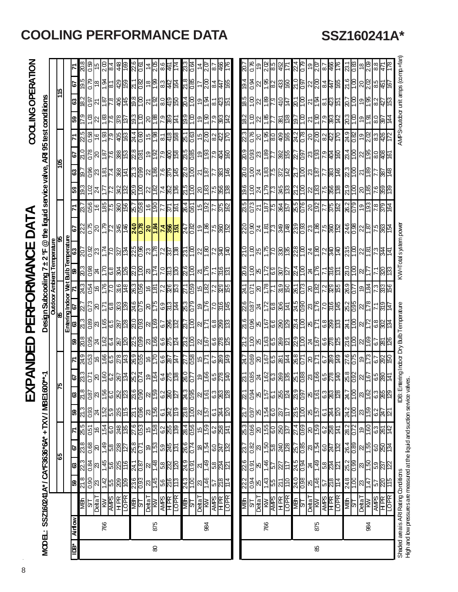|                 |                |                                                        |                                                                                                                 |                                                 |                                                        |                                            |                                             | ⋒                                                                                | <b>(PANDED</b>                                        |                                          |                                                                                                                             |                                                                         |                                     |                                                                                                   | <b>PERFORMANCE</b>                     |                                      | DATA                                                                                                                             |                                                                                                                      |                                                                                                                                                                                                                                             |                                                                 |                                                                                      |                                                          |                                                         | COOLING OPERATION                               |                                             |                                                                                                               |
|-----------------|----------------|--------------------------------------------------------|-----------------------------------------------------------------------------------------------------------------|-------------------------------------------------|--------------------------------------------------------|--------------------------------------------|---------------------------------------------|----------------------------------------------------------------------------------|-------------------------------------------------------|------------------------------------------|-----------------------------------------------------------------------------------------------------------------------------|-------------------------------------------------------------------------|-------------------------------------|---------------------------------------------------------------------------------------------------|----------------------------------------|--------------------------------------|----------------------------------------------------------------------------------------------------------------------------------|----------------------------------------------------------------------------------------------------------------------|---------------------------------------------------------------------------------------------------------------------------------------------------------------------------------------------------------------------------------------------|-----------------------------------------------------------------|--------------------------------------------------------------------------------------|----------------------------------------------------------|---------------------------------------------------------|-------------------------------------------------|---------------------------------------------|---------------------------------------------------------------------------------------------------------------|
|                 |                | MODEL: SSZ160241A* / CA*F3636*6A* + TXV / MBE1600**-1  |                                                                                                                 |                                                 |                                                        |                                            |                                             |                                                                                  |                                                       |                                          |                                                                                                                             |                                                                         |                                     |                                                                                                   | Design Subcooling 7 ± 2 °F             |                                      | $@$ the liquid service valve, ARI 95 test conditions                                                                             |                                                                                                                      |                                                                                                                                                                                                                                             |                                                                 |                                                                                      |                                                          |                                                         |                                                 |                                             |                                                                                                               |
|                 |                |                                                        |                                                                                                                 |                                                 |                                                        |                                            |                                             |                                                                                  |                                                       |                                          |                                                                                                                             |                                                                         |                                     |                                                                                                   |                                        |                                      |                                                                                                                                  |                                                                                                                      |                                                                                                                                                                                                                                             |                                                                 |                                                                                      |                                                          |                                                         |                                                 |                                             |                                                                                                               |
|                 |                |                                                        |                                                                                                                 | န္ၿ                                             |                                                        |                                            |                                             |                                                                                  |                                                       |                                          |                                                                                                                             |                                                                         |                                     |                                                                                                   |                                        |                                      |                                                                                                                                  |                                                                                                                      |                                                                                                                                                                                                                                             |                                                                 |                                                                                      |                                                          |                                                         |                                                 |                                             |                                                                                                               |
| È               | <b>Airflow</b> |                                                        | B)                                                                                                              | ଞ                                               | 29                                                     |                                            | B)                                          |                                                                                  |                                                       |                                          |                                                                                                                             |                                                                         | Entering Indoor Wet<br>63   67   71 |                                                                                                   | <u>l es</u><br>Prime                   |                                      |                                                                                                                                  |                                                                                                                      |                                                                                                                                                                                                                                             |                                                                 |                                                                                      |                                                          | 59                                                      |                                                 |                                             |                                                                                                               |
|                 |                | <b>NBN</b>                                             |                                                                                                                 |                                                 |                                                        |                                            |                                             |                                                                                  |                                                       |                                          |                                                                                                                             |                                                                         |                                     |                                                                                                   |                                        |                                      |                                                                                                                                  |                                                                                                                      |                                                                                                                                                                                                                                             |                                                                 |                                                                                      |                                                          |                                                         |                                                 | $\frac{67}{195}$                            | 30.E                                                                                                          |
|                 |                | <b>SEE SEE SEE</b><br>SEE SEE SEE<br>SEE SEE SEE       | <u>္ခြဲတြက္ အခြံ အခြံ အခြံ အခြံ</u>                                                                             | <u>ျွိုဒ္အဖြင့်ဖြံ့ဖြင့် ဒိုမြို့ဖြံ့ဖြံ့ဖြ</u> | <u>စ္ကိုစ္ကံုေမြးေမြးေမြးေမြးေ</u>                     | <u>များ မြေးမြေးမြေးမြေးမြေးမြေးမြေးမြ</u> | <u>ြို့အခြံမြို့များ အခြံမြို့အခြံမြို့</u> | <mark>အ</mark> နွံ့ခြွံမြွှေမြွှေမြွှေ မြွှေမြွှေမြွှေမြွှေ မြွှေမြွှေမြွှေမြွှေ | <u>ေဖျင့္ပြဲမြင့္ပြဲ မြန္မာမြန္မာမြင့္ပြဲမြန္မာမြ</u> | <b>k see 1990 pm 1990 pm 1990 pm</b>     | <mark>န</mark> ္က ဒ္ကုဒ္တုဒ္က မြန္မာ မြန္မာ မြန္မာ မြန္မာ မြန္မာ မြန္မာ မြန္မာ မြန္မာ မြန္မာ မြန္မာ မြန္မာ မြန္မာ မြန္မာ မြ |                                                                         |                                     |                                                                                                   | <u>ន្ទៀន វាក្នុងទៀន វាក្តី ័ន វ</u> ាន |                                      | <u>de de la de la <mark>4 de la de la</mark> 19</u> de la de la de la de la de la de la de la de la de la de la de la de la de l | <u>രീട്ടി പ്രാട്ടി ഉടപ്പ്പട്ടി പ്രവ്യപ്പട്ടി പ്രവ്യപ്പ് പ്ര</u>                                                      | <mark>ေးမြိုင်ပြည်မြို့ မြို့ပြည်မြို့ မြို့မြို့မြို့မြို့မြို့များ မြို့မြို့များ မြို့မြို့များ မြို့များ မြို့မျ</mark><br>မြို့များ မြို့များ မြို့များ မြို့များ မြို့များ မြို့များ မြို့များ မြို့များ မြို့များ မြို့များ မြို့မျာ | <u>ន ក្ដីទីន្ទ្រីដ្ឋ និង ដូច្នៅ ដូច្នៅ ដូច្នៅ ដូច្នៅ ដូច្នា</u> | <u>့ ေမြေမြေမြန္မာ မြန္မာ မြန္မာ မြန္မာ မြန္မာ ျမန္မာ ျမန္မာ</u>                     |                                                          | င္ပြဲ အိုင္ပုဒ္ကြင္မွာ ခြင့္လြင္ကူ အဆြဲ ဆြဲ             |                                                 | <u>ငြိုင်းရခြိုင်း မြိုင်းမြိုင်းမြိုင်</u> | $\frac{15}{15}$                                                                                               |
|                 | 766            |                                                        |                                                                                                                 |                                                 |                                                        |                                            |                                             |                                                                                  |                                                       |                                          |                                                                                                                             |                                                                         |                                     |                                                                                                   |                                        |                                      |                                                                                                                                  |                                                                                                                      |                                                                                                                                                                                                                                             |                                                                 |                                                                                      |                                                          |                                                         |                                                 |                                             |                                                                                                               |
|                 |                |                                                        |                                                                                                                 |                                                 |                                                        |                                            |                                             |                                                                                  |                                                       |                                          |                                                                                                                             |                                                                         |                                     |                                                                                                   |                                        |                                      |                                                                                                                                  |                                                                                                                      |                                                                                                                                                                                                                                             |                                                                 |                                                                                      |                                                          |                                                         |                                                 |                                             |                                                                                                               |
|                 |                |                                                        |                                                                                                                 |                                                 |                                                        |                                            |                                             |                                                                                  |                                                       |                                          |                                                                                                                             |                                                                         |                                     |                                                                                                   |                                        |                                      |                                                                                                                                  |                                                                                                                      |                                                                                                                                                                                                                                             |                                                                 |                                                                                      |                                                          |                                                         |                                                 |                                             |                                                                                                               |
|                 |                |                                                        |                                                                                                                 |                                                 |                                                        |                                            |                                             |                                                                                  |                                                       |                                          |                                                                                                                             |                                                                         |                                     |                                                                                                   |                                        |                                      |                                                                                                                                  |                                                                                                                      |                                                                                                                                                                                                                                             |                                                                 |                                                                                      |                                                          |                                                         |                                                 |                                             | <u> まっぱい</u>                                                                                                  |
|                 |                | $\frac{1.6}{9}$                                        |                                                                                                                 |                                                 |                                                        |                                            |                                             |                                                                                  |                                                       |                                          |                                                                                                                             |                                                                         |                                     |                                                                                                   |                                        |                                      |                                                                                                                                  |                                                                                                                      |                                                                                                                                                                                                                                             |                                                                 |                                                                                      |                                                          |                                                         |                                                 |                                             |                                                                                                               |
|                 |                |                                                        |                                                                                                                 |                                                 |                                                        |                                            |                                             |                                                                                  |                                                       |                                          |                                                                                                                             |                                                                         |                                     |                                                                                                   |                                        |                                      |                                                                                                                                  |                                                                                                                      |                                                                                                                                                                                                                                             |                                                                 |                                                                                      |                                                          |                                                         |                                                 |                                             |                                                                                                               |
| $\pmb{\otimes}$ | 875            | $\frac{\overline{\text{Delta}}}{\overline{\text{NN}}}$ |                                                                                                                 |                                                 |                                                        |                                            |                                             |                                                                                  |                                                       |                                          |                                                                                                                             |                                                                         |                                     |                                                                                                   |                                        |                                      |                                                                                                                                  |                                                                                                                      |                                                                                                                                                                                                                                             |                                                                 |                                                                                      |                                                          |                                                         |                                                 |                                             |                                                                                                               |
|                 |                |                                                        |                                                                                                                 |                                                 |                                                        |                                            |                                             |                                                                                  |                                                       |                                          |                                                                                                                             |                                                                         |                                     |                                                                                                   |                                        |                                      |                                                                                                                                  |                                                                                                                      |                                                                                                                                                                                                                                             |                                                                 |                                                                                      |                                                          |                                                         |                                                 |                                             | = 2호 ~ 1                                                                                                      |
|                 |                |                                                        |                                                                                                                 |                                                 |                                                        |                                            |                                             |                                                                                  |                                                       |                                          |                                                                                                                             |                                                                         |                                     |                                                                                                   |                                        |                                      |                                                                                                                                  |                                                                                                                      |                                                                                                                                                                                                                                             |                                                                 |                                                                                      |                                                          |                                                         |                                                 |                                             |                                                                                                               |
|                 |                | <b>AMPS</b><br>HPR<br>LOPR                             |                                                                                                                 |                                                 |                                                        |                                            |                                             |                                                                                  |                                                       |                                          |                                                                                                                             |                                                                         |                                     |                                                                                                   |                                        |                                      |                                                                                                                                  |                                                                                                                      |                                                                                                                                                                                                                                             |                                                                 |                                                                                      |                                                          |                                                         |                                                 |                                             |                                                                                                               |
|                 |                |                                                        |                                                                                                                 |                                                 |                                                        |                                            |                                             |                                                                                  |                                                       |                                          |                                                                                                                             |                                                                         |                                     |                                                                                                   |                                        |                                      |                                                                                                                                  |                                                                                                                      |                                                                                                                                                                                                                                             |                                                                 |                                                                                      |                                                          |                                                         |                                                 |                                             |                                                                                                               |
|                 |                | $\frac{16}{94}$                                        | 24.3<br>1.00                                                                                                    |                                                 |                                                        |                                            |                                             |                                                                                  |                                                       |                                          |                                                                                                                             |                                                                         |                                     |                                                                                                   |                                        |                                      |                                                                                                                                  |                                                                                                                      |                                                                                                                                                                                                                                             |                                                                 |                                                                                      |                                                          |                                                         |                                                 | $\frac{288}{285}$                           |                                                                                                               |
|                 |                | $T$ ata $T$                                            |                                                                                                                 |                                                 |                                                        |                                            | <u>ដូន្ត្រី ន្ត្រី</u>                      |                                                                                  |                                                       | <u>rigler</u>                            |                                                                                                                             |                                                                         |                                     |                                                                                                   |                                        |                                      |                                                                                                                                  |                                                                                                                      |                                                                                                                                                                                                                                             |                                                                 |                                                                                      |                                                          |                                                         | 있습능합                                            |                                             |                                                                                                               |
|                 | 84             | ΚW                                                     |                                                                                                                 |                                                 |                                                        |                                            |                                             |                                                                                  |                                                       |                                          |                                                                                                                             |                                                                         |                                     |                                                                                                   |                                        |                                      |                                                                                                                                  |                                                                                                                      |                                                                                                                                                                                                                                             |                                                                 |                                                                                      |                                                          |                                                         |                                                 | $\frac{8}{2}$                               |                                                                                                               |
|                 |                | <b>AMPS</b><br>HPR<br>LOPR                             | $\frac{1}{25}$                                                                                                  | <u>ងខ្ទៀស[ូ ន្ត្រី ន្ត្រី ន្ត្រី</u>            | <u>နိုင္ကို ေငြ ဒြ</u> န္ကုန္က                         | $rac{2}{68}$                               | 6.1                                         |                                                                                  | <u>များများများများ</u>                               | $rac{68}{68}$                            | <u>ដូទ្រី ឌុទ្រី ឌុទ្ធ</u>                                                                                                  |                                                                         |                                     |                                                                                                   | <u>영영식업일정</u>                          |                                      |                                                                                                                                  |                                                                                                                      |                                                                                                                                                                                                                                             |                                                                 |                                                                                      |                                                          | <u>ခံခြုံခံမြိုင်မြို့</u>                              | <u>थ</u> ु है।                                  | $\frac{44}{15}$                             |                                                                                                               |
|                 |                |                                                        |                                                                                                                 |                                                 |                                                        |                                            | 244<br>120                                  |                                                                                  |                                                       |                                          |                                                                                                                             |                                                                         |                                     |                                                                                                   |                                        |                                      |                                                                                                                                  |                                                                                                                      |                                                                                                                                                                                                                                             |                                                                 |                                                                                      |                                                          |                                                         |                                                 |                                             |                                                                                                               |
|                 |                |                                                        |                                                                                                                 |                                                 |                                                        |                                            |                                             |                                                                                  |                                                       |                                          |                                                                                                                             |                                                                         |                                     |                                                                                                   |                                        |                                      |                                                                                                                                  |                                                                                                                      |                                                                                                                                                                                                                                             |                                                                 |                                                                                      |                                                          |                                                         |                                                 |                                             |                                                                                                               |
|                 |                |                                                        | 22.2                                                                                                            | 226                                             |                                                        |                                            | 21.7                                        |                                                                                  |                                                       |                                          |                                                                                                                             |                                                                         |                                     |                                                                                                   |                                        |                                      |                                                                                                                                  |                                                                                                                      |                                                                                                                                                                                                                                             |                                                                 |                                                                                      |                                                          |                                                         |                                                 |                                             | <u>: 0Z</u>                                                                                                   |
|                 |                | <b>SPERE</b><br>SPERE                                  | $\frac{1}{2}$ $\frac{1}{2}$ $\frac{1}{2}$ $\frac{1}{2}$ $\frac{1}{2}$ $\frac{1}{2}$ $\frac{1}{2}$               | $\frac{1}{2}$ $\frac{1}{2}$                     |                                                        |                                            |                                             |                                                                                  |                                                       |                                          |                                                                                                                             |                                                                         |                                     | $\frac{1}{2}$ $\frac{1}{2}$ $\frac{1}{2}$ $\frac{1}{2}$ $\frac{1}{2}$ $\frac{1}{2}$ $\frac{1}{2}$ |                                        |                                      |                                                                                                                                  |                                                                                                                      |                                                                                                                                                                                                                                             |                                                                 |                                                                                      |                                                          | $\frac{1}{2}$ $\frac{1}{2}$ $\frac{1}{2}$ $\frac{1}{2}$ |                                                 |                                             |                                                                                                               |
|                 | 766            |                                                        |                                                                                                                 |                                                 |                                                        |                                            |                                             |                                                                                  |                                                       |                                          |                                                                                                                             |                                                                         |                                     |                                                                                                   |                                        |                                      |                                                                                                                                  |                                                                                                                      |                                                                                                                                                                                                                                             |                                                                 |                                                                                      |                                                          |                                                         |                                                 |                                             |                                                                                                               |
|                 |                |                                                        |                                                                                                                 |                                                 |                                                        |                                            |                                             |                                                                                  |                                                       |                                          |                                                                                                                             |                                                                         |                                     |                                                                                                   |                                        |                                      |                                                                                                                                  |                                                                                                                      |                                                                                                                                                                                                                                             |                                                                 |                                                                                      |                                                          |                                                         |                                                 |                                             | 2. C                                                                                                          |
|                 |                |                                                        |                                                                                                                 |                                                 |                                                        |                                            |                                             |                                                                                  |                                                       |                                          |                                                                                                                             |                                                                         |                                     |                                                                                                   |                                        |                                      |                                                                                                                                  |                                                                                                                      |                                                                                                                                                                                                                                             |                                                                 |                                                                                      |                                                          |                                                         |                                                 |                                             | 이형                                                                                                            |
|                 |                |                                                        |                                                                                                                 |                                                 |                                                        |                                            |                                             |                                                                                  |                                                       |                                          |                                                                                                                             |                                                                         |                                     |                                                                                                   |                                        |                                      |                                                                                                                                  |                                                                                                                      |                                                                                                                                                                                                                                             |                                                                 |                                                                                      |                                                          |                                                         |                                                 |                                             |                                                                                                               |
|                 |                | $\frac{16}{15}$                                        | $\frac{1}{2}$ $\frac{1}{2}$ $\frac{1}{2}$ $\frac{1}{2}$ $\frac{1}{2}$ $\frac{1}{2}$ $\frac{1}{2}$ $\frac{1}{2}$ | <u>일정도 중요</u><br>일정도 중요                         | <u>ပြိုင် မြို့မြို့ မြို့များ မြို့မြို့မြို့များ</u> | <u>မျှခြွေမြို့မြို့များ အမြေမြို့များ</u> | <u>elala elala elala elala</u>              | <u>ဗြိုဒုံမြိုးမြို့မြို့မြို့မြို့မြို့မြို့</u>                                |                                                       | <u>မိုမ္တုိ႕မို ခိုမ္အျမိုးမြန္မျိဳ႕</u> | <u>ျှိခြွံမျှခြွံမြွံမြွံများ မြွံမြွှေမြွေမြှု</u>                                                                         | <u>င္ပိုခ္တို႔င္ပြဲ ဇူတြင္လူ အခြ</u> စ္အျမင္ကို<br>မြန္ပါတယ္ အခြစ္အျမင္ |                                     | <u>r ឌ៉ូ២ ៥នៃ  ខ្យូដូ  ខ្ញុំដូ</u>                                                                |                                        | <u>SISIS PRESS &amp; SISIS PRESS</u> | <u>gggde Erlas Belöl geleben 189 slö legs</u>                                                                                    | <u> 1985 - 1986 - 1987 - 1988 - 1988 - 1988 - 1988 - 1988 - 1988 - 1988 - 1988 - 1988 - 1988 - 1988 - 1988 - 198</u> | <u>စ္ခုဒုိများပြဲ အများဖြစ္ပြား</u>                                                                                                                                                                                                         | 8 5 2 8 5 8 5 8 5 8 5 6 7 8 5 8 5 6 7 8 5 6 7 8 5               | <u>မ္လိုဒ္မိုင္ကုန္ကုန္ကုန္တုန္တုန္တုန္တုန္ မြွဴ မြွံ႕ခြင္ထုန္ထုံ႕ မြွံ႕ခြင္ထုံ႕</u> | <u>ျွိုင္ကေတြ အခြံခြံခြံတြက္ခြံခြံခြံခြံခြံခြံခြံခြံ</u> | <u>မြို့မြို့ မြို့မြို့မြို့မြို့</u>                  | <u>ြိုင်ပြိုင်ပြိုင်မြို့ မြို့ကြိုင်ဖြ</u> ို့ | <u>@  @   @  @  @  @  @  @  @  @  @ </u>    | 8 2 2 3 4 4 5 6 7 8 8 7 8 8 7 8 7 8 7 8 9 8 7 8 9 8 7 8 9 8 7 8 9 8 7 8 9 8 7 8 9 8 7 8 9 8 7 8 9 8 7 8 9 8 7 |
|                 |                |                                                        |                                                                                                                 |                                                 |                                                        |                                            |                                             |                                                                                  |                                                       |                                          |                                                                                                                             |                                                                         |                                     |                                                                                                   |                                        |                                      |                                                                                                                                  |                                                                                                                      |                                                                                                                                                                                                                                             |                                                                 |                                                                                      |                                                          |                                                         |                                                 |                                             |                                                                                                               |
| 98              | 875            | <b>DetaT</b>                                           |                                                                                                                 |                                                 |                                                        |                                            |                                             |                                                                                  |                                                       |                                          |                                                                                                                             |                                                                         |                                     |                                                                                                   |                                        |                                      |                                                                                                                                  |                                                                                                                      |                                                                                                                                                                                                                                             |                                                                 |                                                                                      |                                                          |                                                         |                                                 |                                             |                                                                                                               |
|                 |                | <b>AVIPS</b><br>HPR<br>LOPR                            |                                                                                                                 |                                                 |                                                        |                                            |                                             |                                                                                  |                                                       |                                          |                                                                                                                             |                                                                         |                                     |                                                                                                   |                                        |                                      |                                                                                                                                  |                                                                                                                      |                                                                                                                                                                                                                                             |                                                                 |                                                                                      |                                                          |                                                         |                                                 |                                             |                                                                                                               |
|                 |                |                                                        |                                                                                                                 |                                                 |                                                        |                                            |                                             |                                                                                  |                                                       |                                          |                                                                                                                             |                                                                         |                                     |                                                                                                   |                                        |                                      |                                                                                                                                  |                                                                                                                      |                                                                                                                                                                                                                                             |                                                                 |                                                                                      |                                                          |                                                         |                                                 |                                             |                                                                                                               |
|                 |                |                                                        |                                                                                                                 |                                                 |                                                        |                                            |                                             |                                                                                  |                                                       |                                          |                                                                                                                             |                                                                         |                                     |                                                                                                   |                                        |                                      |                                                                                                                                  |                                                                                                                      |                                                                                                                                                                                                                                             |                                                                 |                                                                                      |                                                          |                                                         |                                                 |                                             |                                                                                                               |
|                 |                | <b>NBh</b><br>ST                                       | 24.8                                                                                                            |                                                 |                                                        | $\frac{282}{0.72}$                         |                                             |                                                                                  |                                                       |                                          |                                                                                                                             |                                                                         |                                     |                                                                                                   |                                        |                                      |                                                                                                                                  |                                                                                                                      |                                                                                                                                                                                                                                             |                                                                 |                                                                                      |                                                          |                                                         |                                                 |                                             | $\frac{25}{18}$                                                                                               |
|                 |                |                                                        |                                                                                                                 | ဗ <mark>္</mark> ဓ  ၶ  ဗ္ဓ  ဗ္ဓ  ဗ္ဌ  ဗ္<br> ဗ  | <u>နိုင္တို႔မွိုဒါမွာ</u>                              |                                            | $\frac{24}{100}$ $\frac{24}{100}$           | <u>  ဒံခြုံမြွံမြွံမြွံမြွံ</u>                                                  |                                                       | <u>မိုင္ကိုင္ကိုင္ကိုင္က</u> ိုင္က       | 898858                                                                                                                      | <u> 설명이 하습니다</u>                                                        | <u> 성</u> 임이 이 이 있어                 | 85 0 2 3 8 8                                                                                      | <u>   မြို့မြို့များ</u>               |                                      |                                                                                                                                  |                                                                                                                      | <u>မိုင်ပြင်ပြင် မြို့</u>                                                                                                                                                                                                                  |                                                                 |                                                                                      |                                                          | <u>မြို့ခြုံခြုံမြို့မြို့</u>                          | <u>ဗြိုင်ခြင်းမြစ်မြ</u>                        | <u>ိုင္ပိုင္ကုိင္ကုိ မြန္မာ</u>             |                                                                                                               |
|                 | 84             | $\frac{\overline{N}}{\overline{N}}$                    | $\frac{35}{12}$                                                                                                 |                                                 |                                                        | <u>ခြင်္ဂြို့ မြို့</u>                    |                                             |                                                                                  |                                                       |                                          |                                                                                                                             |                                                                         |                                     |                                                                                                   |                                        |                                      |                                                                                                                                  |                                                                                                                      |                                                                                                                                                                                                                                             |                                                                 |                                                                                      |                                                          |                                                         |                                                 |                                             | $\frac{8}{20}$                                                                                                |
|                 |                |                                                        |                                                                                                                 |                                                 |                                                        |                                            | $\frac{1}{2}$                               |                                                                                  |                                                       |                                          |                                                                                                                             |                                                                         |                                     |                                                                                                   |                                        |                                      |                                                                                                                                  |                                                                                                                      |                                                                                                                                                                                                                                             |                                                                 |                                                                                      |                                                          |                                                         |                                                 |                                             | $_{88}$                                                                                                       |
|                 |                | $\frac{\text{AMPS}}{\text{LOR}}$                       |                                                                                                                 |                                                 |                                                        |                                            |                                             |                                                                                  |                                                       |                                          |                                                                                                                             |                                                                         |                                     |                                                                                                   |                                        |                                      |                                                                                                                                  |                                                                                                                      |                                                                                                                                                                                                                                             |                                                                 |                                                                                      |                                                          |                                                         |                                                 |                                             |                                                                                                               |
|                 |                |                                                        |                                                                                                                 |                                                 |                                                        |                                            |                                             |                                                                                  |                                                       |                                          |                                                                                                                             |                                                                         |                                     |                                                                                                   |                                        |                                      |                                                                                                                                  |                                                                                                                      |                                                                                                                                                                                                                                             |                                                                 |                                                                                      |                                                          |                                                         |                                                 |                                             |                                                                                                               |

# **COOLING PERFORMANCE DATA SSZ160241A\***

KW=Total system power

IDB: Entering Indoor Dry Bulb Temperature

AMPS=cutdoor unit amps (comp.+fan)

Shaded area is ARI Rating Conditions Indoor Dry Bulb Temperature Indoor Dry Bulb Temperature KW=Total System power AMPS=Outdoor UNIT amps (comp.+fan) Shaded area is ARI Rating Conditions<br>High and bw pressures are measured at the liquid and sudtion service valves. High and low pressures are measured at the liquid and suction service valves.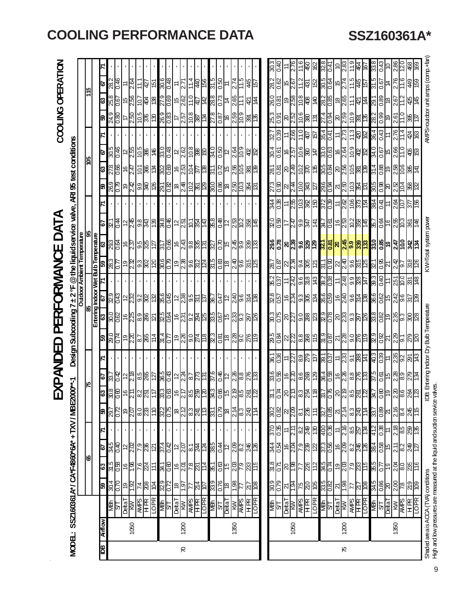EXPANDED PERFORMANCE DATA

|       |                |                                                                                                                  |                    |                                                |                                                                       |                    |                                                                       | <u>们</u>                      | ব্<br>6                                                                                                                  |                                                                  |                                                                                                                             | PER                                                                                                                  | FORM                                                          |                                                                                                                                                                                                                  |                                                                                                                             |                                                                   | DATA                                                                                                         |                              |                                                                    |                                                                                                                                            |                                                                                    | COOLING OPERATION                                       |                                                      |                               |               |  |
|-------|----------------|------------------------------------------------------------------------------------------------------------------|--------------------|------------------------------------------------|-----------------------------------------------------------------------|--------------------|-----------------------------------------------------------------------|-------------------------------|--------------------------------------------------------------------------------------------------------------------------|------------------------------------------------------------------|-----------------------------------------------------------------------------------------------------------------------------|----------------------------------------------------------------------------------------------------------------------|---------------------------------------------------------------|------------------------------------------------------------------------------------------------------------------------------------------------------------------------------------------------------------------|-----------------------------------------------------------------------------------------------------------------------------|-------------------------------------------------------------------|--------------------------------------------------------------------------------------------------------------|------------------------------|--------------------------------------------------------------------|--------------------------------------------------------------------------------------------------------------------------------------------|------------------------------------------------------------------------------------|---------------------------------------------------------|------------------------------------------------------|-------------------------------|---------------|--|
| MODE: |                | SSZ160361A*/CA*F4860*6A*+TXV/MBE200                                                                              |                    |                                                |                                                                       |                    |                                                                       |                               |                                                                                                                          | Design                                                           |                                                                                                                             | Subcooling 7                                                                                                         | $±2^{\circ}F$                                                 |                                                                                                                                                                                                                  |                                                                                                                             | @the liquid service                                               | valve,                                                                                                       |                              | <b>ARI 95 test conditions</b>                                      |                                                                                                                                            |                                                                                    |                                                         |                                                      |                               |               |  |
|       |                |                                                                                                                  |                    | 18                                             |                                                                       |                    |                                                                       |                               |                                                                                                                          |                                                                  |                                                                                                                             |                                                                                                                      |                                                               |                                                                                                                                                                                                                  | <b>Outdoor Ambient Temperature</b>                                                                                          |                                                                   |                                                                                                              |                              |                                                                    | 50                                                                                                                                         |                                                                                    |                                                         |                                                      | 115                           |               |  |
|       |                |                                                                                                                  |                    |                                                |                                                                       |                    |                                                                       |                               |                                                                                                                          |                                                                  |                                                                                                                             | 98                                                                                                                   |                                                               |                                                                                                                                                                                                                  |                                                                                                                             | ఇ                                                                 |                                                                                                              |                              |                                                                    |                                                                                                                                            |                                                                                    |                                                         |                                                      |                               |               |  |
| ഇ∥    | <b>Airflow</b> |                                                                                                                  | 8                  | ြိ                                             | 29                                                                    | Z                  | 8                                                                     | ြို့                          | 5                                                                                                                        | 치                                                                | ြို့                                                                                                                        | Entering Indoor Wet Bulb Temperature<br>63    67    71    59     63                                                  |                                                               |                                                                                                                                                                                                                  |                                                                                                                             |                                                                   | 이                                                                                                            | N                            | 8                                                                  | জ<br> ଞ                                                                                                                                    | <b>Z</b>                                                                           | 8                                                       | ශ                                                    | ভ                             |               |  |
|       |                | <u>lge</u><br>Navi                                                                                               | $\frac{26}{36}$    | $\frac{25}{25}$                                |                                                                       |                    |                                                                       | $\frac{280}{8}$               |                                                                                                                          |                                                                  |                                                                                                                             |                                                                                                                      |                                                               |                                                                                                                                                                                                                  |                                                                                                                             |                                                                   |                                                                                                              |                              |                                                                    | $rac{905}{1000}$                                                                                                                           |                                                                                    |                                                         |                                                      |                               |               |  |
|       |                |                                                                                                                  |                    |                                                | 3년<br>2월                                                              |                    | 82<br>82                                                              |                               |                                                                                                                          |                                                                  |                                                                                                                             |                                                                                                                      |                                                               |                                                                                                                                                                                                                  |                                                                                                                             |                                                                   |                                                                                                              |                              |                                                                    |                                                                                                                                            |                                                                                    |                                                         |                                                      | $\frac{28}{28}$               |               |  |
|       |                | <u>MW</u><br>L <sup>e</sup> ijed                                                                                 | 6Ļ                 | 91                                             | $\overline{c}$                                                        |                    | <b>QL</b>                                                             |                               |                                                                                                                          |                                                                  |                                                                                                                             |                                                                                                                      |                                                               |                                                                                                                                                                                                                  |                                                                                                                             |                                                                   |                                                                                                              |                              |                                                                    |                                                                                                                                            |                                                                                    |                                                         |                                                      |                               |               |  |
|       | 1050           |                                                                                                                  | S6                 | $\frac{8}{15}$                                 | <u>ଅ</u><br>ଜାଧ୍ୟ                                                     |                    | $\frac{5}{20}$                                                        |                               |                                                                                                                          |                                                                  |                                                                                                                             |                                                                                                                      |                                                               |                                                                                                                                                                                                                  |                                                                                                                             |                                                                   |                                                                                                              |                              |                                                                    |                                                                                                                                            |                                                                                    |                                                         |                                                      |                               |               |  |
|       |                | $\frac{\text{AMES}}{\text{H R}}$                                                                                 | $rac{2}{5}$        | $\frac{7.6}{224}$                              |                                                                       |                    | $rac{80}{233}$                                                        |                               |                                                                                                                          |                                                                  |                                                                                                                             |                                                                                                                      |                                                               |                                                                                                                                                                                                                  |                                                                                                                             |                                                                   |                                                                                                              |                              |                                                                    |                                                                                                                                            |                                                                                    |                                                         |                                                      | 11.1<br>127                   |               |  |
|       |                |                                                                                                                  |                    |                                                |                                                                       |                    |                                                                       |                               |                                                                                                                          |                                                                  |                                                                                                                             |                                                                                                                      |                                                               |                                                                                                                                                                                                                  |                                                                                                                             |                                                                   |                                                                                                              |                              |                                                                    |                                                                                                                                            |                                                                                    |                                                         |                                                      |                               |               |  |
|       |                | LOPR                                                                                                             | ∣ই                 | $\frac{1}{2}$                                  | $ \bar{\mathcal{Z}} $                                                 |                    | $\frac{10}{2}$                                                        |                               |                                                                                                                          |                                                                  |                                                                                                                             |                                                                                                                      |                                                               |                                                                                                                                                                                                                  |                                                                                                                             |                                                                   |                                                                                                              |                              |                                                                    |                                                                                                                                            |                                                                                    |                                                         |                                                      |                               |               |  |
|       |                |                                                                                                                  | 329                | 34.1<br>0.60                                   |                                                                       |                    |                                                                       |                               |                                                                                                                          |                                                                  |                                                                                                                             |                                                                                                                      |                                                               |                                                                                                                                                                                                                  |                                                                                                                             |                                                                   |                                                                                                              |                              |                                                                    |                                                                                                                                            |                                                                                    |                                                         |                                                      |                               |               |  |
|       |                | MBh<br>ST<br>Delta T                                                                                             |                    |                                                | <u>일어이어</u>                                                           |                    | <u>အိုင်ခြံခြေး အိုင်း</u>                                            | ေတြးေတြ ေမြေျဖေပြးေနျ         | <u>် အခြံ အမြစ် မြစ်ခြံ မြစ်ခြံ မြစ်ခြံ မြစ်ခြံ မြစ်ခြံ မြစ်</u><br>အခြံ မြစ်ခြံ မြစ်ခြံ မြစ်ခြံ မြစ်ခြံ မြစ်ခြံ မြစ်ခြံ |                                                                  |                                                                                                                             | <u>ခ်ိစ္ကြိုေပြဒြိုင္ကို မြန္မာျခင္း မြန္မာျခင္း မြန္မာျခင္း မြန္မာျခင္း မြန္မာျခင္း မြန္မာျခင္း မြန္မာျခင္း မြန</u> | <u>စိုင္ကို ေမြ႔ေမြ႕ ေမြ႕ေမြ႕ေမြ႕</u>                         |                                                                                                                                                                                                                  | <u>အိုင္တုိ႕ တိုက္တုိ႕ မွာေတြ႕ တို႔ေမွာင္လုိ႕ မွာေတြ႕ မွာ အ</u><br>အိုင္တုိ႕ မွာေတြ႔ ေမွာင္လုိ႕ အိုင္တုိ႕ မွာေတြ ေမွာင္လုပ္ | <u>ဗိုင္ကို ေမြးမြန္မာ ေမြးမြန္မာမြန္မာ </u>                      | <u>မိုင္ခြဲ ျမစ္ပြဲ အထြံ ျပည္တြင္ အထြံ ျပည္တြယ္လို႕</u><br>ျမန္မာျမစ္ပြဲ အထြံ ျပည္တြင္ ျပည္တြင္ ျပည္တြယ္လို႕ |                              | <u>ိမ္တိုင္ခုိင္ပုံျခန္ဟု မွ ေမြ႕ေမြ႕ေခြးမွာ ခြဲမြန္ပုံျခန္မြာ</u> | <u>ြိုင်းမြို့ မြို့သူများ မြို့ပြိုင်းမြို့ မြို့ပြိုင်းမြို့ မြို့</u><br><u>ပ္ကိုင္ကိုင္ကိုင္ကိုမွာ ဒိုင္ကြိုင္ကိုင္ကိုင္ကိုင္ကို ျ</u> |                                                                                    |                                                         | <u>နိုင္တုိင္ မြန္မာ မြန္မာ မြန္မာ မြန္မာ မြန္မာ</u> | e <u>영</u> 업 = 입습 = 원         |               |  |
|       | $\frac{8}{2}$  |                                                                                                                  | $\frac{181}{1}$    |                                                |                                                                       |                    |                                                                       |                               |                                                                                                                          |                                                                  |                                                                                                                             |                                                                                                                      |                                                               |                                                                                                                                                                                                                  |                                                                                                                             |                                                                   |                                                                                                              |                              |                                                                    |                                                                                                                                            |                                                                                    |                                                         |                                                      |                               |               |  |
| R     |                | WУ                                                                                                               | 77                 | $ \tilde{\sigma}  =  \tilde{S}  =  \tilde{S} $ |                                                                       |                    |                                                                       |                               |                                                                                                                          |                                                                  |                                                                                                                             |                                                                                                                      |                                                               |                                                                                                                                                                                                                  |                                                                                                                             |                                                                   |                                                                                                              |                              |                                                                    |                                                                                                                                            |                                                                                    |                                                         |                                                      |                               |               |  |
|       |                | $\frac{\text{AME}}{\text{H}}$                                                                                    | $\frac{4}{3}$      |                                                |                                                                       |                    |                                                                       |                               |                                                                                                                          |                                                                  |                                                                                                                             |                                                                                                                      |                                                               |                                                                                                                                                                                                                  |                                                                                                                             |                                                                   |                                                                                                              |                              |                                                                    |                                                                                                                                            |                                                                                    |                                                         |                                                      |                               |               |  |
|       |                | LOPR                                                                                                             | 20k                |                                                | $rac{64}{34}$                                                         |                    |                                                                       |                               |                                                                                                                          |                                                                  |                                                                                                                             |                                                                                                                      |                                                               |                                                                                                                                                                                                                  |                                                                                                                             |                                                                   |                                                                                                              |                              |                                                                    |                                                                                                                                            |                                                                                    |                                                         |                                                      |                               |               |  |
|       |                |                                                                                                                  |                    | 33                                             |                                                                       |                    |                                                                       |                               |                                                                                                                          |                                                                  |                                                                                                                             |                                                                                                                      |                                                               |                                                                                                                                                                                                                  |                                                                                                                             |                                                                   |                                                                                                              |                              |                                                                    |                                                                                                                                            |                                                                                    |                                                         |                                                      |                               |               |  |
|       |                |                                                                                                                  | 33.9               |                                                | 385                                                                   |                    | 33.1                                                                  |                               |                                                                                                                          |                                                                  |                                                                                                                             |                                                                                                                      | $\overline{\mathcal{X}}$                                      |                                                                                                                                                                                                                  |                                                                                                                             | 327                                                               |                                                                                                              |                              |                                                                    |                                                                                                                                            |                                                                                    |                                                         |                                                      | $\frac{31.5}{0.50}$           |               |  |
|       |                | <b>NBh</b><br>ST<br>Deta 1                                                                                       | 0.76<br>∣∞         | $rac{5}{10}$                                   | $\frac{1}{2}$                                                         |                    | $rac{8L}{6L}$                                                         | $rac{9}{15}$                  |                                                                                                                          |                                                                  |                                                                                                                             |                                                                                                                      | $rac{1}{15}$                                                  |                                                                                                                                                                                                                  |                                                                                                                             | $\frac{9}{20}$                                                    |                                                                                                              |                              |                                                                    | <u>일이</u> 다                                                                                                                                |                                                                                    |                                                         | <u>%) 등 = % 는 한 술</u>                                |                               |               |  |
|       |                |                                                                                                                  |                    |                                                |                                                                       |                    |                                                                       |                               |                                                                                                                          |                                                                  |                                                                                                                             |                                                                                                                      |                                                               |                                                                                                                                                                                                                  |                                                                                                                             |                                                                   |                                                                                                              |                              |                                                                    |                                                                                                                                            |                                                                                    |                                                         |                                                      | 7                             |               |  |
|       | 1350           | $\frac{\overline{\text{MW}}}{\overline{\text{MIPS}}}$ H PR                                                       | $\frac{28}{1.7}$   | <u> 영향 성능</u>                                  | $\frac{8}{8}$                                                         |                    | $\frac{1}{2}$ $\frac{1}{2}$ $\frac{1}{2}$ $\frac{1}{2}$ $\frac{1}{2}$ | ်ချီဖြစ်<br>မြို့             |                                                                                                                          |                                                                  |                                                                                                                             |                                                                                                                      | $\frac{5}{8}$ $\frac{8}{8}$ $\frac{1}{8}$ $\frac{1}{8}$       |                                                                                                                                                                                                                  |                                                                                                                             | <u>မြို့ မြို့များ</u>                                            |                                                                                                              |                              |                                                                    | <u>မိုမြို့ မြို့</u>                                                                                                                      |                                                                                    |                                                         |                                                      | $\frac{5}{15}$ $\frac{4}{15}$ |               |  |
|       |                |                                                                                                                  | $\frac{1}{2}$      |                                                |                                                                       |                    |                                                                       |                               |                                                                                                                          |                                                                  |                                                                                                                             |                                                                                                                      |                                                               |                                                                                                                                                                                                                  |                                                                                                                             |                                                                   |                                                                                                              |                              |                                                                    |                                                                                                                                            |                                                                                    |                                                         |                                                      |                               |               |  |
|       |                |                                                                                                                  | క్లి               |                                                | <u> क्ष</u> हैं।<br>इ                                                 |                    |                                                                       |                               |                                                                                                                          |                                                                  |                                                                                                                             |                                                                                                                      |                                                               |                                                                                                                                                                                                                  |                                                                                                                             |                                                                   |                                                                                                              |                              |                                                                    |                                                                                                                                            |                                                                                    |                                                         |                                                      |                               |               |  |
|       |                |                                                                                                                  |                    |                                                |                                                                       |                    |                                                                       |                               |                                                                                                                          |                                                                  |                                                                                                                             |                                                                                                                      |                                                               |                                                                                                                                                                                                                  |                                                                                                                             |                                                                   |                                                                                                              |                              |                                                                    |                                                                                                                                            |                                                                                    |                                                         |                                                      |                               |               |  |
|       |                | <b>MBh</b>                                                                                                       | <b>6 DE</b>        | 8 12                                           |                                                                       |                    |                                                                       |                               |                                                                                                                          |                                                                  |                                                                                                                             |                                                                                                                      |                                                               |                                                                                                                                                                                                                  |                                                                                                                             |                                                                   |                                                                                                              |                              |                                                                    |                                                                                                                                            |                                                                                    |                                                         |                                                      |                               | ä             |  |
|       |                | ञ                                                                                                                |                    | ΓZ                                             | $\frac{344}{65}$                                                      | $\frac{970}{0.35}$ | $\frac{302}{0.82}$                                                    | <u>ा ।</u><br>0.74            |                                                                                                                          |                                                                  |                                                                                                                             |                                                                                                                      |                                                               | $\frac{352}{037}$                                                                                                                                                                                                | $\frac{287}{180}$                                                                                                           |                                                                   |                                                                                                              |                              |                                                                    |                                                                                                                                            | $\frac{327}{0.39}$                                                                 | $\frac{253}{0.91}$                                      |                                                      |                               |               |  |
|       |                |                                                                                                                  |                    |                                                |                                                                       |                    |                                                                       |                               |                                                                                                                          |                                                                  |                                                                                                                             |                                                                                                                      |                                                               |                                                                                                                                                                                                                  |                                                                                                                             |                                                                   |                                                                                                              |                              |                                                                    |                                                                                                                                            |                                                                                    |                                                         | <u> ၁၉၂၁ မွာ ၂၀</u>                                  |                               | ÷             |  |
|       | 1050           | $\frac{\text{M}}{\text{M}}$                                                                                      | <u>ध</u> नि        | $\frac{8}{18}$                                 |                                                                       | $\frac{1}{2}$      | $\frac{1}{2}$                                                         | <u> ସ୍କ</u>                   |                                                                                                                          |                                                                  |                                                                                                                             |                                                                                                                      |                                                               |                                                                                                                                                                                                                  |                                                                                                                             |                                                                   |                                                                                                              |                              |                                                                    |                                                                                                                                            |                                                                                    |                                                         |                                                      |                               | Σ7ε           |  |
|       |                | $\frac{\text{WBS}}{\text{H}}$                                                                                    |                    | 7.7<br>226                                     |                                                                       |                    |                                                                       | 80<br>28                      |                                                                                                                          |                                                                  |                                                                                                                             |                                                                                                                      |                                                               |                                                                                                                                                                                                                  |                                                                                                                             |                                                                   |                                                                                                              |                              |                                                                    |                                                                                                                                            |                                                                                    |                                                         |                                                      |                               | 11.6          |  |
|       |                |                                                                                                                  | $\frac{52}{52}$    |                                                | $\frac{1}{2}$ $\frac{1}{2}$ $\frac{1}{2}$ $\frac{1}{2}$ $\frac{1}{2}$ | $\frac{28}{28}$    | $\frac{8.1}{236}$                                                     |                               |                                                                                                                          |                                                                  |                                                                                                                             |                                                                                                                      |                                                               | $ \tilde{\mathcal{L}} _{\mathcal{L}}^{\mathcal{G}}  \overset{\mathbb{Q}}{\overset{\mathbb{Q}}{\approx}} \overset{\mathbb{Q}}{\overset{\mathbb{Q}}{\approx}} \overset{\mathbb{Q}}{\overset{\mathbb{Q}}{\approx}}$ | $\frac{1}{2}$ $\frac{1}{2}$ $\frac{1}{2}$ $\frac{1}{2}$ $\frac{1}{2}$                                                       |                                                                   | 영입는입임설 보                                                                                                     | <u> 색 </u>  2  4  2  2  2  2 |                                                                    | <u>ဗိုင်မြို့မြို့မြို့မြို့</u>                                                                                                           |                                                                                    | $\frac{1}{8}$ ន្ត្រី $\frac{1}{8}$ ន្ត្រី $\frac{1}{8}$ |                                                      |                               | 9             |  |
|       |                | <b>LOPR</b>                                                                                                      | <b>SQ</b>          | $\frac{1}{2}$                                  | $\frac{1}{2}$                                                         |                    | $\frac{1}{11}$                                                        | $\frac{8}{10}$                |                                                                                                                          |                                                                  |                                                                                                                             |                                                                                                                      |                                                               |                                                                                                                                                                                                                  |                                                                                                                             |                                                                   |                                                                                                              |                              |                                                                    |                                                                                                                                            | $=\frac{15}{100}$                                                                  |                                                         | ੩                                                    |                               | 162           |  |
|       |                | 사회<br>인                                                                                                          | 335                | $\frac{245}{0.74}$                             | $\frac{373}{0.56}$                                                    | $rac{90}{100}$     | $rac{927}{180}$                                                       | $\frac{337}{6}$               |                                                                                                                          |                                                                  |                                                                                                                             |                                                                                                                      |                                                               | $\frac{28}{80}$                                                                                                                                                                                                  |                                                                                                                             |                                                                   |                                                                                                              |                              |                                                                    |                                                                                                                                            |                                                                                    |                                                         |                                                      |                               | 328           |  |
|       |                |                                                                                                                  |                    |                                                |                                                                       |                    |                                                                       |                               |                                                                                                                          |                                                                  |                                                                                                                             |                                                                                                                      |                                                               |                                                                                                                                                                                                                  |                                                                                                                             |                                                                   |                                                                                                              |                              |                                                                    |                                                                                                                                            |                                                                                    |                                                         |                                                      |                               | $\frac{4}{5}$ |  |
|       |                | $\frac{\overline{\text{Delta}}}{\overline{\text{N}}\text{N}}}$                                                   | 외 <mark>ৣ</mark> 남 |                                                |                                                                       | $\frac{11}{2.16}$  | $\frac{21}{14}$                                                       |                               |                                                                                                                          |                                                                  |                                                                                                                             |                                                                                                                      |                                                               |                                                                                                                                                                                                                  |                                                                                                                             |                                                                   |                                                                                                              |                              |                                                                    |                                                                                                                                            |                                                                                    |                                                         |                                                      |                               |               |  |
| k     | 1200           |                                                                                                                  |                    |                                                |                                                                       |                    |                                                                       |                               |                                                                                                                          |                                                                  |                                                                                                                             |                                                                                                                      |                                                               |                                                                                                                                                                                                                  |                                                                                                                             |                                                                   |                                                                                                              |                              |                                                                    |                                                                                                                                            |                                                                                    |                                                         |                                                      |                               | ເ∞ິ່∣         |  |
|       |                | <b>AMPS</b><br>HR                                                                                                |                    |                                                | <mark>ေမြ</mark> ွေအမှု<br>မြန်မြန်မြို့                              | $\frac{162}{98}$   | $\frac{3}{8}$                                                         |                               |                                                                                                                          |                                                                  |                                                                                                                             |                                                                                                                      |                                                               |                                                                                                                                                                                                                  |                                                                                                                             |                                                                   |                                                                                                              |                              |                                                                    |                                                                                                                                            |                                                                                    |                                                         |                                                      |                               |               |  |
|       |                |                                                                                                                  | <u>ZIZ</u>         |                                                |                                                                       |                    |                                                                       |                               |                                                                                                                          |                                                                  |                                                                                                                             |                                                                                                                      |                                                               |                                                                                                                                                                                                                  |                                                                                                                             |                                                                   |                                                                                                              |                              |                                                                    |                                                                                                                                            |                                                                                    |                                                         |                                                      |                               |               |  |
|       |                | <b>LOPR</b>                                                                                                      | $\frac{80}{2}$     | <u>ခုဒ္တုိးမွာ များ</u>                        |                                                                       |                    | $\frac{1}{4}$                                                         | <u>ျွေးဖြစ်ပြီး မြို့ဖြစ်</u> |                                                                                                                          | <u> 180 = 213 8 2 8 8 3 = 21 2 8 4 8 9 8 = 21 21 21 21 21 21</u> | <u>စ္ပိုအျပည္အျမန္မွာ ျဖစ္ထုတ္ အျမန္မာျဖစ္ထုတ္ အျမန္မာျဖစ္ထုတ္</u><br>အျမန္မာျဖစ္ေဆြးေတြ ျဖစ္ေဆြးေတြ ျဖစ္ပြဲ အျမန္မာျဖစ္ပြဲ |                                                                                                                      | <u>ဗိုင္ပြဲ ေပါ့သူမွ ဆိုမွာ ေပါ့သူမွာ ေမြ႕ေပါင္ပါးသူမွာ အ</u> | 는 <mark>싫</mark> 암없 <mark>호 싱</mark> 용는                                                                                                                                                                          | <u>မိုင္ဘုတ္အမြန္အျဖစ္အျဖစ္အျဖစ္</u>                                                                                        | <u>ggg a g a g a a<mark> a a a g a g a </mark>g a a a a a a a</u> | <u>XQG@QQ@@#@QQ@@QQ</u>                                                                                      | <u> 잉음 등 영웅 후 월</u> 일 -      |                                                                    | <u> ซိုင်မြိုင်မြို့မြို့မြို့မြို့မြို့မြို့မြို့များ မြို့မြို့မြို့</u>                                                                 | =  <mark>″ ဌံ</mark> ဗြံနြှုမျှမျှ<br><u>ဗိုင္ကိုင္ကုန္ကုန္ကုန္ကုန္ကုန္ကုန္တုိ</u> | <u>ြို့အခြံမြို့အခြံမြို့များ</u>                       | <u>ဖြစ္ကြိုင္ကြံ တြန္ကူပါတီေတြ ႏွ</u>                |                               | -31           |  |
|       |                |                                                                                                                  |                    |                                                |                                                                       |                    |                                                                       |                               |                                                                                                                          |                                                                  |                                                                                                                             |                                                                                                                      |                                                               |                                                                                                                                                                                                                  |                                                                                                                             |                                                                   |                                                                                                              |                              |                                                                    |                                                                                                                                            |                                                                                    |                                                         |                                                      |                               | $\ddot{3}$    |  |
|       |                | <b>MBh</b><br>ST<br>Deta T                                                                                       | $\frac{45}{38}$ 8  |                                                | $\frac{984}{68}$                                                      | $rac{12}{100}$     | $\frac{25}{38}$ ಸ                                                     |                               |                                                                                                                          |                                                                  |                                                                                                                             |                                                                                                                      |                                                               |                                                                                                                                                                                                                  |                                                                                                                             |                                                                   |                                                                                                              |                              |                                                                    |                                                                                                                                            |                                                                                    |                                                         |                                                      |                               | 0.43          |  |
|       |                |                                                                                                                  |                    | $\overline{6}$                                 |                                                                       |                    |                                                                       |                               |                                                                                                                          |                                                                  |                                                                                                                             |                                                                                                                      |                                                               |                                                                                                                                                                                                                  |                                                                                                                             |                                                                   |                                                                                                              |                              |                                                                    |                                                                                                                                            |                                                                                    |                                                         |                                                      |                               |               |  |
|       | 1350           | <b>KW</b><br>AVIPS                                                                                               | $\frac{2.00}{7.8}$ | $\frac{5}{8}$                                  | $\frac{1}{2}$ $\frac{1}{2}$                                           | $\frac{2.18}{8.5}$ | 2.16                                                                  |                               |                                                                                                                          |                                                                  |                                                                                                                             |                                                                                                                      |                                                               |                                                                                                                                                                                                                  |                                                                                                                             |                                                                   |                                                                                                              | $rac{2.61}{10.7}$            |                                                                    |                                                                                                                                            | 2.76                                                                               |                                                         |                                                      |                               | 80<br>2012    |  |
|       |                |                                                                                                                  |                    |                                                |                                                                       |                    | $\frac{84}{3}$                                                        |                               |                                                                                                                          |                                                                  |                                                                                                                             |                                                                                                                      |                                                               | $\mathbb{E} \mathbb{E} \mathbb{E} \mathbb{E}$                                                                                                                                                                    |                                                                                                                             |                                                                   |                                                                                                              |                              |                                                                    |                                                                                                                                            |                                                                                    |                                                         |                                                      |                               |               |  |
|       |                | $\frac{H}{2}$                                                                                                    | $\frac{6}{25}$     | <b>85</b><br>116                               | খ্রি <mark>চ</mark>                                                   | <b>RE</b>          | $\frac{245}{15}$                                                      | 86<br>  2                     |                                                                                                                          |                                                                  |                                                                                                                             |                                                                                                                      |                                                               |                                                                                                                                                                                                                  | $\frac{8}{26}$                                                                                                              |                                                                   |                                                                                                              | $\frac{22}{12}$              |                                                                    | នុ ឆ្ង<br>阁乒                                                                                                                               | 형                                                                                  | <u>हिंदि</u>                                            | 总点                                                   | $\frac{4}{8}$                 | \$            |  |
|       |                |                                                                                                                  |                    |                                                |                                                                       |                    |                                                                       |                               |                                                                                                                          |                                                                  |                                                                                                                             |                                                                                                                      |                                                               |                                                                                                                                                                                                                  |                                                                                                                             |                                                                   |                                                                                                              |                              |                                                                    |                                                                                                                                            |                                                                                    |                                                         |                                                      |                               |               |  |
|       |                |                                                                                                                  |                    |                                                |                                                                       |                    |                                                                       |                               | Entering Indoor Dry                                                                                                      |                                                                  |                                                                                                                             | <b>Bulb Temperature</b>                                                                                              |                                                               |                                                                                                                                                                                                                  | W-Tota                                                                                                                      | system                                                            | power                                                                                                        |                              |                                                                    |                                                                                                                                            |                                                                                    | WIPS=outdoor unit amps (comp.+far                       |                                                      |                               |               |  |
|       |                | Sheded area is ACCA (TVA) conditions<br>High and bw pressures are measured at the liquid and sudion service valv |                    |                                                |                                                                       |                    |                                                                       |                               |                                                                                                                          |                                                                  |                                                                                                                             |                                                                                                                      |                                                               |                                                                                                                                                                                                                  |                                                                                                                             |                                                                   |                                                                                                              |                              |                                                                    |                                                                                                                                            |                                                                                    |                                                         |                                                      |                               |               |  |

# **COOLING PERFORMANCE DATA SSZ160361A\***

9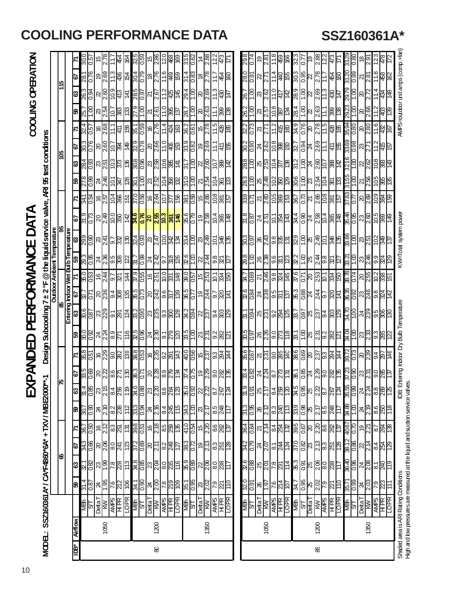# **COOLING PERFORMANCE DATA SSZ160361A\***

|                 |                |                                                                                      |                                                                                                                                                                                                                                                                                                                                                                                              |                                                                                                                                                                                       |                                                                                     |                                                                                                   |                                                                                           | 了<br>山                                    | ≹<br>∢<br>ρ                                                                                  | ш                                                                                                                                     |                                                                                                                              | PERFORMAN                                                                    |                                                  |                                                                                                                      | 7                                                                 | <b>RC</b>                                                                                                                                                                                                                                           |                                                                                                      |                                                         |                 |                                                                                                                                                         |                            | COOLING OPERATION                                    |                      |                                          |                          |  |
|-----------------|----------------|--------------------------------------------------------------------------------------|----------------------------------------------------------------------------------------------------------------------------------------------------------------------------------------------------------------------------------------------------------------------------------------------------------------------------------------------------------------------------------------------|---------------------------------------------------------------------------------------------------------------------------------------------------------------------------------------|-------------------------------------------------------------------------------------|---------------------------------------------------------------------------------------------------|-------------------------------------------------------------------------------------------|-------------------------------------------|----------------------------------------------------------------------------------------------|---------------------------------------------------------------------------------------------------------------------------------------|------------------------------------------------------------------------------------------------------------------------------|------------------------------------------------------------------------------|--------------------------------------------------|----------------------------------------------------------------------------------------------------------------------|-------------------------------------------------------------------|-----------------------------------------------------------------------------------------------------------------------------------------------------------------------------------------------------------------------------------------------------|------------------------------------------------------------------------------------------------------|---------------------------------------------------------|-----------------|---------------------------------------------------------------------------------------------------------------------------------------------------------|----------------------------|------------------------------------------------------|----------------------|------------------------------------------|--------------------------|--|
| <b>HOOM</b>     |                | SSZ160361 A* / CA*F4860*6A* + TXV / MBE2000*                                         |                                                                                                                                                                                                                                                                                                                                                                                              |                                                                                                                                                                                       |                                                                                     |                                                                                                   |                                                                                           |                                           |                                                                                              |                                                                                                                                       | Design Subcooling 7                                                                                                          |                                                                              | $\pm 2$ °F                                       |                                                                                                                      |                                                                   | @the liquid service valve,                                                                                                                                                                                                                          |                                                                                                      |                                                         |                 | ARI 95 test conditions                                                                                                                                  |                            |                                                      |                      |                                          |                          |  |
|                 |                |                                                                                      |                                                                                                                                                                                                                                                                                                                                                                                              | 18                                                                                                                                                                                    |                                                                                     |                                                                                                   |                                                                                           |                                           |                                                                                              |                                                                                                                                       |                                                                                                                              | 8                                                                            |                                                  |                                                                                                                      | <b>Outdoor Ambient Temperature</b>                                | 86                                                                                                                                                                                                                                                  |                                                                                                      |                                                         |                 | 90L                                                                                                                                                     |                            |                                                      |                      | 115                                      |                          |  |
|                 |                |                                                                                      |                                                                                                                                                                                                                                                                                                                                                                                              |                                                                                                                                                                                       |                                                                                     |                                                                                                   |                                                                                           |                                           |                                                                                              |                                                                                                                                       |                                                                                                                              |                                                                              |                                                  |                                                                                                                      |                                                                   |                                                                                                                                                                                                                                                     |                                                                                                      |                                                         |                 |                                                                                                                                                         |                            |                                                      |                      |                                          |                          |  |
| È               | <b>Airflow</b> |                                                                                      | အ                                                                                                                                                                                                                                                                                                                                                                                            | $\mathbf{3}$                                                                                                                                                                          | <b>P</b>                                                                            | N                                                                                                 | B)                                                                                        | $\ddot{\circ}$                            |                                                                                              | $\mathbf{z}$                                                                                                                          |                                                                                                                              |                                                                              |                                                  |                                                                                                                      |                                                                   |                                                                                                                                                                                                                                                     | 5                                                                                                    | $\mathbf{z}$                                            | இ               | ଞ                                                                                                                                                       | $\mathbf{z}$               | இ                                                    | ಙ                    | <b>P</b>                                 | LZ.                      |  |
|                 |                | 나 <u>s</u>                                                                           | $\frac{31.4}{0.87}$                                                                                                                                                                                                                                                                                                                                                                          |                                                                                                                                                                                       |                                                                                     | <u>087</u>                                                                                        | 30.7<br>7.08                                                                              | $\frac{31.4}{0.85}$                       |                                                                                              |                                                                                                                                       |                                                                                                                              |                                                                              |                                                  |                                                                                                                      |                                                                   |                                                                                                                                                                                                                                                     |                                                                                                      | 341<br>1.54                                             | $\frac{8}{278}$ |                                                                                                                                                         |                            |                                                      | 26.3<br>0.94         | $\frac{281}{0.76}$                       | $\frac{50}{05}$          |  |
|                 |                |                                                                                      |                                                                                                                                                                                                                                                                                                                                                                                              |                                                                                                                                                                                       |                                                                                     |                                                                                                   |                                                                                           |                                           |                                                                                              |                                                                                                                                       |                                                                                                                              |                                                                              |                                                  |                                                                                                                      |                                                                   |                                                                                                                                                                                                                                                     |                                                                                                      |                                                         |                 |                                                                                                                                                         |                            |                                                      |                      |                                          |                          |  |
|                 | 1050           |                                                                                      |                                                                                                                                                                                                                                                                                                                                                                                              |                                                                                                                                                                                       |                                                                                     |                                                                                                   |                                                                                           |                                           |                                                                                              |                                                                                                                                       |                                                                                                                              |                                                                              |                                                  |                                                                                                                      |                                                                   |                                                                                                                                                                                                                                                     |                                                                                                      |                                                         |                 |                                                                                                                                                         |                            |                                                      |                      |                                          | $\overline{5}$           |  |
|                 |                |                                                                                      |                                                                                                                                                                                                                                                                                                                                                                                              |                                                                                                                                                                                       |                                                                                     |                                                                                                   |                                                                                           |                                           |                                                                                              |                                                                                                                                       |                                                                                                                              |                                                                              |                                                  |                                                                                                                      |                                                                   |                                                                                                                                                                                                                                                     |                                                                                                      |                                                         |                 |                                                                                                                                                         |                            |                                                      |                      |                                          | 心                        |  |
|                 |                |                                                                                      | $\frac{156}{25}$                                                                                                                                                                                                                                                                                                                                                                             |                                                                                                                                                                                       |                                                                                     | $\frac{16}{12}$ $\frac{12}{12}$                                                                   |                                                                                           |                                           |                                                                                              |                                                                                                                                       |                                                                                                                              |                                                                              |                                                  |                                                                                                                      |                                                                   |                                                                                                                                                                                                                                                     |                                                                                                      |                                                         |                 |                                                                                                                                                         |                            |                                                      |                      |                                          | <b>虚</b>                 |  |
|                 |                | DetaT<br>AWPS<br>HPR<br>LOPR                                                         | <u>je</u>                                                                                                                                                                                                                                                                                                                                                                                    |                                                                                                                                                                                       | <u>အိုင္ယြို႕ေတြ ဆြ</u>                                                             | $ \tilde{\omega} $                                                                                | 제 <mark>음  정  정  성</mark>                                                                 | <u> အမြို့ မြို့ဆိုမြို့ အမြို့ မြို့</u> | <b>ြို</b> းစြံခြင်းဖြစ်ခြင်းဖြစ်ခြင်းဖြစ်ခြင်းဖြစ်<br>မြို့အမြေမြို့အဖြစ်ခြင်းဖြစ်ခြင်းဖြစ် | <u>န္ကိုင္တုိင္တုိင္ကုိ မွာ မွာ မွာ မြန္လုိင္တုိင္ မြန္လုိင္ မြန္လုိင္သုိင္သုိင္</u><br>မွာ ေတြ႔ေတြ႔ေတြ႔ မွာ မွာ ေတြ႔ေတြ႔ ေတြ႔ေတြ႔ေတြ | <mark>ေများများ များများ များများ များများ များများ များများ များများ များများ များများ များများ များများ များများ မျ</mark> |                                                                              |                                                  |                                                                                                                      |                                                                   | <b>Ertering indoor Wet Bulb Temperature<br/> 1 63   67   71 59   68   7<br/> 2016 22.7 200 23.3 23.9   7<br/> 2016 22.7 200 0.05 200   7<br/> 2019 236 244 2.26 2.87   72.4 2.5 2.4   72.4 2.5 3.7   73.8 3.7   73.8 3.2   73.8 3.2   73.8 3.2 </b> |                                                                                                      | $ \tilde{\varepsilon} $ हे हे हे $ $                    |                 | <mark>ေဒါင္ကို မွတ္တြ</mark> င္ ျမန္မာ မွတ္တိုင္က မွတ္လိုင္က မွတ္လိုင္က မွတ္လိုင္း ေဆြး                                                                 |                            | <u>ဗြံခြဗမြိုင်) မြို့</u>                           |                      | ၜ႞ၛၟၣၛၟၣၛၟၣၛၣ<br>ၜ႞ၛၣၛ <u>ၟၯၟၯၟၯၯၟၯၯ</u> | $\sqrt{64}$              |  |
|                 |                | <u>ABN</u><br>2L                                                                     | $\frac{341}{0.90}$                                                                                                                                                                                                                                                                                                                                                                           |                                                                                                                                                                                       |                                                                                     | <mark>န္က ျငန္ကြ</mark> န္က ျမန္ကာ                                                                | $\frac{33}{25}$                                                                           |                                           |                                                                                              |                                                                                                                                       |                                                                                                                              |                                                                              |                                                  |                                                                                                                      |                                                                   |                                                                                                                                                                                                                                                     |                                                                                                      |                                                         |                 |                                                                                                                                                         |                            | <u>ျော်မြိုင် မြိုင် မြိုင် မြိုင် မြိုင် မြိုင်</u> |                      |                                          |                          |  |
|                 |                |                                                                                      |                                                                                                                                                                                                                                                                                                                                                                                              |                                                                                                                                                                                       |                                                                                     |                                                                                                   |                                                                                           |                                           |                                                                                              |                                                                                                                                       |                                                                                                                              |                                                                              |                                                  |                                                                                                                      |                                                                   |                                                                                                                                                                                                                                                     |                                                                                                      |                                                         |                 |                                                                                                                                                         |                            |                                                      |                      |                                          |                          |  |
|                 |                |                                                                                      |                                                                                                                                                                                                                                                                                                                                                                                              |                                                                                                                                                                                       |                                                                                     |                                                                                                   |                                                                                           |                                           |                                                                                              |                                                                                                                                       |                                                                                                                              |                                                                              |                                                  |                                                                                                                      |                                                                   |                                                                                                                                                                                                                                                     |                                                                                                      |                                                         |                 |                                                                                                                                                         |                            |                                                      |                      |                                          |                          |  |
| $\pmb{\otimes}$ | 200            |                                                                                      |                                                                                                                                                                                                                                                                                                                                                                                              |                                                                                                                                                                                       |                                                                                     |                                                                                                   |                                                                                           |                                           |                                                                                              |                                                                                                                                       |                                                                                                                              |                                                                              |                                                  |                                                                                                                      |                                                                   |                                                                                                                                                                                                                                                     |                                                                                                      |                                                         |                 |                                                                                                                                                         |                            |                                                      |                      |                                          |                          |  |
|                 |                |                                                                                      |                                                                                                                                                                                                                                                                                                                                                                                              |                                                                                                                                                                                       |                                                                                     |                                                                                                   |                                                                                           |                                           |                                                                                              |                                                                                                                                       |                                                                                                                              |                                                                              |                                                  |                                                                                                                      |                                                                   |                                                                                                                                                                                                                                                     |                                                                                                      |                                                         |                 |                                                                                                                                                         |                            |                                                      |                      |                                          |                          |  |
|                 |                | DeltaT<br><b>AMPS</b><br>HPR<br>LOPR                                                 | $\frac{1}{2} \frac{1}{2} \frac{1}{2} \frac{1}{2} \frac{1}{2} \frac{1}{2} \frac{1}{2} \frac{1}{2} \frac{1}{2} \frac{1}{2} \frac{1}{2} \frac{1}{2} \frac{1}{2} \frac{1}{2} \frac{1}{2} \frac{1}{2} \frac{1}{2} \frac{1}{2} \frac{1}{2} \frac{1}{2} \frac{1}{2} \frac{1}{2} \frac{1}{2} \frac{1}{2} \frac{1}{2} \frac{1}{2} \frac{1}{2} \frac{1}{2} \frac{1}{2} \frac{1}{2} \frac{1}{2} \frac{$ |                                                                                                                                                                                       | <u>ိုင္ကိုင္ကို အမြန္ မြန္မာမြ</u>                                                  |                                                                                                   | $\frac{1}{8}$ $\frac{1}{8}$ $\frac{1}{8}$ $\frac{1}{8}$ $\frac{1}{8}$ $\frac{1}{8}$       |                                           |                                                                                              |                                                                                                                                       |                                                                                                                              |                                                                              |                                                  |                                                                                                                      |                                                                   |                                                                                                                                                                                                                                                     |                                                                                                      | <u>မြို့မျှ များများများမျှ</u><br>များများများများများ |                 |                                                                                                                                                         |                            |                                                      |                      |                                          | <u>ဗိုင္ကို ေမြးေနြ႕</u> |  |
|                 |                |                                                                                      |                                                                                                                                                                                                                                                                                                                                                                                              |                                                                                                                                                                                       |                                                                                     | 41.0                                                                                              | 343                                                                                       |                                           |                                                                                              |                                                                                                                                       |                                                                                                                              |                                                                              |                                                  |                                                                                                                      |                                                                   |                                                                                                                                                                                                                                                     |                                                                                                      |                                                         |                 |                                                                                                                                                         |                            |                                                      |                      |                                          |                          |  |
|                 |                | M图<br>ST                                                                             | $\frac{351}{0.95}$                                                                                                                                                                                                                                                                                                                                                                           |                                                                                                                                                                                       |                                                                                     | И3 О                                                                                              | $\overline{\mathrm{S}}$                                                                   | $\frac{80}{100}$                          |                                                                                              |                                                                                                                                       |                                                                                                                              |                                                                              |                                                  |                                                                                                                      |                                                                   |                                                                                                                                                                                                                                                     |                                                                                                      |                                                         |                 |                                                                                                                                                         |                            |                                                      |                      |                                          | $\frac{36}{26}$          |  |
|                 |                |                                                                                      |                                                                                                                                                                                                                                                                                                                                                                                              |                                                                                                                                                                                       |                                                                                     | 40                                                                                                |                                                                                           |                                           |                                                                                              |                                                                                                                                       |                                                                                                                              |                                                                              |                                                  |                                                                                                                      |                                                                   |                                                                                                                                                                                                                                                     |                                                                                                      |                                                         |                 |                                                                                                                                                         |                            |                                                      |                      |                                          | $\dot{z}$                |  |
|                 | 1350           |                                                                                      |                                                                                                                                                                                                                                                                                                                                                                                              |                                                                                                                                                                                       |                                                                                     | $\mathbb{Z}^{\infty}$                                                                             | $\frac{1}{2}$ ମି                                                                          |                                           |                                                                                              |                                                                                                                                       |                                                                                                                              |                                                                              |                                                  |                                                                                                                      |                                                                   |                                                                                                                                                                                                                                                     |                                                                                                      |                                                         |                 |                                                                                                                                                         |                            |                                                      |                      |                                          | $\overline{8.8}$         |  |
|                 |                | DetaT<br><b>KNUS</b><br><b>ANPS</b><br>TOPR<br>LOPR                                  | $\frac{1}{2} \frac{1}{2} \frac{1}{2} \frac{1}{2} \frac{1}{2} \frac{1}{2} \frac{1}{2} \frac{1}{2} \frac{1}{2} \frac{1}{2} \frac{1}{2} \frac{1}{2} \frac{1}{2} \frac{1}{2} \frac{1}{2} \frac{1}{2} \frac{1}{2} \frac{1}{2} \frac{1}{2} \frac{1}{2} \frac{1}{2} \frac{1}{2} \frac{1}{2} \frac{1}{2} \frac{1}{2} \frac{1}{2} \frac{1}{2} \frac{1}{2} \frac{1}{2} \frac{1}{2} \frac{1}{2} \frac$  | <u>ង<mark>ខ្ល</mark>ានឌ្រ</u> ី=                                                                                                                                                      | စ <mark>္ကြ</mark> ီးအ <u>ြံ</u> မွာ                                                | <u>성</u> 8%                                                                                       |                                                                                           | ន <mark>¦</mark> ដូ¦ន <mark>ូ</mark> ង    |                                                                                              |                                                                                                                                       |                                                                                                                              |                                                                              |                                                  |                                                                                                                      |                                                                   |                                                                                                                                                                                                                                                     | <u>ခ်္ကဗြံ့ဖြိုင်</u>                                                                                | 회险응]일                                                   |                 | 외입증協商                                                                                                                                                   | <u>နာမြိုင်</u><br>မြိုင်း |                                                      |                      | <u> 객</u> 등 등 등 등 등 등                    | 이것                       |  |
|                 |                |                                                                                      |                                                                                                                                                                                                                                                                                                                                                                                              |                                                                                                                                                                                       |                                                                                     |                                                                                                   | 8 <mark>%는</mark>                                                                         |                                           |                                                                                              |                                                                                                                                       |                                                                                                                              |                                                                              |                                                  |                                                                                                                      |                                                                   |                                                                                                                                                                                                                                                     |                                                                                                      |                                                         |                 |                                                                                                                                                         |                            |                                                      |                      |                                          |                          |  |
|                 |                |                                                                                      |                                                                                                                                                                                                                                                                                                                                                                                              |                                                                                                                                                                                       |                                                                                     |                                                                                                   |                                                                                           |                                           |                                                                                              |                                                                                                                                       |                                                                                                                              |                                                                              |                                                  |                                                                                                                      |                                                                   |                                                                                                                                                                                                                                                     |                                                                                                      |                                                         |                 |                                                                                                                                                         |                            |                                                      |                      |                                          |                          |  |
|                 |                |                                                                                      |                                                                                                                                                                                                                                                                                                                                                                                              |                                                                                                                                                                                       |                                                                                     |                                                                                                   |                                                                                           |                                           |                                                                                              |                                                                                                                                       |                                                                                                                              |                                                                              |                                                  |                                                                                                                      |                                                                   |                                                                                                                                                                                                                                                     |                                                                                                      |                                                         |                 |                                                                                                                                                         |                            |                                                      |                      |                                          |                          |  |
|                 |                | $\frac{16}{15}$                                                                      | $\frac{320}{0.91}$                                                                                                                                                                                                                                                                                                                                                                           |                                                                                                                                                                                       |                                                                                     | $\frac{364}{0.64}$                                                                                | $\frac{313}{6.55}$                                                                        |                                           |                                                                                              |                                                                                                                                       |                                                                                                                              |                                                                              |                                                  |                                                                                                                      |                                                                   |                                                                                                                                                                                                                                                     |                                                                                                      | $\frac{120}{150}$                                       |                 |                                                                                                                                                         | $\frac{322}{0.73}$         | $\frac{262}{1.00}$                                   |                      | $\frac{50}{10}$                          | $\frac{298}{20}$         |  |
|                 |                |                                                                                      |                                                                                                                                                                                                                                                                                                                                                                                              |                                                                                                                                                                                       |                                                                                     |                                                                                                   |                                                                                           |                                           |                                                                                              |                                                                                                                                       |                                                                                                                              |                                                                              |                                                  |                                                                                                                      |                                                                   |                                                                                                                                                                                                                                                     |                                                                                                      |                                                         |                 |                                                                                                                                                         |                            |                                                      |                      |                                          |                          |  |
|                 |                | $\frac{\overline{Deta}}{\overline{M}}$                                               | $\frac{10}{1}$                                                                                                                                                                                                                                                                                                                                                                               | <u>ಜ್ಯ ಜೃಲ</u>                                                                                                                                                                        |                                                                                     | $\frac{2}{14}$                                                                                    | $\frac{25}{2.12}$                                                                         | ន <mark>្ទា</mark> ននាំ<br>នាំងនាំ        |                                                                                              |                                                                                                                                       |                                                                                                                              |                                                                              |                                                  |                                                                                                                      |                                                                   |                                                                                                                                                                                                                                                     |                                                                                                      |                                                         |                 |                                                                                                                                                         | $\frac{27}{2}$             |                                                      |                      |                                          | စုန်                     |  |
|                 | 1050           |                                                                                      |                                                                                                                                                                                                                                                                                                                                                                                              |                                                                                                                                                                                       |                                                                                     |                                                                                                   |                                                                                           |                                           |                                                                                              |                                                                                                                                       |                                                                                                                              |                                                                              |                                                  |                                                                                                                      |                                                                   |                                                                                                                                                                                                                                                     |                                                                                                      |                                                         |                 |                                                                                                                                                         |                            |                                                      |                      |                                          |                          |  |
|                 |                | <b>AVPS</b><br>HPR<br>LOPR                                                           | $\frac{20}{27}$                                                                                                                                                                                                                                                                                                                                                                              |                                                                                                                                                                                       | <u>မိုင္ပုံမူမွုမူမြ</u>                                                            | <u>역설 등</u><br> 육성 등                                                                              | ¦္ယွန္လူဗု                                                                                | $\frac{88}{8}$                            |                                                                                              |                                                                                                                                       |                                                                                                                              |                                                                              |                                                  |                                                                                                                      |                                                                   |                                                                                                                                                                                                                                                     |                                                                                                      |                                                         |                 |                                                                                                                                                         |                            |                                                      |                      |                                          | $rac{66}{100}$           |  |
|                 |                |                                                                                      |                                                                                                                                                                                                                                                                                                                                                                                              |                                                                                                                                                                                       |                                                                                     |                                                                                                   |                                                                                           |                                           |                                                                                              |                                                                                                                                       |                                                                                                                              |                                                                              |                                                  |                                                                                                                      |                                                                   |                                                                                                                                                                                                                                                     |                                                                                                      |                                                         |                 |                                                                                                                                                         |                            |                                                      |                      |                                          |                          |  |
|                 |                | <b>MBN</b>                                                                           |                                                                                                                                                                                                                                                                                                                                                                                              |                                                                                                                                                                                       |                                                                                     |                                                                                                   |                                                                                           | <b>S'KC</b>                               |                                                                                              |                                                                                                                                       |                                                                                                                              |                                                                              |                                                  |                                                                                                                      |                                                                   |                                                                                                                                                                                                                                                     |                                                                                                      |                                                         |                 |                                                                                                                                                         |                            |                                                      |                      |                                          |                          |  |
|                 |                |                                                                                      |                                                                                                                                                                                                                                                                                                                                                                                              |                                                                                                                                                                                       |                                                                                     |                                                                                                   |                                                                                           |                                           |                                                                                              |                                                                                                                                       |                                                                                                                              |                                                                              |                                                  |                                                                                                                      |                                                                   |                                                                                                                                                                                                                                                     |                                                                                                      |                                                         |                 |                                                                                                                                                         |                            |                                                      |                      |                                          |                          |  |
|                 |                | $\frac{1}{\frac{1}{\sqrt{2}}\left \frac{1}{\sqrt{2}}\right }\leq \frac{1}{\sqrt{2}}$ | $\frac{247}{358}$                                                                                                                                                                                                                                                                                                                                                                            | $\frac{1}{2}$ $\frac{1}{2}$ $\frac{1}{2}$ $\frac{1}{2}$ $\frac{1}{2}$ $\frac{1}{2}$ $\frac{1}{2}$ $\frac{1}{2}$ $\frac{1}{2}$ $\frac{1}{2}$ $\frac{1}{2}$ $\frac{1}{2}$ $\frac{1}{2}$ | <mark>ីនី</mark> ៥ <mark>៥ ៥ ៥ ៤</mark><br>ខ <mark>្</mark> មី ៥ <mark>៥ ៥ ៥</mark> | $\frac{1}{2}$ $\frac{1}{2}$ $\frac{1}{2}$ $\frac{1}{2}$ $\frac{1}{2}$ $\frac{1}{2}$ $\frac{1}{2}$ | $\frac{1}{33}$ $\frac{1}{35}$ $\frac{1}{35}$ $\frac{1}{35}$ $\frac{1}{35}$ $\frac{1}{35}$ | 88/27                                     | <u>88848786688888888888888</u>                                                               | <u>និទ្ឋី ។ ប្រទេ និទ្ធី និទ្ធី និទ្ធី និទ្ធី និ</u>                                                                                  | <u>မို့မြို့မျှ မျှော်မြို့မျှ မျှော်မြို့မျှ မျာ</u>                                                                        | <u>် ဗြိုက္ကိုဒုတ္ထား မြိုင္ပါမယ္ဆိုဒုတ္ထား မြိုင္ပါ ျဖစ္ပြဲမွာ မြိုင္ပါ</u> | <u>884 % 385 % 884 46 86 % 86 % 86 % 86 % 86</u> | <u>နဲ့ မြို့မျိုး မြို့မျိုး မြို့မျိုး မြို့မျိုး မြို့မျိုး မြို့မျိုး မြို့မျိုး မြို့မျိုး မြို့မျိုး မြို့မ</u> | <u>န္က ေတြ ေတြ ေတြ ေတြ ေတြ (</u><br>မိုင္ဘုိင္က ေတြ ေတြ ေတြ ေတြ ေ | <u>္ကိုင္ဘုန္က မြန္လုပ္က မြန္လုပ္က မြန္လုပ္က မြန္လုပ္က မြန္လုပ္</u>                                                                                                                                                                                 | <u>မိုမို  4   2   2   6  4   8  4  8  6  -</u><br> -<br>සුලු  4   2   2   6  4  8  4  8  4  6  6  6 | <u> ସାଞ୍ଜାମ୍ବାସ୍କା ସାଞ୍ଜାସ୍କାମ୍ବାସ୍କାମ୍</u>             |                 | <u>gojg (gos bibliotic e la l</u><br><u> စ္က ခြန္း မြန္မာ ျခန္း မြန္မာ မြန္မာ မြန္မာ မြန္မာ မြန္မာ မြန္မာ မြန္မာ မြန္မာ မြန္မာ မြန္မာ မြန္မာ မြန္မာ</u> |                            |                                                      |                      | 853689689696998989                       | <u>ကျွိုင</u> ်<br>အ     |  |
| 98              | 1200           |                                                                                      |                                                                                                                                                                                                                                                                                                                                                                                              |                                                                                                                                                                                       |                                                                                     |                                                                                                   |                                                                                           |                                           |                                                                                              |                                                                                                                                       |                                                                                                                              |                                                                              |                                                  |                                                                                                                      |                                                                   |                                                                                                                                                                                                                                                     |                                                                                                      |                                                         |                 |                                                                                                                                                         |                            |                                                      |                      |                                          |                          |  |
|                 |                |                                                                                      |                                                                                                                                                                                                                                                                                                                                                                                              |                                                                                                                                                                                       |                                                                                     |                                                                                                   |                                                                                           |                                           |                                                                                              |                                                                                                                                       |                                                                                                                              |                                                                              |                                                  |                                                                                                                      |                                                                   |                                                                                                                                                                                                                                                     |                                                                                                      |                                                         |                 |                                                                                                                                                         |                            |                                                      |                      |                                          | $\frac{2.88}{12.2}$      |  |
|                 |                |                                                                                      |                                                                                                                                                                                                                                                                                                                                                                                              |                                                                                                                                                                                       |                                                                                     |                                                                                                   | <u>이용</u>                                                                                 |                                           |                                                                                              |                                                                                                                                       |                                                                                                                              |                                                                              |                                                  |                                                                                                                      |                                                                   |                                                                                                                                                                                                                                                     |                                                                                                      |                                                         |                 |                                                                                                                                                         |                            |                                                      |                      |                                          | 54                       |  |
|                 |                | HPR<br>LOPR                                                                          | $\frac{911}{12}$                                                                                                                                                                                                                                                                                                                                                                             |                                                                                                                                                                                       |                                                                                     |                                                                                                   |                                                                                           | $\frac{1}{28}$                            |                                                                                              |                                                                                                                                       |                                                                                                                              |                                                                              |                                                  |                                                                                                                      |                                                                   |                                                                                                                                                                                                                                                     |                                                                                                      |                                                         |                 |                                                                                                                                                         |                            |                                                      |                      |                                          | Ļ                        |  |
|                 |                | $rac{4}{5}$                                                                          | 86.0<br>LZSE                                                                                                                                                                                                                                                                                                                                                                                 | 36.0<br>0.98                                                                                                                                                                          |                                                                                     | $\frac{\alpha}{190\tau}$                                                                          |                                                                                           | 800<br>93                                 |                                                                                              |                                                                                                                                       |                                                                                                                              |                                                                              |                                                  |                                                                                                                      |                                                                   |                                                                                                                                                                                                                                                     |                                                                                                      |                                                         |                 |                                                                                                                                                         |                            |                                                      |                      |                                          | $\frac{328}{0.80}$       |  |
|                 |                |                                                                                      |                                                                                                                                                                                                                                                                                                                                                                                              |                                                                                                                                                                                       | $\frac{28}{8}$ 8   2   $\frac{1}{2}$                                                |                                                                                                   | 용용<br>지원 정도                                                                               |                                           |                                                                                              |                                                                                                                                       |                                                                                                                              |                                                                              |                                                  |                                                                                                                      |                                                                   |                                                                                                                                                                                                                                                     |                                                                                                      |                                                         |                 | $\frac{22}{338}$                                                                                                                                        |                            |                                                      | 2972<br>2011<br>2022 |                                          |                          |  |
|                 |                | $\frac{\text{Deta}}{\text{K}\text{N}}$                                               |                                                                                                                                                                                                                                                                                                                                                                                              |                                                                                                                                                                                       |                                                                                     | ల్గ్గా                                                                                            |                                                                                           |                                           |                                                                                              |                                                                                                                                       |                                                                                                                              |                                                                              |                                                  |                                                                                                                      |                                                                   |                                                                                                                                                                                                                                                     |                                                                                                      |                                                         |                 |                                                                                                                                                         |                            |                                                      |                      |                                          |                          |  |
|                 | 1350           |                                                                                      |                                                                                                                                                                                                                                                                                                                                                                                              |                                                                                                                                                                                       |                                                                                     |                                                                                                   |                                                                                           | $\frac{24}{28}$                           |                                                                                              |                                                                                                                                       |                                                                                                                              |                                                                              |                                                  |                                                                                                                      |                                                                   |                                                                                                                                                                                                                                                     |                                                                                                      |                                                         |                 |                                                                                                                                                         |                            |                                                      |                      |                                          |                          |  |
|                 |                | <b>AVIPS</b><br>HPR<br>LOPR                                                          | $\frac{1}{2} \frac{1}{2} \frac{1}{2} \frac{1}{2} \frac{1}{2} \frac{1}{2} \frac{1}{2} \frac{1}{2} \frac{1}{2} \frac{1}{2} \frac{1}{2} \frac{1}{2} \frac{1}{2} \frac{1}{2} \frac{1}{2} \frac{1}{2} \frac{1}{2} \frac{1}{2} \frac{1}{2} \frac{1}{2} \frac{1}{2} \frac{1}{2} \frac{1}{2} \frac{1}{2} \frac{1}{2} \frac{1}{2} \frac{1}{2} \frac{1}{2} \frac{1}{2} \frac{1}{2} \frac{1}{2} \frac{$ | <u> 4  2  2  2  2</u>                                                                                                                                                                 | $\frac{84}{28}$                                                                     | 88<br>28<br>29                                                                                    | <u>이영</u><br>이상                                                                           |                                           |                                                                                              | <u>ဗ</u> ္ဌိုင္ကုမမ္လုဒ္မူမွန္က                                                                                                       | <u>နဲ့ ခြုံအမြို့အမြ</u> ို့                                                                                                 |                                                                              |                                                  |                                                                                                                      | <u>ဗိုင္ပြုံးကြီးသြီး မြ</u>                                      |                                                                                                                                                                                                                                                     | <u>န္ထုန္ထုဒ္ထုဒ္ထုဒ္ထုန္ထု</u><br>န္ကုန္တုဒ္ထုဒ္ထုဒ္ထုဒ္                                            | <u>ိုင္ကိုဒုန္တြန္ကြန္ကြ</u>                            |                 | <u>이하다</u>                                                                                                                                              |                            | <u>က္ကိုဒ္ကို ခုုပ္ကိုု ျမန္မာ</u>                   |                      |                                          |                          |  |
|                 |                |                                                                                      |                                                                                                                                                                                                                                                                                                                                                                                              |                                                                                                                                                                                       |                                                                                     |                                                                                                   |                                                                                           | 825                                       |                                                                                              |                                                                                                                                       |                                                                                                                              |                                                                              |                                                  |                                                                                                                      |                                                                   |                                                                                                                                                                                                                                                     |                                                                                                      |                                                         |                 |                                                                                                                                                         |                            |                                                      |                      |                                          |                          |  |
|                 |                |                                                                                      |                                                                                                                                                                                                                                                                                                                                                                                              |                                                                                                                                                                                       |                                                                                     |                                                                                                   |                                                                                           |                                           |                                                                                              |                                                                                                                                       |                                                                                                                              |                                                                              |                                                  |                                                                                                                      |                                                                   |                                                                                                                                                                                                                                                     |                                                                                                      |                                                         |                 |                                                                                                                                                         |                            |                                                      |                      |                                          |                          |  |
|                 |                | Shaded area is ARI Rating Conditions                                                 |                                                                                                                                                                                                                                                                                                                                                                                              |                                                                                                                                                                                       |                                                                                     |                                                                                                   |                                                                                           | 山                                         | ntering Indoor Dry                                                                           |                                                                                                                                       | <b>Bub Temperature</b>                                                                                                       |                                                                              |                                                  |                                                                                                                      | W-Tota                                                            | system power                                                                                                                                                                                                                                        |                                                                                                      |                                                         |                 |                                                                                                                                                         |                            | MPS=outdoor unit amps (comp.+far                     |                      |                                          |                          |  |
|                 |                | High and low pressures are measured at the liquid and sudtion service valve          |                                                                                                                                                                                                                                                                                                                                                                                              |                                                                                                                                                                                       |                                                                                     |                                                                                                   |                                                                                           |                                           |                                                                                              |                                                                                                                                       |                                                                                                                              |                                                                              |                                                  |                                                                                                                      |                                                                   |                                                                                                                                                                                                                                                     |                                                                                                      |                                                         |                 |                                                                                                                                                         |                            |                                                      |                      |                                          |                          |  |

 $\hat{\boldsymbol{\epsilon}}$ 10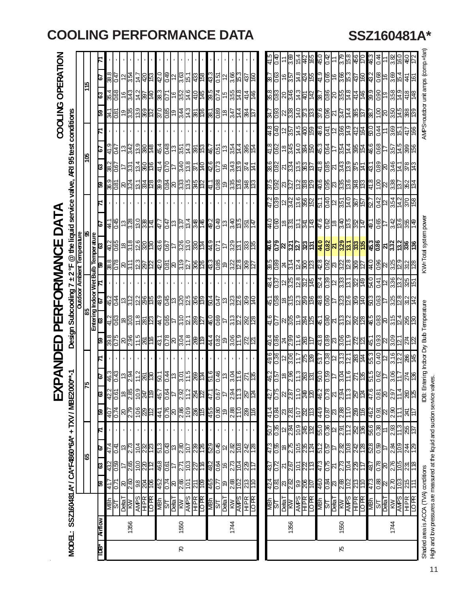|               |               |                                                          |                           |                                                                                                   |                                               |                             |                                                                 | 区                           |                                                      | ANDED            |                                                                                                                                                                                                                                                                                                                                                                                              | PERFORMANCE                                                               |                               |                               |                                    |                                                                            | DATA                                                        |                                                         |                                              |                                                                                                                 |                                  |                                        |                                            | COOLING OPERATION                                               |                         |                |
|---------------|---------------|----------------------------------------------------------|---------------------------|---------------------------------------------------------------------------------------------------|-----------------------------------------------|-----------------------------|-----------------------------------------------------------------|-----------------------------|------------------------------------------------------|------------------|----------------------------------------------------------------------------------------------------------------------------------------------------------------------------------------------------------------------------------------------------------------------------------------------------------------------------------------------------------------------------------------------|---------------------------------------------------------------------------|-------------------------------|-------------------------------|------------------------------------|----------------------------------------------------------------------------|-------------------------------------------------------------|---------------------------------------------------------|----------------------------------------------|-----------------------------------------------------------------------------------------------------------------|----------------------------------|----------------------------------------|--------------------------------------------|-----------------------------------------------------------------|-------------------------|----------------|
|               |               | MODE: SSZ160481A*/CA*F4860*6A*+TXV/MBE2000               |                           |                                                                                                   |                                               |                             |                                                                 |                             |                                                      |                  |                                                                                                                                                                                                                                                                                                                                                                                              | Design Subcooling                                                         |                               | า<br>+                        |                                    |                                                                            | @ the liquid service valve,                                 |                                                         |                                              | ARI 95 test conditions                                                                                          |                                  |                                        |                                            |                                                                 |                         |                |
|               |               |                                                          |                           |                                                                                                   |                                               |                             |                                                                 |                             |                                                      |                  |                                                                                                                                                                                                                                                                                                                                                                                              |                                                                           |                               |                               |                                    |                                                                            |                                                             |                                                         |                                              |                                                                                                                 |                                  |                                        |                                            |                                                                 |                         |                |
|               |               |                                                          |                           | န္ၿ                                                                                               |                                               |                             |                                                                 | $\overline{5}$              |                                                      |                  |                                                                                                                                                                                                                                                                                                                                                                                              | Outdoor Ambient Temperature<br>85<br>Entering Indoor Wet Bulb Temperature |                               |                               |                                    |                                                                            |                                                             |                                                         |                                              | 901                                                                                                             |                                  |                                        |                                            | $rac{5}{11}$                                                    |                         |                |
| È             | <b>Artiow</b> |                                                          | B                         | ß,                                                                                                | ি                                             |                             | B                                                               | ß,                          | p                                                    |                  | B                                                                                                                                                                                                                                                                                                                                                                                            | B                                                                         | မြ                            |                               | 8                                  | ຮ                                                                          | Iб                                                          |                                                         | ß                                            | r3                                                                                                              | ब्ब                              |                                        | ၉၅                                         | ន                                                               | င်္                     |                |
|               |               | 이<br>이메                                                  | $\frac{1}{4}$             | $rac{132}{0.58}$                                                                                  | 474                                           |                             | 407                                                             | $\frac{42.2}{0.61}$         | $rac{46.3}{0.43}$                                    |                  | 398                                                                                                                                                                                                                                                                                                                                                                                          | $\frac{41.2}{0.63}$                                                       | $\frac{46.2}{0.44}$           |                               | $\frac{8}{88}$                     | 40.2                                                                       | <u>त्रं ह</u>                                               |                                                         |                                              | $rac{190}{285}$                                                                                                 | $\frac{41.9}{0.47}$              |                                        | <u>। १६</u><br>१९६                         | $rac{35.4}{0.68}$                                               | $\frac{47}{9.85}$       |                |
|               |               |                                                          | 0.71                      |                                                                                                   | 0.41                                          |                             | 0.74                                                            |                             |                                                      |                  |                                                                                                                                                                                                                                                                                                                                                                                              |                                                                           |                               |                               |                                    |                                                                            |                                                             |                                                         | $\frac{1}{36}$ $\frac{1}{36}$ $\frac{1}{36}$ |                                                                                                                 |                                  |                                        |                                            |                                                                 |                         |                |
|               |               | $\frac{\text{N}}{\text{Lap}}$                            | ନ୍ <mark>ବ</mark>         | $\overline{z}$                                                                                    |                                               |                             |                                                                 |                             |                                                      |                  |                                                                                                                                                                                                                                                                                                                                                                                              | $\frac{8}{30}$                                                            | $\frac{13}{312}$              |                               | $8\frac{1}{2}$                     |                                                                            |                                                             |                                                         |                                              |                                                                                                                 |                                  |                                        | $\frac{9}{35}$                             |                                                                 | $\frac{5}{3}$           |                |
|               | 1356          |                                                          |                           |                                                                                                   |                                               |                             |                                                                 | $\frac{\log  z }{\log  z }$ |                                                      |                  | ႜ <mark>ႜႜ</mark> ႜႜၛၟႜႜႜႜၛ                                                                                                                                                                                                                                                                                                                                                                  |                                                                           |                               |                               |                                    |                                                                            | ်မြို့ချိန်<br> -<br> -                                     |                                                         |                                              | 331                                                                                                             |                                  |                                        |                                            |                                                                 |                         |                |
|               |               | AMPS<br>HIPR                                             | $\frac{102}{86}$          |                                                                                                   |                                               |                             |                                                                 |                             |                                                      |                  |                                                                                                                                                                                                                                                                                                                                                                                              |                                                                           |                               |                               |                                    |                                                                            |                                                             |                                                         |                                              | $rac{13}{280}$                                                                                                  |                                  |                                        | 632                                        |                                                                 |                         |                |
|               |               | LO <sub>PR</sub>                                         | 30                        | <u>မျှဒုံမျှ</u>                                                                                  | <u>ဗင္ဗြုဒ္မမမ</u>                            |                             | ର <mark> </mark> ଼ିଅଞ୍ଜ ଼ିଆ                                     | 611                         | $\frac{13}{294}$                                     |                  | 91                                                                                                                                                                                                                                                                                                                                                                                           | $\frac{18}{28}$                                                           | $\frac{28}{85}$               |                               | $\frac{23}{28}$                    | <mark>ြိုင်းမြို့</mark>                                                   | 141                                                         |                                                         | $\frac{51}{28}$                              | 136                                                                                                             | <u>်မျှ အမြန်</u>                |                                        | $\overline{132}$                           | e <u>ees als e</u>                                              | $rac{1}{45}$            |                |
|               |               |                                                          | 45.2                      | 46.8                                                                                              | 513                                           |                             | 44.1                                                            | 45.7                        | 50.1                                                 |                  |                                                                                                                                                                                                                                                                                                                                                                                              |                                                                           |                               |                               | 0.70                               |                                                                            | 47.7                                                        |                                                         | 66                                           | 41.4                                                                                                            |                                  |                                        | 0.25                                       | 38.3                                                            | 42.0                    |                |
|               |               | <b>MBh</b><br>S/T                                        |                           | 0.61                                                                                              |                                               |                             |                                                                 | 0.64                        | 0.44                                                 |                  | 431                                                                                                                                                                                                                                                                                                                                                                                          |                                                                           |                               |                               |                                    |                                                                            |                                                             |                                                         |                                              | 0.70                                                                                                            |                                  |                                        | 0.85                                       | $\overline{071}$                                                |                         |                |
|               |               | <b>Lajed</b>                                             |                           | 4                                                                                                 |                                               |                             |                                                                 |                             |                                                      |                  |                                                                                                                                                                                                                                                                                                                                                                                              |                                                                           |                               |                               |                                    |                                                                            |                                                             |                                                         |                                              |                                                                                                                 |                                  |                                        | e,                                         |                                                                 |                         |                |
| $\mathcal{R}$ | 1550          |                                                          |                           |                                                                                                   |                                               | $\mathbf{r}$                |                                                                 |                             |                                                      |                  |                                                                                                                                                                                                                                                                                                                                                                                              |                                                                           |                               |                               |                                    |                                                                            |                                                             |                                                         |                                              |                                                                                                                 |                                  |                                        |                                            |                                                                 |                         |                |
|               |               | <b>AMPS</b><br>AMPS<br>AMPS<br>AMPS                      | <mark>요성성성성</mark>        | <u>rispla</u>                                                                                     | ၉<br>၂၁ <u>၉၉၂</u><br>၂၁ <u>၉၉</u> ၂၁ ၉       |                             | $\frac{18}{15}$ $\frac{18}{15}$ $\frac{18}{15}$ $\frac{18}{15}$ | <mark>는 이는 성</mark> 성       | $\approx$ $\approx$ $\approx$ $\approx$              |                  | $8\frac{1}{8}\frac{1}{8}\frac{1}{8}\frac{1}{8}\frac{1}{8}$                                                                                                                                                                                                                                                                                                                                   |                                                                           |                               |                               | <u>ela – Ela ela</u>               | <u>del – judi mu</u>                                                       | 0 0 0 0 0 0 0 0<br>0 0 0 0 0 0 0 0                          |                                                         | $\frac{1}{2}$ 8 22 26 26 26                  | <u> 생</u> 승 원들                                                                                                  | <u> နဲ့ ခြိုင် ဗြိုင် ဗြိုင်</u> |                                        | $\frac{34}{36}$ $\frac{8}{36}$             | $\frac{16}{15}$ $\frac{12}{15}$ $\frac{12}{15}$ $\frac{12}{15}$ | <u>ြို႕ ဇြိုင် ထြံဆ</u> |                |
|               |               |                                                          |                           |                                                                                                   |                                               |                             |                                                                 |                             |                                                      |                  |                                                                                                                                                                                                                                                                                                                                                                                              |                                                                           |                               |                               |                                    |                                                                            |                                                             |                                                         |                                              |                                                                                                                 |                                  |                                        |                                            |                                                                 |                         |                |
|               |               |                                                          | 46.5                      | 48.2                                                                                              | 529                                           |                             | 455                                                             | 47.1                        | 51.6                                                 |                  |                                                                                                                                                                                                                                                                                                                                                                                              |                                                                           | 50.4                          |                               | 43.3                               | 44.9                                                                       |                                                             |                                                         | 41.1                                         | 9 के                                                                                                            | - 97                             |                                        | 38.1                                       | 3.GC                                                            | 43.3                    |                |
|               |               |                                                          |                           |                                                                                                   | 0.45                                          |                             | 0.80                                                            | 0.67                        | 0.46                                                 |                  |                                                                                                                                                                                                                                                                                                                                                                                              |                                                                           | $\frac{1}{47}$                |                               |                                    | $\frac{7}{1}$                                                              |                                                             |                                                         |                                              |                                                                                                                 | <b>C50</b>                       |                                        | 0.89                                       | 0.74                                                            | 0.51                    |                |
|               |               | TeleO<br>S/T<br>DelaT                                    | $\frac{6L}{\Delta 0}$     | $rac{96}{16}$                                                                                     | $\overline{a}$                                |                             | စ္ခာ                                                            |                             | SJ.                                                  |                  | $\frac{4}{4}$ $\frac{8}{8}$ $\frac{6}{8}$ $\frac{8}{8}$                                                                                                                                                                                                                                                                                                                                      | $rac{1}{100}$                                                             | ĉ۲                            |                               | <u>ြို့ကျွေးများ</u>               |                                                                            | $\frac{1}{3}$                                               |                                                         | $rac{66}{19}$                                | $rac{9}{6}$                                                                                                     | ĉ٢                               |                                        | $\frac{8}{1}$                              | 9ŀ                                                              | S                       |                |
|               | 1744          | <b>KW</b>                                                |                           |                                                                                                   |                                               |                             | 2.88                                                            | 2.94                        | 3.04                                                 |                  |                                                                                                                                                                                                                                                                                                                                                                                              |                                                                           |                               |                               |                                    |                                                                            |                                                             |                                                         | 335                                          | 343                                                                                                             | 3.54                             |                                        | 347                                        | 355                                                             | 3.66                    |                |
|               |               |                                                          |                           |                                                                                                   | $\frac{2.82}{10.8}$                           |                             | 11.0                                                            | 11.3                        |                                                      |                  | 11.9                                                                                                                                                                                                                                                                                                                                                                                         |                                                                           |                               |                               |                                    |                                                                            |                                                             |                                                         |                                              |                                                                                                                 |                                  |                                        |                                            |                                                                 | 15.3                    |                |
|               |               | $\frac{\overline{\mathsf{A}\mathsf{MPS}}}{\mathsf{HPR}}$ | $\frac{2.88}{102}$        | $\frac{25}{28}$                                                                                   | $rac{242}{128}$                               |                             | $\frac{28}{16}$                                                 | <u>হ্রা</u>                 |                                                      |                  | $\frac{27}{20}$                                                                                                                                                                                                                                                                                                                                                                              | $\frac{25}{288}$                                                          | <u>အူမျှနှုံး</u>             |                               |                                    | $\frac{25}{285}$                                                           | $\frac{5}{12}$                                              |                                                         | $\frac{26}{38}$                              | $\frac{15}{12}$                                                                                                 | $\frac{44}{98}$                  |                                        | 후 % 능                                      | $rac{1}{2}$ $rac{1}{4}$ $rac{1}{8}$                             | $\frac{1}{25}$          |                |
|               |               |                                                          |                           |                                                                                                   |                                               |                             |                                                                 |                             |                                                      |                  |                                                                                                                                                                                                                                                                                                                                                                                              |                                                                           |                               |                               |                                    |                                                                            |                                                             |                                                         |                                              |                                                                                                                 |                                  |                                        |                                            |                                                                 |                         |                |
|               |               |                                                          |                           |                                                                                                   |                                               |                             |                                                                 |                             |                                                      |                  |                                                                                                                                                                                                                                                                                                                                                                                              |                                                                           |                               |                               |                                    |                                                                            |                                                             |                                                         |                                              |                                                                                                                 |                                  |                                        |                                            |                                                                 |                         |                |
|               |               | $\frac{100}{150}$                                        | 42.4                      | 43.7                                                                                              |                                               | 705                         | $\frac{414}{ }$                                                 | $\frac{427}{0.75}$          |                                                      | $\frac{950}{96}$ | $\frac{404}{680}$                                                                                                                                                                                                                                                                                                                                                                            | $\frac{41.6}{0.77}$                                                       | $\frac{167}{158}$             | $\frac{484}{1.37}$            | 39.5                               |                                                                            | $rac{10}{10}$                                               |                                                         | $\mathbb R$                                  |                                                                                                                 | $\frac{418}{0.62}$               | $\frac{100}{840}$                      |                                            |                                                                 | $\frac{387}{1.85}$      |                |
|               |               |                                                          | k3 O                      |                                                                                                   |                                               | 0.35                        | $\overline{180}$                                                |                             |                                                      |                  |                                                                                                                                                                                                                                                                                                                                                                                              |                                                                           |                               |                               |                                    |                                                                            |                                                             |                                                         |                                              |                                                                                                                 |                                  |                                        |                                            |                                                                 |                         |                |
|               | 1356          | $\frac{\text{M}}{\text{M}}$                              | ၛၛၙႝၘၛ <mark>ႜ</mark> ႜၛၟ | ম $\frac{25}{2}$                                                                                  |                                               | <u> <sub>이 없</sub>음 용</u> 법 | အ <mark>မြို့</mark> ခဲ့ဖြို့                                   | $\frac{2}{2.87}$            | <b>400 2000 2000 2000</b><br>400 2000 2000 2000 2000 | 3.06             | $\frac{1}{2} \frac{1}{2} \frac{1}{2} \frac{1}{2} \frac{1}{2} \frac{1}{2} \frac{1}{2} \frac{1}{2} \frac{1}{2} \frac{1}{2} \frac{1}{2} \frac{1}{2} \frac{1}{2} \frac{1}{2} \frac{1}{2} \frac{1}{2} \frac{1}{2} \frac{1}{2} \frac{1}{2} \frac{1}{2} \frac{1}{2} \frac{1}{2} \frac{1}{2} \frac{1}{2} \frac{1}{2} \frac{1}{2} \frac{1}{2} \frac{1}{2} \frac{1}{2} \frac{1}{2} \frac{1}{2} \frac{$ | <u> 외음등법이</u>                                                             | $\frac{18}{3.15}$             | $\frac{12}{325}$              | $\frac{2}{3}$ $\frac{1}{2}$        | <u>a <mark>S</mark>u dia bib <mark>3 a v dia bi</mark>a <mark>b</mark></u> | $\frac{ \omega }{\omega}$ الخالية $\frac{ \omega }{\omega}$ |                                                         | <u>္တိုးများမြန္မွု မြန္မာမြန္မာမြန္မ</u>    | <u>នន្ទ្រី &lt; រ៉ូដូន្រី ខ្ញុ</u>                                                                              | <u>ခြင်မြီးမြီးမြီးမြီး</u>      | <u>ငှူဗြိုင်ခြံစုံ စိုင်းမြံစုံစုံ</u> | <u>နှစ္ကြ</u> ယူမွ                         |                                                                 | $\frac{16}{35}$         | 3.69           |
|               |               |                                                          |                           | $\frac{5}{8}$                                                                                     |                                               |                             |                                                                 | $\frac{10}{28}$             |                                                      | 11.7             |                                                                                                                                                                                                                                                                                                                                                                                              |                                                                           |                               |                               |                                    |                                                                            |                                                             |                                                         |                                              |                                                                                                                 |                                  |                                        |                                            |                                                                 |                         | 15.4           |
|               |               | $\frac{\text{AMPS}}{\text{LOR}}$                         |                           |                                                                                                   |                                               |                             |                                                                 |                             |                                                      | $\frac{8}{25}$   |                                                                                                                                                                                                                                                                                                                                                                                              |                                                                           | 289                           | $\frac{28}{28}$               | $\frac{24}{80}$                    |                                                                            |                                                             |                                                         |                                              |                                                                                                                 |                                  |                                        | $rac{25}{25}$                              |                                                                 | $\frac{48}{485}$        | 42<br>165      |
|               |               |                                                          |                           |                                                                                                   |                                               |                             |                                                                 |                             |                                                      |                  |                                                                                                                                                                                                                                                                                                                                                                                              |                                                                           |                               |                               |                                    |                                                                            |                                                             |                                                         |                                              |                                                                                                                 |                                  |                                        |                                            |                                                                 |                         |                |
|               |               |                                                          |                           | $rac{q}{\sqrt{17}}$                                                                               |                                               |                             |                                                                 | 46.2                        |                                                      |                  |                                                                                                                                                                                                                                                                                                                                                                                              |                                                                           |                               |                               |                                    |                                                                            |                                                             |                                                         |                                              |                                                                                                                 |                                  |                                        | 37.6                                       |                                                                 |                         | 45.0<br>⊯<br>G |
|               |               | <b>MBh</b><br>S/T<br>DetaT<br>AMPS<br>AMPS               | <u>es sigla</u>           |                                                                                                   | 요 <u>. 이 너 없음. 이 너</u><br><u>전 기 이 어</u> 있습니다 | 8825288                     | $rac{1}{48}$ $rac{1}{88}$ $rac{1}{88}$ $rac{1}{10}$ $rac{1}{5}$ |                             |                                                      | 23 2 3 2 2 2 3 4 | $\frac{8}{30}$ $\frac{8}{30}$ $\frac{8}{30}$ $\frac{8}{30}$ $\frac{8}{30}$ $\frac{8}{30}$ $\frac{8}{30}$                                                                                                                                                                                                                                                                                     | <u>ြီ မြိုင် မြို့ မြို့များ</u>                                          | <u>န္က ၉ – ပြိုင္က ၉ ၂၁ –</u> | $\frac{1}{28}$ $\frac{1}{28}$ | <u>မို မြို့မျှ မြို့မျှ မြို့</u> |                                                                            | <u>d 6 6 8 8 8 6 1</u><br><u>d 6 6 8 8 8 8 1</u>            |                                                         |                                              | $\frac{4}{3}$ $\frac{1}{3}$ $\frac{1}{3}$ $\frac{1}{3}$ $\frac{1}{3}$ $\frac{1}{3}$ $\frac{1}{3}$ $\frac{1}{2}$ |                                  |                                        | $\frac{28}{25}$                            |                                                                 |                         |                |
| Ю             | 1550          |                                                          |                           |                                                                                                   |                                               |                             |                                                                 |                             |                                                      |                  |                                                                                                                                                                                                                                                                                                                                                                                              |                                                                           |                               |                               |                                    |                                                                            |                                                             |                                                         |                                              |                                                                                                                 |                                  |                                        |                                            |                                                                 |                         | 3.79           |
|               |               |                                                          |                           | $\frac{1}{2}\frac{1}{2}$                                                                          |                                               |                             |                                                                 | $\frac{5}{2}$               |                                                      |                  |                                                                                                                                                                                                                                                                                                                                                                                              |                                                                           |                               | 13.1                          |                                    |                                                                            |                                                             |                                                         | $rac{26}{28}$                                |                                                                                                                 | $\frac{1285}{1244}$              |                                        | $\frac{158}{985}$                          |                                                                 |                         | 8 9 1          |
|               |               | <b>HIPR</b>                                              | 213                       |                                                                                                   |                                               |                             | $\frac{1}{20}$                                                  |                             |                                                      |                  |                                                                                                                                                                                                                                                                                                                                                                                              |                                                                           |                               | $\frac{22}{49}$               |                                    |                                                                            |                                                             |                                                         |                                              |                                                                                                                 |                                  | $\frac{47}{64}$                        |                                            | $rac{414}{146}$                                                 |                         | 456            |
|               |               | <b>IOPR</b>                                              | e⊧                        |                                                                                                   |                                               |                             |                                                                 | <u>য়ি</u>                  |                                                      |                  |                                                                                                                                                                                                                                                                                                                                                                                              |                                                                           |                               |                               |                                    |                                                                            |                                                             |                                                         |                                              |                                                                                                                 |                                  |                                        |                                            |                                                                 |                         |                |
|               |               | <b>VIBN</b>                                              | 473                       | 48.7                                                                                              | $\frac{528}{0.59}$                            | 999                         | 462                                                             | 9.74                        | $\frac{51.5}{5}$                                     | £ 55             | - 57                                                                                                                                                                                                                                                                                                                                                                                         |                                                                           | 50.3                          | 0 12                          | 44.0                               | 45.3                                                                       | 49.1                                                        | - 23                                                    | क<br>स                                       | 43.1                                                                                                            | 46.6                             | 0.05                                   | <br>೫                                      | 6.63                                                            | 43.2                    |                |
|               |               | <b>SHERE</b><br><b>SHERE</b><br>AMPS                     | $\frac{88}{270}$          | $\frac{1}{2}$ $\frac{1}{2}$ $\frac{1}{2}$ $\frac{1}{2}$ $\frac{1}{2}$ $\frac{1}{2}$ $\frac{1}{2}$ |                                               | 0.38                        | 0.91                                                            | 0.81                        | $rac{1}{66}$ $rac{1}{66}$ $rac{1}{66}$               | 0.40             | $\frac{3}{28}$ 8 $\frac{3}{28}$ $\frac{1}{28}$                                                                                                                                                                                                                                                                                                                                               | <u>န္မုဒ္တို႕မို႕မို႕မို</u>                                              | 0.63                          | 0.41                          | 88 35 29                           |                                                                            | 0.65                                                        | $\frac{1}{2}$ $\frac{1}{2}$ $\frac{1}{2}$ $\frac{1}{2}$ | $\frac{2}{5}$ $\approx$ $\frac{2}{5}$        | ခြံမြန်မြံ မြံ့                                                                                                 | 0.68                             | 0.44                                   | $\frac{5}{2}$ $8\frac{2}{3}$ $\frac{1}{2}$ | 060                                                             | $rac{68}{16}$           | े<br>१         |
|               |               |                                                          |                           |                                                                                                   | Ż,                                            | $\tilde{t}$                 |                                                                 |                             |                                                      | $\overline{2}$   |                                                                                                                                                                                                                                                                                                                                                                                              |                                                                           |                               |                               |                                    |                                                                            |                                                             |                                                         |                                              |                                                                                                                 |                                  |                                        |                                            |                                                                 |                         |                |
|               | 1744          |                                                          |                           |                                                                                                   | $\frac{601}{100}$                             | $\frac{8}{113}$             | $\frac{13}{15}$                                                 | $\frac{1}{2}$               |                                                      | 3.16             |                                                                                                                                                                                                                                                                                                                                                                                              |                                                                           | $\frac{17}{328}$              | $\frac{2}{35}$                |                                    | $ \mathbb{Z} $ ္ကံ့ဘြဲ့နွို                                                | $rac{3.42}{13.6}$                                           |                                                         |                                              |                                                                                                                 | $\frac{357}{25}$                 | 3.69                                   |                                            | $\frac{58}{10}$                                                 |                         | 3.82           |
|               |               |                                                          |                           |                                                                                                   |                                               |                             |                                                                 |                             |                                                      |                  |                                                                                                                                                                                                                                                                                                                                                                                              |                                                                           |                               |                               |                                    |                                                                            |                                                             |                                                         |                                              |                                                                                                                 |                                  |                                        |                                            |                                                                 |                         | Ιõί            |
|               |               | <b>HIPR</b><br>c                                         | 215                       |                                                                                                   | $rac{1}{128}$                                 | 137                         | 해                                                               | 82                          |                                                      | 86               |                                                                                                                                                                                                                                                                                                                                                                                              |                                                                           | $\frac{32}{5}$                | 325                           | 312                                |                                                                            | 355                                                         | 8 <u>9</u><br>025                                       | $\frac{35}{134}$                             |                                                                                                                 | $rac{96}{166}$                   | $\frac{1}{4}$                          | 888                                        | 418                                                             | 1원                      | 460            |
|               |               |                                                          |                           |                                                                                                   |                                               |                             |                                                                 |                             |                                                      |                  |                                                                                                                                                                                                                                                                                                                                                                                              |                                                                           | 142                           |                               |                                    | 136                                                                        |                                                             |                                                         |                                              |                                                                                                                 |                                  | 991                                    | 88                                         | 148                                                             |                         |                |
|               |               | Shaded area is ACCA (TVA) conditions                     |                           |                                                                                                   |                                               |                             |                                                                 |                             |                                                      |                  |                                                                                                                                                                                                                                                                                                                                                                                              | IDB: Entering Indoor Dry Bulb Temperature                                 |                               |                               | KW=Total system power              |                                                                            |                                                             |                                                         |                                              |                                                                                                                 |                                  |                                        |                                            | AMPS=outdoor unit amps (comp.+fan                               |                         |                |

# **COOLING PERFORMANCE DATA SSZ160481A\***

11

High and low pressures are measured at the liquid and suction service valves. High and low pressures are measured at the liquid and suction service valves.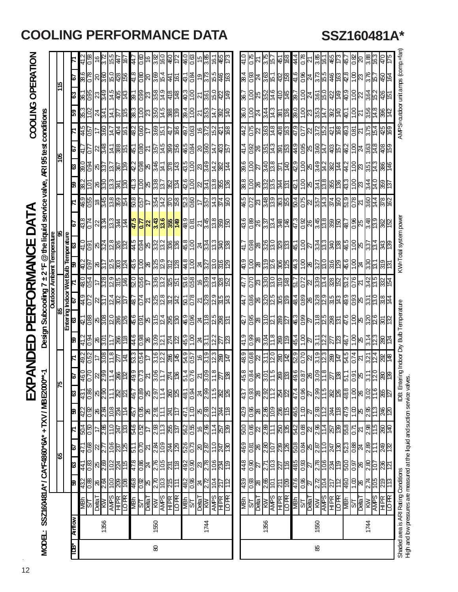# **COOLING PERFORMANCE DATA SSZ160481A\***

 $\hat{\mathcal{A}}$ 12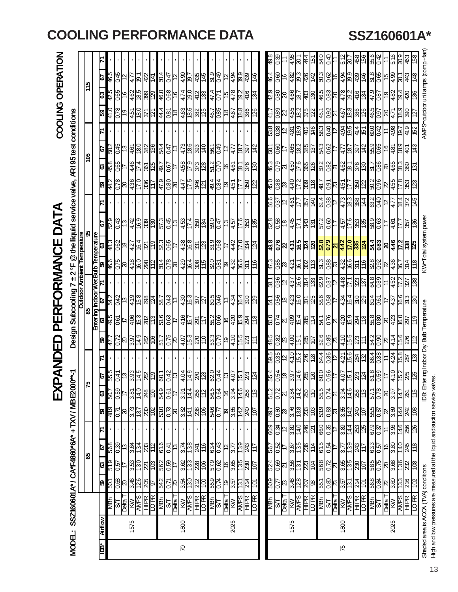$\bar{z}$ 

|                |                                             |                                                           |                             |                      |                   |                     |                                        |      |                           |                 |             |                                                                                                                                                 |                                                                                                                                             |              |                     |                                             |                   |                     |                                                                                     |                      |      |                                         |       |             | 49.8       |                     |               | .<br>4                 | <u>lat</u><br>ä                                                       | ś,               | 0 75       | 0.40                |                | 5<br>5                   | g   | 456                                                                                  | 939  | 0.42              |       |                                                                                           |                                     |     | 89             |                                              |
|----------------|---------------------------------------------|-----------------------------------------------------------|-----------------------------|----------------------|-------------------|---------------------|----------------------------------------|------|---------------------------|-----------------|-------------|-------------------------------------------------------------------------------------------------------------------------------------------------|---------------------------------------------------------------------------------------------------------------------------------------------|--------------|---------------------|---------------------------------------------|-------------------|---------------------|-------------------------------------------------------------------------------------|----------------------|------|-----------------------------------------|-------|-------------|------------|---------------------|---------------|------------------------|-----------------------------------------------------------------------|------------------|------------|---------------------|----------------|--------------------------|-----|--------------------------------------------------------------------------------------|------|-------------------|-------|-------------------------------------------------------------------------------------------|-------------------------------------|-----|----------------|----------------------------------------------|
| OPERATIO       |                                             |                                                           |                             | 19                   | 9<br>9<br>19      |                     |                                        |      | <u>ㅎ남후영설</u>              |                 |             | <u>8 역 6 행 8 성 8 </u>                                                                                                                           |                                                                                                                                             |              |                     |                                             |                   |                     | $\frac{1}{2}$ $\frac{1}{2}$ $\frac{1}{2}$ $\frac{1}{2}$ $\frac{1}{2}$ $\frac{1}{2}$ |                      |      | $rac{1}{\frac{56}{5}}$                  |       |             |            |                     |               |                        | <u>နဲ့ ၆</u> ၆ <mark>နဲ့</mark> ၁ ၉ <del>၂</del><br>4 ၉ ၉ ၉ ၂ ၂ ၂ ၂ ၂ |                  |            |                     |                |                          |     | <u>ဗ</u> ္ဗိုန္ဓုန္မွု အဆြ                                                           |      |                   |       | <u>일</u> 리 일                                                                              | $\overline{\text{R}}$               | 43  | $\frac{8}{4}$  |                                              |
|                |                                             |                                                           | 읚                           | 63                   |                   | 910<br>1900<br>1904 |                                        |      |                           |                 |             | <u>မြို့ မြို့များ မြို့များ</u><br>မြို့များ မြို့များ                                                                                         |                                                                                                                                             |              | 474                 |                                             | $rac{12}{13}$     | $\frac{47.4}{0.71}$ |                                                                                     | $\frac{478}{4}$      |      | $\frac{915}{265}$                       |       | 134         |            |                     |               |                        | <u>မို မြို့မြို့ မြို့</u>                                           |                  |            | $\frac{15}{98}$     |                |                          |     | $rac{478}{1924}$                                                                     |      | 47.9<br>087       | င္စြာ | $\sqrt{32}$                                                                               | $\frac{104}{400}$                   |     | 93             | unit amps (comp.+far                         |
| <b>COOLING</b> |                                             |                                                           |                             | ြို့                 | 41.0              | $\overline{0.78}$   |                                        |      | <u> 한</u> 흥               |                 |             | $rac{4}{26}$                                                                                                                                    |                                                                                                                                             |              |                     | <u>ြိုင္ပိုင္ကိုင္ကိုင္ကိုင္ကိုင္ကို</u> င္ |                   |                     |                                                                                     |                      |      | $\frac{88}{80}$                         |       |             |            |                     |               |                        | <u>န ခြံကြီးခြံ မြံ့ကြီး</u>                                          |                  |            |                     |                |                          |     | <u>န်ခြင် မြို့မြို့မျှ မြို့မျှ မြို့</u>                                           |      |                   |       | 471<br>17                                                                                 | $\frac{9}{80}$                      |     |                |                                              |
|                | conditions                                  |                                                           |                             |                      |                   |                     |                                        |      |                           |                 |             |                                                                                                                                                 |                                                                                                                                             |              |                     |                                             |                   |                     |                                                                                     |                      |      |                                         |       |             |            |                     |               |                        | အိ <mark>န္က ေဆြ ေနြ ျ</mark>                                         |                  |            |                     |                |                          |     | <u>ဖြံခြံခြံခြံခြံခြံခြံခြံခြံ</u>                                                   |      |                   |       | $\frac{4.98}{4}$                                                                          | i9.                                 | 419 | 152            | <b>MPS-autbor</b>                            |
|                |                                             |                                                           |                             | 59                   | <u> 이유</u><br> 정도 |                     |                                        |      | <u>es 8 a </u>            |                 |             |                                                                                                                                                 |                                                                                                                                             |              |                     |                                             |                   |                     | <b>880FF</b>                                                                        |                      |      | $\approx$                               |       | 142         | - 05       | 0.60                |               |                        | $\frac{465}{887}$                                                     |                  |            | $\frac{3}{100}$     |                | 477                      |     | <u>이 일어 전</u> 원                                                                      |      |                   |       | $\frac{489}{89}$                                                                          |                                     |     | 143            |                                              |
|                | <b>ARI 95 test</b>                          |                                                           |                             | ශී                   | $rac{90}{8}$      |                     |                                        |      |                           |                 |             | <u>dela 1818   1919</u>                                                                                                                         |                                                                                                                                             |              | 4.58                | $\frac{6}{11}$                              | $\frac{373}{128}$ |                     | $\frac{25}{25}$                                                                     |                      |      | <u>eke</u><br>187                       |       |             |            | $rac{62}{10}$       |               |                        |                                                                       |                  |            |                     |                |                          |     | <u>မျှချွိုင် မြို့မျှ မြို့</u>                                                     |      |                   |       | <u>ျားမွ မြန်မြီးမြို့</u>                                                                |                                     |     |                |                                              |
|                |                                             |                                                           |                             | 8                    | 44.2              |                     |                                        |      | <u> 식음 이 원</u>            |                 |             | <u>d 8 8 4 5 8 6 8 8 6 4</u>                                                                                                                    |                                                                                                                                             |              |                     |                                             |                   |                     |                                                                                     |                      |      |                                         | 8일    |             |            |                     |               |                        | <u>န်ခြို့မြိုင် မြို့</u>                                            |                  |            |                     |                | <u>မြို့ခြို့ရခြိုင်</u> |     | $\frac{8}{2}$                                                                        |      |                   |       | ន <mark>្ល</mark> ូន <mark>ន</mark> ្ត្រី                                                 | $\frac{8}{25}$                      |     |                |                                              |
|                |                                             |                                                           |                             |                      |                   |                     |                                        |      |                           |                 |             |                                                                                                                                                 |                                                                                                                                             |              |                     |                                             |                   |                     |                                                                                     |                      |      |                                         |       |             |            |                     | $rac{25}{38}$ | $\frac{12}{15}$        |                                                                       | $\frac{1}{25}$   |            | $rac{614}{618}$     |                |                          |     | $ \ddot{\ddot{z}} _{\infty}^{\rm 56} \ddot{\text{g}} \ddot{\bar{z}} $                |      |                   |       | $\frac{1}{3}$                                                                             | $rac{4}{8}$ $rac{1}{8}$ $rac{1}{8}$ |     |                |                                              |
| DAT            | the liquid service valve,                   |                                                           |                             | 5                    |                   |                     | <u>ဗို (၁) မို မို မို မို မို မို</u> |      |                           |                 |             | $\frac{13}{25}$                                                                                                                                 |                                                                                                                                             |              |                     | 17.4                                        | $rac{150}{125}$   |                     | <u>994   15</u><br>894   15                                                         |                      |      | $\frac{5}{25}$                          |       | 135         |            |                     |               |                        | <u>ශුලි දේපි ශීල</u><br>ශ්රී <mark>පිළ</mark> ි පි                    |                  |            | $rac{20}{2.25}$     |                |                          |     | $\frac{456}{15}$ $\frac{126}{15}$ $\frac{126}{15}$ $\frac{126}{15}$ $\frac{126}{15}$ |      |                   |       |                                                                                           | <u> 중</u> 는 한                       |     |                |                                              |
|                |                                             |                                                           |                             |                      |                   |                     |                                        |      |                           |                 |             |                                                                                                                                                 |                                                                                                                                             |              |                     |                                             |                   |                     |                                                                                     |                      |      |                                         |       |             |            |                     |               |                        |                                                                       |                  |            |                     |                |                          |     |                                                                                      |      |                   |       |                                                                                           |                                     |     |                | <w=total powe<="" system="" td=""></w=total> |
| U<br>O         | $\overset{.}{\bm{\Theta}}$                  | <b>OOIIIIV / --<br/>Outdoor Ambient Temperature</b><br>95 | <b>Wet Bulb Temperature</b> | S                    | 48.3              |                     | <u>၉ေမြို့များ</u>                     |      |                           |                 |             | 523                                                                                                                                             | $rac{1}{100}$                                                                                                                               |              | $\frac{4.38}{16.8}$ |                                             | ន្ត្រា<br>ខ្មែ    |                     | $\frac{28}{68}$                                                                     |                      | 4.42 |                                         | 34.54 |             |            |                     |               |                        | <u>និទ្រូ ខ្យៀងនៃ  ខ្ញ</u>                                            |                  |            |                     |                |                          |     |                                                                                      |      |                   |       | <mark>္ဌ္တိုင္တို ႔ ဒုိင္တု မွ ဆြ</mark> န္လုပ္ကို မွ ျပည္တြင္ မွ အ                       |                                     |     |                |                                              |
|                | <u>್</u> ಗ<br>ł١                            |                                                           |                             | 8                    |                   | 46.5<br>92.9        |                                        |      | $\frac{1}{4}$ 682         |                 |             | <u>8 2 8 3 4 8 5 </u><br> 2 8 3 4 8 5                                                                                                           |                                                                                                                                             |              |                     |                                             |                   |                     | <u>မ္မာမြင္မ</u><br>ဗုဒ                                                             |                      |      | $\frac{166}{311}$                       |       |             |            |                     |               |                        | <u>ငံ မြို့တိုင် မြို့</u>                                            |                  |            | $\frac{51.3}{0.88}$ | 82             |                          |     | <u>မြို့မြို့</u><br>မြို့                                                           |      |                   |       | 8888524                                                                                   |                                     |     |                |                                              |
|                |                                             |                                                           |                             |                      |                   |                     |                                        |      |                           |                 |             |                                                                                                                                                 |                                                                                                                                             |              |                     |                                             |                   |                     |                                                                                     |                      |      |                                         |       |             |            |                     |               |                        | <u>န္မွု မွု မွု မွု မွု မွု</u>                                      |                  | 629        | $rac{37}{12}$       |                | 448                      |     | $\frac{32}{32}$                                                                      |      | 64.8<br>0.39      |       | 4.52                                                                                      | <b>Z</b>                            | Ñ   | 38             |                                              |
| PERFORMAN      | <b>Subcooling</b>                           |                                                           | မ္တ                         | Entering Indoor<br>s |                   |                     |                                        |      |                           |                 |             | <u>ၾခြံခြံစာမြို့ မြို့ခြံခြံခြံမြို့</u>                                                                                                       |                                                                                                                                             |              |                     |                                             |                   |                     | 8046<br>8148                                                                        |                      |      | $\frac{64}{15}$                         |       |             |            | $rac{1}{256}$       |               |                        | <u>ြိုင်းမြို့</u>                                                    |                  |            | $\frac{250}{9.58}$  |                |                          |     | $rac{4.34}{16}$ $\approx 0.5$                                                        |      | $\frac{41}{190}$  |       | $\sqrt{43}$                                                                               | $rac{6}{373}$                       |     | <b>CEL</b>     |                                              |
|                |                                             |                                                           |                             | ଞ                    | $rac{26}{15}$     |                     | 4                                      |      |                           |                 |             | <u>မြို့ မြို့ မြို့ဖြို့ </u>                                                                                                                  |                                                                                                                                             |              |                     | $rac{16}{15}$<br>$rac{1}{29}$               |                   |                     | <u>န့္တိုင္တိုင္</u>                                                                |                      |      | $\frac{15.9}{294}$                      |       | 118         |            | $\frac{20.0}{0.74}$ |               |                        |                                                                       |                  |            |                     |                |                          |     |                                                                                      |      |                   |       | <u>န္တုိ႔ ျပစ္ပြဲ အျခံ မြတ္လုိ မြတ္လုိ</u><br><u>ျပစ္ပြဲ ျပစ္ပြဲ အျခံ မြတ္လုိ မြတ္လုိ</u> |                                     |     |                | IDB: Entering Indoor Dry Bub Temperature     |
| 口<br>山         | Design:                                     |                                                           |                             | ြု့                  |                   |                     | <u>မြိုင် မြို့</u>                    |      |                           |                 |             | L'19                                                                                                                                            |                                                                                                                                             |              |                     | <mark>ြို့မျှင် မျှမျှမျှ</mark>            |                   |                     |                                                                                     |                      |      | 535<br>53655<br>536                     |       | $\pm$       | 9.8        | 0.82                |               |                        | <u>ଅର୍ଟ୍ଟିମ୍ବାସ</u>                                                   |                  |            | $\frac{6}{10}$      |                |                          |     | $\frac{15}{15}$                                                                      |      |                   |       | $\frac{1}{3}$ $\frac{1}{3}$ $\frac{1}{3}$ $\frac{1}{3}$ $\frac{1}{4}$ $\frac{1}{4}$       | $\frac{156}{276}$                   |     |                |                                              |
| <b>AND</b>     |                                             |                                                           |                             |                      |                   |                     |                                        |      |                           |                 |             |                                                                                                                                                 |                                                                                                                                             |              |                     |                                             |                   |                     |                                                                                     |                      |      |                                         |       |             |            | $\frac{28}{98}$     |               |                        | $\frac{1}{2}$                                                         |                  |            |                     |                |                          |     | <u>ၛၟႍႍၛၟၣ႞ၛၟႜၛႜၯၟႜၛၛၟ</u>                                                           |      |                   |       | $\frac{4768}{58}$                                                                         |                                     |     |                |                                              |
| D<br>凶         |                                             |                                                           | 예                           | 51                   |                   |                     |                                        |      |                           |                 |             | <u>ro di Sidi Mel Eldidi di Eldi Sidi di Di Lidi.</u><br>Ro di Sidi Mel Eldi di Sidi Sidi di Lidi.<br>Ro di Sidi Mel Eldi di Sidi Sidi di Lidi. |                                                                                                                                             |              |                     |                                             |                   |                     |                                                                                     |                      |      |                                         |       |             |            |                     |               |                        |                                                                       |                  |            | $\frac{25}{100}$    |                |                          |     | $\frac{57}{51}$ $\frac{1}{21}$                                                       |      | $\frac{15}{25}$   |       | $0 \Gamma$                                                                                | $\frac{15}{275}$                    |     | β              |                                              |
|                |                                             |                                                           |                             | အ                    | $-95$             | <b>630</b>          |                                        | 3.81 | $rac{6}{148}$             |                 |             | 54.9                                                                                                                                            | $\frac{0.61}{2}$                                                                                                                            |              | 3.91                | 14.4                                        | 256               |                     | 864<br>864<br>895                                                                   |                      |      | 14.6                                    | 8     | 113         | 51.2       | $\overline{0.72}$   |               |                        | ಸ <mark>ಪ್ಲಕ್ಷ</mark> ಪ                                               | <b>SLL</b>       | 55.5       | 0.74                | 12             | 3.94                     |     | $\frac{14.6}{258}$                                                                   | 1.75 | $\frac{8}{10}$    |       | $\frac{52}{35}$                                                                           | $\frac{147}{ }$                     | 82  | 911            |                                              |
|                |                                             |                                                           |                             | ြို့                 | 48.9              |                     | R                                      | 3.73 | 137                       | କ୍ଷି≌           |             | 530                                                                                                                                             | $\frac{1}{2}$ $\frac{1}{2}$ $\frac{1}{2}$ $\frac{1}{2}$ $\frac{1}{2}$ $\frac{1}{2}$ $\frac{1}{2}$ $\frac{1}{2}$ $\frac{1}{2}$ $\frac{1}{2}$ |              |                     | 141                                         | 88                | $\frac{246}{946}$   |                                                                                     | $\frac{9}{38}$       |      | $rac{142}{36}$                          |       |             | 49.7       | 0.80                |               |                        | $\frac{1}{2}$ $\frac{1}{2}$ $\frac{1}{2}$ $\frac{1}{2}$               |                  | 639        | 0.83                | $\mathbb{S}^2$ | 3.85                     |     | $\frac{5}{245}$                                                                      |      |                   |       | 850<br>800<br>800<br>800                                                                  | $rac{44}{36}$                       |     |                |                                              |
|                |                                             |                                                           |                             |                      |                   |                     |                                        |      |                           |                 |             |                                                                                                                                                 |                                                                                                                                             |              |                     |                                             |                   |                     |                                                                                     |                      |      |                                         |       |             | 609        | $-8.0$              |               | <u>la el</u><br>La eld |                                                                       | 246              | 660        | $rac{35}{12}$       |                | 3.89                     |     | $\frac{44}{28}$                                                                      |      | $rac{2.0}{6.79}$  |       | $\frac{8}{3}$                                                                             | $\frac{46}{256}$                    |     |                |                                              |
|                |                                             |                                                           | န္ၿ                         | L.                   | 56.8              | $\frac{8}{2}$       | ξł.                                    |      | <u> "아이 이 지</u>           |                 |             | 61.6                                                                                                                                            | 0.41                                                                                                                                        | ∣ಐ           | 3.74                | 13.8                                        | $\frac{24}{25}$   |                     | $\frac{1}{3}$ $\frac{1}{3}$ $\frac{1}{3}$ $\frac{1}{3}$ $\frac{1}{3}$               |                      |      | $\frac{13.9}{243}$                      |       | 117         | 56.7       | 0.52                |               |                        | $\frac{12}{125}$                                                      |                  | 61.5       | 0.54                |                | SΠ                       |     | $\frac{13}{242}$                                                                     |      |                   |       | 82<br>29<br>89<br>89<br>29                                                                | $rac{1}{28}$                        |     |                |                                              |
|                |                                             |                                                           |                             | ౹౭                   | 6.19              | $\overline{5}$      |                                        |      |                           |                 | င္ဘြ        | 562                                                                                                                                             | 0.59                                                                                                                                        |              | 3.62                | 133                                         | 228               |                     | စ်<br>၁၉<br>၁၉<br>၁၉                                                                |                      |      | $\frac{155}{230}$                       |       | <u>107</u>  |            | 524                 |               | $\frac{3.56}{131}$     |                                                                       | $\frac{28}{10}$  | 899        | 0.72                | $\overline{z}$ |                          |     | $rac{66}{130}$                                                                       |      |                   |       | 880<br>020<br>030                                                                         | $\frac{288}{28}$                    |     |                |                                              |
|                |                                             |                                                           |                             | 8                    | 501               | 89.0                | $\mathcal{S}$                          | 3.46 |                           | $\frac{1}{100}$ |             | 542                                                                                                                                             | L'0                                                                                                                                         | $\mathbb{R}$ | $\frac{3.54}{5}$    | $\frac{0.51}{1}$                            | $\frac{21}{10}$   |                     | $\frac{66}{65}$                                                                     |                      |      | $\overline{131}$                        | 214   | <b>LOL</b>  | 503        | $\mu_{0}$           |               |                        | <mark>ಜೃಹಿದ ಜೃ</mark><br>ಜೃ                                           |                  | 551        | $\frac{8}{3}$       |                | 3.57                     | 131 | $rac{214}{101}$                                                                      |      |                   |       | $\frac{28}{36}$ $\frac{22}{36}$                                                           | 133<br>216                          |     | $\overline{5}$ |                                              |
|                | SSZ160601 A* / CA*F4860*6A* + TXV / MBE2000 |                                                           |                             |                      | ЧӨМ               | ञि                  | <u>rejed</u>                           |      | <b>KW</b><br>AMPS<br>HIPR |                 | <b>IOPR</b> | <b>MBh</b><br>Shan<br>Dallan                                                                                                                    |                                                                                                                                             |              | <b>KW</b>           | <b>AMPS</b>                                 | HIPR<br>LOPR      | $\frac{1}{10}$      |                                                                                     | $\frac{1}{\sqrt{2}}$ |      | $\frac{\overline{APS}}{\overline{HPR}}$ |       | <b>BHOT</b> | <b>MBN</b> | ଚ                   |               |                        | <b>RIELT<br/>AMPS<br/>HIPR</b>                                        | LO <sub>PR</sub> | <b>MBh</b> | ଧି                  | L elləd        |                          |     | <b>AMPS</b><br>AMPS<br>HIPR<br>LOPR                                                  |      | $\frac{108}{140}$ |       | $\frac{1}{\sqrt{2}}$                                                                      | AMPS<br>HIPR                        |     | <b>IOPR</b>    |                                              |
|                |                                             |                                                           |                             | <b>Airflow</b>       |                   |                     |                                        | 1575 |                           |                 |             |                                                                                                                                                 |                                                                                                                                             |              | 1800                |                                             |                   |                     |                                                                                     |                      | 2025 |                                         |       |             |            |                     |               | 1575                   |                                                                       |                  |            |                     |                | 1800                     |     |                                                                                      |      |                   |       | 2025                                                                                      |                                     |     |                |                                              |
|                | MODE:                                       |                                                           |                             | Ě                    |                   |                     |                                        |      |                           |                 |             |                                                                                                                                                 |                                                                                                                                             |              | R                   |                                             |                   |                     |                                                                                     |                      |      |                                         |       |             |            |                     |               |                        |                                                                       |                  |            |                     |                | 75                       |     |                                                                                      |      |                   |       |                                                                                           |                                     |     |                | Shaded area is ACCA (TVA) conditions         |
|                |                                             |                                                           |                             |                      |                   |                     |                                        |      |                           |                 |             |                                                                                                                                                 |                                                                                                                                             |              |                     |                                             |                   |                     |                                                                                     |                      |      |                                         |       |             |            |                     |               |                        |                                                                       |                  |            |                     |                |                          |     |                                                                                      |      |                   |       |                                                                                           |                                     |     |                |                                              |

# **COOLING PERFORMANCE DATA SSZ160601A\***

Shaded area is ACCA (TL/A) conditions is ACCA (TL/A) conditions IS and the Dry Bulb Temperature Bulb Temperature KW=Total Shaden power AMPS=outdoor UNACCA (TL/A) conditions (comp+fan) High and bw pressures are measured at the liquid and suction service valves. High and low pressures are measured at the liquid and suction service valves.

13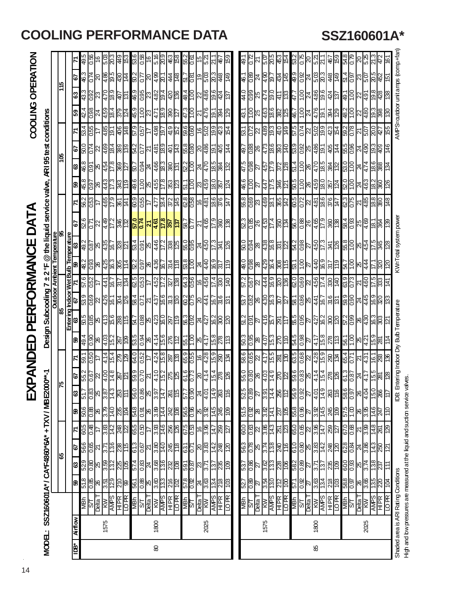# EXPANDED PERFORMANCE DATA

|                   | <b>Outdoor Ambient Temperatur</b>                                             |                                 |         |                                                  |  |
|-------------------|-------------------------------------------------------------------------------|---------------------------------|---------|--------------------------------------------------|--|
|                   | Design Subcooling 7 ± 2 °F @ the liquid service valve, ARI 95 test conditions |                                 | `<br>סמ | MODEL: SSZ160601 A* / CA*F4860*6A* + TXV / MBE20 |  |
| COOLING OPERATION |                                                                               | <b>XPANDED PERFORMANCE DATA</b> | ί       |                                                  |  |

|     |                                      |             | 49.5               | $\frac{8}{2}$   | 91                                     | 5.03                | 20.3                                                                                | $rac{46}{153}$    |                 | 53.6             | $rac{9}{16}$                        |                                                                                                   | 5.16        |                                                                                     | $\frac{43}{56}$ | 552  | ାର<br>ପ                                                                                                                                                                                                                                                                                                                                                                                                               |   | 57.1<br>21                                       | ౪            | $\overline{59}$  | L'67            |                                                 | ಸ                | 5.07           | 305                      | $\frac{45}{64}$ |                         | 53.2                                                                                                                     | $\frac{5}{20}$  | 521<br>213<br>525<br>525            |  |               | 82.0                                                                                                                                                                                  |                                        | ನಿ<br>ವಿ         |      |
|-----|--------------------------------------|-------------|--------------------|-----------------|----------------------------------------|---------------------|-------------------------------------------------------------------------------------|-------------------|-----------------|------------------|-------------------------------------|---------------------------------------------------------------------------------------------------|-------------|-------------------------------------------------------------------------------------|-----------------|------|-----------------------------------------------------------------------------------------------------------------------------------------------------------------------------------------------------------------------------------------------------------------------------------------------------------------------------------------------------------------------------------------------------------------------|---|--------------------------------------------------|--------------|------------------|-----------------|-------------------------------------------------|------------------|----------------|--------------------------|-----------------|-------------------------|--------------------------------------------------------------------------------------------------------------------------|-----------------|-------------------------------------|--|---------------|---------------------------------------------------------------------------------------------------------------------------------------------------------------------------------------|----------------------------------------|------------------|------|
| 15  |                                      | 79          | 46.3               |                 | 0Z                                     | $rac{66}{195}$      |                                                                                     | <u>क्षि</u><br>अय |                 |                  |                                     | $\frac{1}{2}$ $\frac{1}{2}$ $\frac{1}{2}$ $\frac{1}{2}$ $\frac{1}{2}$ $\frac{1}{2}$ $\frac{1}{2}$ |             | $rac{44}{148}$                                                                      |                 |      | $\frac{61}{215}$                                                                                                                                                                                                                                                                                                                                                                                                      |   | 5.03<br>20.3                                     | $rac{48}{3}$ |                  | 1.9             | 88.0                                            |                  | $\frac{48}{9}$ |                          |                 |                         | <u> 성능 하이시 이성 4 년 일이</u><br> 객은 이어서 이상 <mark>경</mark> 호 국민                                                               |                 |                                     |  |               |                                                                                                                                                                                       |                                        | $\frac{23}{50}$  |      |
|     |                                      | ఴ           | 43.3               | $\frac{50}{20}$ | <u>ki 6<br/>ki 6</u>                   |                     |                                                                                     | <u>elsi</u>       |                 |                  |                                     |                                                                                                   |             | <u>န္ပုဒ္တိုးခြံခြံခြံခြံ</u>                                                       |                 |      |                                                                                                                                                                                                                                                                                                                                                                                                                       |   |                                                  |              | $\overline{5}$   |                 |                                                 |                  |                |                          |                 | <u>418</u><br>413       |                                                                                                                          |                 |                                     |  |               |                                                                                                                                                                                       | <u>ခြံမျိုးမြံမြံမျိုးမြံမြံမြံမြံ</u> |                  |      |
|     |                                      | 69          | 42.4               | 0.98            | $\frac{4}{159}$                        |                     |                                                                                     | $rac{379}{124}$   |                 |                  |                                     |                                                                                                   |             | <u> အခြံများ အခြံ၊</u>                                                              |                 |      | <u>ulaki</u>                                                                                                                                                                                                                                                                                                                                                                                                          |   | $\frac{12}{15}$ $\frac{12}{15}$ $\frac{12}{15}$  |              |                  | 43.1            |                                                 |                  |                |                          |                 |                         | င်ပူး ဖြစ် ဖြစ် မြိုင်ပြီး (- )<br>ခြိုင် မြိုင် မြိုင်                                                                  |                 |                                     |  | $\frac{5}{9}$ |                                                                                                                                                                                       | <u>အိုငြံ ကြိမ်</u>                    |                  |      |
|     |                                      |             | 53.4               | 0.55            | 17                                     | $\frac{1.61}{9.4}$  |                                                                                     | <u>148</u>        |                 |                  | $rac{250}{625}$                     |                                                                                                   |             |                                                                                     |                 |      | <u>နံခြုံချိုင်း မြို့မြို့ခြုံချိုင်း</u>                                                                                                                                                                                                                                                                                                                                                                            |   |                                                  |              |                  | 53.1            | 0.72                                            |                  |                |                          |                 | <u> ମାଞ୍ଜାର   ମ୍</u> ମା | <u>ျှင်မျှင်မြို့မြို့များမြို့</u>                                                                                      |                 |                                     |  |               |                                                                                                                                                                                       |                                        | $\frac{25}{50}$  |      |
|     | 79                                   |             | 0.09               |                 |                                        |                     | <u>ငိုး မြို့မှ မြို့</u>                                                           |                   |                 |                  |                                     |                                                                                                   |             |                                                                                     |                 |      | <u>အိုင်ပြီးခြံခြံခြံ အခြံခြံခြံခြံခြံ</u>                                                                                                                                                                                                                                                                                                                                                                            |   |                                                  |              |                  |                 |                                                 |                  |                |                          |                 |                         |                                                                                                                          |                 |                                     |  |               |                                                                                                                                                                                       |                                        |                  |      |
| ខ្ញ |                                      | జి          | 46.8               |                 | <u>일</u> 2 법을                          |                     |                                                                                     | $\frac{8}{27}$    |                 |                  |                                     |                                                                                                   |             |                                                                                     |                 |      | <u>မြို့ချိုင် မြို့ချိုင် မြို့မြို့များ မြို့</u>                                                                                                                                                                                                                                                                                                                                                                   |   |                                                  |              |                  |                 |                                                 |                  |                |                          |                 |                         |                                                                                                                          |                 |                                     |  |               | 3.0<br>1.00                                                                                                                                                                           |                                        | $\frac{24}{474}$ |      |
|     |                                      | 69          | 45.8               | ြင်္            | æ                                      | 443<br>17.3         |                                                                                     | $rac{3}{10}$      |                 | 9.6              |                                     | $rac{5}{18}$                                                                                      |             | $\frac{353}{25}$                                                                    |                 |      | <u>ျှို့ချွှန်းမြှုံးမြှု</u>                                                                                                                                                                                                                                                                                                                                                                                         |   |                                                  |              |                  | 9.97            | $\frac{50}{1}$                                  | $\frac{27}{447}$ |                |                          |                 |                         | င် <u>နိုင်၊ ဒိုခြံ မြံ့ခြံမြို့</u>                                                                                     |                 |                                     |  |               | 001<br>07                                                                                                                                                                             |                                        | <u>प्रहि</u>     |      |
|     |                                      |             | 5.95               | 0.53            | 4                                      | $rac{67}{597}$      |                                                                                     | <u>ह्रिचि</u>     |                 |                  | $rac{60.9}{0.55}$                   |                                                                                                   |             | $\frac{478}{1814}$                                                                  |                 |      | <u>de la la la la</u><br><u>Biblio</u>                                                                                                                                                                                                                                                                                                                                                                                |   |                                                  |              |                  |                 | 890                                             |                  |                |                          |                 |                         | <u>မြို့များ မြို့ပြုပြုပြုပြုပြီး မြို့များ မြို့များ မြို့</u><br>အ <u>ျပည့္အမွာ မြ</u> ို့ပြုပြီး မြို့ပြုပြီး မြန္မာ |                 |                                     |  |               |                                                                                                                                                                                       |                                        |                  |      |
|     |                                      | 79          |                    |                 |                                        |                     | 8522262                                                                             |                   |                 |                  |                                     |                                                                                                   |             |                                                                                     |                 |      | <u>ୡୗୡୗୠୗ୰ୗ୰ଌ<mark>ୗୣଌୗୡୗୖୖୖୖୖୖୖୄୄଌୗୖୖୖୖୡୗୖଽ</mark></u>                                                                                                                                                                                                                                                                                                                                                               |   |                                                  |              |                  |                 | <u>ನ ಹಿ</u><br>ದಿಹಿ                             |                  |                |                          |                 |                         | F 82 - 82 82 82 82 82 82 8                                                                                               |                 |                                     |  |               |                                                                                                                                                                                       |                                        |                  |      |
| 8   |                                      |             |                    |                 |                                        |                     | <u>ြို့မျှ မျှင် မျှင် မျှ</u>                                                      |                   |                 |                  | $\frac{1}{3}$ ទ្ទ $\frac{1}{3}$ ន្ទ |                                                                                                   |             |                                                                                     |                 |      | $\frac{1}{3}$ $\frac{1}{2}$ $\frac{1}{2}$ $\frac{1}{2}$ $\frac{1}{2}$ $\frac{1}{2}$ $\frac{1}{2}$ $\frac{1}{2}$ $\frac{1}{2}$ $\frac{1}{2}$ $\frac{1}{2}$ $\frac{1}{2}$ $\frac{1}{2}$ $\frac{1}{2}$ $\frac{1}{2}$ $\frac{1}{2}$ $\frac{1}{2}$                                                                                                                                                                         |   |                                                  |              |                  |                 | $\frac{100}{100}$                               |                  |                |                          |                 |                         | <u> အမြီး မြို့သူ မြို့သူ မြို့သူ မြို့မြို့</u>                                                                         |                 |                                     |  |               |                                                                                                                                                                                       |                                        | <u>४६</u>        |      |
|     | Entering Indoor Wet Bulb Temperature |             | .<br>क्            |                 |                                        |                     |                                                                                     |                   |                 |                  |                                     |                                                                                                   |             |                                                                                     |                 |      |                                                                                                                                                                                                                                                                                                                                                                                                                       |   |                                                  |              | $\frac{1}{2}$    |                 |                                                 |                  |                |                          |                 |                         |                                                                                                                          |                 |                                     |  |               |                                                                                                                                                                                       |                                        |                  |      |
|     |                                      |             | ஜ்                 |                 |                                        |                     | $\frac{1}{8}$ $\frac{1}{8}$ $\frac{1}{8}$ $\frac{1}{8}$ $\frac{1}{8}$ $\frac{1}{4}$ |                   |                 |                  |                                     |                                                                                                   |             | <u>ဗိုဒ္ဓြိုမျှနှံ့ခြိုင်း</u>                                                      |                 |      | 8  2  4  2  2 <br> 2  2  4  2  2  2                                                                                                                                                                                                                                                                                                                                                                                   |   |                                                  |              |                  | 0.6             |                                                 |                  |                | <u>08834686</u><br>08846 |                 |                         | ន<br>ខ                                                                                                                   | $rac{2}{27}$    | $\frac{612}{128}$                   |  |               |                                                                                                                                                                                       | $\mathbb{E}$                           | $\frac{44}{44}$  |      |
|     |                                      |             | <u>이 없는</u>        |                 |                                        |                     | <u> 출출법</u>                                                                         |                   |                 |                  | $\frac{25}{950}$                    |                                                                                                   | 452<br>17.2 | $rac{27}{138}$                                                                      |                 |      | <u>နှူးမြို့များများ</u>                                                                                                                                                                                                                                                                                                                                                                                              |   |                                                  |              |                  |                 |                                                 |                  |                |                          |                 |                         | <u>ပို ၉၂၄ မို ၉၂၄ မို ၉၂၄ မို ၉၂၄ မို ၉၃</u><br>ပို ၉၂၇ မို ၉၂၇ မို ၉၂၇ မို <u>၉၂၄ မို ၉၃</u>                           |                 |                                     |  |               |                                                                                                                                                                                       |                                        |                  |      |
| 85  |                                      | ତ           |                    |                 |                                        |                     | <u>အိုင္တြဲ မြန္ပြဲ မြန္မာ</u>                                                      |                   |                 |                  |                                     |                                                                                                   |             | <u>နှိုင်ကြီးခြီးခြံ</u>                                                            |                 |      | <u>၉၂၁ မြန်မြိုင်မြို့</u>                                                                                                                                                                                                                                                                                                                                                                                            |   |                                                  |              |                  |                 |                                                 |                  |                |                          |                 |                         | <u>အို မြို့မျှ မြို့မျှ မြို့မျှ မြို့မျှ မြို့မျှ မြို့မျှ မြို့မျှ မြို့မျှ မြို့မျှ မြို့မျှ မြို့မျှ မြို့မ</u>     |                 |                                     |  |               |                                                                                                                                                                                       |                                        | <u>य 45</u>      |      |
|     |                                      | ଌ           | ន                  |                 |                                        |                     | <u>ခြံမြိုင်မြို့များ</u>                                                           |                   |                 |                  |                                     |                                                                                                   |             |                                                                                     |                 |      | <u>န္ ခြ</u> ို့မျိဳးခြဲခြဲခြဲခြဲခြဲခြဲခြဲခြဲခြဲခြဲခြဲ                                                                                                                                                                                                                                                                                                                                                                |   |                                                  |              |                  | 51.2            | $\frac{5}{9}$ $\frac{10}{4}$                    |                  |                |                          |                 |                         | <u>င်းမြို့မြို့မြို့မြို့မြို့မြို့မြို့</u>                                                                            |                 |                                     |  |               |                                                                                                                                                                                       |                                        |                  |      |
|     |                                      | 69          | 49.4               |                 |                                        |                     | <mark>ြို့မျှင့်မြို့မျှ</mark>                                                     |                   |                 | $\frac{55}{368}$ |                                     |                                                                                                   |             | $rac{456}{158}$                                                                     |                 |      | <u> ရွိခြဲ မြိုင် မြိုင် မြိုင်</u>                                                                                                                                                                                                                                                                                                                                                                                   |   |                                                  |              |                  | 50 <sub>3</sub> |                                                 |                  |                | <u>မို့မိုင်းမြိုင်</u>  |                 |                         | 54.5                                                                                                                     | $\frac{28}{27}$ | 4.17                                |  | $\frac{1}{2}$ |                                                                                                                                                                                       | <u>စဉ်မြစ်</u>                         |                  |      |
|     |                                      | r           | $\frac{150}{150}$  |                 |                                        |                     | $\frac{1}{4}$ $\frac{1}{2}$ $\frac{1}{2}$ $\frac{1}{2}$ $\frac{1}{2}$               |                   |                 |                  | $\frac{1}{2}$                       |                                                                                                   |             |                                                                                     |                 |      | $\frac{1}{4}\frac{1}{8}\frac{1}{8}\frac{1}{8}\frac{1}{8}\frac{1}{8}\frac{1}{8}\frac{1}{8}\frac{1}{8}\frac{1}{8}\frac{1}{8}\frac{1}{8}\frac{1}{8}\frac{1}{8}\frac{1}{8}\frac{1}{8}\frac{1}{8}\frac{1}{8}\frac{1}{8}\frac{1}{8}\frac{1}{8}\frac{1}{8}\frac{1}{8}\frac{1}{8}\frac{1}{8}\frac{1}{8}\frac{1}{8}\frac{1}{8}\frac{1}{8}\frac{1}{8}\frac{1}{8}\frac{1}{8}\frac{1}{8}\frac{1}{8}\frac{1}{8}\frac{1}{8}\frac{1$ |   |                                                  |              |                  | 989             | $\frac{1}{29}$                                  |                  | $\frac{1}{4}$  | $\frac{62}{99}$          |                 |                         | <u>အိုင္တို႔မွစ္ခုုပ္တုုၾကီး</u>                                                                                         |                 |                                     |  |               |                                                                                                                                                                                       |                                        | ম[স              |      |
| ٣   |                                      | ø           |                    |                 |                                        |                     |                                                                                     |                   |                 |                  |                                     |                                                                                                   |             |                                                                                     |                 |      |                                                                                                                                                                                                                                                                                                                                                                                                                       | R | $rac{1}{4}$ $rac{1}{12}$ $rac{1}{8}$ $rac{1}{8}$ |              |                  |                 |                                                 |                  |                |                          |                 |                         |                                                                                                                          |                 |                                     |  |               |                                                                                                                                                                                       |                                        |                  |      |
|     |                                      | S9          |                    |                 | 88882                                  |                     |                                                                                     | $\frac{1}{25}$    |                 |                  |                                     | 68885                                                                                             |             | $\frac{51}{12}$                                                                     |                 | 57.7 | <mark>္မွုိ႕ ခြ</mark> ဲျပန္တုိ႕<br>မြန္မာ                                                                                                                                                                                                                                                                                                                                                                            |   |                                                  |              |                  |                 |                                                 |                  |                |                          |                 |                         |                                                                                                                          |                 | 4.01                                |  |               |                                                                                                                                                                                       | <u>ြို့အျခံ အခြံ အခြံ</u>              |                  |      |
|     | 65                                   |             |                    | $\frac{8}{6}$   | $\frac{8}{3.70}$                       |                     |                                                                                     | $\frac{1}{28}$    |                 |                  |                                     |                                                                                                   |             |                                                                                     |                 |      | <u>င်္ဂနာမြို့ မြို့</u><br>မြို့များ                                                                                                                                                                                                                                                                                                                                                                                 |   |                                                  |              |                  | 515             | <mark>ದ್ದಿ ಜೃ</mark>                            |                  |                | 141                      |                 |                         | <mark>នន</mark> ្ទី និង <mark>ន</mark>                                                                                   |                 |                                     |  | $rac{1}{28}$  |                                                                                                                                                                                       | 818<br>88<br>578<br>93                 |                  |      |
|     |                                      | κ           | $rac{60.5}{60.48}$ |                 | 4                                      | $\frac{3.83}{14.2}$ |                                                                                     | <b>照</b> 이        |                 |                  | $\frac{2}{959}$                     |                                                                                                   |             | $\frac{1}{2}$ $\frac{1}{2}$ $\frac{1}{2}$ $\frac{1}{2}$ $\frac{1}{2}$ $\frac{1}{2}$ |                 |      | <u>၉၂၀ ၉၂၀ ၉၂၀ ၉</u><br>၉၂၀ <mark>၉ ၉ ၉ ၉ ၉</mark> ၉                                                                                                                                                                                                                                                                                                                                                                  |   |                                                  |              |                  |                 |                                                 |                  |                |                          |                 |                         |                                                                                                                          |                 | <mark>ြိန္မွုမွုမျိဳ႕ျဖ</mark> ည္သူ |  |               |                                                                                                                                                                                       | <mark>ន</mark> ្តុង <mark>ន</mark>     |                  |      |
| မ္မ | ø                                    |             |                    |                 | 565<br>065<br>575<br>585               |                     |                                                                                     |                   | $\frac{28}{15}$ |                  | $\frac{13}{15}$                     |                                                                                                   |             | $\frac{12}{15}$                                                                     |                 |      | <u>ျာင် မြစ္ထိုင္ပုံမွ မြ</u>                                                                                                                                                                                                                                                                                                                                                                                         |   |                                                  |              |                  |                 | 5685286                                         |                  |                |                          |                 |                         | 61.0                                                                                                                     |                 |                                     |  |               | $\frac{1}{2}$ $\frac{1}{2}$ $\frac{1}{2}$ $\frac{1}{2}$ $\frac{1}{2}$ $\frac{1}{2}$ $\frac{1}{2}$ $\frac{1}{2}$ $\frac{1}{2}$ $\frac{1}{2}$ $\frac{1}{2}$ $\frac{1}{2}$ $\frac{1}{2}$ |                                        | $\frac{58}{2}$   |      |
|     | S9                                   |             |                    |                 |                                        |                     | <u>အိုဓိုမှု မြို့သူ မြို့</u>                                                      |                   |                 |                  |                                     |                                                                                                   |             | င်းအြွန်းမြွှေများ<br><u>ဦးရွိ ရွိမိုး</u>                                          |                 |      | <u>မ္မူဒုန္တုန္အမြ</u>                                                                                                                                                                                                                                                                                                                                                                                                |   |                                                  |              |                  |                 |                                                 |                  |                |                          |                 |                         | <mark>ិន្តី និង និង និង និង</mark> និង                                                                                   |                 |                                     |  |               |                                                                                                                                                                                       | <u>22222424</u>                        |                  |      |
|     | ඹ                                    |             |                    |                 | <mark>ေမြွှမြွှင</mark> ့်<br>မြွှများ |                     |                                                                                     | $\frac{5}{28}$    |                 |                  |                                     |                                                                                                   |             | <u>ငံမြ</u> ွန်မြွေမြို့                                                            |                 |      | <u>င်္ဂမ္က မြို့သူမြို့</u><br>အမြန်မြို့သူမြို့                                                                                                                                                                                                                                                                                                                                                                      |   |                                                  |              |                  |                 | 525 526 5<br>525 526                            |                  |                |                          |                 |                         | 57.1                                                                                                                     |                 |                                     |  |               | 8 2 3 3 3 8 8 9 9                                                                                                                                                                     |                                        | $\frac{86}{3}$   |      |
|     |                                      |             | ЧВM                |                 |                                        |                     | <b>SAT<br/><b>RIVER</b><br/>RIPR<br/>RIPR<br/>DPR<br/>DPR</b>                       |                   |                 |                  |                                     |                                                                                                   |             | <b>SERVER</b><br>SERVER<br>SERVER                                                   |                 |      | <b>MBh</b><br>S/T<br>AMPS<br>AMPS<br>HIPR                                                                                                                                                                                                                                                                                                                                                                             |   |                                                  |              | LO <sub>PR</sub> |                 | <b>MBh</b><br>STE SHER<br>ANDS<br>ANDRE<br>LOPR |                  |                |                          |                 |                         |                                                                                                                          |                 |                                     |  |               |                                                                                                                                                                                       |                                        |                  |      |
|     |                                      | <b>WOHN</b> |                    |                 |                                        | 1575                |                                                                                     |                   |                 |                  |                                     | 1800                                                                                              |             |                                                                                     |                 |      |                                                                                                                                                                                                                                                                                                                                                                                                                       |   | 2025                                             |              |                  |                 |                                                 |                  | 1575           |                          |                 |                         |                                                                                                                          |                 | 1800                                |  |               |                                                                                                                                                                                       |                                        |                  | 2025 |
|     |                                      |             |                    |                 |                                        |                     |                                                                                     |                   |                 |                  |                                     | 8                                                                                                 |             |                                                                                     |                 |      |                                                                                                                                                                                                                                                                                                                                                                                                                       |   |                                                  |              |                  |                 |                                                 |                  |                |                          |                 |                         |                                                                                                                          |                 | 88                                  |  |               |                                                                                                                                                                                       |                                        |                  |      |
|     |                                      | <u>à</u>    |                    |                 |                                        |                     |                                                                                     |                   |                 |                  |                                     |                                                                                                   |             |                                                                                     |                 |      |                                                                                                                                                                                                                                                                                                                                                                                                                       |   |                                                  |              |                  |                 |                                                 |                  |                |                          |                 |                         |                                                                                                                          |                 |                                     |  |               |                                                                                                                                                                                       |                                        |                  |      |

High and bw pressures are measured at the liquid and suction service valves. High and low pressures are measured at the liquid and suction service valves.

LO P R

 $401$ 220

Shaded area is ARI Rating Conditions

# **COOLING PERFORMANCE DATA SSZ160601A\***

472 61 ..<br>N

ୟ<br>ଅ<mark>୫</mark> 20.G

> 이 없<br>이 성 38

20S 20<br>ସ  $\frac{1}{2}$ 

4.63 .<br>≌ 93C 126

69.† 80<br>181<br>191

151

 $\frac{8}{2}$ æ ..<br>ഇ

155

 $\frac{1}{9}$ 067

 $\frac{66}{98}$ 

 $\frac{18}{18}$ 

<u>다음</u><br>기사

 $\frac{17.5}{333}$ 

es<br>189

2025 KW 3.66 3.74 3.86 3.99 3.95 4.04 4.17 4.31 4.21 4.30 4.45 4.60 4.44 4.54 4.69 4.85 4.63 4.74 4.90 5.07 4.80 4.91 5.07 5.25 AMPS | 13.5 13.8 14.3 14.8 | 14.6 15.0 15.5 16.1 | 15.9 16.3 16.9 17.5 | 17.1 17.5 18.1 18.2 18.8 18.2 20.0 19.3 19.3 19.3 20.5 21.3 HIPR 220 237 250 261 247 266 261 273 283 323 323 333 345 364 364 360 380 380 380 380 427 398 428 429 429 429 4

087  $\frac{3}{8}$  $121$ 

3.95  $rac{2}{\pi}$ 

3.86  $\frac{3}{25}$ 121

 $\frac{8}{4}$ 82 ড়

 $\frac{8}{2}$ 23

15.9

 $\frac{5}{8}$ ଞ୍ଚ

 $rac{150}{286}$ 

120 320 Ļ

Shaded area is ARI Rating Conditions Conditions Indoor Dry Bulb Temperature Amps Intering Indoor Dry Bulb Temperature Indoor Dry Bulb Temperature System power AMPS=outdoor UN-tan). AMPS=outdoor unit amps (Conditions Condit

IDB: Entering Indoor Dry Bub Temperature

 $\tilde{4}$ ଞ୍ଚ

3 ඝි <u>ت</u>

KW=Total system power

AMPS=outdoor unit amps (comp.+fan)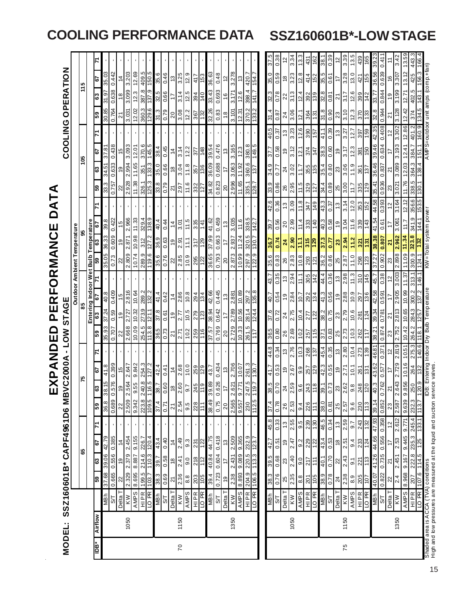| MODEL:          |                |                         |                   |                   | SSZ160601B* CAPF4961D6 MBVC                                                                                  |                |                                |                      | EXPANDED<br>2000A | <b>NOT</b>      | STAGE                                          | PERFORMANCE              |                             |                  |                  |                       | DATA          |                |                                |       |                          |                                | COOLING OPERATION                   |                |
|-----------------|----------------|-------------------------|-------------------|-------------------|--------------------------------------------------------------------------------------------------------------|----------------|--------------------------------|----------------------|-------------------|-----------------|------------------------------------------------|--------------------------|-----------------------------|------------------|------------------|-----------------------|---------------|----------------|--------------------------------|-------|--------------------------|--------------------------------|-------------------------------------|----------------|
|                 |                |                         |                   |                   |                                                                                                              |                |                                |                      |                   |                 |                                                |                          | Outdoor Ambient Temperature |                  |                  |                       |               |                |                                |       |                          |                                |                                     |                |
|                 |                |                         |                   | 18                |                                                                                                              |                |                                | 54                   |                   |                 |                                                | 85                       |                             |                  | န္တ              |                       |               |                | 105                            |       |                          |                                | 115                                 |                |
|                 |                |                         |                   |                   |                                                                                                              |                |                                |                      |                   |                 |                                                | Entering Indoor Wet Bulb |                             |                  | Temperature      |                       |               |                |                                |       |                          |                                |                                     |                |
| È               | <b>Airflow</b> |                         | ြို့              | အ                 | 5                                                                                                            | န္မ            | ြိ                             | 5                    | Σ                 | ြို့            | 63                                             | 79                       |                             | 65               | යි               | 57                    |               | ြို့           | 5<br>အ                         |       | ြို့                     | 63                             | 5                                   |                |
|                 |                | <b>NBh</b>              | 37.68             | 39.06 42.79       |                                                                                                              | 36.8           | 38.15                          | 41.8                 |                   | 35.93           | 37.24                                          | 40.8                     |                             | 35.05            | 36.33            | 39.8                  |               | 33.3           | 37.81<br>34.51                 |       | 30.85                    | 31.97                          | 35.03                               |                |
|                 |                | 5                       | 0.665             | 0.556 0.385       |                                                                                                              |                | 0.689 0.576                    | 0.399                |                   | 0.707           | 0.59                                           | 0.409                    |                             | 0.73             | 0.609            | 0.422                 |               | 0.757          | 0.438<br>0.633                 |       | 0.764                    | 0.638                          | 0.442                               |                |
|                 |                | Delta T                 | $\approx$         | ö,                | $\dot{4}$                                                                                                    | $^{22}$        | e)                             | 15                   |                   | 22              | $\frac{0}{1}$                                  | $\frac{5}{1}$            |                             | ଧ                | é,               | 15                    |               | ನ              | 15<br>ë                        |       | ಸ                        | $\frac{8}{1}$                  | 4                                   |                |
|                 | 1050           | KW                      | 2.329             | 2.379             | 2.454                                                                                                        |                | 2.564<br>2.509                 | 2.647                |                   | 2.668           | 2.727                                          | 2.816                    |                             | 2.809            | 2.871            | 2.966                 |               | 2.928          | 3.093<br>2.994                 |       | 3.031                    | 3.099                          | 3.203                               |                |
|                 |                | AMPS                    | S69'8             | 8.887 9.155       |                                                                                                              | 9.342          | 9.55                           | 9.842                |                   | 10.09           | 10.32                                          | 10.64                    |                             | 10.74            | 10.98            | 11.33                 |               |                | 12.01<br>11.65                 |       | 12.02                    | 12.3                           | 12.69                               |                |
|                 |                | HIPR                    | 199.5             | 214.6 226.7       |                                                                                                              |                | $\frac{240.8}{116.5}$<br>223.8 | 254.3                |                   | 254.5           | 273.9                                          | 289.2                    |                             | 289.9            | 312              | 329.4                 |               | 326.1          | 370.6<br>351                   |       |                          | 387.8<br>360.3                 | 409.5                               |                |
|                 |                | LO <sub>PR</sub>        | 1.801             | 110.3             | 120.4                                                                                                        |                | 109.5                          | 127.2                |                   | 3.8             | 121.1                                          | 132.2                    |                             | 19.6             | 127.2            | 138.9                 |               | 125.3          | 33.3                           | 145.5 |                          | <b>ZE</b><br>129.6             | 5.0S<br>တ္                          |                |
|                 |                | <b>UBN</b>              | 38.3              | 39.7              | 43.4                                                                                                         |                | 78.7<br>$\overline{37.4}$      | 42.4                 |                   | 36.5            | 37.8                                           | 41.4                     |                             | 35.6             | 36.9             | 40.4                  |               | 33.8           | 38.4<br>35.0                   |       |                          | 32.5<br>31.3                   | 35.6                                |                |
|                 |                | <b>β</b>                | 0.69              | 0.58              | 0.40                                                                                                         | 0.71           | 0.60                           | 0.41                 |                   | 0.73            | 0.61                                           | 0.42                     |                             | 0.76             | 0.63             | 0.44                  |               | 0.79           | 0.45<br>0.66                   |       |                          | 0.66<br>0.79                   | 0.46                                |                |
|                 |                | Delta T                 | Z                 | $\frac{8}{3}$     | $\frac{4}{3}$                                                                                                | $\overline{2}$ | $\frac{8}{3}$                  | $\frac{4}{3}$        |                   | $\overline{2}$  | $\frac{0}{1}$                                  | $\frac{4}{3}$            |                             | ଅ                | $\mathbf{5}$     | $\frac{1}{4}$         |               | 2              | $\frac{4}{3}$<br>$\frac{8}{2}$ |       | 20                       |                                | ű                                   |                |
| $\overline{70}$ | 1150           | KW                      | 2.36              | 2.41              | 2.49                                                                                                         | 2.54           | 2.60                           | 2.68                 |                   | 2.71            | 2.77                                           | 2.86                     |                             | 2.85             | 2.91             | 3.01                  |               | 2.97           | 3.14<br>3.04                   |       |                          | 3.14<br>3.08                   | 3.25                                |                |
|                 |                | AMPS                    | 8.8               | 9.0               | 9.3                                                                                                          | 9.5            | 9.7                            | 10.0                 |                   | 10.2            | 10.5                                           | 10.8                     |                             | 10.9             | $\frac{11}{11}$  | 11.5                  |               | 11.6           | 12.2<br>11.8                   |       |                          | 12.5<br>12.2                   | 12.9                                |                |
|                 |                |                         |                   | 218               |                                                                                                              | 228            |                                | 259                  |                   | 259             | 279                                            | 294                      |                             | 295              | 317              | 335                   |               | 332            | 377<br>357                     |       | 367                      | 394                            | 417                                 |                |
|                 |                | HIPR<br>LO PR           | $\frac{203}{105}$ | 712               | $\frac{231}{122}$                                                                                            | 111            | 245<br>119                     | 129                  |                   | 116             | 123                                            | 134                      |                             | 122              | 129              | 141                   |               | 127            | 148<br>136                     |       | 132                      | 140                            | 153                                 |                |
|                 |                |                         |                   | 40.84 44.75       |                                                                                                              |                | 39.89                          |                      |                   | 37.57           | 38.94                                          | 42.66                    |                             | 36.65            | 37.99            | 41.62                 |               | 34.82          | 39.54<br>36.09                 |       | 32.26                    | 33.43                          | 36.63                               |                |
|                 |                | $\frac{20}{37}$         | 39.4              | 0.604             | 0.418                                                                                                        | 38.49          | 0.626                          | $\frac{43.7}{0.434}$ |                   | 0.769           | 0.642                                          | 0.445                    |                             | 0.793            | 0.683            | 0.459                 |               | 0.823          | 0.476<br>0.688                 |       |                          | 0.693<br>0.83                  | 0.48                                |                |
|                 |                | Delta T                 | Q,                | 17                | ä                                                                                                            | $\overline{c}$ | 17                             | 13                   |                   | $\overline{20}$ |                                                | 13                       |                             | 8                |                  | $\frac{3}{2}$         |               | $\overline{a}$ | ₽                              | ű     |                          | $\frac{6}{5}$<br>$\frac{8}{2}$ | 2                                   |                |
|                 | 1350           | KW                      | 2.38              | 2.431             | 2.509                                                                                                        |                | 2.621<br>2.565                 | 2.706                |                   | 2.729           | 2.789                                          | 2.881                    |                             | 2.873            | 2.937            | 3.035                 |               | 2.996          | 3.165<br>3.063                 |       | 3.101                    | 3.171                          | 3.278                               |                |
|                 |                | <b>AMPS</b>             | 8.893             | 9.089             | 9.365                                                                                                        | 9.557          | 0.771                          | 10.07                |                   | 10.33           | 10.56                                          | 10.89                    |                             | 10.99            | $\frac{24}{3}$   |                       |               | 11.65          | 11.92                          |       | 12.37                    | 12.6                           | చ                                   |                |
|                 |                | <b>HIPR</b>             | 204.9             | 220.5             | 232.9                                                                                                        |                | 247.5<br>230                   | 261.3                |                   | 261.5           | 281.4                                          | 297.2                    |                             | 297.9            | 320.5            | 338.5                 |               | 335.1          | 360.6                          | 380.8 |                          | 398.4<br>370.2                 | 420.7                               |                |
|                 |                | LO PR                   |                   | 106.5 113.3       | $\frac{123.7}{ }$                                                                                            |                | 112.5 119.7                    | 130.7                |                   | $\frac{1}{1}$   | 124.4                                          | 135.8                    |                             | 122.9            | 130.7            | 142.7                 |               | 128.7          | 149.5<br>$\frac{1}{3}$         |       | 133.2                    | 141.7                          | 154.                                |                |
|                 |                |                         |                   |                   |                                                                                                              |                |                                |                      |                   |                 |                                                |                          |                             |                  |                  |                       |               |                |                                |       |                          |                                |                                     |                |
|                 |                | <b>MBh</b>              | 38.3              | $\frac{39.5}{ }$  | 45.8<br>42.7                                                                                                 | 37.4           | 38.5                           | 41.7                 | 44.8              | 36.5            | 37.6                                           | 40.7                     | 43.7                        | 35.6             | 36.7             | $\frac{1}{39}$        | 42.6          | 33.9           | 37.7<br>34.9                   |       | $\frac{31.4}{ }$<br>40.5 | 32.3                           | 35. O                               |                |
|                 |                | 22                      | 0.76              | $\frac{89}{0.08}$ | 0.33<br>0.51                                                                                                 | 0.78           | 0.70                           | 0.53                 | 0.34              | 0.80            | 0.72                                           | 0.54                     | 0.35                        | 0.83             | 0.74             | 0.56                  | 0.36          | 0.86           | 0.58<br>0.77                   |       | 0.87<br>0.37             | 0.78                           | 0.59                                | 0.38           |
|                 |                | Delta T                 | 25                | $\mathbf{z}$      | $\frac{3}{2}$<br>ö,                                                                                          | 26             | $\overline{2}$                 | $\frac{6}{5}$        | $\tilde{5}$       | 26              | $\overline{24}$                                | $\frac{0}{1}$            | $\tilde{c}$                 | 26               | $\boldsymbol{z}$ | 20                    | $\frac{3}{2}$ | 26             | $\overline{24}$                | 6Ļ    | $\frac{3}{2}$            | 22<br>24                       | $\frac{8}{2}$                       | $\frac{2}{3}$  |
|                 | 1050           | $\overline{\mathsf{k}}$ | 2.35              | 2.40              | $\overline{2.55}$<br>2.47                                                                                    | 2.53           | 2.59                           | $\frac{2.67}{ }$     | 2.76              | 2.69            | 2.75                                           | 2.84                     | 2.94                        | $\frac{2.83}{ }$ | 2.90             | $\frac{9}{2.99}$      | 3.09          | 2.95           | 3.12<br>3.02                   | 3.23  |                          | 3.13<br>3.06                   | 3.23                                | 3.34           |
|                 |                | SdNV                    | $_{\rm 8.8}$      | 9.0               | 9.5<br>9.2                                                                                                   | 9.4            | 9.6                            | 9.9                  | 10.3              | 10.2            | 10.4                                           | $-0.7$                   | 11.1                        | 10.8             | Ξ                | 11.4                  | 11.8          | 11.5           | 12.1<br>1.7                    |       | 12.1<br>12.6             | 12.4                           | 12.8                                | 13.3           |
|                 |                | <b>HIPR</b>             | 201               | 717               | 239<br>229                                                                                                   | 226            | 243                            | 257                  | 268               | 257             | 277                                            | 292                      | 305                         | 293              | 315              | 333                   | 247           | 329            | 374<br>355                     |       | 364<br>390               | 392                            | 414                                 | $\ddot{a}$     |
|                 |                | LO <sub>PR</sub>        | 90                | 111               | 08<br>122                                                                                                    | $\frac{1}{11}$ | 811                            | 674                  | 25                | 911             | 122                                            | 134                      | 142                         | $\overline{5}$   | 129              | $\frac{40}{5}$        | 149           | 127            | $\frac{147}{1}$<br><b>SEV</b>  | 157   |                          | 68<br>51                       | 79                                  | 162            |
|                 |                | <b>HBM</b>              | 38.9              | 40.1              | 46.5<br>43.4                                                                                                 | 38.0           | 39.1                           | 42.3                 | 45.4              | 57.1            | 38.2                                           | 41.3                     | 44.4                        | 36.2             | 37.3             | 40.3                  | 43.3          | 34.4           | 38.3<br>35.4                   | 41.1  | રું.<br>જ                | 32.8                           | 35.5                                | 38.            |
|                 |                | 5                       | 0.78              | 0.70              | 0.34<br>0.53                                                                                                 | 0.81           | 0.73                           | 0.55                 | 0.35              | 0.83            | 0.75                                           | 0.56                     | 0.36                        | 0.86             | $\overline{L}$   | 0.58                  | 0.37          | 0.89           | 0.60<br>0.80                   | 0.39  |                          | 0.81<br>0.90                   | 0.61                                | 0.39           |
|                 |                | Delta T                 | $\overline{24}$   | $\approx$         | $\frac{3}{2}$<br>$\frac{8}{3}$                                                                               | 25             | 23                             | e,                   | $\tilde{c}$       | 25              | 23                                             | $\frac{6}{1}$            | 13                          | 25               | $\mathbf{z}$     | $\frac{6}{1}$         | $\frac{3}{2}$ | 25             | é,<br>23                       |       | 23<br>$\frac{3}{2}$      | ম                              | ₽                                   | 5              |
| 75              | 1150           | <b>S HN V</b>           | 2.38              | 2.43              | 2.59<br>2.51                                                                                                 | 2.57           | 2.62                           | 2.71                 | 2.80              | 2.73            | 2.79                                           | 2.88                     | 2.98                        | 2.87             | 2.94             | 3.04                  | 3.14          | 3.00           | 3.17<br>3.06                   | 3.27  |                          | 3.17<br>3.10                   | 3.28                                | 3.39           |
|                 |                |                         | 8.9               | 5.1               | 9.7<br>9.4                                                                                                   | 9.6            | 9.8                            | 10.1                 | 10.4              | 10.3            | 10.6                                           | 10.9                     | 11.3                        | 11.0             | 11.2             | 11.6                  | 12.0          | 7.17           | 12.3<br>11.9                   | 12.7  |                          | 12.6<br>12.3                   | 13.0                                | 13.5           |
|                 |                | HIPR                    | $\frac{205}{107}$ | 221               | 243<br>233                                                                                                   | 230            | 248                            | 261                  | $\frac{273}{139}$ | 262             | 281                                            | 297                      | $\frac{310}{5}$             | 298              | 321              | 339                   | 353           | 335            | 381<br>361                     | 397   |                          | 399<br>370                     | 421                                 | 439            |
|                 |                | LO PR                   |                   | $\frac{1}{2}$     | 132                                                                                                          | 113            | 120                            | 131                  |                   |                 | 124                                            | 136                      | 145                         | 123              | 131              | 143                   |               | 129            | 09<br>137                      | 159   |                          | 142<br>133                     | 155                                 | $\frac{65}{2}$ |
|                 |                | <b>NBh</b>              | 40.07             | 41.26             | 44.66 47.93                                                                                                  | 39.14          | 40.3                           | 43.62                | 46.81             | 38.21           | 39.34                                          | 42.58                    | 45.7                        | 37.27            | 38.38            | 41.54                 | 44.58         | 35.41          | 39.46<br>36.46                 |       | 42.35                    | 33.77<br>32.8                  | 36.56                               | 39.2           |
|                 |                | <b>β</b>                | 0.822             | 0.735             | 0.556 0.358                                                                                                  | 0.852          | 0.762                          | 0.577                | 0.371             | 0.874           | 0.781                                          | 0.591                    | 0.38                        | 0.902            | 0.807            | 0.61                  | 0.393         | 0.936          | 0.837                          | 0.634 | 0.944<br>0.408           | 0.844                          | 0.639                               | 0.41           |
|                 |                | Delta T                 | $\approx$         | ম                 | $\frac{2}{3}$<br>17                                                                                          | 23             | Z                              | 17                   | 57                | 23              | $\overline{2}$                                 | $\overline{1}$           | $\tilde{c}$                 | 23               | Z                | $\overline{1}$        | $\frac{2}{3}$ | 23             | $\overline{2}$                 |       | 2<br>$\frac{2}{3}$       | $\frac{0}{1}$                  | 9                                   |                |
|                 | 1350           | <b>MX</b>               | $\frac{4}{24}$    | 2.451             | 2.612<br>2.53                                                                                                | 2.587          | 2.643                          | 2.729                | 818.2             | 2.752           | 2.813                                          | 2.905                    | 3.003                       | 2.898            | 2.962            | 3.061                 | 3.164         | 3.021          | 800.8                          | 3.193 | 3.128<br>3.302           | 3.199                          | 3.307                               | 34.            |
|                 |                | <b>AMPS</b>             |                   |                   | 8.968 9.167 9.445 9.771                                                                                      |                | 9.639 9.856                    | 10.16                | 10.51             | 10.42           | 10.65                                          | 10.99                    | 11.37                       | 11.09            | 11.34            |                       | 12.12         | 11.76          | 12.41<br>12.03                 |       | 12.42<br>12.86           | 12.71                          | 13.12                               | 13.5           |
|                 |                | HIPR                    | 207               | 222.8             | 245.4<br>235.3                                                                                               | 232.3          | 250                            | 264                  | 275.3             | 264.            | 284.3                                          | 300.2                    | 313.1                       | 300.9            | 323.8            | 341.9                 | 356.6         | 338.5          | 384.<br>364.3                  |       | 374<br>401.2             | 402.                           | 425<br>rċ.                          |                |
|                 |                | LO PR                   | 107.6             | 114.5             | 133.1<br>125                                                                                                 | 113.7          | 120.9                          | $\frac{2}{3}$        | 140.6             |                 | 125.                                           | 137                      | 146.1                       | 124.1            |                  |                       | 153.5         | 130.1          | 151.1<br>138.4                 |       | 160.9                    | 143.1<br>134.5                 | 156.3                               |                |
|                 |                |                         |                   |                   | Shaded area is ACCA (TVA) conditions<br>High and bw pressures are measured at the liquid and suction service |                |                                |                      |                   |                 | ntering Indoor Dry Bulb Temperature<br>valves. |                          |                             |                  |                  | KW=Total system power |               |                |                                |       |                          |                                | AMP S=outdoor unit amps (comp.+fan) |                |

**COOLING PERFORMANCE DATA SSZ160601B\*-LOW STAGE**

15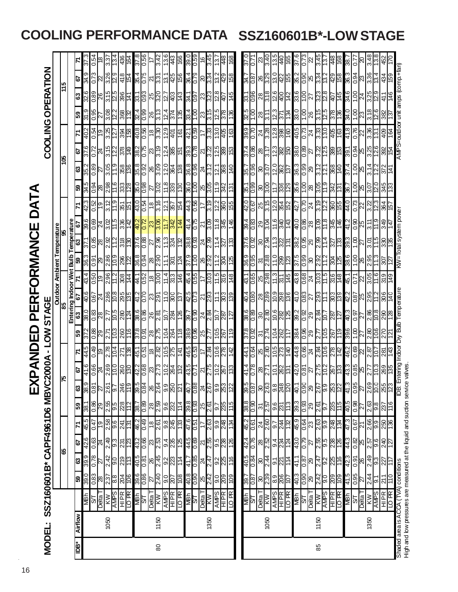|                |                |                                                               |                                                             |                                                                                                                               |                                                                                               |                             |                                                             | 只                                                                      |                                                                                                                                                                                                                                                                                                                                                                                              | PANDED                                                                |                                                                                                                                 |                                                                             | PERFORMANCE                                                                                                                                                                                                                                                                                                                                                                              |                                               |                                                                                                                                                                                                                                                                                                                                                                                                                                       |                                                                                                                             |                                                                                                 | DATA                                                                                                            |                             |                                                                                                      |                                                                                     |                                                                                                                                                                                                                                                                                                                                                                                              |                                                                                                  |                                                                                 |                                             |  |
|----------------|----------------|---------------------------------------------------------------|-------------------------------------------------------------|-------------------------------------------------------------------------------------------------------------------------------|-----------------------------------------------------------------------------------------------|-----------------------------|-------------------------------------------------------------|------------------------------------------------------------------------|----------------------------------------------------------------------------------------------------------------------------------------------------------------------------------------------------------------------------------------------------------------------------------------------------------------------------------------------------------------------------------------------|-----------------------------------------------------------------------|---------------------------------------------------------------------------------------------------------------------------------|-----------------------------------------------------------------------------|------------------------------------------------------------------------------------------------------------------------------------------------------------------------------------------------------------------------------------------------------------------------------------------------------------------------------------------------------------------------------------------|-----------------------------------------------|---------------------------------------------------------------------------------------------------------------------------------------------------------------------------------------------------------------------------------------------------------------------------------------------------------------------------------------------------------------------------------------------------------------------------------------|-----------------------------------------------------------------------------------------------------------------------------|-------------------------------------------------------------------------------------------------|-----------------------------------------------------------------------------------------------------------------|-----------------------------|------------------------------------------------------------------------------------------------------|-------------------------------------------------------------------------------------|----------------------------------------------------------------------------------------------------------------------------------------------------------------------------------------------------------------------------------------------------------------------------------------------------------------------------------------------------------------------------------------------|--------------------------------------------------------------------------------------------------|---------------------------------------------------------------------------------|---------------------------------------------|--|
| MODEL:         |                | SSZ160601B* CAPF4961D6 MBVC2000A - LOW                        |                                                             |                                                                                                                               |                                                                                               |                             |                                                             |                                                                        |                                                                                                                                                                                                                                                                                                                                                                                              |                                                                       |                                                                                                                                 | <b>STAGE</b>                                                                |                                                                                                                                                                                                                                                                                                                                                                                          |                                               |                                                                                                                                                                                                                                                                                                                                                                                                                                       |                                                                                                                             |                                                                                                 |                                                                                                                 |                             |                                                                                                      |                                                                                     |                                                                                                                                                                                                                                                                                                                                                                                              | COOLING OPERATION                                                                                |                                                                                 |                                             |  |
|                |                |                                                               |                                                             |                                                                                                                               |                                                                                               |                             |                                                             |                                                                        |                                                                                                                                                                                                                                                                                                                                                                                              |                                                                       |                                                                                                                                 |                                                                             | outdoor Ambient Temperature<br>85                                                                                                                                                                                                                                                                                                                                                        |                                               |                                                                                                                                                                                                                                                                                                                                                                                                                                       |                                                                                                                             |                                                                                                 |                                                                                                                 |                             |                                                                                                      |                                                                                     |                                                                                                                                                                                                                                                                                                                                                                                              |                                                                                                  |                                                                                 |                                             |  |
|                |                |                                                               |                                                             |                                                                                                                               | 8                                                                                             |                             |                                                             |                                                                        |                                                                                                                                                                                                                                                                                                                                                                                              |                                                                       |                                                                                                                                 |                                                                             |                                                                                                                                                                                                                                                                                                                                                                                          |                                               | Bulb                                                                                                                                                                                                                                                                                                                                                                                                                                  |                                                                                                                             |                                                                                                 |                                                                                                                 |                             | श्च                                                                                                  |                                                                                     |                                                                                                                                                                                                                                                                                                                                                                                              |                                                                                                  | 역                                                                               |                                             |  |
| ådl            | <b>Airflow</b> |                                                               | <b>G</b>                                                    |                                                                                                                               | <u>p</u>                                                                                      |                             | ြို့                                                        |                                                                        | 5                                                                                                                                                                                                                                                                                                                                                                                            | 77                                                                    | 59                                                                                                                              | 63                                                                          | Entering Indoor Wet<br>67                                                                                                                                                                                                                                                                                                                                                                |                                               |                                                                                                                                                                                                                                                                                                                                                                                                                                       | Temperature                                                                                                                 | 5                                                                                               | 71                                                                                                              | ြို့                        | ಔ                                                                                                    | 29                                                                                  | 지                                                                                                                                                                                                                                                                                                                                                                                            | 63<br>59                                                                                         |                                                                                 |                                             |  |
|                |                | 画                                                             |                                                             | $\frac{39}{3}$                                                                                                                |                                                                                               | $\frac{1}{6}$               | : 83                                                        | នន្ទ្រីន្ទ្រ                                                           | 41.6                                                                                                                                                                                                                                                                                                                                                                                         |                                                                       |                                                                                                                                 |                                                                             | 9 Ot                                                                                                                                                                                                                                                                                                                                                                                     | 43.4                                          | 36.                                                                                                                                                                                                                                                                                                                                                                                                                                   |                                                                                                                             | 39.6                                                                                            | 42.3                                                                                                            |                             |                                                                                                      |                                                                                     | 40.2                                                                                                                                                                                                                                                                                                                                                                                         |                                                                                                  | <mark>ေ</mark> နှို္င်ပြိုမိုမို့                                               | $\mathbb{E}$                                |  |
|                |                |                                                               |                                                             | $\frac{2}{82.0}$                                                                                                              | $rac{8}{24}$                                                                                  |                             |                                                             |                                                                        |                                                                                                                                                                                                                                                                                                                                                                                              | $\frac{6}{6}$                                                         | $\frac{288}{28}$                                                                                                                | $rac{88}{28}$                                                               |                                                                                                                                                                                                                                                                                                                                                                                          | $rac{6}{19}$                                  |                                                                                                                                                                                                                                                                                                                                                                                                                                       |                                                                                                                             |                                                                                                 |                                                                                                                 |                             | $\frac{2}{2}$                                                                                        |                                                                                     |                                                                                                                                                                                                                                                                                                                                                                                              | 0.95                                                                                             |                                                                                 | 0.54                                        |  |
|                | 1050           | <b>STER</b><br>DOM AND STER<br>AND STER<br>AND READ           | <u>အ္တိဆ္ကြက္</u> ကြ                                        |                                                                                                                               |                                                                                               |                             | 80 85 9                                                     |                                                                        | $\frac{10}{3}$                                                                                                                                                                                                                                                                                                                                                                               | ë                                                                     |                                                                                                                                 |                                                                             | $\frac{1}{100}$ $\frac{1}{100}$ $\frac{1}{100}$ $\frac{1}{100}$ $\frac{1}{100}$ $\frac{1}{100}$ $\frac{1}{100}$ $\frac{1}{100}$ $\frac{1}{100}$ $\frac{1}{100}$ $\frac{1}{100}$ $\frac{1}{100}$ $\frac{1}{100}$ $\frac{1}{100}$ $\frac{1}{100}$ $\frac{1}{100}$ $\frac{1}{100}$ $\frac{1}{100}$ $\frac{1$                                                                                |                                               | $\frac{15}{15}$ $\frac{15}{15}$ $\frac{15}{15}$ $\frac{15}{15}$ $\frac{15}{15}$                                                                                                                                                                                                                                                                                                                                                       | <u>ြို့များများများ</u>                                                                                                     | $rac{68}{100}$ $rac{100}{100}$ $rac{100}{100}$ $rac{100}{100}$                                  |                                                                                                                 |                             |                                                                                                      | <u>0 4 5 6 7 8 8 7 6 8 6 7 8 6 8 8 6 6 7 8 6 7 8 6 8 7 8 8 7 8 8 7 8 8 7 8 8 8 </u> | <u>이 이 없다</u><br>이 사건                                                                                                                                                                                                                                                                                                                                                                        | <u>မျိုးမျိုးမျိုးမျိုး</u><br>77                                                                |                                                                                 | $\overline{33}$                             |  |
|                |                |                                                               |                                                             |                                                                                                                               | $rac{66}{65}$                                                                                 | 2.58                        |                                                             | $\frac{2.61}{9.7}$                                                     |                                                                                                                                                                                                                                                                                                                                                                                              |                                                                       | ြိ                                                                                                                              | $\frac{2.77}{10.5}$                                                         |                                                                                                                                                                                                                                                                                                                                                                                          |                                               |                                                                                                                                                                                                                                                                                                                                                                                                                                       |                                                                                                                             |                                                                                                 |                                                                                                                 |                             |                                                                                                      |                                                                                     |                                                                                                                                                                                                                                                                                                                                                                                              | $\frac{3.08}{12.2}$                                                                              |                                                                                 | િં                                          |  |
|                |                |                                                               |                                                             | $rac{2.42}{9.0}$                                                                                                              | $\frac{1}{23}$                                                                                |                             | 228                                                         | 246                                                                    |                                                                                                                                                                                                                                                                                                                                                                                              | 271                                                                   | 260                                                                                                                             | 280                                                                         |                                                                                                                                                                                                                                                                                                                                                                                          |                                               |                                                                                                                                                                                                                                                                                                                                                                                                                                       |                                                                                                                             |                                                                                                 |                                                                                                                 |                             |                                                                                                      |                                                                                     |                                                                                                                                                                                                                                                                                                                                                                                              |                                                                                                  | 418                                                                             | 436                                         |  |
|                |                |                                                               | 204                                                         | $\frac{2}{12}$                                                                                                                | $\overline{123}$                                                                              | $\frac{241}{131}$           | 112                                                         | 119                                                                    | <b>260</b>                                                                                                                                                                                                                                                                                                                                                                                   | $\frac{8}{3}$                                                         | ۴                                                                                                                               | 124                                                                         |                                                                                                                                                                                                                                                                                                                                                                                          | $\frac{296}{11.2}$<br>$\frac{1}{29}$          |                                                                                                                                                                                                                                                                                                                                                                                                                                       |                                                                                                                             |                                                                                                 |                                                                                                                 |                             |                                                                                                      |                                                                                     | 38 <sup>2</sup>                                                                                                                                                                                                                                                                                                                                                                              | $\frac{368}{12}$                                                                                 | 154                                                                             | হি<br>হ                                     |  |
|                |                | $\frac{1/5}{1400}$                                            | 39.6                                                        |                                                                                                                               | 43.2                                                                                          |                             |                                                             |                                                                        |                                                                                                                                                                                                                                                                                                                                                                                              |                                                                       |                                                                                                                                 |                                                                             |                                                                                                                                                                                                                                                                                                                                                                                          |                                               |                                                                                                                                                                                                                                                                                                                                                                                                                                       |                                                                                                                             |                                                                                                 |                                                                                                                 |                             |                                                                                                      |                                                                                     |                                                                                                                                                                                                                                                                                                                                                                                              |                                                                                                  |                                                                                 |                                             |  |
|                |                |                                                               |                                                             | $rac{1}{40}$ $rac{1}{80}$ $rac{1}{80}$ $rac{1}{80}$ $rac{1}{80}$ $rac{1}{80}$ $rac{1}{80}$                                    |                                                                                               | ၛၜ႞ၜ႞ၛၜ႞ၛ<br>ၛ႞ၛၣ႞ၣ႞ၣ႞ၣ     | ႜႜႜႜႜႜႜႜႜႜႜႜႜၜ႞ၜၟႜႜႜႜႜႜႜၜ႞ၛၟႜႜႜႜႜႜႜႜႜႍ<br>ၣၣၜၣၣၣၣၣၣ         | $\frac{15}{384}$ 8 $\frac{15}{384}$ $\frac{15}{384}$                   | $\frac{1}{2} \frac{1}{2} \frac{1}{2} \frac{1}{2} \frac{1}{2} \frac{1}{2} \frac{1}{2} \frac{1}{2} \frac{1}{2} \frac{1}{2} \frac{1}{2} \frac{1}{2} \frac{1}{2} \frac{1}{2} \frac{1}{2} \frac{1}{2} \frac{1}{2} \frac{1}{2} \frac{1}{2} \frac{1}{2} \frac{1}{2} \frac{1}{2} \frac{1}{2} \frac{1}{2} \frac{1}{2} \frac{1}{2} \frac{1}{2} \frac{1}{2} \frac{1}{2} \frac{1}{2} \frac{1}{2} \frac{$ | $\frac{120}{154}$                                                     | $\frac{1}{100}$ $\frac{1}{100}$ $\frac{1}{100}$ $\frac{1}{100}$ $\frac{1}{100}$ $\frac{1}{100}$ $\frac{1}{100}$ $\frac{1}{100}$ | $\frac{86}{88}$ $\frac{8}{88}$ $\frac{8}{88}$ $\frac{8}{88}$ $\frac{8}{88}$ |                                                                                                                                                                                                                                                                                                                                                                                          |                                               | $\frac{1}{88}$ $\frac{1}{88}$ $\frac{1}{88}$ $\frac{1}{88}$ $\frac{1}{88}$ $\frac{1}{88}$                                                                                                                                                                                                                                                                                                                                             |                                                                                                                             |                                                                                                 | $\frac{1}{3}$ $\frac{1}{3}$ $\frac{1}{3}$ $\frac{1}{3}$ $\frac{1}{3}$ $\frac{1}{3}$ $\frac{1}{3}$ $\frac{1}{3}$ |                             | <u>ပ္ပံုတိုင္း ထုတ္ပံု ဖြံုမွာ အထြက္ခို႕မွာ အထြက္</u><br>တိုင္း ျပန္ပံုေတြ ေတြ ေတြ ေတြ ေတြ ေတြ ေတြ ေ |                                                                                     | $rac{1}{\sqrt{2}}\left \frac{1}{2}\frac{1}{2}\right  = \frac{1}{2}\left \frac{1}{2}\frac{1}{2}\right  = \frac{1}{2}\left \frac{1}{2}\right $                                                                                                                                                                                                                                                 | <u>မိုးမြို့ မြို့ဆို အမြ</u><br>$\frac{12}{38}$ $\frac{12}{38}$ $\frac{12}{38}$ $\frac{12}{38}$ | $\frac{85}{12}$ $\frac{12}{12}$ $\frac{12}{12}$ $\frac{12}{12}$ $\frac{12}{12}$ | 37.8<br>8.56                                |  |
|                |                |                                                               |                                                             |                                                                                                                               |                                                                                               |                             |                                                             |                                                                        |                                                                                                                                                                                                                                                                                                                                                                                              |                                                                       |                                                                                                                                 |                                                                             |                                                                                                                                                                                                                                                                                                                                                                                          |                                               |                                                                                                                                                                                                                                                                                                                                                                                                                                       |                                                                                                                             |                                                                                                 |                                                                                                                 |                             |                                                                                                      |                                                                                     |                                                                                                                                                                                                                                                                                                                                                                                              |                                                                                                  |                                                                                 |                                             |  |
| $\overline{8}$ | 1150           |                                                               |                                                             |                                                                                                                               |                                                                                               |                             |                                                             |                                                                        |                                                                                                                                                                                                                                                                                                                                                                                              |                                                                       |                                                                                                                                 |                                                                             |                                                                                                                                                                                                                                                                                                                                                                                          |                                               |                                                                                                                                                                                                                                                                                                                                                                                                                                       |                                                                                                                             |                                                                                                 |                                                                                                                 |                             |                                                                                                      |                                                                                     |                                                                                                                                                                                                                                                                                                                                                                                              |                                                                                                  |                                                                                 | $\frac{ z _{\alpha}^{\alpha} _{\alpha}}{z}$ |  |
|                |                |                                                               |                                                             |                                                                                                                               |                                                                                               |                             |                                                             |                                                                        |                                                                                                                                                                                                                                                                                                                                                                                              |                                                                       |                                                                                                                                 |                                                                             |                                                                                                                                                                                                                                                                                                                                                                                          |                                               |                                                                                                                                                                                                                                                                                                                                                                                                                                       |                                                                                                                             |                                                                                                 |                                                                                                                 |                             |                                                                                                      |                                                                                     |                                                                                                                                                                                                                                                                                                                                                                                              |                                                                                                  |                                                                                 |                                             |  |
|                |                | Deta T<br>KW<br>HIPR<br>LO PR                                 | $\left \frac{\partial^2 u}{\partial x^2}\right _0^{\infty}$ |                                                                                                                               | $\approx$ $\frac{1}{2}$ $\frac{1}{2}$ $\frac{1}{2}$ $\frac{1}{2}$ $\frac{1}{2}$ $\frac{1}{2}$ |                             |                                                             |                                                                        |                                                                                                                                                                                                                                                                                                                                                                                              | $\frac{\log  S }{\log  S } = \frac{\log  S }{\log  S }$               |                                                                                                                                 |                                                                             |                                                                                                                                                                                                                                                                                                                                                                                          |                                               |                                                                                                                                                                                                                                                                                                                                                                                                                                       |                                                                                                                             |                                                                                                 |                                                                                                                 |                             |                                                                                                      |                                                                                     |                                                                                                                                                                                                                                                                                                                                                                                              |                                                                                                  |                                                                                 | 8                                           |  |
|                |                |                                                               |                                                             |                                                                                                                               |                                                                                               |                             |                                                             |                                                                        |                                                                                                                                                                                                                                                                                                                                                                                              |                                                                       |                                                                                                                                 |                                                                             |                                                                                                                                                                                                                                                                                                                                                                                          |                                               |                                                                                                                                                                                                                                                                                                                                                                                                                                       |                                                                                                                             |                                                                                                 |                                                                                                                 |                             |                                                                                                      |                                                                                     |                                                                                                                                                                                                                                                                                                                                                                                              |                                                                                                  |                                                                                 |                                             |  |
|                |                | $\frac{16}{140}$                                              |                                                             | 41.7                                                                                                                          |                                                                                               | $\frac{47.6}{0.51}$         | $\frac{8}{38}$                                              |                                                                        |                                                                                                                                                                                                                                                                                                                                                                                              | 465                                                                   |                                                                                                                                 |                                                                             |                                                                                                                                                                                                                                                                                                                                                                                          |                                               |                                                                                                                                                                                                                                                                                                                                                                                                                                       |                                                                                                                             |                                                                                                 |                                                                                                                 |                             |                                                                                                      |                                                                                     |                                                                                                                                                                                                                                                                                                                                                                                              | $\frac{33.4}{1.00}$                                                                              | 36.4<br>0.79                                                                    | 39.0                                        |  |
|                |                |                                                               | <u>မို့ခြံ များ ခြံခြံခြံ</u>                               |                                                                                                                               | 46 2 3 3 3 4 5 6                                                                              |                             |                                                             | <u>ទុន្</u> ធ<br><mark>មុន្</mark> ធង <mark>២</mark> នុង <mark></mark> |                                                                                                                                                                                                                                                                                                                                                                                              |                                                                       | 3862562                                                                                                                         |                                                                             |                                                                                                                                                                                                                                                                                                                                                                                          |                                               | $\frac{1}{2}$ $\frac{1}{2}$ $\frac{1}{2}$ $\frac{1}{2}$ $\frac{1}{2}$ $\frac{1}{2}$ $\frac{1}{2}$ $\frac{1}{2}$ $\frac{1}{2}$                                                                                                                                                                                                                                                                                                         |                                                                                                                             | $rac{4}{4}$ $rac{6}{8}$ $rac{1}{8}$ $rac{6}{8}$ $rac{1}{8}$ $rac{6}{8}$ $rac{1}{8}$ $rac{1}{8}$ | <u> 4 <mark>8 는 일</mark> 이 원</u> 년<br>4 8 는 일 이 원                                                               |                             |                                                                                                      |                                                                                     | $\frac{421}{98}$                                                                                                                                                                                                                                                                                                                                                                             |                                                                                                  |                                                                                 |                                             |  |
|                |                |                                                               |                                                             |                                                                                                                               |                                                                                               |                             |                                                             |                                                                        | $ \tilde{\sim} $                                                                                                                                                                                                                                                                                                                                                                             |                                                                       |                                                                                                                                 |                                                                             |                                                                                                                                                                                                                                                                                                                                                                                          |                                               |                                                                                                                                                                                                                                                                                                                                                                                                                                       |                                                                                                                             |                                                                                                 |                                                                                                                 |                             |                                                                                                      |                                                                                     |                                                                                                                                                                                                                                                                                                                                                                                              | $\overline{\mathbb{S}}$                                                                          |                                                                                 |                                             |  |
|                | 1350           |                                                               |                                                             |                                                                                                                               |                                                                                               |                             |                                                             |                                                                        |                                                                                                                                                                                                                                                                                                                                                                                              | $\frac{54}{108}$                                                      |                                                                                                                                 |                                                                             |                                                                                                                                                                                                                                                                                                                                                                                          | $\frac{35}{15}$                               |                                                                                                                                                                                                                                                                                                                                                                                                                                       |                                                                                                                             |                                                                                                 |                                                                                                                 |                             |                                                                                                      |                                                                                     | $\frac{3}{25}$                                                                                                                                                                                                                                                                                                                                                                               | <u>အမြို့ခြံခြံ</u><br>3.15                                                                      | $\frac{8}{334}$ $\frac{13}{29}$                                                 | न<br>ठ                                      |  |
|                |                |                                                               |                                                             |                                                                                                                               |                                                                                               |                             |                                                             |                                                                        | $\frac{10.2}{267}$                                                                                                                                                                                                                                                                                                                                                                           |                                                                       |                                                                                                                                 |                                                                             | $\frac{11}{203}$                                                                                                                                                                                                                                                                                                                                                                         |                                               |                                                                                                                                                                                                                                                                                                                                                                                                                                       |                                                                                                                             |                                                                                                 |                                                                                                                 |                             |                                                                                                      |                                                                                     |                                                                                                                                                                                                                                                                                                                                                                                              | $\frac{12.5}{3.78}$                                                                              |                                                                                 | ≌                                           |  |
|                |                | Deta T<br>KW<br>KWPS<br>HIPR<br>JO PR                         |                                                             |                                                                                                                               |                                                                                               | <mark>အ</mark> ခြွန်ဆ       |                                                             |                                                                        |                                                                                                                                                                                                                                                                                                                                                                                              |                                                                       |                                                                                                                                 |                                                                             |                                                                                                                                                                                                                                                                                                                                                                                          |                                               |                                                                                                                                                                                                                                                                                                                                                                                                                                       |                                                                                                                             |                                                                                                 |                                                                                                                 |                             |                                                                                                      |                                                                                     |                                                                                                                                                                                                                                                                                                                                                                                              |                                                                                                  |                                                                                 |                                             |  |
|                |                |                                                               |                                                             |                                                                                                                               |                                                                                               |                             |                                                             |                                                                        |                                                                                                                                                                                                                                                                                                                                                                                              | 142                                                                   |                                                                                                                                 |                                                                             | 139                                                                                                                                                                                                                                                                                                                                                                                      | 148                                           |                                                                                                                                                                                                                                                                                                                                                                                                                                       |                                                                                                                             |                                                                                                 |                                                                                                                 | 131                         |                                                                                                      |                                                                                     |                                                                                                                                                                                                                                                                                                                                                                                              | 145                                                                                              | 158                                                                             |                                             |  |
|                |                |                                                               |                                                             |                                                                                                                               |                                                                                               |                             |                                                             |                                                                        |                                                                                                                                                                                                                                                                                                                                                                                              |                                                                       |                                                                                                                                 |                                                                             |                                                                                                                                                                                                                                                                                                                                                                                          |                                               |                                                                                                                                                                                                                                                                                                                                                                                                                                       |                                                                                                                             |                                                                                                 |                                                                                                                 |                             |                                                                                                      |                                                                                     |                                                                                                                                                                                                                                                                                                                                                                                              |                                                                                                  |                                                                                 |                                             |  |
|                |                | $\frac{16}{15}$                                               | $\frac{180}{185}$                                           | $\frac{180}{9.04}$                                                                                                            | $\frac{424}{0.76}$                                                                            |                             | $\frac{88}{68}$                                             |                                                                        | 41.4                                                                                                                                                                                                                                                                                                                                                                                         | $\frac{441}{0.64}$                                                    | $\frac{378}{825}$                                                                                                               | $\frac{86}{0.80}$                                                           |                                                                                                                                                                                                                                                                                                                                                                                          |                                               | $rac{36.9}{0.95}$                                                                                                                                                                                                                                                                                                                                                                                                                     |                                                                                                                             |                                                                                                 |                                                                                                                 |                             | $\frac{96.0}{2.35}$                                                                                  |                                                                                     | $\frac{0.0}{6.65}$                                                                                                                                                                                                                                                                                                                                                                           | $\frac{331}{0.96}$<br>$\frac{32.5}{1.00}$                                                        |                                                                                 | $\frac{25}{25}$                             |  |
|                |                |                                                               |                                                             |                                                                                                                               |                                                                                               |                             |                                                             |                                                                        | $\frac{8}{10}$                                                                                                                                                                                                                                                                                                                                                                               |                                                                       |                                                                                                                                 |                                                                             |                                                                                                                                                                                                                                                                                                                                                                                          |                                               |                                                                                                                                                                                                                                                                                                                                                                                                                                       |                                                                                                                             |                                                                                                 |                                                                                                                 |                             |                                                                                                      |                                                                                     |                                                                                                                                                                                                                                                                                                                                                                                              |                                                                                                  |                                                                                 |                                             |  |
|                |                | Deta T $\frac{1}{N}$                                          |                                                             |                                                                                                                               |                                                                                               |                             | $\frac{1}{2}$                                               |                                                                        |                                                                                                                                                                                                                                                                                                                                                                                              | $\frac{25}{28}$                                                       | స్                                                                                                                              |                                                                             |                                                                                                                                                                                                                                                                                                                                                                                          |                                               |                                                                                                                                                                                                                                                                                                                                                                                                                                       |                                                                                                                             |                                                                                                 |                                                                                                                 | န <mark>္တ</mark> ြန္ကုန္တု |                                                                                                      | $\frac{1}{8}$ $\frac{1}{8}$ $\frac{1}{8}$ $\frac{1}{8}$                             |                                                                                                                                                                                                                                                                                                                                                                                              | $\frac{28}{318}$<br>$ \mathbb{Z}_2^{\infty} $                                                    | <u>နဲ့ခြွံမြွေး</u>                                                             | $\frac{1}{2}$ ମି                            |  |
|                | 1050           |                                                               |                                                             |                                                                                                                               |                                                                                               |                             | $\overline{2.57}$                                           |                                                                        |                                                                                                                                                                                                                                                                                                                                                                                              |                                                                       |                                                                                                                                 |                                                                             |                                                                                                                                                                                                                                                                                                                                                                                          |                                               |                                                                                                                                                                                                                                                                                                                                                                                                                                       |                                                                                                                             |                                                                                                 |                                                                                                                 |                             |                                                                                                      |                                                                                     |                                                                                                                                                                                                                                                                                                                                                                                              |                                                                                                  |                                                                                 |                                             |  |
|                |                |                                                               |                                                             |                                                                                                                               |                                                                                               |                             |                                                             |                                                                        |                                                                                                                                                                                                                                                                                                                                                                                              |                                                                       |                                                                                                                                 |                                                                             |                                                                                                                                                                                                                                                                                                                                                                                          |                                               |                                                                                                                                                                                                                                                                                                                                                                                                                                       |                                                                                                                             |                                                                                                 |                                                                                                                 |                             |                                                                                                      |                                                                                     |                                                                                                                                                                                                                                                                                                                                                                                              | $rac{12.3}{371}$                                                                                 |                                                                                 | 13.5                                        |  |
|                |                | AMPS<br>HIPR<br>LOPR                                          | ႜႜႜႜႜႜ <mark>ႜ</mark> ႞ႜၟ႞ႜ                                 | $\big  8 \frac{1}{3} \big  2 \big  2 \big  2 \big  2$                                                                         | । ত <mark>ুৰ্ট</mark> ্ৰ বিষ্ণা                                                               | ୡ <mark>ଵୣ୲ୣୄ</mark> ୄ୳ୄୄୄୄ | $\frac{10}{30}$                                             |                                                                        | $\frac{8}{25}$ $\frac{1}{25}$ $\frac{1}{25}$ $\frac{1}{25}$ $\frac{1}{25}$ $\frac{1}{25}$ $\frac{1}{25}$ $\frac{1}{25}$ $\frac{1}{25}$ $\frac{1}{25}$ $\frac{1}{25}$ $\frac{1}{25}$ $\frac{1}{25}$ $\frac{1}{25}$ $\frac{1}{25}$ $\frac{1}{25}$ $\frac{1}{25}$ $\frac{1}{25}$ $\frac{1}{25}$ $\frac{1}{25}$                                                                                  | $rac{65}{20}$                                                         | $\frac{104}{282}$                                                                                                               | <u>ြိုင္ကုိမွာ အတြက္ ျပည္တြင္</u>                                           | $\frac{460}{6080} \times \frac{126}{6080} \times \frac{126}{6080} \times \frac{126}{6080} \times \frac{126}{6080} \times \frac{126}{6080} \times \frac{126}{6080} \times \frac{126}{6080} \times \frac{126}{6080} \times \frac{126}{6080} \times \frac{126}{6080} \times \frac{126}{6080} \times \frac{126}{6080} \times \frac{126}{6080} \times \frac{126}{6080} \times \frac{126}{608$ | <u>de a sic = signals = signals = signals</u> | $\frac{1}{288} \times \frac{1}{288} \times \frac{1}{288} \times \frac{1}{288} \times \frac{1}{288} \times \frac{1}{288} \times \frac{1}{288} \times \frac{1}{288} \times \frac{1}{288} \times \frac{1}{288} \times \frac{1}{288} \times \frac{1}{288} \times \frac{1}{288} \times \frac{1}{288} \times \frac{1}{288} \times \frac{1}{288} \times \frac{1}{288} \times \frac{1}{288} \times \frac{1}{288} \times \frac{1}{288} \times$ | <u>ပ္မံမွ ဗုဒ္ဓိုး ဗုဒ္ဓိုး မွ မြိုး မြိုး မြိုး မြိုး</u><br>မိုင္ပံု မြိုး မြိုး မြိုး မြိုး မြိုး မြိုး မြိုး မြိုး မြို |                                                                                                 |                                                                                                                 |                             |                                                                                                      | <u>င်းမျှင် မြို့မျှ မြို့မျှ မြို့မျှ မြို့မျှ မြို့မျှ မြို့မျှ မြို့</u>         | $\frac{1}{2} \frac{1}{2} \frac{1}{2} \frac{1}{2} \frac{1}{2} \frac{1}{2} \frac{1}{2} \frac{1}{2} \frac{1}{2} \frac{1}{2} \frac{1}{2} \frac{1}{2} \frac{1}{2} \frac{1}{2} \frac{1}{2} \frac{1}{2} \frac{1}{2} \frac{1}{2} \frac{1}{2} \frac{1}{2} \frac{1}{2} \frac{1}{2} \frac{1}{2} \frac{1}{2} \frac{1}{2} \frac{1}{2} \frac{1}{2} \frac{1}{2} \frac{1}{2} \frac{1}{2} \frac{1}{2} \frac{$ | <br> 하 <mark>송</mark> (최<br>⊠                                                                    | $\frac{1}{2}$ $\frac{1}{2}$ $\frac{1}{2}$ $\frac{1}{2}$ $\frac{1}{2}$           | ∥ట్                                         |  |
|                |                |                                                               |                                                             |                                                                                                                               |                                                                                               | ၜ႞႗ၟၣၯၟၯၟၣ<br>ၜ႞ၛၟၯၟၣၣၣၣ    |                                                             |                                                                        |                                                                                                                                                                                                                                                                                                                                                                                              |                                                                       |                                                                                                                                 |                                                                             |                                                                                                                                                                                                                                                                                                                                                                                          |                                               |                                                                                                                                                                                                                                                                                                                                                                                                                                       |                                                                                                                             |                                                                                                 |                                                                                                                 |                             |                                                                                                      |                                                                                     |                                                                                                                                                                                                                                                                                                                                                                                              |                                                                                                  |                                                                                 | 37.6                                        |  |
|                |                |                                                               |                                                             |                                                                                                                               |                                                                                               |                             | <u>အ္က အ</u> ြ                                              |                                                                        |                                                                                                                                                                                                                                                                                                                                                                                              | $rac{66}{10}$ $\frac{1}{2}$ $\frac{1}{2}$ $\frac{1}{2}$ $\frac{1}{2}$ |                                                                                                                                 |                                                                             |                                                                                                                                                                                                                                                                                                                                                                                          |                                               |                                                                                                                                                                                                                                                                                                                                                                                                                                       |                                                                                                                             |                                                                                                 |                                                                                                                 |                             |                                                                                                      |                                                                                     |                                                                                                                                                                                                                                                                                                                                                                                              |                                                                                                  |                                                                                 |                                             |  |
|                |                |                                                               |                                                             |                                                                                                                               |                                                                                               |                             |                                                             |                                                                        |                                                                                                                                                                                                                                                                                                                                                                                              |                                                                       |                                                                                                                                 |                                                                             |                                                                                                                                                                                                                                                                                                                                                                                          |                                               |                                                                                                                                                                                                                                                                                                                                                                                                                                       |                                                                                                                             |                                                                                                 |                                                                                                                 |                             |                                                                                                      |                                                                                     |                                                                                                                                                                                                                                                                                                                                                                                              |                                                                                                  |                                                                                 |                                             |  |
| 85             | 1150           |                                                               |                                                             |                                                                                                                               |                                                                                               |                             |                                                             |                                                                        |                                                                                                                                                                                                                                                                                                                                                                                              |                                                                       |                                                                                                                                 |                                                                             |                                                                                                                                                                                                                                                                                                                                                                                          |                                               |                                                                                                                                                                                                                                                                                                                                                                                                                                       |                                                                                                                             |                                                                                                 |                                                                                                                 |                             |                                                                                                      |                                                                                     |                                                                                                                                                                                                                                                                                                                                                                                              |                                                                                                  |                                                                                 | 3.45                                        |  |
|                |                |                                                               |                                                             |                                                                                                                               |                                                                                               |                             |                                                             |                                                                        |                                                                                                                                                                                                                                                                                                                                                                                              |                                                                       |                                                                                                                                 |                                                                             |                                                                                                                                                                                                                                                                                                                                                                                          |                                               |                                                                                                                                                                                                                                                                                                                                                                                                                                       |                                                                                                                             |                                                                                                 |                                                                                                                 |                             |                                                                                                      |                                                                                     |                                                                                                                                                                                                                                                                                                                                                                                              |                                                                                                  |                                                                                 | $\overline{\omega}$                         |  |
|                |                | <b>MBh</b><br>ST<br>Detta T<br>AMPS<br>HIPR<br>LO PR<br>LO PR |                                                             | $\frac{1}{4}$ $\frac{1}{8}$ $\frac{1}{8}$ $\frac{1}{8}$ $\frac{1}{8}$ $\frac{1}{8}$ $\frac{1}{8}$ $\frac{1}{8}$               | <u>၁၉၉၂ များ</u><br>၁၉၉၂ များ                                                                 |                             | $\frac{5}{10}$ $\frac{1}{10}$ $\frac{1}{10}$ $\frac{1}{10}$ |                                                                        |                                                                                                                                                                                                                                                                                                                                                                                              | $\frac{278}{142}$                                                     | $\frac{84}{380}$ $\frac{89}{27}$ $\frac{12}{27}$ $\frac{12}{27}$                                                                |                                                                             |                                                                                                                                                                                                                                                                                                                                                                                          |                                               |                                                                                                                                                                                                                                                                                                                                                                                                                                       |                                                                                                                             |                                                                                                 |                                                                                                                 |                             |                                                                                                      |                                                                                     |                                                                                                                                                                                                                                                                                                                                                                                              |                                                                                                  | <u>န္က ၆ မုုပ္ကို မုုဝါ မုု</u>                                                 | ≇<br>#<br>188                               |  |
|                |                |                                                               |                                                             |                                                                                                                               |                                                                                               |                             |                                                             |                                                                        |                                                                                                                                                                                                                                                                                                                                                                                              |                                                                       |                                                                                                                                 |                                                                             |                                                                                                                                                                                                                                                                                                                                                                                          |                                               |                                                                                                                                                                                                                                                                                                                                                                                                                                       |                                                                                                                             |                                                                                                 |                                                                                                                 |                             |                                                                                                      |                                                                                     |                                                                                                                                                                                                                                                                                                                                                                                              |                                                                                                  |                                                                                 |                                             |  |
|                |                | <b>MBh</b><br>ST<br>Deta <sup>T</sup>                         | $rac{41.5}{10.95}$                                          |                                                                                                                               |                                                                                               | $rac{47.3}{100}$            | $\frac{45}{98}$                                             | $rac{41.3}{0.95}$                                                      | $rac{3}{105}$                                                                                                                                                                                                                                                                                                                                                                                | $rac{2}{3}$                                                           | $rac{296}{100}$                                                                                                                 | $\frac{40.3}{90}$                                                           |                                                                                                                                                                                                                                                                                                                                                                                          |                                               |                                                                                                                                                                                                                                                                                                                                                                                                                                       |                                                                                                                             |                                                                                                 |                                                                                                                 |                             |                                                                                                      |                                                                                     |                                                                                                                                                                                                                                                                                                                                                                                              | $\frac{15}{25}$                                                                                  | $\frac{25}{10}$                                                                 | $\overline{38}$                             |  |
|                |                |                                                               |                                                             |                                                                                                                               |                                                                                               |                             |                                                             |                                                                        |                                                                                                                                                                                                                                                                                                                                                                                              |                                                                       |                                                                                                                                 |                                                                             |                                                                                                                                                                                                                                                                                                                                                                                          |                                               |                                                                                                                                                                                                                                                                                                                                                                                                                                       |                                                                                                                             |                                                                                                 |                                                                                                                 |                             |                                                                                                      |                                                                                     |                                                                                                                                                                                                                                                                                                                                                                                              |                                                                                                  |                                                                                 | lб                                          |  |
|                |                |                                                               |                                                             |                                                                                                                               |                                                                                               |                             |                                                             |                                                                        |                                                                                                                                                                                                                                                                                                                                                                                              |                                                                       |                                                                                                                                 |                                                                             |                                                                                                                                                                                                                                                                                                                                                                                          |                                               |                                                                                                                                                                                                                                                                                                                                                                                                                                       |                                                                                                                             |                                                                                                 |                                                                                                                 |                             |                                                                                                      |                                                                                     |                                                                                                                                                                                                                                                                                                                                                                                              |                                                                                                  |                                                                                 |                                             |  |
|                | 1350           | KW                                                            | $\frac{2.44}{9.1}$                                          | $\frac{3}{4}$ $\frac{1}{2}$ $\frac{1}{8}$ $\frac{1}{8}$ $\frac{1}{8}$ $\frac{1}{8}$ $\frac{1}{8}$ $\frac{1}{2}$ $\frac{1}{2}$ |                                                                                               |                             | 2.88                                                        | 2.69                                                                   |                                                                                                                                                                                                                                                                                                                                                                                              | 2.87                                                                  | <b>08.7</b>                                                                                                                     | $\frac{2.86}{10.8}$                                                         |                                                                                                                                                                                                                                                                                                                                                                                          |                                               |                                                                                                                                                                                                                                                                                                                                                                                                                                       | $\frac{3.01}{1.5}$                                                                                                          |                                                                                                 |                                                                                                                 |                             |                                                                                                      |                                                                                     | $\frac{8}{37}$<br>$\frac{1}{2}$                                                                                                                                                                                                                                                                                                                                                              | 3.18                                                                                             | 3.36                                                                            | 3.48                                        |  |
|                |                | AMPS<br>HIPR                                                  |                                                             |                                                                                                                               |                                                                                               |                             |                                                             |                                                                        | :01                                                                                                                                                                                                                                                                                                                                                                                          |                                                                       | 901                                                                                                                             |                                                                             |                                                                                                                                                                                                                                                                                                                                                                                          |                                               |                                                                                                                                                                                                                                                                                                                                                                                                                                       |                                                                                                                             |                                                                                                 |                                                                                                                 |                             |                                                                                                      |                                                                                     |                                                                                                                                                                                                                                                                                                                                                                                              | 971                                                                                              | 13.4                                                                            |                                             |  |
|                |                | LO <sub>PR</sub>                                              | 110<br>211                                                  | 117                                                                                                                           | 408809892                                                                                     | 8 <mark>9.8</mark> 8        | $\frac{25}{15}$                                             |                                                                        | 269                                                                                                                                                                                                                                                                                                                                                                                          | 87                                                                    |                                                                                                                                 | 280                                                                         | 0+                                                                                                                                                                                                                                                                                                                                                                                       | $\frac{15}{25}$                               |                                                                                                                                                                                                                                                                                                                                                                                                                                       |                                                                                                                             |                                                                                                 | <u>ဖြံ့ခြုံများ</u>                                                                                             | <u>ခြင်မြီး</u><br>မြို့    | $\frac{14}{12}$<br>$\frac{12}{12}$<br>$\frac{12}{12}$                                                |                                                                                     |                                                                                                                                                                                                                                                                                                                                                                                              | 111                                                                                              | 434                                                                             |                                             |  |
|                |                | Shaded area is ACCA (TVA) conditions                          |                                                             |                                                                                                                               |                                                                                               |                             |                                                             | $\frac{255}{123}$ Er                                                   | tering Indoar                                                                                                                                                                                                                                                                                                                                                                                |                                                                       | Dry Bulb Temperature                                                                                                            |                                                                             |                                                                                                                                                                                                                                                                                                                                                                                          |                                               |                                                                                                                                                                                                                                                                                                                                                                                                                                       | W=Total system power                                                                                                        |                                                                                                 |                                                                                                                 |                             |                                                                                                      | NMPS=outdoor                                                                        |                                                                                                                                                                                                                                                                                                                                                                                              | amps<br>unit:                                                                                    | (comp.+fan)                                                                     |                                             |  |
|                |                |                                                               |                                                             |                                                                                                                               |                                                                                               |                             |                                                             |                                                                        |                                                                                                                                                                                                                                                                                                                                                                                              |                                                                       |                                                                                                                                 |                                                                             |                                                                                                                                                                                                                                                                                                                                                                                          |                                               |                                                                                                                                                                                                                                                                                                                                                                                                                                       |                                                                                                                             |                                                                                                 |                                                                                                                 |                             |                                                                                                      |                                                                                     |                                                                                                                                                                                                                                                                                                                                                                                              |                                                                                                  |                                                                                 |                                             |  |

High and bw pressures are measured at the liquid and sudtion service valves. High and low pressures are measured at the liquid and suction service valves.

**COOLING PERFORMANCE DATA SSZ160601B\*-LOW STAGE**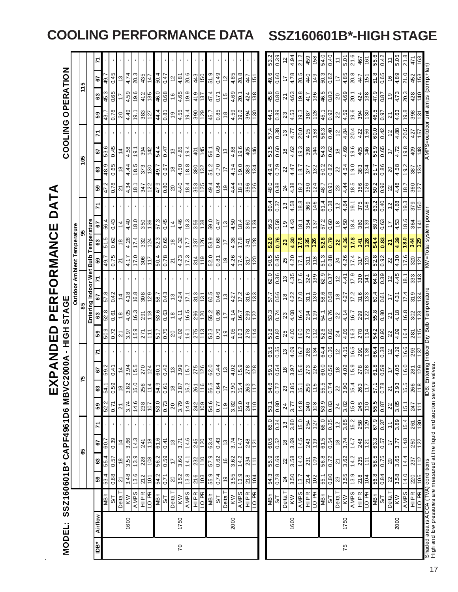| MODEL:  | SSZ160601B* CAPF4961D6 MBVC     |                         |                     |                       |                       |                     |                           | 2000A                               |                     | HQH                 | <b>STAGE</b>          |                                     |                                   |                                |                                                         |                       |                     |                     |                                        |                       |                   |                        |                             |
|---------|---------------------------------|-------------------------|---------------------|-----------------------|-----------------------|---------------------|---------------------------|-------------------------------------|---------------------|---------------------|-----------------------|-------------------------------------|-----------------------------------|--------------------------------|---------------------------------------------------------|-----------------------|---------------------|---------------------|----------------------------------------|-----------------------|-------------------|------------------------|-----------------------------|
|         |                                 |                         |                     |                       |                       |                     |                           |                                     |                     |                     |                       | Outdoor Ambient Temperature         |                                   |                                |                                                         |                       |                     |                     |                                        |                       | COOLING OPERATION |                        |                             |
|         |                                 |                         |                     | 8                     |                       |                     |                           | 52                                  |                     |                     | 85                    |                                     |                                   |                                |                                                         |                       |                     |                     | 105                                    |                       |                   | 115                    |                             |
|         |                                 |                         |                     |                       |                       |                     |                           |                                     |                     |                     |                       | Entering Indoor Wet Bulb            |                                   |                                | Temperature                                             |                       |                     |                     |                                        |                       |                   |                        |                             |
| Airflow |                                 | ${\tt s}$               | ಜಿ                  | 57                    |                       | 59                  | $\boldsymbol{\mathsf{s}}$ | 67                                  | 2                   | 59                  | 63                    | 5                                   | ${\tt S3}$                        | ශ                              | 5                                                       |                       | ${\tt s}$           | ଞ                   | 67                                     |                       | 59                | 63                     | 67                          |
|         | <b>NBh</b>                      | 53.4                    | 55.4                | 60.7                  |                       | 52.2                | 54.1                      | 59.2                                |                     | 50.9                | 52.8                  | 57.8                                | 49.7                              | 51.5                           | 56.4                                                    |                       | 47.2                | 48.9                | 53.6                                   |                       | 43.7              | 45.3                   | 49.7                        |
|         | 2                               | 0.68                    | 0.57                | 0.39                  |                       | 0.71                | 0.59                      | 0.41                                |                     | 0.72                | 0.61                  | 0.42                                | 0.75                              | 0.62                           | 0.43                                                    |                       | 0.78                | 0.65                | 0.45                                   |                       | 0.78              | 0.65                   | 0.45                        |
|         | Delta T                         | $\overline{z}$          | $\frac{8}{3}$       | $\frac{4}{3}$         |                       | $\overline{2}$      | $\frac{8}{3}$             | $\dot{z}$                           |                     | ন                   | $\frac{8}{1}$         | $\frac{4}{4}$                       | ম                                 | $\frac{8}{2}$                  | $\frac{4}{3}$                                           |                       | $\overline{2}$      | æ                   | $\dot{z}$                              |                       | 20                |                        | م.                          |
| 1600    | AMPS                            | $\frac{3.48}{13.6}$     | $\frac{3.55}{13.9}$ | 3.66                  |                       | 3.74                | 3.82                      | $\frac{3.94}{15.5}$                 |                     | $\frac{3.97}{15.9}$ | 4.05                  | 4.18                                | 4.17                              | 4.26                           | $\frac{4.40}{18.0}$                                     |                       | 4.34                | $\frac{4.44}{18.5}$ | 4.58                                   |                       | 4.49              | 4.59                   | 4.74                        |
|         |                                 |                         |                     | 14.3                  |                       | 14.6                | 15.0                      |                                     |                     |                     | 16.3                  | 16.8                                | 17.0                              | 17.4                           |                                                         |                       | 18.1                |                     | 19.1                                   |                       | 19.1              | 19.6                   | 20.3                        |
|         | LO <sub>PR</sub><br><b>HIPR</b> | 212<br>101              | 228<br>108          | 811<br>241            |                       | 238<br>107          | 256<br>114                | $\frac{270}{124}$                   |                     | 271                 | 291<br>811            | 308<br>129                          | $\frac{8}{308}$<br>$\frac{17}{2}$ | 332<br>124                     | 350<br>136                                              |                       | 347<br>122          | 373<br>081          | 394<br>142                             |                       | 383               | 412<br>135             | 435<br>447                  |
|         | <b>NBh</b>                      | 54.2                    | 56.2                | 61.6                  |                       | $\frac{1}{3}$       | 54.9                      | 60.1                                |                     | 51.7                | 53.6                  | 7.89                                | 50.4                              | 523                            | 57.3                                                    |                       | 6. 47               | 49.7                | 54.4                                   |                       | 44.4              | 46.0                   | 50.4                        |
|         | 5 <sub>0</sub>                  | 0.71                    | 0.59                | 0.41                  |                       | 0.73                | 0.61                      | 0.42                                |                     | 0.75                | $0.\overline{\omega}$ | 0.43                                | 0.78                              | 0.65                           | 0.45                                                    |                       | 0.80                | 0.67                | 0.47                                   |                       | 0.81              | 0.68                   | 0.47                        |
|         | Delta T                         | $\infty$                | $\ddot{ }$          | 13                    |                       | $\overline{c}$      | $\overline{\mathbf{e}}$   | $\mathrel{.}{\mathrel{\mathsf{c}}}$ |                     | 20                  | $\frac{8}{1}$         | $\frac{3}{2}$                       | ಸ                                 | $\overset{\circ}{\phantom{a}}$ | $\frac{1}{4}$                                           |                       | $\overline{20}$     | ₽                   | 13                                     |                       | $\frac{9}{2}$     | $\frac{6}{2}$          | $\overline{c}$              |
| 1750    | <b>MX</b>                       | 3.52                    | 3.60                | 3.71                  |                       | 3.79                | 3.87                      | 3.99                                |                     | 4.02                | 4.11                  | 4.24                                | 4.23                              | 4.32                           | 4.46                                                    |                       | 4.40                | 4.50                | 4.65                                   |                       | 4.55              | 4.65                   | 4.81                        |
|         | AMPS                            | 13.8                    | 14.1                | 14.6                  |                       | 14.9                | 15.2                      | 15.7                                |                     | 16.1                | 16.5                  | 17.1                                | 17.3                              | 17.7                           | 18.3                                                    |                       | 18.4                | 18.8                | 19.4                                   |                       | 19.4              | 19.9                   | 20.6                        |
|         | <b>HIPR</b>                     |                         | 232                 | 245                   |                       |                     |                           |                                     |                     |                     |                       | 313                                 |                                   | 337                            |                                                         |                       |                     | 380                 |                                        |                       |                   | 419                    | 413                         |
|         | LO PR                           | $\frac{216}{103}$       | 110                 | 120                   |                       | 242                 | 261<br>116                | 275                                 |                     | $\frac{275}{113}$   | $\frac{296}{120}$     | 131                                 | $rac{314}{119}$                   | 126                            | $\frac{356}{138}$                                       |                       | 353                 | 132                 | $rac{45}{45}$                          |                       | $\frac{39}{129}$  | 137                    | 150                         |
|         |                                 | 55.9                    |                     | 63.4                  |                       | 54.6                | 56.5                      | 62.0                                |                     |                     | 55.2                  | 60.5                                | 52.0                              | 53.9                           | 59.0                                                    |                       |                     |                     | 56.1                                   |                       | 45.7              | 47.4                   | 51.9                        |
|         | S/T<br>S/T                      | 0.74                    | 57.9                | 0.43                  |                       | 0.77                | 0.64                      | 0.44                                |                     | 53.3                | 0.66                  | 0.46                                | 0.81                              | 0.68                           | 0.47                                                    |                       | 49.4                | $rac{51.2}{0.70}$   | 0.49                                   |                       | 0.85              | 0.71                   | 0.49                        |
|         | Delta T                         | é,                      | $\frac{6}{5}$       | 13                    |                       | $\frac{6}{5}$       | 17                        | $\frac{3}{2}$                       |                     | $\frac{0}{2}$       | $\overline{1}$        | $\frac{3}{2}$                       | é,                                |                                | $\frac{3}{2}$                                           |                       | ę,                  | ₽                   | 13                                     |                       | $\frac{8}{1}$     | 45                     | $\tilde{5}$                 |
| 2000    | KW                              | 3.55                    | 3.62                | 3.74                  |                       | 3.82                | 3.90                      | 4.02                                |                     | 4.05                | 4.14                  | 4.27                                | 4.26                              | 4.36                           | 4.50                                                    |                       | 4.44                | 4.54                | 4.68                                   |                       | 4.59              | 4.69                   | 4.85                        |
|         | <b>AMPS</b>                     | 13.9                    | 14.2                | 14.7                  |                       | 15.0                | 15.4                      | 15.9                                |                     | 16.3                | 16.7                  | 17.2                                | 17.4                              | 17.8                           | 18.4                                                    |                       | 18.5                | 0.61                | 19.6                                   |                       | 19.6              | 20.1                   | 20.8                        |
|         | 8d OT<br><b>HIPR</b>            | 218<br>$\overline{104}$ | 234<br>111          | 248<br>121            |                       | 011<br>244          | 263<br>117                | 278<br>128                          |                     | 278<br>114          | 299<br>$\frac{2}{2}$  | 316<br>133                          | 317<br>120                        | 341                            | 360<br>139                                              |                       | 356<br>126          | 383<br>134          | 405                                    |                       | 394<br>130        | 424<br>88              | 447<br>151                  |
|         |                                 |                         |                     |                       |                       |                     |                           |                                     |                     |                     |                       |                                     |                                   | 128                            |                                                         |                       |                     |                     | 146                                    |                       |                   |                        |                             |
|         | <b>NBh</b>                      | 54.3                    | 55.9                | 60.5                  | යි<br>ගි              | 53.1                | 54.6                      | 59.1                                | 635                 | 51.8                | 53.3                  | 57.7                                | 50.5<br>62. O                     | 52.0                           | 56.3                                                    | 60.4                  | 48.0                | 49.4                | 53.5                                   |                       | 44.5              | 45.8                   |                             |
|         | $rac{ST}{10}$                   | 0.78                    | 890                 | 0.52                  | $\frac{6.34}{13}$     | 0.80                | $\frac{2}{10}$            | 0.54                                | 0.35                | 0.82                | 0.74                  | 0.56                                | 0.36                              | 0.76                           | 0.58                                                    | 0.37                  | 0.88                | 0.79                | 0.60                                   | $\frac{6.38}{13}$     | 0.89              | 0.80                   | 0.39<br>$\frac{49.6}{0.60}$ |
|         |                                 | 24                      | $\approx$           | $\frac{8}{2}$         |                       | 24                  | 23                        | $\frac{8}{3}$                       | $\frac{1}{2}$       | 25                  | 23                    | 13<br>$\frac{8}{1}$                 | $\frac{0.85}{25}$                 | $\boldsymbol{\mathbb{S}}$      | $\frac{0}{1}$                                           | $\frac{3}{2}$         | 24                  | $\overline{2}$      |                                        |                       | 23                | $\overline{2}$         | $\tilde{c}$<br>17           |
| 1600    | $\overline{\mathsf{K}}$         | 3.50                    | 3.58                | 3.69                  | 3.80                  | $\frac{1}{3}$       | 3.85                      | 3.97                                | 4.09                | $\frac{1}{4.00}$    | 4.08                  | 4.35<br>4.22                        | 4.20                              | 4.30                           | 4.43                                                    | 4.58                  | 4.38                | 4.47                | 4.62                                   | 4.77                  | 4.53              | 4.63                   | 4.94<br>4.78                |
|         | <b>AMPS</b>                     | 13.7                    | 14.0                | 14.5                  | 15.0                  | 14.8                | 15.1                      | 15.6                                | 16.2                | 16.0                | 16.4                  | 17.0                                | 17.1<br>17.6                      | 17.6                           | 18.1                                                    | 18.8                  | 18.2                | 18.7                | 19.3                                   | 20.0                  | 19.3              | 19.8                   | 21.2<br>20.5                |
|         | HIPR                            | 214                     | 231                 | 243                   | 254                   | 240                 | 259                       | 273                                 | 285                 | 273                 | 294                   | 324<br>311                          | 311                               | 335                            | 354                                                     | 369                   | 350                 | <b>ST7</b>          | 866                                    | 415                   | 387               | 417                    | 459<br>440                  |
|         | <b>LO PR</b>                    | 102                     | 60                  | 119                   | 127                   | 80                  | $\frac{3}{11}$            | 126                                 | 184                 | 112                 | 61                    | 06                                  | 118<br>68                         | 126                            | 137                                                     | 146                   | 124                 | 132                 | 144                                    | 153                   | 87                | 98                     | 6tl                         |
|         | <b>NBh</b>                      | 55.1                    | 56.8                | 61.5                  | 66.0                  | 53.9                | 5.55                      | 60.0                                | 64.4                | 52.6                | 54.1                  | 62.9<br>58.6                        | 51.3                              | 5.28                           | 57.2                                                    | 61.4                  | 48.7                | 50.2                | 543                                    | 58.3                  | 45.1              | 46.5                   | 54.0<br>50.3                |
|         | Delta T<br>5 <sub>7</sub>       | 0.80<br>$\mathbb{Z}^3$  | 0.72<br>ম           | 0.54<br>$\frac{8}{3}$ | 0.35<br>$\frac{2}{3}$ | 0.83<br>24          | 0.74<br>$\approx$         | 0.56<br>$\frac{8}{16}$              | 0.36<br>$\tilde{c}$ | 0.85<br>24          | 0.76<br>22            | 0.37<br>5<br>0.58<br>$\frac{8}{10}$ | 0.88<br>$\overline{24}$           | 0.79<br>$\mathbf{z}$           | 0.60<br>$\frac{8}{10}$                                  | 0.38<br>$\frac{2}{3}$ | 0.91<br>23          | 0.82<br>$\approx$   | 0.62<br>$\overset{\circ}{\phantom{a}}$ | 0.40<br>$\frac{1}{2}$ | 0.92<br>22        | 0.83<br>$\overline{0}$ | 0.40<br>0.62<br>17          |
| 1750    |                                 |                         | 3.62                | 3.74                  | 3.85                  |                     | 3.90                      |                                     |                     |                     | 4.14                  | 4.41<br>4.27                        | 4.26                              | $\frac{4.36}{ }$               | 4.50                                                    | 4.64                  |                     | 4.54                | 4.69                                   | 4.84                  | 4.59              | 4.69                   | 5.01<br>4.85                |
|         | <b>KW</b><br>AMPS               | 3.55<br>13.9            | 14.2                | 14.7                  | 15.2                  | $\frac{3.82}{15.0}$ | 15.4                      | $4.02$<br>$15.9$                    | $4.15$<br>$16.5$    | $4.05$<br>$16.3$    | 16.7                  | $\frac{17.2}{ }$                    | 17.4<br>17.9                      | 17.8                           | 18.4                                                    | 19.1                  | $\frac{4.44}{18.5}$ |                     | 19.6                                   | 20.4                  | 19.6              | 20.1                   | 21.6<br>20.8                |
|         | HIPR                            | 218                     | 235                 | 248                   |                       |                     | $\frac{263}{117}$         |                                     |                     |                     |                       | 316                                 | 317<br>330                        | 341                            |                                                         | 375                   |                     | $\frac{19.0}{383}$  | 405                                    | 422                   |                   |                        | 467<br>447                  |
|         | LO PR                           | 104                     | 111                 | 121                   | 258                   | 245                 |                           | <b>278</b>                          | 290<br>136          | $\frac{278}{114}$   | 299                   | 141<br>133                          | 120                               | <b>128</b>                     | $\begin{array}{c}\n 360 \\  \hline\n 139\n \end{array}$ | 148                   |                     | 134                 | 146                                    | 156                   | 394               | 424                    | ē<br>$\frac{15}{15}$        |
|         | <b>MBh</b>                      | 56.8                    | 58.5                | 63.3                  | 67.9                  | 55.5                | 57.1                      | 61.8                                | 66.4                | 54.2                | 55.8                  | 64.8<br>60.4                        | 52.8                              | 54.4                           | 6.89                                                    | 63.2                  | 50.2                | 51.7                | 6.99                                   | 60.0                  | 46.5              | 47.9                   | 55.6<br>51.8                |
|         | 5 <sub>0</sub>                  | 0.84                    | 0.75                | 0.57                  | 0.37                  | 0.87                | 0.78                      | 0.59                                | 0.38                | 0.90                | 0.80                  | 0.39<br>0.61                        | 0.92                              | 0.83                           | 0.63                                                    | 0.40                  | 0.96                | 0.86                | 0.65                                   | 0.42                  | 0.97              | 0.87                   | 0.42<br>0.65                |
|         | Delta T                         | $\mathbf{z}$            | $\overline{20}$     | 17                    | $\tilde{t}$           | 22                  | Z                         | 17                                  | $\tilde{c}$         | 22                  | $\overline{2}$        | $\tilde{c}$<br>17                   | $\approx$                         | $\overline{\mathbf{N}}$        | $\ddot{ }$                                              | $\frac{2}{3}$         | $\approx$           | $\Omega$            |                                        | $\tilde{c}$           | $\overline{2}$    | $\frac{0}{1}$          | $\frac{6}{5}$               |
| 2000    | <b>MX</b>                       | $\frac{8}{3.58}$        | 3.65                | 77                    | 3.89                  | 3.85                | 3.93                      | 4.05                                | 61.4                | $\frac{4.09}{ }$    | 4.18                  | 4.45<br>4.31                        | 4.30                              | $\frac{1}{4.39}$               | 4.53                                                    | 4.68                  | 4.48                | 89'b                | 4.72                                   | 88.4                  | 4.63              | 4.73                   | 50.5<br>68'b                |
|         | <b>AMPS</b>                     | 14.0                    | 14.4                | 14.8                  | 15.4                  | 15.1                | 15.5                      | 16.0                                | 16.6                | 16.4                | 16.8                  | 18.1<br>17.4                        | 17.6                              | 0.81                           | 18.6                                                    | 19.3                  | 7.81                | 19.2                | 19.8                                   | 20.5                  | 19.8              | 20.3                   | 21.0                        |
|         | <b>HIPR</b>                     | 105<br>220              | 112<br>237          | 250<br>122            | $\frac{8}{30}$<br>261 | 247                 | 266<br>118                | 129<br>281                          | 293<br>137          | 115<br>281          | 302                   | 333<br>319                          | 320<br><u>ਟ</u><br>143            | 344<br>129                     | 364                                                     | 379                   | 360<br>127          | 387                 | 409<br>148                             | 427                   | 398               | 428                    | 452                         |
|         | LO PR                           |                         |                     |                       |                       | $\frac{1}{11}$      |                           |                                     |                     |                     | 123                   | 134                                 |                                   |                                |                                                         | 150                   |                     |                     |                                        | 157                   | <u>ল</u>          | $\frac{140}{2}$        | 153                         |

# **COOLING PERFORMANCE DATA SSZ160601B\*-HIGH STAGE**

17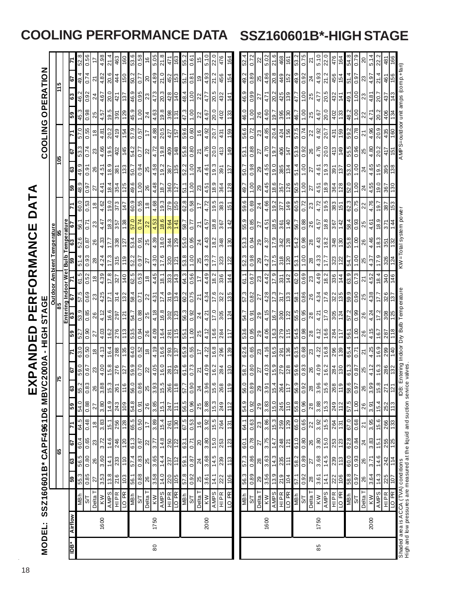| <b>Airflow</b><br>È                                                        |                                           |                   |                   |                    |                     | SSZ160601B*CAPF4961D6 | MBVC2000A        |                                                                                       | HOH           |                    | <b>STA</b>        | უ<br>მ              |                             |                   |                                   |                   |                               |                       |                                     | <b>COOLING</b>     |                                                         |                   | OPERATION         |                  |
|----------------------------------------------------------------------------|-------------------------------------------|-------------------|-------------------|--------------------|---------------------|-----------------------|------------------|---------------------------------------------------------------------------------------|---------------|--------------------|-------------------|---------------------|-----------------------------|-------------------|-----------------------------------|-------------------|-------------------------------|-----------------------|-------------------------------------|--------------------|---------------------------------------------------------|-------------------|-------------------|------------------|
|                                                                            |                                           |                   | မ္မ               |                    |                     |                       | ۴                |                                                                                       |               |                    |                   |                     |                             |                   | Outdoor Ambient Temperature<br>85 |                   |                               |                       | <b>SoL</b>                          |                    |                                                         |                   | $\frac{5}{11}$    |                  |
|                                                                            |                                           |                   |                   |                    |                     |                       |                  |                                                                                       |               |                    |                   | Entering Indoor Wet |                             |                   | <b>Bulb Temperature</b>           |                   |                               |                       |                                     |                    |                                                         |                   |                   |                  |
|                                                                            |                                           | ြု့               | ෂ                 | 5                  |                     | ခြ                    | အ                | မြ                                                                                    |               | ြို့               | 63                | 6                   |                             |                   |                                   | ö                 |                               | ශ<br>65               | ĉ,                                  |                    | ြို့                                                    | 63                | 5                 |                  |
|                                                                            | <b>NBh</b>                                | 55.3              | 56.5              | 60.4               | 64.5                | 54.0                  | 55.2             | 59.0                                                                                  | 63.0          | 52.7               | 6.69              | $\frac{5}{2}$       | $\frac{5}{61}$              | 51.4              | 52.6                              | 56.1              | 0.09                          | 6.8                   | 53.3<br>49.9                        | 57.0               | 45.3                                                    | - 94              | 49.4              | 52.8             |
|                                                                            | $\frac{1}{2}$                             | 0.85              | 0.80              | 0.65               | 0.48                | 0.88                  | 0.83             | 0.67                                                                                  | 0.50          | 0.90               | 0.85              | 0.69                | 0.52                        | 0.93              | 18.0                              | 0.71              | 0.53                          | 0.91<br>0.97          | 0.74                                | 0.55               | 0.98                                                    | 0.92              | 0.74              | $\frac{1}{0.56}$ |
|                                                                            | Delta T                                   | 27                | 26                | $23\,$             | $\frac{8}{18}$      | 27                    | 26               | 23                                                                                    | $\frac{8}{2}$ | 27                 | 26                | 23                  | $\frac{8}{2}$               | 28                | 26                                | 23                | $\frac{8}{1}$                 | 27                    | 23<br>26                            | $\frac{8}{18}$     | 25                                                      | 24                | ম                 | 17               |
| 1600                                                                       | <b>MX</b>                                 | 3.53              | 3.60              | 3.72               | 3.83                | 3.80                  | 3.88             | 4.00                                                                                  | 4.13          | 4.03               | 4.12              | 4.25                | 4.39                        | 4.24              | 4.33                              | 4.47              | 4.62                          | $4.5^{\circ}$<br>4.41 | 4.66                                | 4.81               | 4.57                                                    | 4.67              | 4.82              | 4.98             |
|                                                                            | <b>AMPS</b>                               | 13.8              | 14.1              | 14.6               | 15.1                | 14.9                  | 15.3             | 15.8                                                                                  | 16.4          | 16.2               | 16.6              | 17.1                | 17.8                        | 17.3              | 177                               | 18.3              | 19.0                          | 18.4                  | 19.5<br>18.9                        | 20.2               | 19.5                                                    | 20.0              | 20.6              | 21.4             |
|                                                                            | HIPR<br>                                  | 216               | 233               | 246                | 256                 | 243                   | 261              | 276                                                                                   | 288           | 276                | 297               | 314                 | 327                         | 315               | 338                               | 357               | 373                           | 354                   | 402<br>381                          | 419                | 391                                                     | 421               | 444               | 463              |
|                                                                            | <b>TO PR</b>                              | £01               | 011               | 0Z1                | 128                 | 109                   | 116              | 127                                                                                   | 135           | 113                | 121               | 132                 | 140                         | 119               | 127                               | 88                | 447                           | <b>5ZL</b>            | 971<br>133                          | 154                | 82                                                      | 137               | 0.9               | 091              |
|                                                                            | <b>HBM</b>                                | 56.1              | 57.4              | 61.3               | 65.5                | 54.8                  | 56.0             | 59.9                                                                                  | 64.0          | 53.5               | 54.7              | 58.4                | 62.5                        | 52.2              | 53.4                              | 57.0              | 6.09                          | 50.7<br>9.6           | 54.2                                | 57.9               | 45.9                                                    | 46.9              | 5.09              | 53.6             |
|                                                                            | <b>β</b>                                  | 0.88              | 0.83              | 0.67               | 0.50                | 0.91                  | 0.86             | 0.70                                                                                  | 0.52          | 0.94               | 0.88              | 0.71                | 0.53                        | 0.97              | 0.91                              | 0.74              | 0.55                          | 1.00                  | 77<br>0.94                          | 0.57               | 1.00                                                    | 0.95              | 0.77              | 0.58             |
|                                                                            | Delta T                                   | $\frac{26}{5}$    | 25                | $\approx$          | $\frac{7}{1}$       | 26                    | 25               | 22                                                                                    | $\frac{8}{2}$ | 26                 | 25                | 22                  | $\frac{8}{3}$               | 22                | 25                                | 22                | $\overset{\circ}{\mathbf{2}}$ | 26                    | $\approx$<br>25                     |                    | 24                                                      | 23                | $\overline{5}$    | $\frac{16}{2}$   |
| 1750                                                                       |                                           | 3.58              | 3.65              | 3.77               | 3.89                | 3.85                  | 3.93             | 4.05                                                                                  | 4.19          | 4.09               | 4.18              | 4.31                | 4.45                        | 4.30              | 4.39                              | 4.53              | 4.68                          |                       | 4.72                                | 4.88               | 4.63                                                    |                   | 4.89              | 5.05             |
|                                                                            | KW<br>AMPS                                | 14.0              | 14.4              | 14.8               | 15.4                | 15.1                  | 15.5             | 16.0                                                                                  | 16.6          | 16.4               | 16.8              | 17.4                | $\frac{1}{2}$ $\frac{1}{2}$ | 17.6              | 18.0                              | 18.6              | 19.3                          | $\frac{4.48}{18.7}$   | 19.8<br>4.58<br>19.2                | 20.5               | 19.8                                                    | $rac{4.73}{20.3}$ | 21.0              | 21.8             |
|                                                                            | $\frac{HPR}{10 PR}$                       | $\frac{220}{105}$ | $\frac{237}{112}$ | 250                | $\frac{261}{130}$   | 247                   | 266              | <b>281</b><br>129                                                                     | 293           | $\frac{281}{115}$  | $\frac{302}{123}$ | $\frac{319}{134}$   |                             | $\frac{320}{121}$ | $\frac{344}{129}$                 | $\frac{364}{141}$ | 379                           | 360                   | 409<br>387<br>135                   | 427<br>157         | $\frac{398}{131}$                                       |                   | 452               | 471              |
|                                                                            |                                           |                   |                   |                    |                     | $\ddot{=}$            | 118              |                                                                                       |               |                    |                   |                     |                             |                   |                                   |                   |                               |                       |                                     |                    |                                                         |                   |                   | <b>SSI</b>       |
|                                                                            | $rac{MP}{3T}$                             | 57.8              | 59.1              | 63.1               | 67.5                | 56.5                  | 57.7             | 61.6                                                                                  | 65.9          | 55.1               | 56.3              | 60.2                | 64.3                        | 53.8              | 55.0                              | 7.85              | 62.8                          | 51.1                  | 55.8<br>52.2                        | 59.6               | 47.3                                                    | 48.4              | 51.7              | 55.2             |
|                                                                            |                                           | 0.92              | 0.87              | 0.71               | 0.53                | 0.96                  | 0.90             | 0.73                                                                                  | 0.55          | 00.1               | 0.92              | 0.75                | 0.56                        | 0.01              | 0.95                              | 5.D               | 0.58                          | 1.00                  | 0.80<br>0.01                        | 0.60               | 00.1                                                    | 1.00              | 0.81              | 0.61             |
|                                                                            | Delta T                                   | 25                | $\overline{2}$    | $\infty$           | 16                  | 25                    | $\approx$        | 21                                                                                    |               | 25                 | 24                | $\overline{2}$      |                             | 25                | $\overline{2}$                    | $\overline{2}$    | $\overline{1}$                | 23                    | $\overline{\mathbf{z}}$<br>24       | $\frac{6}{5}$      | 22                                                      | 22                | ę,                | 15               |
| 2000                                                                       | KW                                        | 3.61              | 3.68              | 3.80               | 3.92                | 3.88                  | 3.96             | 4.09                                                                                  | 4.22          | 4.12               | 4.21              | 4.34                | 4.49                        | 4.33              | 4.43                              | 4.57              | 4.72                          | 4.61<br>4.51          | 4.76                                | 4.92               | 4.67                                                    | 4.77              | 4.93              | $\frac{1}{5.10}$ |
|                                                                            | <b>AMPS</b>                               | 14.1              | 14.5              | 15.0               | 15.5                | 15.3                  | 15.6             | 16.2                                                                                  | 16.8          | 16.6               | 17.0              | 17.6                | 18.2                        | 17.7              | 18.2                              | 18.8              | 19.5                          | 18.9                  | 20.0<br>19.3                        | 20.7               | 20.0                                                    | 20.5              | 21.2              | 22.0             |
|                                                                            | <b>HIPR</b>                               | 222               | 239               | 253                | 264                 | 249                   | 268              | 284                                                                                   | 296           | 284                | 305               | 322                 | 336                         | 323               | 348                               | 367               | 383                           | 364                   | 413<br>391                          | 431                | 402                                                     | 432               | 456               | 476              |
|                                                                            | LO <sub>PR</sub>                          | 106               | 113               | 123                | 131                 | 112                   | 119              | 130                                                                                   | 139           |                    | 124               | 135                 | 144                         | 122               | 130                               | 142               | 151                           | 128                   | 149<br>137                          | 159                | 133                                                     | 141               | 154               | 164              |
|                                                                            | <b>HaM</b>                                | 56.3              | 57.3              | 60.1               | 64.1                | 54.9                  | 56.0             | 58.7                                                                                  | 62.6          | 53.6               | 54.7              | 57.3                | 61.1                        | 52.3              | 53.3                              | 55.9              | 9.65                          | 50.7<br>49.7          | 53.1                                | 56.6               | 46.0                                                    | 46.9              | 49.2              | 52.4             |
|                                                                            | $\mathbb{R}$                              | 0.89              | 0.86              | 0.78               | 0.63                | 0.92                  | 0.89             | 0.80                                                                                  | 0.65          | 0.95               | 0.91              | 0.82                | 0.67                        | 0.98              | 0.94                              | 0.85              | 0.69                          | 1.00                  | 0.88<br>0.98                        | 0.72               | 1.00                                                    | 0.99              | 0.89              | 0.72             |
|                                                                            | Delta T                                   | 29                | 28                | 27                 | 23                  | 29                    | ని               | 27                                                                                    |               | 29                 | 29                | ನ                   | 23                          | 8                 | 29                                | 27                | 24                            | 8                     | 22<br>8                             | 23                 | 26                                                      |                   | 25                | ଧ                |
| 1600                                                                       | KW                                        | 3.56              | 3.63              | 3.75               | 3.86                | 3.83                  | 3.91             | 4.03                                                                                  | 4.16          | 4.06               | 4.15              | 4.28                | 4.42                        | 4.27              | 4.37                              | 4.51              | 4.66                          | 4.45                  | 4.70<br>4.55                        | 4.85               | 4.60                                                    | 4.71              | 4.86              | 5.02             |
|                                                                            | <b>AMPS</b>                               | 13.9              | 14.3              | 14.7               | 15.3                | 15.0                  | 15.4             | 15.9                                                                                  | 16.5          | 16.3               | 16.7              | 17.3                | 17.9                        | 17.5              | 17.9                              | 18.5              | 19.2                          | 18.6                  | 19.7<br>19.0                        | 20.4               | 19.7                                                    | 20.2              | 20.8              | 21.6             |
|                                                                            | HIPR                                      | $219$<br>$104$    | 235               | $\frac{248}{121}$  | 259<br>129          | 245                   | 264              | 279                                                                                   | 291           | 279                | $\frac{300}{2}$   | 317                 | 331                         | 318               | 342                               | $\frac{361}{140}$ | $rac{277}{149}$               | 357                   | $rac{406}{147}$<br>385              | 424                | $\begin{array}{c}\n 395 \\  \hline\n 130\n \end{array}$ | 425               | 449               | 468              |
|                                                                            | LO PR                                     |                   | $\frac{1}{11}$    |                    |                     | 011                   | $\frac{7}{11}$   |                                                                                       | 136           | 115                | 122               | $\frac{133}{2}$     | 142                         | 20                | 128                               |                   |                               |                       |                                     |                    |                                                         |                   | 152               | 161              |
|                                                                            | $\frac{MBh}{ST}$                          | <b>1.29</b>       | 58.2              | 61.0               | $\frac{65.0}{0.65}$ | 55.8<br>0.96          | 6.99             | 59.6                                                                                  | 63.5          | 54.5               | 55.5              | 58.1                | $\frac{62.0}{0.69}$         | 53.1              | 54.2<br>0.98                      | <b>799</b>        | 60.5                          | $\frac{50.5}{1.00}$   | 53.9<br>4.16                        | 57.5               | 7.9                                                     | 47.7              | 49.92             | 53.2<br>0.75     |
|                                                                            |                                           | 0.92              | 0.89              | 0.80               |                     |                       | 0.92             | 0.83                                                                                  | 89'0          | 0.98               | 0.95              |                     |                             | 00.1              |                                   | 0.88              |                               |                       | 0.92<br>00.1                        | 0.74               | 00.1                                                    | 00                |                   |                  |
| 1750                                                                       | $\frac{N}{N}$                             | 3.61<br>28        | 3.68<br>27        | 3.80<br>26         | 3.92<br>22          | 3.88<br>28            | 3.96<br>28       | 4.09<br>26                                                                            | 4.22<br>23    | 4.12<br>28         | 4.21<br>28        | 4.34<br>26          | 4.49<br>23                  | 4.33<br>28        | 4.43<br>87                        | 4.57<br>26        | 4.72<br>23                    | 27<br>4.51<br>27      | 4.76<br>26<br>4.61                  | 4.92<br>22         | 4.67<br>25                                              | 4.77<br>25        | 4.93<br>24        | 5.10<br>ম        |
|                                                                            | <b>AMPS</b>                               | 14.1              | 14.5              | $\frac{0.51}{2}$   | $\frac{15.5}{15}$   | $\frac{15.3}{ }$      | $\frac{15.6}{ }$ | $\frac{16.2}{ }$                                                                      | $\sqrt{6.8}$  | $\frac{6.6}{ }$    | $\frac{0.11}{2}$  | $\frac{8}{17}$      | $\sqrt{8.2}$                | $\frac{177}{ }$   | $\frac{18.2}{ }$                  | $\frac{8.8}{18}$  | $\frac{19.5}{2}$              | $\frac{9}{18}$        | $\frac{0.0}{2}$<br>$\frac{19.3}{2}$ | $\sqrt{20.7}$      | $\frac{1}{20.0}$                                        | $\frac{1}{20.5}$  | $\sqrt{21.2}$     | $\frac{20}{2}$   |
|                                                                            |                                           | 222               | 239               | 253                | 264                 | 249                   | 268              | 284                                                                                   | 296           | 284                | 305               | 322                 | 336                         | 323               | 348                               | 367               | 383                           |                       | 413<br>391                          | 431                | 402                                                     | 432               | 456               | 476              |
|                                                                            | HIPR<br>LO PR                             | 90                | $\overline{13}$   | 123                | 131                 | 112                   | 119              | 0 8                                                                                   | 68            | $\frac{1}{11}$     | 124               | <b>SEL</b>          | 144                         | 122               | 081                               | 142               | 151                           | 364                   | 671<br>137                          | 69                 | 33                                                      | 141               | 154               | 191              |
|                                                                            | <b>4 HM</b>                               | 58.8              | 60.0              | 62.8               | 67.0                | 57.5                  | 58.6             | 61.3                                                                                  | 65.4          | 56.1               | 57.2              | 59.9                | 63.9                        | 54.7              | 55.8                              | 58.4              | 62.3                          | 52.0                  | 5.5 <sub>3</sub><br>53.0            | 59.2               | 48.2                                                    | 49.1              | 51.4              | 54.8             |
|                                                                            | 25                                        | 0.97              | 0.93              | 0.84               | 0.68                | 1.00                  | 0.97             | 0.87                                                                                  | 0.71          | 00.1               | 0.99              | 0.90                | 0.73                        | 1.00              | 00.1                              | 0.93              | 0.75                          | 1.00                  | 0.96<br>1.00                        | 0.78               | 1.00                                                    | 1.00              | 0.97              | 0.79             |
|                                                                            | Delta T                                   | 26                | $\frac{8}{2}$     | $\overline{2}$     | $\overline{2}$      | 26                    | 8                | 25                                                                                    | 24            | 26                 | 26                | 25                  | 21                          | 25                | 26                                | 25                | 22                            | $\overline{24}$<br>24 | 25                                  | $\overline{2}$     | 22                                                      | 23                |                   | ସ                |
| 2000                                                                       | KW                                        | 3.64              | 3.71              | 3.83               | 3.95                | 3.91                  | 3.99             | 4.12                                                                                  | 4.25          | 4.15               | 4.24              | 4.38                | 4.52                        | 4.37              | 4.46                              | 4.61              | 4.76                          | 4.55                  | 4.80<br>4.65                        | 4.96               | 4.71                                                    | 4.81              | $\frac{23}{4.97}$ | 5.14             |
|                                                                            | $\frac{\text{A MP S}}{\text{HIPR}}$ LO PR | $\frac{14.3}{2}$  | 14.6              | $\frac{15.1}{255}$ | $\frac{15.6}{266}$  | 15.4                  | 15.8             | 16.3                                                                                  | 16.9          | $\frac{16.7}{287}$ | 17.2              | $\overline{17}$     | $\frac{18.4}{340}$          | 17.9              | $\frac{18.3}{351}$                | 18.9              | $\frac{19.7}{387}$            | $\frac{19.0}{367}$    | 20.2<br>$\frac{19.5}{395}$          | $\frac{20.9}{435}$ | 20.2                                                    | $\frac{25}{43}$   | $rac{21.4}{461}$  | 22.              |
|                                                                            |                                           | 225               | 242               |                    |                     | $\frac{252}{113}$     | $\overline{271}$ | 286                                                                                   | $^{299}$      |                    | 308               | 326                 |                             | 326               |                                   | 371               |                               |                       | $\frac{417}{151}$                   |                    | रु                                                      |                   |                   | $\frac{48}{1}$   |
| Shaded area is ACCA (TVA) conditions<br>High and hus measures are measured |                                           | 40L               | $ \vec{=}$        |                    |                     |                       | $\bar{\omega}$   | $\frac{132}{100}$ 140 $\frac{118}{126}$ 125 137<br>tering Indoor Diy Bulb Temperature |               |                    |                   |                     |                             |                   |                                   | 144               |                               |                       |                                     |                    |                                                         |                   |                   |                  |

# **COOLING PERFORMANCE DATA SSZ160601B\*-HIGH STAGE**

valves. High and low pressures are measured at the liquid and suction service valves .service 5 ౚ 흐 ಹ ე<br>0 High and low pr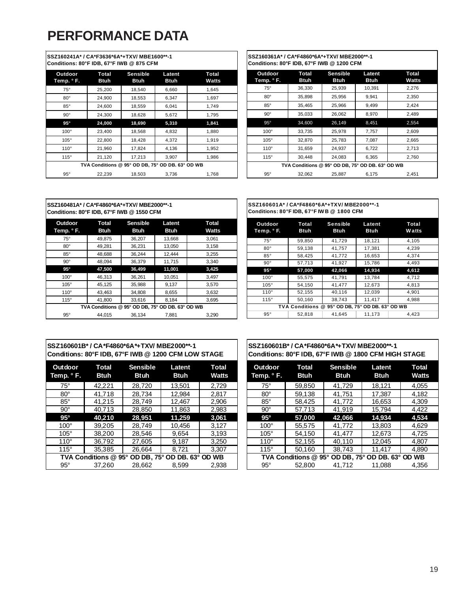# **PERFORMANCE DATA**

| SSZ160241A* / CA*F3636*6A*+TXV/ MBE1600**-1<br>Conditions: 80°F IDB, 67°F IWB @ 875 CFM |                                                  |                                |                |                |
|-----------------------------------------------------------------------------------------|--------------------------------------------------|--------------------------------|----------------|----------------|
| Outdoor<br>Temp. ° F.                                                                   | Total<br>Btuh                                    | <b>Sensible</b><br><b>Btuh</b> | Latent<br>Btuh | Total<br>Watts |
| $75^\circ$                                                                              | 25,200                                           | 18,540                         | 6,660          | 1,645          |
| $80^\circ$                                                                              | 24,900                                           | 18,553                         | 6,347          | 1,697          |
| $85^\circ$                                                                              | 24,600                                           | 18,559                         | 6,041          | 1,749          |
| $90^{\circ}$                                                                            | 24,300                                           | 18,628                         | 5,672          | 1,795          |
| $95^\circ$                                                                              | 24,000                                           | 18,690                         | 5,310          | 1,841          |
| $100^\circ$                                                                             | 23,400                                           | 18,568                         | 4,832          | 1,880          |
| $105^\circ$                                                                             | 22,800                                           | 18,428                         | 4,372          | 1,919          |
| $110^\circ$                                                                             | 21,960                                           | 17,824                         | 4,136          | 1,952          |
| $115^\circ$                                                                             | 21,120                                           | 17,213                         | 3,907          | 1,986          |
|                                                                                         | TVA Conditions @ 95° OD DB, 75° OD DB. 63° OD WB |                                |                |                |
| $95^\circ$                                                                              | 22,239                                           | 18,503                         | 3,736          | 1,768          |

**SSZ160361A\* / CA\*F4860\*6A\*+TXV/ MBE2000\*\*-1 Conditions: 80°F IDB, 67°F IWB @ 1200 CFM**

| Outdoor<br>Temp. ° F. | Total<br><b>Btuh</b>                             | <b>Sensible</b><br><b>Btuh</b> | Latent<br><b>Btuh</b> | Total<br>Watts |
|-----------------------|--------------------------------------------------|--------------------------------|-----------------------|----------------|
| $75^\circ$            | 36,330                                           | 25,939                         | 10,391                | 2,276          |
| $80^\circ$            | 35,898                                           | 25,956                         | 9,941                 | 2,350          |
| $85^\circ$            | 35.465                                           | 25,966                         | 9,499                 | 2.424          |
| $90^{\circ}$          | 35,033                                           | 26,062                         | 8,970                 | 2,489          |
| $95^\circ$            | 34,600                                           | 26,149                         | 8,451                 | 2,554          |
| $100^\circ$           | 33,735                                           | 25,978                         | 7,757                 | 2.609          |
| $105^\circ$           | 32.870                                           | 25,783                         | 7,087                 | 2,665          |
| $110^\circ$           | 31,659                                           | 24,937                         | 6,722                 | 2,713          |
| 115°                  | 30,448                                           | 24,083                         | 6,365                 | 2,760          |
|                       | TVA Conditions @ 95° OD DB, 75° OD DB. 63° OD WB |                                |                       |                |
| $95^\circ$            | 32,062                                           | 25,887                         | 6.175                 | 2,451          |

| SSZ160481A* / CA*F4860*6A*+TXV/ MBE2000**-1<br>Conditions: 80°F IDB, 67°F IWB @ 1550 CFM |                                                  |                                |                       |                              |
|------------------------------------------------------------------------------------------|--------------------------------------------------|--------------------------------|-----------------------|------------------------------|
| Outdoor<br>Temp. ° F.                                                                    | Total<br><b>Btuh</b>                             | <b>Sensible</b><br><b>Btuh</b> | Latent<br><b>Btuh</b> | <b>Total</b><br><b>Watts</b> |
| $75^\circ$                                                                               | 49,875                                           | 36,207                         | 13,668                | 3,061                        |
| $80^\circ$                                                                               | 49,281                                           | 36,231                         | 13,050                | 3,158                        |
| $85^\circ$                                                                               | 48,688                                           | 36,244                         | 12,444                | 3,255                        |
| $90^\circ$                                                                               | 48.094                                           | 36,379                         | 11,715                | 3,340                        |
| $95^\circ$                                                                               | 47,500                                           | 36,499                         | 11,001                | 3,425                        |
| 100°                                                                                     | 46,313                                           | 36,261                         | 10,051                | 3,497                        |
| $105^\circ$                                                                              | 45,125                                           | 35,988                         | 9,137                 | 3,570                        |
| $110^\circ$                                                                              | 43,463                                           | 34,808                         | 8,655                 | 3,632                        |
| 115°                                                                                     | 41.800                                           | 33,616                         | 8.184                 | 3,695                        |
|                                                                                          | TVA Conditions @ 95° OD DB, 75° OD DB, 63° OD WB |                                |                       |                              |
| $95^\circ$                                                                               | 44.015                                           | 36,134                         | 7,881                 | 3,290                        |

| SSZ160601A* / CA*F4860*6A*+TXV/ MBE2000**-1 |
|---------------------------------------------|
| Conditions: 80°F IDB, 67°F IWB @ 1800 CFM   |

| Outdoor<br>Temp. ° F. | Total<br><b>Btuh</b>  | <b>Sensible</b><br>Btuh | Latent<br>Btuh                  | <b>Total</b><br><b>Watts</b> |
|-----------------------|-----------------------|-------------------------|---------------------------------|------------------------------|
| $75^\circ$            | 59.850                | 41,729                  | 18,121                          | 4,105                        |
| $80^{\circ}$          | 59.138                | 41,757                  | 17,381                          | 4,239                        |
| $85^\circ$            | 58.425                | 41,772                  | 16,653                          | 4.374                        |
| $90^\circ$            | 57.713                | 41.927                  | 15.786                          | 4.493                        |
| $95^\circ$            | 57.000                | 42,066                  | 14.934                          | 4,612                        |
| $100^\circ$           | 55.575                | 41,791                  | 13,784                          | 4,712                        |
| $105^\circ$           | 54.150                | 41.477                  | 12,673                          | 4.813                        |
| $110^\circ$           | 52.155                | 40,116                  | 12.039                          | 4.901                        |
| $115^\circ$           | 50,160                | 38,743                  | 11,417                          | 4,988                        |
|                       | <b>TVA Conditions</b> | @                       | 95° OD DB, 75° OD DB, 63° OD WB |                              |
| $95^{\circ}$          | 52.818                | 41.645                  | 11.173                          | 4.423                        |

#### **SSZ160601B\* / CA\*F4860\*6A\*+TXV/ MBE2000\*\*-1 Conditions: 80°F IDB, 67°F IWB @ 1200 CFM LOW STAGE**

| Outdoor<br>Temp. ° F. | <b>Total</b><br><b>Btuh</b> | <b>Sensible</b><br><b>Btuh</b> | Latent<br><b>Btuh</b>       | <b>Total</b><br><b>Watts</b> |
|-----------------------|-----------------------------|--------------------------------|-----------------------------|------------------------------|
| $75^\circ$            | 42,221                      | 28,720                         | 13.501                      | 2.729                        |
| $80^\circ$            | 41,718                      | 28,734                         | 12,984                      | 2,817                        |
| $85^\circ$            | 41,215                      | 28,749                         | 12,467                      | 2,906                        |
| $90^\circ$            | 40,713                      | 28,850                         | 11,863                      | 2,983                        |
| $95^\circ$            | 40.210                      | 28,951                         | 11,259                      | 3,061                        |
| $100^\circ$           | 39,205                      | 28,749                         | 10,456                      | 3,127                        |
| $105^\circ$           | 38,200                      | 28.546                         | 9.654                       | 3,193                        |
| $110^\circ$           | 36,792                      | 27,605                         | 9.187                       | 3,250                        |
| $115^\circ$           | 35.385                      | 26,664                         | 8,721                       | 3.307                        |
|                       | TVA Conditions @ 95°        |                                | OD DB, 75° OD DB, 63° OD WB |                              |
| $95^\circ$            | 37.260                      | 28.662                         | 8.599                       | 2.938                        |

#### **SSZ160601B\* / CA\*F4860\*6A\*+TXV/ MBE2000\*\*-1 Conditions: 80°F IDB, 67°F IWB @ 1800 CFM HIGH STAGE**

| Outdoor<br>Temp. ° F. | <b>Total</b><br><b>Btuh</b> | <b>Sensible</b><br><b>Btuh</b> | Latent<br><b>Btuh</b>                            | <b>Total</b><br><b>Watts</b> |
|-----------------------|-----------------------------|--------------------------------|--------------------------------------------------|------------------------------|
| $75^\circ$            | 59.850                      | 41,729                         | 18,121                                           | 4,055                        |
| $80^\circ$            | 59,138                      | 41,751                         | 17,387                                           | 4,182                        |
| $85^\circ$            | 58,425                      | 41,772                         | 16,653                                           | 4.309                        |
| $90^\circ$            | 57,713                      | 41,919                         | 15,794                                           | 4.422                        |
| $95^\circ$            | 57,000                      | 42.066                         | 14.934                                           | 4.534                        |
| $100^\circ$           | 55.575                      | 41,772                         | 13,803                                           | 4.629                        |
| $105^\circ$           | 54,150                      | 41,477                         | 12,673                                           | 4.725                        |
| $110^\circ$           | 52,155                      | 40.110                         | 12.045                                           | 4,807                        |
| $115^\circ$           | 50.160                      | 38.743                         | 11.417                                           | 4.890                        |
|                       |                             |                                | TVA Conditions @ 95° OD DB, 75° OD DB. 63° OD WB |                              |
| $95^\circ$            | 52,800                      | 41.712                         | 11.088                                           | 4.356                        |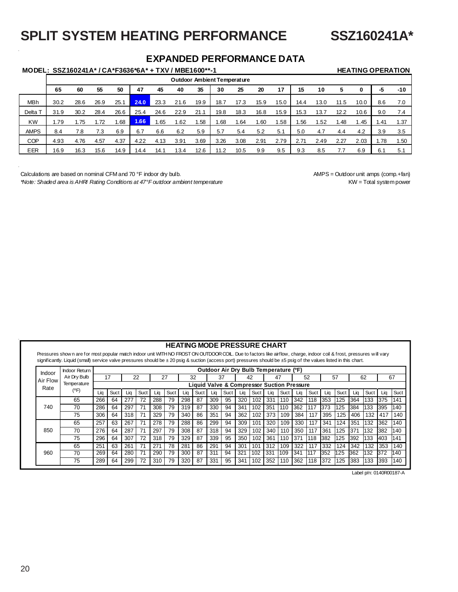# **SPLIT SYSTEM HEATING PERFORMANCE SSZ160241A\***

## **EXPANDED PERFORMANCE DATA**

## **MODEL: SSZ160241A\* / CA\*F3636\*6A\* + TXV / MBE1600\*\*-1 HEATING OPERATION**

|                    |      |      |      |      |      |      | <b>Outdoor Ambient Temperature</b> |      |      |      |      |      |      |      |      |      |                 |       |
|--------------------|------|------|------|------|------|------|------------------------------------|------|------|------|------|------|------|------|------|------|-----------------|-------|
|                    | 65   | 60   | 55   | 50   | 47   | 45   | 40                                 | 35   | 30   | 25   | 20   | 17   | 15   | 10   | 5    | 0    | -5              | $-10$ |
| MBh                | 30.2 | 28.6 | 26.9 | 25.1 | 24.0 | 23.3 | 21.6                               | 19.9 | 18.7 | 17.3 | 15.9 | 15.0 | 14.4 | 13.0 | 11.5 | 10.0 | 8.6             | 7.0   |
| Delta <sup>®</sup> | 31.9 | 30.2 | 28.4 | 26.6 | 25.4 | 24.6 | 22.9                               | 21.1 | 19.8 | 18.3 | 16.8 | 15.9 | 15.3 | 13.7 | 12.2 | 10.6 | 9.0             | 7.4   |
| <b>KW</b>          | .79  | .75  | 1.72 | .68  | 1.66 | 1.65 | .62                                | . 58 | .68  | .64  | 1.60 | .58  | 1.56 | .52  | .48  | .45  | .4 <sup>′</sup> | 1.37  |
| <b>AMPS</b>        | 8.4  | 7.8  | 7.3  | 6.9  | 6.7  | 6.6  | 6.2                                | 5.9  | 5.7  | 5.4  | 5.2  | 5.1  | 5.0  | 4.7  | 4.4  | 4.2  | 3.9             | 3.5   |
| <b>COP</b>         | 4.93 | 4.76 | 4.57 | 4.37 | 4.22 | 4.13 | 3.91                               | 3.69 | 3.26 | 3.08 | 2.91 | 2.79 | 2.71 | 2.49 | 2.27 | 2.03 | 1.78            | 1.50  |
| <b>EER</b>         | 16.9 | 16.3 | 15.6 | 14.9 | 14.4 | 14.7 | 13.4                               | 12.6 | 1.2  | 10.5 | 9.9  | 9.5  | 9.3  | 8.5  |      | 6.9  | 6.1             | 5.1   |

Calculations are based on nominal CFM and 70 °F indoor dry bulb. AMPS = Outdoor unit amps (comp.+fan) *\*Note: Shaded area is AHRI Rating Conditions at 47°F outdoor ambient temperature* KW = Total system power KW = Total system power

|                  |                                                                                                                                                                                                                                                                                                                                           |     |      |     |             |     |      |     | <b>HEATING MODE PRESSURE CHART</b>                    |     |      |     |      |                                       |      |      |      |     |      |     |      |     |      |
|------------------|-------------------------------------------------------------------------------------------------------------------------------------------------------------------------------------------------------------------------------------------------------------------------------------------------------------------------------------------|-----|------|-----|-------------|-----|------|-----|-------------------------------------------------------|-----|------|-----|------|---------------------------------------|------|------|------|-----|------|-----|------|-----|------|
|                  | Pressures show n are for most popular match indoor unit WITH NO FROST ON OUTDOOR COIL. Due to factors like airflow, charge, indoor coil & frost, pressures will vary<br>significantly. Liquid (small) service valve pressures should be ± 20 psig & suction (access port) pressures should be ±5 psig of the values listed in this chart. |     |      |     |             |     |      |     |                                                       |     |      |     |      |                                       |      |      |      |     |      |     |      |     |      |
|                  | <b>Indoor Return</b>                                                                                                                                                                                                                                                                                                                      |     |      |     |             |     |      |     |                                                       |     |      |     |      | Outdoor Air Dry Bulb Temperature (°F) |      |      |      |     |      |     |      |     |      |
| Indoor           | Air Dry Bulb                                                                                                                                                                                                                                                                                                                              |     | 17   | 22  |             | 27  |      |     | 32                                                    |     | 37   |     | 42   |                                       | 47   |      | 52   |     | 57   |     | 62   |     | 67   |
| Air Flow<br>Rate | Temperature                                                                                                                                                                                                                                                                                                                               |     |      |     |             |     |      |     | <b>Liquid Valve &amp; Compressor Suction Pressure</b> |     |      |     |      |                                       |      |      |      |     |      |     |      |     |      |
|                  | (°F)                                                                                                                                                                                                                                                                                                                                      | Lia | Suct | Lia | Suct        | Lia | Suct | Lia | Suct                                                  | Lia | Suct | Lia | Suct | Lia                                   | Suct | Lia  | Suct | Lia | Suct | Lia | Suct | Lia | Suct |
|                  | 65                                                                                                                                                                                                                                                                                                                                        | 266 | 64   | 277 | 72          | 288 | 79   | 298 | 87                                                    | 309 | 95   | 320 | 102  | 331                                   | 110  | 342  | 118  | 353 | 125  | 364 | 133  | 375 | 141  |
| 740              | 70                                                                                                                                                                                                                                                                                                                                        | 286 | 64   | 297 | 71          | 308 | 79   | 319 | 87                                                    | 330 | 94   | 341 | 102  | 351                                   | 110  | 362  | 117  | 373 | 125  | 384 | 133  | 395 | 140  |
|                  | 75                                                                                                                                                                                                                                                                                                                                        | 306 | 64   | 318 | 71          | 329 | 79   | 340 | 86                                                    | 351 | 94   | 362 | 102  | 373                                   | 109  | 384  | 117  | 395 | 125  | 406 | 132  | 417 | 140  |
|                  | 65                                                                                                                                                                                                                                                                                                                                        | 257 | 63   | 267 | 71          | 278 | 79   | 288 | 86                                                    | 299 | 94   | 309 | 101  | 320                                   | 109  | 330  | 117  | 341 | 124  | 351 | 132  | 362 | 140  |
| 850              | 70                                                                                                                                                                                                                                                                                                                                        | 276 | 64   | 287 | 71          | 297 | 79   | 308 | 87                                                    | 318 | 94   | 329 | 102  | 340                                   | 110  | 350  | 117  | 361 | 125  | 371 | 132  | 382 | 140  |
|                  | 75                                                                                                                                                                                                                                                                                                                                        | 296 | 64   | 307 | 72          | 318 | 79   | 329 | 87                                                    | 339 | 95   | 350 | 102  | 361                                   | 110  | 1371 | 118  | 382 | 125  | 392 | 133  | 403 | 141  |
|                  | 65                                                                                                                                                                                                                                                                                                                                        | 251 | 63   | 261 | $7^{\circ}$ | 271 | 78   | 281 | 86                                                    | 291 | 94   | 301 | 101  | 312                                   | 109  | 322  | 117  | 332 | 124  | 342 | 132  | 353 | 140  |
| 960              | 70                                                                                                                                                                                                                                                                                                                                        | 269 | 64   | 280 | 71          | 290 | 79   | 300 | 87                                                    | 311 | 94   | 321 | 102  | 331                                   | 109  | 341  | 117  | 352 | 125  | 362 | 132  | 372 | 140  |
|                  | 75                                                                                                                                                                                                                                                                                                                                        | 289 | 64   | 299 | 72          | 310 | 79   | 320 | 87                                                    | 331 | 95   | 341 | 102  | 352                                   | 110  | 362  | 118  | 372 | 125  | 383 | 133  | 393 | 140  |

Label p/n: 0140R00187-A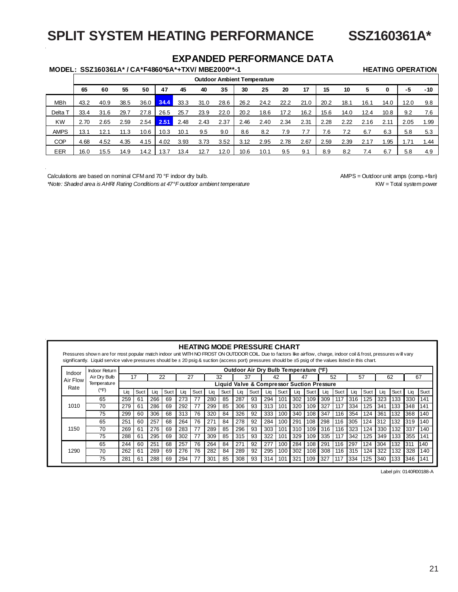# **SPLIT SYSTEM HEATING PERFORMANCE SSZ160361A\***

## **EXPANDED PERFORMANCE DATA**

## MODEL: SSZ160361A\* / CA\*F4860\*6A\*+TXV/ MBE2000\*\*-1 HEATING OPERATION

|             |      |      |      |      |      |      |      |      |      | <b>Outdoor Ambient Temperature</b> |      |      |      |      |      |      |      |       |
|-------------|------|------|------|------|------|------|------|------|------|------------------------------------|------|------|------|------|------|------|------|-------|
|             | 65   | 60   | 55   | 50   | 47   | 45   | 40   | 35   | 30   | 25                                 | 20   | 17   | 15   | 10   | 5    | 0    | -5   | $-10$ |
| <b>MBh</b>  | 43.2 | 40.9 | 38.5 | 36.0 | 34.4 | 33.3 | 31.0 | 28.6 | 26.2 | 24.2                               | 22.2 | 21.0 | 20.2 | 18.1 | 16.1 | 14.0 | 12.0 | 9.8   |
| Delta       | 33.4 | 31.6 | 29.7 | 27.8 | 26.5 | 25.7 | 23.9 | 22.0 | 20.2 | 18.6                               | 17.2 | 16.2 | 15.6 | 14.0 | 12.4 | 10.8 | 9.2  | 7.6   |
| <b>KW</b>   | 2.70 | 2.65 | 2.59 | 2.54 | 2.51 | 2.48 | 2.43 | 2.37 | 2.46 | 2.40                               | 2.34 | 2.31 | 2.28 | 2.22 | 2.16 | 2.11 | 2.05 | 1.99  |
| <b>AMPS</b> | 13.1 | 12.1 | 11.3 | 10.6 | 10.3 | 10.1 | 9.5  | 9.0  | 8.6  | 8.2                                | 7.9  | 7.7  | 7.6  | 7.2  | 6.7  | 6.3  | 5.8  | 5.3   |
| <b>COP</b>  | 4.68 | 4.52 | 4.35 | 4.15 | 4.02 | 3.93 | 3.73 | 3.52 | 3.12 | 2.95                               | 2.78 | 2.67 | 2.59 | 2.39 | 2.17 | .95  |      | 1.44  |
| EER         | 16.0 | 15.5 | 14.9 | 14.2 | 13.7 | 13.4 | 12.7 | 12.0 | 10.6 | 10.1                               | 9.5  | 9.1  | 8.9  | 8.2  | 7.4  | 6.7  | 5.8  | 4.9   |

Calculations are based on nominal CFM and 70 °F indoor dry bulb. AMPS = Outdoor unit amps (comp.+fan)

*\*Note: Shaded area is AHRI Rating Conditions at 47°F outdoor ambient temperature* KW = Total system power

| Indoor   | <b>Indoor Return</b> |     |      |     |      |     |      |     |                                                       |     |      |     |      | Outdoor Air Dry Bulb Temperature (°F) |      |     |            |     |      |      |      |     |      |
|----------|----------------------|-----|------|-----|------|-----|------|-----|-------------------------------------------------------|-----|------|-----|------|---------------------------------------|------|-----|------------|-----|------|------|------|-----|------|
| Air Flow | Air Dry Bulb         |     | 17   |     | 22   | 27  |      |     | 32                                                    |     | 37   | 42  |      | 47                                    |      | 52  |            |     | 57   |      | 62   |     | 67   |
| Rate     | Temperature          |     |      |     |      |     |      |     | <b>Liquid Valve &amp; Compressor Suction Pressure</b> |     |      |     |      |                                       |      |     |            |     |      |      |      |     |      |
|          | (°F)                 | Lia | Suct | Lia | Suct | Lia | Suct | Lia | Suct                                                  | Lia | Suct | Lia | Suct | Lia                                   | Suct | Lia | Suct       | Lia | Suct | Lia  | Suct | Lia | Suct |
|          | 65                   | 259 | 61   | 266 | 69   | 273 | 77   | 280 | 85                                                    | 287 | 93   | 294 | 101  | 302                                   | 109  | 309 | 117        | 316 | 125  | 323  | 133  | 330 | 141  |
| 1010     | 70                   | 279 | 61   | 286 | 69   | 292 | 77   | 299 | 85                                                    | 306 | 93   | 313 | 101  | 320                                   | 109  | 327 | 117        | 334 | 125  | 341  | 133  | 348 | 141  |
|          | 75                   | 299 | 60   | 306 | 68   | 313 | 76   | 320 | 84                                                    | 326 | 92   | 333 | 100  | 340                                   | 108  | 347 | 116        | 354 | 124  | 361  | 132  | 368 | 140  |
|          | 65                   | 251 | 60   | 257 | 68   | 264 | 76   | 271 | 84                                                    | 278 | 92   | 284 | 100  | 291                                   | 108  | 298 | 1116       | 305 | 124  | 1312 | 132  | 319 | 140  |
| 1150     | 70                   | 269 | 61   | 276 | 69   | 283 | 77   | 289 | 85                                                    | 296 | 93   | 303 | 101  | 310                                   | 109  | 316 | 116        | 323 | 124  | 330  | 132  | 337 | 140  |
|          | 75                   | 288 | 61   | 295 | 69   | 302 | 77   | 309 | 85                                                    | 315 | 93   | 322 | 101  | 329                                   | 109  | 335 | 117        | 342 | 125  | 349  | 133  | 355 | 141  |
|          | 65                   | 244 | 60   | 251 | 68   | 257 | 76   | 264 | 84                                                    | 271 | 92   | 277 | 100  | 284                                   | 108  | 291 | 116        | 297 | 124  | 304  | 132  | 311 | 140  |
| 1290     | 70                   | 262 | 61   | 269 | 69   | 276 | 76   | 282 | 84                                                    | 289 | 92   | 295 | 100  | 302                                   | 108  | 308 | 116        | 315 | 124  | 322  | 132  | 328 | 140  |
|          | 75                   | 281 | 61   | 288 | 69   | 294 | 77   | 301 | 85                                                    | 308 | 93   | 314 | 101  | 321                                   | 109  | 327 | <b>117</b> | 334 | 125  | 340  | 133  | 346 | 141  |

Label p/n: 0140R00188-A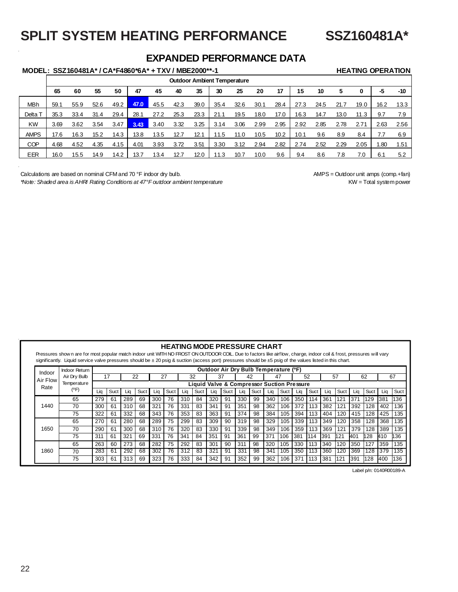# **SPLIT SYSTEM HEATING PERFORMANCE SSZ160481A\***

## **EXPANDED PERFORMANCE DATA**

## **MODEL: SSZ160481A\* / CA\*F4860\*6A\* + TXV / MBE2000\*\*-1 HEATING OPERATION**

|             |      |      |      |      |      |      |      |      | <b>Outdoor Ambient Temperature</b> |      |      |      |      |      |      |      |      |      |
|-------------|------|------|------|------|------|------|------|------|------------------------------------|------|------|------|------|------|------|------|------|------|
|             | 65   | 60   | 55   | 50   | 47   | 45   | 40   | 35   | 30                                 | 25   | 20   | 17   | 15   | 10   | 5    | 0    | -5   | -10  |
| <b>MBh</b>  | 59.1 | 55.9 | 52.6 | 49.2 | 47.0 | 45.5 | 42.3 | 39.0 | 35.4                               | 32.6 | 30.1 | 28.4 | 27.3 | 24.5 | 21.7 | 19.0 | 16.2 | 13.3 |
| Delta T     | 35.3 | 33.4 | 31.4 | 29.4 | 28.1 | 27.2 | 25.3 | 23.3 | 21.1                               | 19.5 | 18.0 | 17.0 | 16.3 | 14.7 | 13.0 | 11.3 | 9.7  | 7.9  |
| KW          | 3.69 | 3.62 | 3.54 | 3.47 | 3.43 | 3.40 | 3.32 | 3.25 | 3.14                               | 3.06 | 2.99 | 2.95 | 2.92 | 2.85 | 2.78 | 2.71 | 2.63 | 2.56 |
| <b>AMPS</b> | 17.6 | 16.3 | 15.2 | 14.3 | 13.8 | 13.5 | 12.7 | 12.1 | 11.5                               | 11.0 | 10.5 | 10.2 | 10.1 | 9.6  | 8.9  | 8.4  |      | 6.9  |
| <b>COP</b>  | 4.68 | 4.52 | 4.35 | 4.15 | 4.01 | 3.93 | 3.72 | 3.51 | 3.30                               | 3.12 | 2.94 | 2.82 | 2.74 | 2.52 | 2.29 | 2.05 | .80  | 1.51 |
| EER         | 16.0 | 15.5 | 14.9 | 14.2 | 13.7 | 13.4 | 12.7 | 12.0 | 11.3                               | 10.7 | 10.0 | 9.6  | 9.4  | 8.6  | 8.'  |      | 6.1  | 5.2  |

Calculations are based on nominal CFM and 70 °F indoor dry bulb. AMPS = Outdoor unit amps (comp.+fan)

*\*Note: Shaded area is AHRI Rating Conditions at 47°F outdoor ambient temperature* KW = Total system power KW = Total system power

#### **HEATING MODE PRESSURE CHART**

Pressures show n are for most popular match indoor unit WITH NO FROST ON OUTDOOR COIL. Due to factors like airflow, charge, indoor coil & frost, pressures will vary significantly. Liquid service valve pressures should be ± 20 psig & suction (access port) pressures should be ±5 psig of the values listed in this chart.

| Indoor   | Indoor Return |     |      |     |      |     |      |     |      | Outdoor Air Dry Bulb Temperature (°F)      |      |     |      |     |      |     |      |     |            |     |      |     |      |
|----------|---------------|-----|------|-----|------|-----|------|-----|------|--------------------------------------------|------|-----|------|-----|------|-----|------|-----|------------|-----|------|-----|------|
| Air Flow | Air Drv Bulb  |     | 17   | 22  |      | 27  |      |     | 32   | 37                                         |      | 42  |      | 47  |      |     | 52   | 57  |            |     | 62   |     | 67   |
| Rate     | Temperature   |     |      |     |      |     |      |     |      | Liquid Valve & Compressor Suction Pressure |      |     |      |     |      |     |      |     |            |     |      |     |      |
|          | (°F)          | Lia | Suct | Lia | Suct | Lia | Suct | Lia | Suct | Lia                                        | Suct | Liq | Suct | Lia | Suct | Lia | Suct | Lia | Suct       | Lia | Suct | Lia | Suct |
|          | 65            | 279 | 61   | 289 | 69   | 300 | 76   | 310 | 84   | 320                                        | 91   | 330 | 99   | 340 | 106  | 350 | 114  | 361 | 121        | 371 | 129  | 381 | 136  |
| 1440     | 70            | 300 | 61   | 310 | 68   | 321 | 76   | 331 | 83   | 341                                        | 91   | 351 | 98   | 362 | 106  | 372 | 113  | 382 | 121        | 392 | 128  | 402 | 136  |
|          | 75            | 322 | 61   | 332 | 68   | 343 | 76   | 353 | 83   | 363                                        | 91   | 374 | 98   | 384 | 105  | 394 | 113  | 404 | 120        | 415 | 128  | 425 | 135  |
|          | 65            | 270 | 61   | 280 | 68   | 289 | 75   | 299 | 83   | 309                                        | 90   | 319 | 98   | 329 | 105  | 339 | 113  | 349 | 120        | 358 | 128  | 368 | 135  |
| 1650     | 70            | 290 | 61   | 300 | 68   | 310 | 76   | 320 | 83   | 330                                        | 91   | 339 | 98   | 349 | 106  | 359 | 113  | 369 | 121        | 379 | 128  | 389 | 135  |
|          | 75            | 311 | 61   | 321 | 69   | 331 | 76   | 341 | 84   | 351                                        | 91   | 361 | 99   | 37' | 106  | 381 | 114  | 391 | <b>h21</b> | 401 | h28  | 410 | 136  |
|          | 65            | 263 | 60   | 273 | 68   | 282 | 75   | 292 | 83   | 301                                        | 90   | 311 | 98   | 320 | 105  | 330 | 113  | 340 | 120        | 350 | 27   | 359 | 135  |
| 1860     | 70            | 283 | 61   | 292 | 68   | 302 | 76   | 312 | 83   | 321                                        | 91   | 331 | 98   | 341 | 105  | 350 | 113  | 360 | 120        | 369 | 28   | 379 | 135  |
|          | 75            | 303 | 61   | 313 | 69   | 323 | 76   | 333 | 84   | 342                                        | 91   | 352 | 99   | 362 | 106  | 371 | 113  | 381 | 121        | 391 | 128  | 400 | 136  |

Label p/n: 0140R00189-A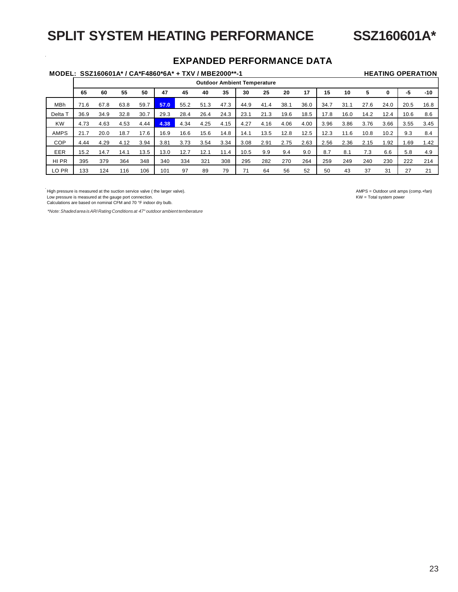# **SPLIT SYSTEM HEATING PERFORMANCE SSZ160601A\***

## **EXPANDED PERFORMANCE DATA**

## **MODEL: SSZ160601A\* / CA\*F4860\*6A\* + TXV / MBE2000\*\*-1 HEATING OPERATION**

|             |      |      |      |      |      |      |      |      |      | <b>Outdoor Ambient Temperature</b> |      |      |      |      |      |                  |      |       |
|-------------|------|------|------|------|------|------|------|------|------|------------------------------------|------|------|------|------|------|------------------|------|-------|
|             | 65   | 60   | 55   | 50   | 47   | 45   | 40   | 35   | 30   | 25                                 | 20   | 17   | 15   | 10   | 5    | 0                | -5   | $-10$ |
| MBh         | 71.6 | 67.8 | 63.8 | 59.7 | 57.0 | 55.2 | 51.3 | 47.3 | 44.9 | 41.4                               | 38.1 | 36.0 | 34.7 | 31.1 | 27.6 | 24.0             | 20.5 | 16.8  |
| Delta T     | 36.9 | 34.9 | 32.8 | 30.7 | 29.3 | 28.4 | 26.4 | 24.3 | 23.1 | 21.3                               | 19.6 | 18.5 | 17.8 | 16.0 | 14.2 | 12.4             | 10.6 | 8.6   |
| <b>KW</b>   | 4.73 | 4.63 | 4.53 | 4.44 | 4.38 | 4.34 | 4.25 | 4.15 | 4.27 | 4.16                               | 4.06 | 4.00 | 3.96 | 3.86 | 3.76 | 3.66             | 3.55 | 3.45  |
| <b>AMPS</b> | 21.7 | 20.0 | 18.7 | 17.6 | 16.9 | 16.6 | 15.6 | 14.8 | 14.1 | 13.5                               | 12.8 | 12.5 | 12.3 | 11.6 | 10.8 | 10.2             | 9.3  | 8.4   |
| COP         | 4.44 | 4.29 | 4.12 | 3.94 | 3.81 | 3.73 | 3.54 | 3.34 | 3.08 | 2.91                               | 2.75 | 2.63 | 2.56 | 2.36 | 2.15 | .92 <sub>0</sub> | .69  | 1.42  |
| EER         | 15.2 | 14.7 | 14.1 | 13.5 | 13.0 | 12.7 | 12.1 | 11.4 | 10.5 | 9.9                                | 9.4  | 9.0  | 8.7  | 8.1  | 7.3  | 6.6              | 5.8  | 4.9   |
| HI PR       | 395  | 379  | 364  | 348  | 340  | 334  | 321  | 308  | 295  | 282                                | 270  | 264  | 259  | 249  | 240  | 230              | 222  | 214   |
| LO PR       | 133  | 124  | 116  | 106  | 101  | 97   | 89   | 79   | 71   | 64                                 | 56   | 52   | 50   | 43   | 37   | 31               | 27   | 21    |

Low pressure is measured at the gauge port connection.<br>Calculations are based on nominal CFM and 70 °F indoor dry bulb.

*\*Note: Shaded area is ARI Rating Conditions at 47° outdoor ambient temberature*

High pressure is measured at the suction service valve ( the larger valve).<br>
Low pressure is measured at the gauge port connection.<br>
Low pressure is measured at the gauge port connection.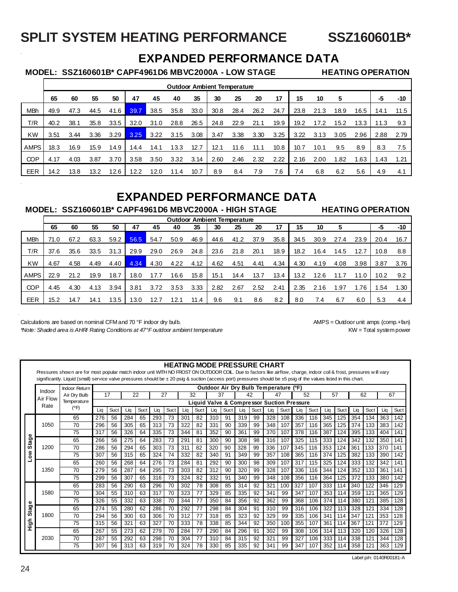## **SPLIT SYSTEM HEATING PERFORMANCE SSZ160601B\***

## **EXPANDED PERFORMANCE DATA**

 **MODEL: SSZ160601B\* CAPF4961D6 MBVC2000A - LOW STAGE HEATING OPERATION**

|             |      |      |      |      |      |      |      |      |      | <b>Outdoor Ambient Temperature</b> |      |      |      |      |      |      |      |      |
|-------------|------|------|------|------|------|------|------|------|------|------------------------------------|------|------|------|------|------|------|------|------|
|             | 65   | 60   | 55   | 50   | 47   | 45   | 40   | 35   | 30   | 25                                 | 20   | 17   | 15   | 10   | 5    |      | -5   | -10  |
| <b>MBh</b>  | 49.9 | 47.3 | 44.5 | 41.6 | 39.7 | 38.5 | 35.8 | 33.0 | 30.8 | 28.4                               | 26.2 | 24.7 | 23.8 | 21.3 | 18.9 | 16.5 | 14.1 | 11.5 |
| T/R         | 40.2 | 38.1 | 35.8 | 33.5 | 32.0 | 31.0 | 28.8 | 26.5 | 24.8 | 22.9                               | 21.1 | 19.9 | 19.2 | 17.2 | 15.2 | 13.3 | 11.3 | 9.3  |
| <b>KW</b>   | 3.51 | 3.44 | 3.36 | 3.29 | 3.25 | 3.22 | 3.15 | 3.08 | 3.47 | 3.38                               | 3.30 | 3.25 | 3.22 | 3.13 | 3.05 | 2.96 | 2.88 | 2.79 |
| <b>AMPS</b> | 18.3 | 16.9 | 15.9 | 14.9 | 14.4 | 14.1 | 13.3 | 12.7 | 12.1 | 11.6                               | 11.1 | 10.8 | 10.7 | 10.1 | 9.5  | 8.9  | 8.3  | 7.5  |
| <b>COP</b>  | 4.17 | 4.03 | 3.87 | 3.70 | 3.58 | 3.50 | 3.32 | 3.14 | 2.60 | 2.46                               | 2.32 | 2.22 | 2.16 | 2.00 | 1.82 | 1.63 | .43  | 1.21 |
| EER         | 14.2 | 13.8 | 13.2 | 12.6 | 12.2 | 12.0 | ⊦.4  | 10.7 | 8.9  | 8.4                                | 7.9  | 7.6  | 7.4  | 6.8  | 6.2  | 5.6  | 4.9  | 4.1  |

## **EXPANDED PERFORMANCE DATA**

#### **MODEL: SSZ160601B\* CAPF4961D6 MBVC2000A - HIGH STAGE HEATING OPERATION**

|            |      |      |      |      |      |      | <b>Outdoor Ambient Temperature</b> |      |      |      |      |      |      |      |      |      |      |       |
|------------|------|------|------|------|------|------|------------------------------------|------|------|------|------|------|------|------|------|------|------|-------|
|            | 65   | 60   | 55   | 50   | 47   | 45   | 40                                 | 35   | 30   | 25   | 20   | 17   | 15   | 10   |      |      | -5   | $-10$ |
| <b>MBh</b> | 71.0 | 67.2 | 63.3 | 59.2 | 56.5 | 54.7 | 50.9                               | 46.9 | 44.6 | 41.2 | 37.9 | 35.8 | 34.5 | 30.9 | 27.4 | 23.9 | 20.4 | 16.7  |
| T/R        | 37.6 | 35.6 | 33.5 | 31.3 | 29.9 | 29.0 | 26.9                               | 24.8 | 23.6 | 21.8 | 20.1 | 18.9 | 18.2 | 16.4 | 14.5 | 12.7 | 10.8 | 8.8   |
| <b>KW</b>  | 4.67 | 4.58 | 4.49 | 4.40 | 4.34 | 4.30 | 4.22                               | 4.12 | 4.62 | 4.51 | 4.41 | 4.34 | 4.30 | 4.19 | 4.08 | 3.98 | 3.87 | 3.76  |
| AMPS       | 22.9 | 21.2 | 19.9 | 18.7 | 18.0 | 17.7 | 16.6                               | 15.8 | 15.1 | 14.4 | 13.7 | 13.4 | 13.2 | 12.6 |      | 11.0 | 10.2 | 9.2   |
| <b>COP</b> | 4.45 | 4.30 | 4.13 | 3.94 | 3.81 | 3.72 | 3.53                               | 3.33 | 2.82 | 2.67 | 2.52 | 2.41 | 2.35 | 2.16 | .97  | 1.76 | .54  | 1.30  |
| EER        | 15.2 | 14.7 | 14.1 | 13.5 | 13.0 | 12.7 | 12.1                               | 11.4 | 9.6  | 9.1  | 8.6  | 8.2  | 8.0  | 7.4  | 6.7  | 6.0  | 5.3  | 4.4   |

Calculations are based on nominal CFM and 70 °F indoor dry bulb. AMPS = Outdoor unit amps (comp.+fan)

*\*Note: Shaded area is AHRI Rating Conditions at 47°F outdoor ambient temperature* KW = Total system power KW = Total system power

#### **HEATING MODE PRESSURE CHART**  Pressures shown are for most popular match indoor unit WITH NO FROST ON OUTDOOR COIL. Due to factors like airflow, charge, indoor coil & frost, pressures w ill vary significantly. Liquid (small) service valve pressures should be ± 20 psig & suction (access port) pressures should be ±5 psig of the values listed in this chart. **Outdoor Air Dry Bulb Temperature (ºF)** Indoor Return Indoor Statistics<br>
17 1 22 27 32 37 42 47 52 57 57 Air Dry Bulb 17 22 27 32 37 42 47 52 57 62 67 Air Flow **Temperature Liquid Valve & Compressor Suction Pressure** Rate (ºF) Liq | Suct | Liq | Suct | Liq | Suct | Liq | Suct | Liq | Suct | Liq | Suct | Liq | Suct | Liq | Suct | Liq | Suct | Liq | Suct | Liq | Suct | Liq | Suct 65 | 276 | 56 | 284 | 65 | 293 | 73 | 301 | 82 | 310 | 91 | 319 | 99 | 328 | 108 | 336 | 116 | 345 | 125 | 354 | 134 | 363 | 142 1050 70 | 296 | 56 | 305 | 65 | 313 | 73 | 322 | 82 | 331 | 90 | 339 | 99 | 348 | 107 | 357 | 116 | 365 | 125 | 374 | 133 | 383 | 142 75 | 317 | 56 | 326 | 64 | 335 | 73 | 344 | 81 | 352 | 90 | 361 | 99 | 370 | 107 | 378 | 116 | 387 | 124 | 395 | 133 | 404 | 141 Stage **Low Stage** 65 | 266 | 56 | 275 | 64 | 283 | 73 | 291 | 81 | 300 | 90 | 308 | 98 | 316 | 107 | 325 | 115 | 333 | 124 | 342 | 132 | 350 | 141 1200 70 286 56 294 65 303 73 311 82 320 90 328 99 336 107 345 116 353 124 361 133 370 141  $\sum_{i=1}^{\infty}$ 75 | 307 | 56 | 315 | 65 | 324 | 74 | 332 | 82 | 340 | 91 | 349 | 99 | 357 | 108 | 365 | 116 | 374 | 125 | 382 | 133 | 390 | 142 65 | 260 | 56 | 268 | 64 | 276 | 73 | 284 | 81 | 292 | 90 | 300 | 98 | 309 | 107 | 317 | 115 | 325 | 124 | 333 | 132 | 342 | 141 1350 70 | 279 | 56 | 287 | 64 | 295 | 73 | 303 | 82 | 312 | 90 | 320 | 99 | 328 | 107 | 336 | 116 | 344 | 124 | 352 | 133 | 361 |141 75 | 299 | 56 | 307 | 65 | 316 | 73 | 324 | 82 | 332 | 91 | 340 | 99 | 348 | 108 | 356 | 116 | 364 | 125 | 372 | 133 | 380 | 142 65 | 283 | 56 | 290 | 63 | 296 | 70 | 302 | 78 | 308 | 85 | 314 | 92 | 321 | 100 | 327 | 107 | 333 | 114 | 340 | 122 | 346 | 129 1580 70 | 304 | 55 | 310 | 63 | 317 | 70 | 323 | 77 | 329 | 85 | 335 | 92 | 341 | 99 | 347 | 107 | 353 | 114 | 359 | 121 | 365 | 129 75 | 326 | 55 | 332 | 63 | 338 | 70 | 344 | 77 | 350 | 84 | 356 | 92 | 362 | 99 | 368 | 106 | 374 | 114 | 380 | 121 | 385 | 128 Stage **High Stage** 65 | 274 | 55 | 280 | 62 | 286 | 70 | 292 | 77 | 298 | 84 | 304 | 91 | 310 | 99 | 316 | 106 | 322 | 113 | 328 | 121 | 334 | 128 1800 70 | 294 | 56 | 300 | 63 | 306 | 70 | 312 | 77 | 318 | 85 | 323 | 92 | 329 | 99 | 335 | 106 | 341 | 114 | 347 | 121 | 353 | 128 figh 75 | 315 | 56 | 321 | 63 | 327 | 70 | 333 | 78 | 338 | 85 | 344 | 92 | 350 | 100 | 355 | 107 | 361 | 114 | 367 | 121 | 372 | 129 65 | 267 | 55 | 273 | 62 | 279 | 70 | 284 | 77 | 290 | 84 | 296 | 91 | 302 | 99 | 308 | 106 | 314 | 113 | 320 | 120 | 326 | 128 2030 70 | 287 | 55 | 292 | 63 | 298 | 70 | 304 | 77 | 310 | 84 | 315 | 92 | 321 | 99 | 327 | 106 | 333 | 114 | 338 | 121 | 344 | 128 75 | 307 | 56 | 313 | 63 | 319 | 70 | 324 | 78 | 330 | 85 | 335 | 92 | 341 | 99 | 347 | 107 | 352 | 114 | 358 | 121 | 363 | 129

Label p/n: 0140R00181-A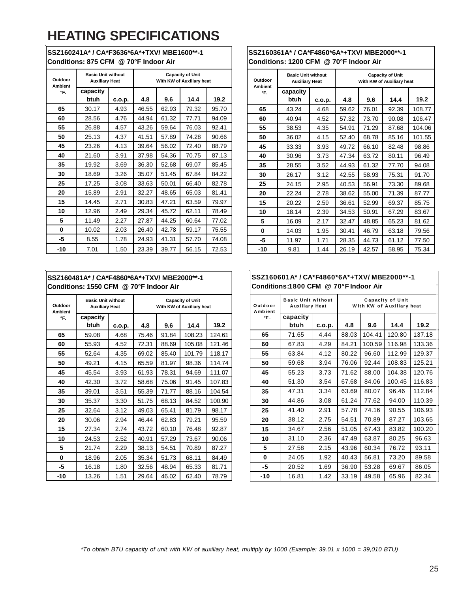# **HEATING SPECIFICATIONS**

| Outdoor<br><b>Ambient</b><br>°F. | <b>Basic Unit without</b><br><b>Auxiliary Heat</b> |        | <b>Capacity of Unit</b><br>With KW of Auxiliary heat |       |       |       |
|----------------------------------|----------------------------------------------------|--------|------------------------------------------------------|-------|-------|-------|
|                                  | capacity<br>btuh                                   | c.o.p. | 4.8                                                  | 9.6   | 14.4  | 19.2  |
| 65                               | 30.17                                              | 4.93   | 46.55                                                | 62.93 | 79.32 | 95.70 |
| 60                               | 28.56                                              | 4.76   | 44.94                                                | 61.32 | 77.71 | 94.09 |
| 55                               | 26.88                                              | 4.57   | 43.26                                                | 59.64 | 76.03 | 92.41 |
| 50                               | 25.13                                              | 4.37   | 41.51                                                | 57.89 | 74.28 | 90.66 |
| 45                               | 23.26                                              | 4.13   | 39.64                                                | 56.02 | 72.40 | 88.79 |
| 40                               | 21.60                                              | 3.91   | 37.98                                                | 54.36 | 70.75 | 87.13 |
| 35                               | 19.92                                              | 3.69   | 36.30                                                | 52.68 | 69.07 | 85.45 |
| 30                               | 18.69                                              | 3.26   | 35.07                                                | 51.45 | 67.84 | 84.22 |
| 25                               | 17.25                                              | 3.08   | 33.63                                                | 50.01 | 66.40 | 82.78 |
| 20                               | 15.89                                              | 2.91   | 32.27                                                | 48.65 | 65.03 | 81.41 |
| 15                               | 14.45                                              | 2.71   | 30.83                                                | 47.21 | 63.59 | 79.97 |
| 10                               | 12.96                                              | 2.49   | 29.34                                                | 45.72 | 62.11 | 78.49 |
| 5                                | 11.49                                              | 2.27   | 27.87                                                | 44.25 | 60.64 | 77.02 |
| 0                                | 10.02                                              | 2.03   | 26.40                                                | 42.78 | 59.17 | 75.55 |
| -5                               | 8.55                                               | 1.78   | 24.93                                                | 41.31 | 57.70 | 74.08 |
| $-10$                            | 7.01                                               | 1.50   | 23.39                                                | 39.77 | 56.15 | 72.53 |

**SSZ160241A\* / CA\*F3636\*6A\*+TXV/ MBE1600\*\*-1 Conditions: 875 CFM @ 70°F Indoor Air** 

## **SSZ160361A\* / CA\*F4860\*6A\*+TXV/ MBE2000\*\*-1 Conditions: 1200 CFM @ 70°F Indoor Air**

| Outdoor<br><b>Ambient</b> | <b>Basic Unit without</b><br><b>Auxiliary Heat</b> |        | <b>Capacity of Unit</b><br>With KW of Auxiliary heat |       |       |        |  |  |
|---------------------------|----------------------------------------------------|--------|------------------------------------------------------|-------|-------|--------|--|--|
| °F.                       | capacity                                           |        |                                                      |       |       |        |  |  |
|                           | btuh                                               | c.o.p. | 4.8                                                  | 9.6   | 14.4  | 19.2   |  |  |
| 65                        | 43.24                                              | 4.68   | 59.62                                                | 76.01 | 92.39 | 108.77 |  |  |
| 60                        | 40.94                                              | 4.52   | 57.32                                                | 73.70 | 90.08 | 106.47 |  |  |
| 55                        | 38.53                                              | 4.35   | 54.91                                                | 71.29 | 87.68 | 104.06 |  |  |
| 50                        | 36.02                                              | 4.15   | 52.40                                                | 68.78 | 85.16 | 101.55 |  |  |
| 45                        | 33.33                                              | 3.93   | 49.72                                                | 66.10 | 82.48 | 98.86  |  |  |
| 40                        | 30.96                                              | 3.73   | 47.34                                                | 63.72 | 80.11 | 96.49  |  |  |
| 35                        | 28.55                                              | 3.52   | 44.93                                                | 61.32 | 77.70 | 94.08  |  |  |
| 30                        | 26.17                                              | 3.12   | 42.55                                                | 58.93 | 75.31 | 91.70  |  |  |
| 25                        | 24.15                                              | 2.95   | 40.53                                                | 56.91 | 73.30 | 89.68  |  |  |
| 20                        | 22.24                                              | 2.78   | 38.62                                                | 55.00 | 71.39 | 87.77  |  |  |
| 15                        | 20.22                                              | 2.59   | 36.61                                                | 52.99 | 69.37 | 85.75  |  |  |
| 10                        | 18.14                                              | 2.39   | 34.53                                                | 50.91 | 67.29 | 83.67  |  |  |
| 5                         | 16.09                                              | 2.17   | 32.47                                                | 48.85 | 65.23 | 81.62  |  |  |
| 0                         | 14.03                                              | 1.95   | 30.41                                                | 46.79 | 63.18 | 79.56  |  |  |
| -5                        | 11.97                                              | 1.71   | 28.35                                                | 44.73 | 61.12 | 77.50  |  |  |
| $-10$                     | 9.81                                               | 1.44   | 26.19                                                | 42.57 | 58.95 | 75.34  |  |  |

## **SSZ160481A\* / CA\*F4860\*6A\*+TXV/ MBE2000\*\*-1 Conditions: 1550 CFM @ 70°F Indoor Air**

| Outdoor<br><b>Ambient</b><br>°F. | <b>Basic Unit without</b><br><b>Auxiliary Heat</b> |        | <b>Capacity of Unit</b><br>With KW of Auxiliary heat |       |        |        |
|----------------------------------|----------------------------------------------------|--------|------------------------------------------------------|-------|--------|--------|
|                                  | capacity<br>btuh                                   | c.o.p. | 4.8                                                  | 9.6   | 14.4   | 19.2   |
| 65                               | 59.08                                              | 4.68   | 75.46                                                | 91.84 | 108.23 | 124.61 |
| 60                               | 55.93                                              | 4.52   | 72.31                                                | 88.69 | 105.08 | 121.46 |
| 55                               | 52.64                                              | 4.35   | 69.02                                                | 85.40 | 101.79 | 118.17 |
| 50                               | 49.21                                              | 4.15   | 65.59                                                | 81.97 | 98.36  | 114.74 |
| 45                               | 45.54                                              | 3.93   | 61.93                                                | 78.31 | 94.69  | 111.07 |
| 40                               | 42.30                                              | 3.72   | 58.68                                                | 75.06 | 91.45  | 107.83 |
| 35                               | 39.01                                              | 3.51   | 55.39                                                | 71.77 | 88.16  | 104.54 |
| 30                               | 35.37                                              | 3.30   | 51.75                                                | 68.13 | 84.52  | 100.90 |
| 25                               | 32.64                                              | 3.12   | 49.03                                                | 65.41 | 81.79  | 98.17  |
| 20                               | 30.06                                              | 2.94   | 46.44                                                | 62.83 | 79.21  | 95.59  |
| 15                               | 27.34                                              | 2.74   | 43.72                                                | 60.10 | 76.48  | 92.87  |
| 10                               | 24.53                                              | 2.52   | 40.91                                                | 57.29 | 73.67  | 90.06  |
| 5                                | 21.74                                              | 2.29   | 38.13                                                | 54.51 | 70.89  | 87.27  |
| 0                                | 18.96                                              | 2.05   | 35.34                                                | 51.73 | 68.11  | 84.49  |
| -5                               | 16.18                                              | 1.80   | 32.56                                                | 48.94 | 65.33  | 81.71  |
| $-10$                            | 13.26                                              | 1.51   | 29.64                                                | 46.02 | 62.40  | 78.79  |

## **SSZ160601A\* / CA\*F4860\*6A\*+TXV/ MBE2000\*\*-1 Conditions:1800 CFM @ 70°F Indoor Air**

| Outdoor<br>Ambient<br>°F. | <b>Basic Unit without</b><br><b>Auxiliary Heat</b> |        | Capacity of Unit<br>With KW of Auxiliary heat |        |        |        |  |
|---------------------------|----------------------------------------------------|--------|-----------------------------------------------|--------|--------|--------|--|
|                           | capacity<br>btuh                                   | c.o.p. | 4.8                                           | 9.6    | 14.4   | 19.2   |  |
| 65                        | 71.65                                              | 4.44   | 88.03                                         | 104.41 | 120.80 | 137.18 |  |
| 60                        | 67.83                                              | 4.29   | 84.21                                         | 100.59 | 116.98 | 133.36 |  |
| 55                        | 63.84                                              | 4.12   | 80.22                                         | 96.60  | 112.99 | 129.37 |  |
| 50                        | 59.68                                              | 3.94   | 76.06                                         | 92.44  | 108.83 | 125.21 |  |
| 45                        | 55.23                                              | 3.73   | 71.62                                         | 88.00  | 104.38 | 120.76 |  |
| 40                        | 51.30                                              | 3.54   | 67.68                                         | 84.06  | 100.45 | 116.83 |  |
| 35                        | 47.31                                              | 3.34   | 63.69                                         | 80.07  | 96.46  | 112.84 |  |
| 30                        | 44.86                                              | 3.08   | 61.24                                         | 77.62  | 94.00  | 110.39 |  |
| 25                        | 41.40                                              | 2.91   | 57.78                                         | 74.16  | 90.55  | 106.93 |  |
| 20                        | 38.12                                              | 2.75   | 54.51                                         | 70.89  | 87.27  | 103.65 |  |
| 15                        | 34.67                                              | 2.56   | 51.05                                         | 67.43  | 83.82  | 100.20 |  |
| 10                        | 31.10                                              | 2.36   | 47.49                                         | 63.87  | 80.25  | 96.63  |  |
| 5                         | 27.58                                              | 2.15   | 43.96                                         | 60.34  | 76.72  | 93.11  |  |
| 0                         | 24.05                                              | 1.92   | 40.43                                         | 56.81  | 73.20  | 89.58  |  |
| -5                        | 20.52                                              | 1.69   | 36.90                                         | 53.28  | 69.67  | 86.05  |  |
| $-10$                     | 16.81                                              | 1.42   | 33.19                                         | 49.58  | 65.96  | 82.34  |  |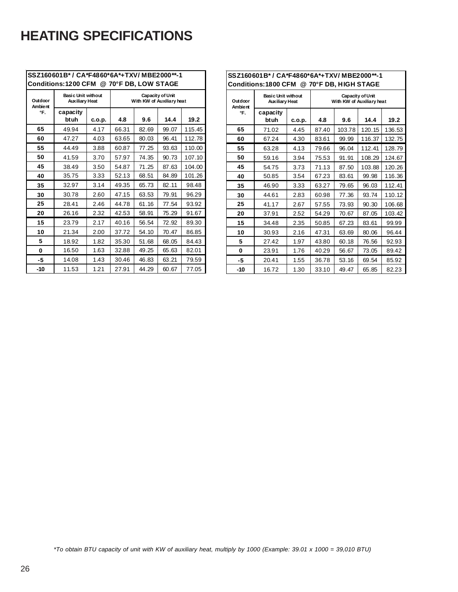# **HEATING SPECIFICATIONS**

|                           | SSZ160601B* / CA*F4860*6A*+TXV/MBE2000**-1         |        |                                               |       |       |        |  |  |
|---------------------------|----------------------------------------------------|--------|-----------------------------------------------|-------|-------|--------|--|--|
|                           | Conditions:1200 CFM @ 70°F DB, LOW STAGE           |        |                                               |       |       |        |  |  |
| Outdoor<br><b>Ambient</b> | <b>Basic Unit without</b><br><b>Auxiliary Heat</b> |        | Capacity of Unit<br>With KW of Auxiliary heat |       |       |        |  |  |
| °F.                       | capacity<br>btuh                                   | c.o.p. | 4.8                                           | 9.6   | 14.4  | 19.2   |  |  |
| 65                        | 49.94                                              | 4.17   | 66.31                                         | 82.69 | 99.07 | 115.45 |  |  |
| 60                        | 47.27                                              | 4.03   | 63.65                                         | 80.03 | 96.41 | 112.78 |  |  |
| 55                        | 44.49                                              | 3.88   | 60.87                                         | 77.25 | 93.63 | 110.00 |  |  |
| 50                        | 41.59                                              | 3.70   | 57.97                                         | 74.35 | 90.73 | 107.10 |  |  |
| 45                        | 38.49                                              | 3.50   | 54.87                                         | 71.25 | 87.63 | 104.00 |  |  |
| 40                        | 35.75                                              | 3.33   | 52.13                                         | 68.51 | 84.89 | 101.26 |  |  |
| 35                        | 32.97                                              | 3.14   | 49.35                                         | 65.73 | 82.11 | 98.48  |  |  |
| 30                        | 30.78                                              | 2.60   | 47.15                                         | 63.53 | 79.91 | 96.29  |  |  |
| 25                        | 28.41                                              | 2.46   | 44.78                                         | 61.16 | 77.54 | 93.92  |  |  |
| 20                        | 26.16                                              | 2.32   | 42.53                                         | 58.91 | 75.29 | 91.67  |  |  |
| 15                        | 23.79                                              | 2.17   | 40.16                                         | 56.54 | 72.92 | 89.30  |  |  |
| 10                        | 21.34                                              | 2.00   | 37.72                                         | 54.10 | 70.47 | 86.85  |  |  |
| 5                         | 18.92                                              | 1.82   | 35.30                                         | 51.68 | 68.05 | 84.43  |  |  |
| 0                         | 16.50                                              | 1.63   | 32.88                                         | 49.25 | 65.63 | 82.01  |  |  |
| -5                        | 14.08                                              | 1.43   | 30.46                                         | 46.83 | 63.21 | 79.59  |  |  |
| $-10$                     | 11.53                                              | 1.21   | 27.91                                         | 44.29 | 60.67 | 77.05  |  |  |

| SSZ160601B* / CA*F4860*6A*+TXV/MBE2000**-1<br>Conditions:1800 CFM @ 70°F DB, HIGH STAGE |                                                    |        |                                               |        |        |        |  |
|-----------------------------------------------------------------------------------------|----------------------------------------------------|--------|-----------------------------------------------|--------|--------|--------|--|
| Outdoor<br>Ambie nt                                                                     | <b>Basic Unit without</b><br><b>Auxiliary Heat</b> |        | Capacity of Unit<br>With KW of Auxiliary heat |        |        |        |  |
| °F.                                                                                     | capacity<br>btuh                                   | c.o.p. | 4.8                                           | 9.6    | 14.4   | 19.2   |  |
| 65                                                                                      | 71.02                                              | 4.45   | 87.40                                         | 103.78 | 120.15 | 136.53 |  |
| 60                                                                                      | 67.24                                              | 4.30   | 83.61                                         | 99.99  | 116.37 | 132.75 |  |
| 55                                                                                      | 63.28                                              | 4.13   | 79.66                                         | 96.04  | 112.41 | 128.79 |  |
| 50                                                                                      | 59.16                                              | 3.94   | 75.53                                         | 91.91  | 108.29 | 124.67 |  |
| 45                                                                                      | 54.75                                              | 3.73   | 71.13                                         | 87.50  | 103.88 | 120.26 |  |
| 40                                                                                      | 50.85                                              | 3.54   | 67.23                                         | 83.61  | 99.98  | 116.36 |  |
| 35                                                                                      | 46.90                                              | 3.33   | 63.27                                         | 79.65  | 96.03  | 112.41 |  |
| 30                                                                                      | 44.61                                              | 2.83   | 60.98                                         | 77.36  | 93.74  | 110.12 |  |
| 25                                                                                      | 41.17                                              | 2.67   | 57.55                                         | 73.93  | 90.30  | 106.68 |  |
| 20                                                                                      | 37.91                                              | 2.52   | 54.29                                         | 70.67  | 87.05  | 103.42 |  |
| 15                                                                                      | 34.48                                              | 2.35   | 50.85                                         | 67.23  | 83.61  | 99.99  |  |
| 10                                                                                      | 30.93                                              | 2.16   | 47.31                                         | 63.69  | 80.06  | 96.44  |  |
| 5                                                                                       | 27.42                                              | 1.97   | 43.80                                         | 60.18  | 76.56  | 92.93  |  |
| 0                                                                                       | 23.91                                              | 1.76   | 40.29                                         | 56.67  | 73.05  | 89.42  |  |
| -5                                                                                      | 20.41                                              | 1.55   | 36.78                                         | 53.16  | 69.54  | 85.92  |  |
| $-10$                                                                                   | 16.72                                              | 1.30   | 33.10                                         | 49.47  | 65.85  | 82.23  |  |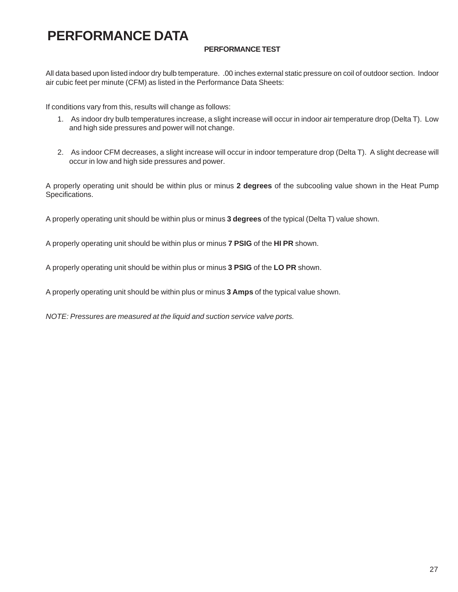# **PERFORMANCE DATA**

## **PERFORMANCE TEST**

All data based upon listed indoor dry bulb temperature. .00 inches external static pressure on coil of outdoor section. Indoor air cubic feet per minute (CFM) as listed in the Performance Data Sheets:

If conditions vary from this, results will change as follows:

- 1. As indoor dry bulb temperatures increase, a slight increase will occur in indoor air temperature drop (Delta T). Low and high side pressures and power will not change.
- 2. As indoor CFM decreases, a slight increase will occur in indoor temperature drop (Delta T). A slight decrease will occur in low and high side pressures and power.

A properly operating unit should be within plus or minus **2 degrees** of the subcooling value shown in the Heat Pump Specifications.

A properly operating unit should be within plus or minus **3 degrees** of the typical (Delta T) value shown.

A properly operating unit should be within plus or minus **7 PSIG** of the **HI PR** shown.

A properly operating unit should be within plus or minus **3 PSIG** of the **LO PR** shown.

A properly operating unit should be within plus or minus **3 Amps** of the typical value shown.

*NOTE: Pressures are measured at the liquid and suction service valve ports.*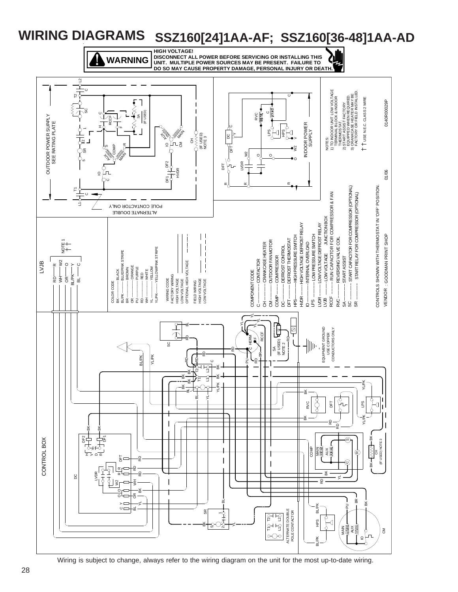

Wiring is subject to change, always refer to the wiring diagram on the unit for the most up-to-date wiring.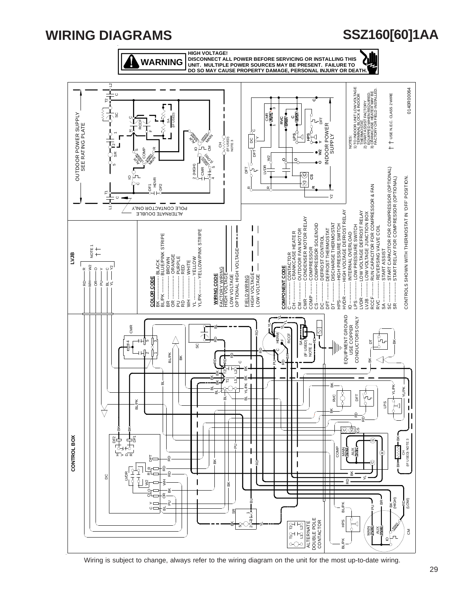# **WIRING DIAGRAMS**

**WARNING**

**HIGH VOLTAGE! DISCONNECT ALL POWER BEFORE SERVICING OR INSTALLING THIS UNIT. MULTIPLE POWER SOURCES MAY BE PRESENT. FAILURE TO DO SO MAY CAUSE PROPERTY DAMAGE, PERSONAL INJURY OR DEATH.**

**SSZ160[60]1AA**

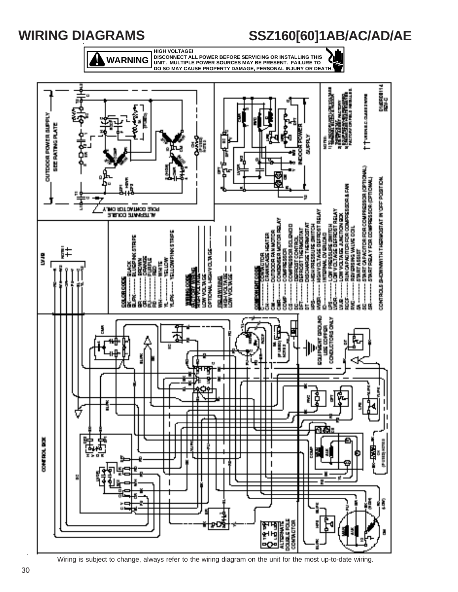

**SSZ160[60]1AB/AC/AD/AE**

Wiring is subject to change, always refer to the wiring diagram on the unit for the most up-to-date wiring.

**WIRING DIAGRAMS**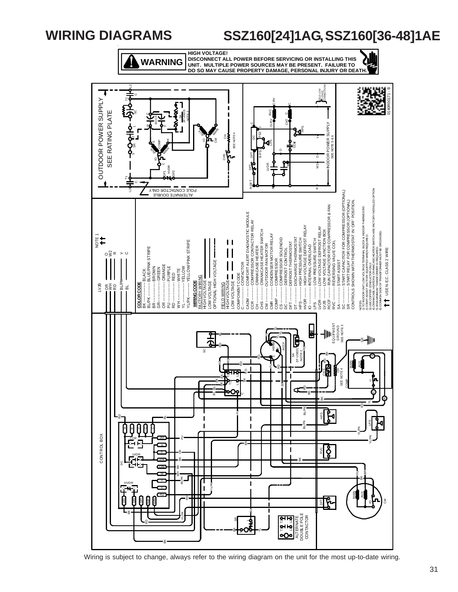# **WIRING DIAGRAMS**

# **SSZ160[24]1AG, SSZ160[36-48]1AE**



**HIGH VOLTAGE! DISCONNECT ALL POWER BEFORE SERVICING OR INSTALLING THIS UNIT. MULTIPLE POWER SOURCES MAY BE PRESENT. FAILURE TO DO SO MAY CAUSE PROPERTY DAMAGE, PERSONAL INJURY OR DEATH.**



Wiring is subject to change, always refer to the wiring diagram on the unit for the most up-to-date wiring.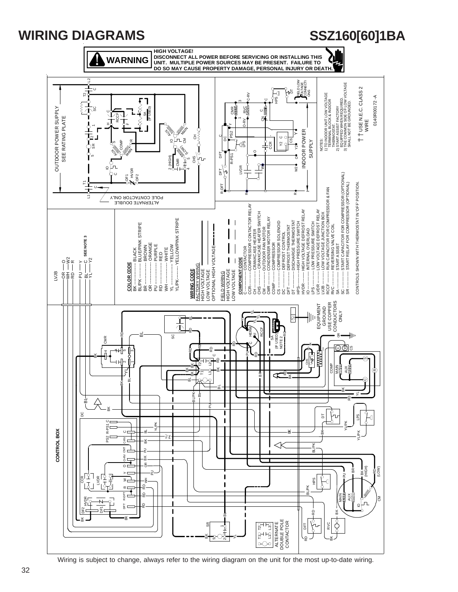

Wiring is subject to change, always refer to the wiring diagram on the unit for the most up-to-date wiring.